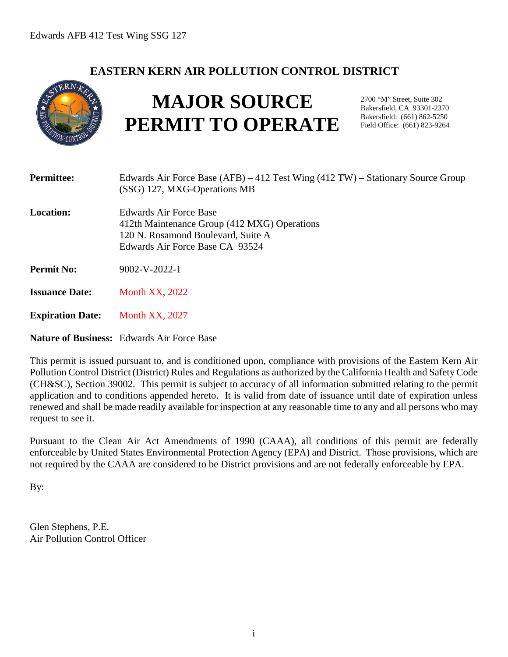## **EASTERN KERN AIR POLLUTION CONTROL DISTRICT**



# **MAJOR SOURCE PERMIT TO OPERATE**

2700 "M" Street, Suite 302 Bakersfield, CA 93301-2370 Bakersfield: (661) 862-5250 Field Office: (661) 823-9264

| <b>Permittee:</b>       | Edwards Air Force Base $(AFB) - 412$ Test Wing $(412 TW)$ – Stationary Source Group<br>(SSG) 127, MXG-Operations MB                             |
|-------------------------|-------------------------------------------------------------------------------------------------------------------------------------------------|
| Location:               | Edwards Air Force Base<br>412th Maintenance Group (412 MXG) Operations<br>120 N. Rosamond Boulevard, Suite A<br>Edwards Air Force Base CA 93524 |
| <b>Permit No:</b>       | $9002-V-2022-1$                                                                                                                                 |
| <b>Issuance Date:</b>   | <b>Month XX, 2022</b>                                                                                                                           |
| <b>Expiration Date:</b> | <b>Month XX, 2027</b>                                                                                                                           |

**Nature of Business:** Edwards Air Force Base

This permit is issued pursuant to, and is conditioned upon, compliance with provisions of the Eastern Kern Air Pollution Control District (District) Rules and Regulations as authorized by the California Health and Safety Code (CH&SC), Section 39002. This permit is subject to accuracy of all information submitted relating to the permit application and to conditions appended hereto. It is valid from date of issuance until date of expiration unless renewed and shall be made readily available for inspection at any reasonable time to any and all persons who may request to see it.

Pursuant to the Clean Air Act Amendments of 1990 (CAAA), all conditions of this permit are federally enforceable by United States Environmental Protection Agency (EPA) and District. Those provisions, which are not required by the CAAA are considered to be District provisions and are not federally enforceable by EPA.

By:

Glen Stephens, P.E. Air Pollution Control Officer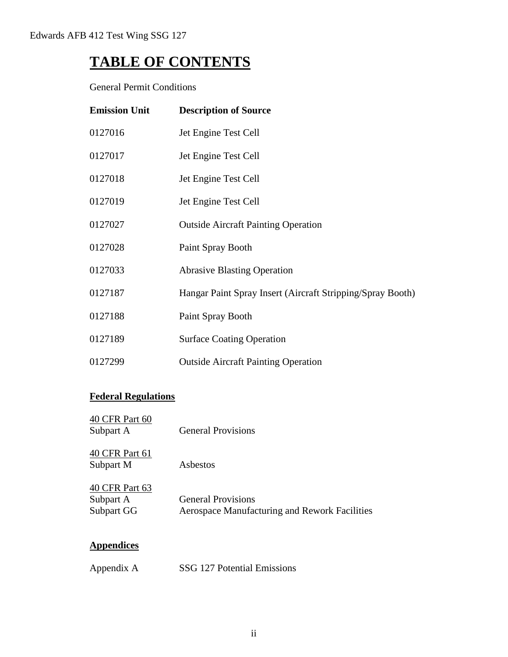## **TABLE OF CONTENTS**

General Permit Conditions

| <b>Emission Unit</b> | <b>Description of Source</b>                               |
|----------------------|------------------------------------------------------------|
| 0127016              | Jet Engine Test Cell                                       |
| 0127017              | Jet Engine Test Cell                                       |
| 0127018              | Jet Engine Test Cell                                       |
| 0127019              | Jet Engine Test Cell                                       |
| 0127027              | <b>Outside Aircraft Painting Operation</b>                 |
| 0127028              | Paint Spray Booth                                          |
| 0127033              | <b>Abrasive Blasting Operation</b>                         |
| 0127187              | Hangar Paint Spray Insert (Aircraft Stripping/Spray Booth) |
| 0127188              | Paint Spray Booth                                          |
| 0127189              | <b>Surface Coating Operation</b>                           |
| 0127299              | <b>Outside Aircraft Painting Operation</b>                 |

## **Federal Regulations**

| 40 CFR Part 60<br>Subpart A               | <b>General Provisions</b>                                                  |
|-------------------------------------------|----------------------------------------------------------------------------|
| 40 CFR Part 61<br>Subpart M               | Asbestos                                                                   |
| 40 CFR Part 63<br>Subpart A<br>Subpart GG | <b>General Provisions</b><br>Aerospace Manufacturing and Rework Facilities |
|                                           |                                                                            |

## **Appendices**

| Appendix A | SSG 127 Potential Emissions |
|------------|-----------------------------|
|------------|-----------------------------|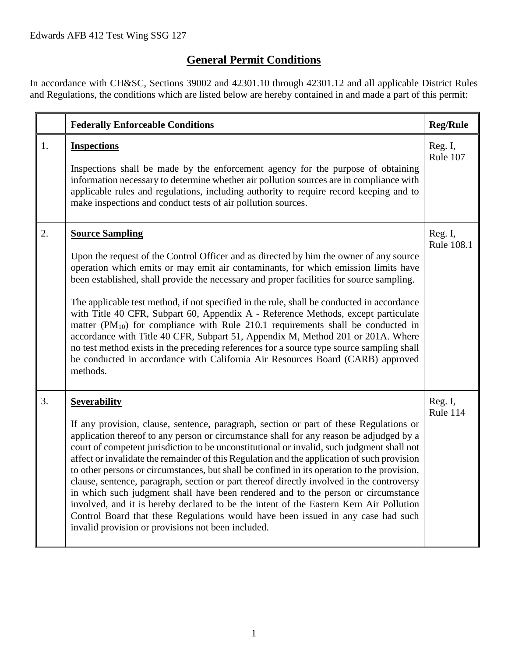## **General Permit Conditions**

In accordance with CH&SC, Sections 39002 and 42301.10 through 42301.12 and all applicable District Rules and Regulations, the conditions which are listed below are hereby contained in and made a part of this permit:

|    | <b>Federally Enforceable Conditions</b>                                                                                                                                                                                                                                                                                                                                                                                                                                                                                                                                                                                                                                                                                                                                                                                                                                                                                    | <b>Reg/Rule</b>       |
|----|----------------------------------------------------------------------------------------------------------------------------------------------------------------------------------------------------------------------------------------------------------------------------------------------------------------------------------------------------------------------------------------------------------------------------------------------------------------------------------------------------------------------------------------------------------------------------------------------------------------------------------------------------------------------------------------------------------------------------------------------------------------------------------------------------------------------------------------------------------------------------------------------------------------------------|-----------------------|
| 1. | <b>Inspections</b><br>Inspections shall be made by the enforcement agency for the purpose of obtaining<br>information necessary to determine whether air pollution sources are in compliance with<br>applicable rules and regulations, including authority to require record keeping and to<br>make inspections and conduct tests of air pollution sources.                                                                                                                                                                                                                                                                                                                                                                                                                                                                                                                                                                | Reg. I,<br>Rule 107   |
| 2. | <b>Source Sampling</b><br>Upon the request of the Control Officer and as directed by him the owner of any source<br>operation which emits or may emit air contaminants, for which emission limits have<br>been established, shall provide the necessary and proper facilities for source sampling.<br>The applicable test method, if not specified in the rule, shall be conducted in accordance<br>with Title 40 CFR, Subpart 60, Appendix A - Reference Methods, except particulate<br>matter $(PM_{10})$ for compliance with Rule 210.1 requirements shall be conducted in<br>accordance with Title 40 CFR, Subpart 51, Appendix M, Method 201 or 201A. Where<br>no test method exists in the preceding references for a source type source sampling shall<br>be conducted in accordance with California Air Resources Board (CARB) approved<br>methods.                                                                | Reg. I,<br>Rule 108.1 |
| 3. | <b>Severability</b><br>If any provision, clause, sentence, paragraph, section or part of these Regulations or<br>application thereof to any person or circumstance shall for any reason be adjudged by a<br>court of competent jurisdiction to be unconstitutional or invalid, such judgment shall not<br>affect or invalidate the remainder of this Regulation and the application of such provision<br>to other persons or circumstances, but shall be confined in its operation to the provision,<br>clause, sentence, paragraph, section or part thereof directly involved in the controversy<br>in which such judgment shall have been rendered and to the person or circumstance<br>involved, and it is hereby declared to be the intent of the Eastern Kern Air Pollution<br>Control Board that these Regulations would have been issued in any case had such<br>invalid provision or provisions not been included. | Reg. I,<br>Rule 114   |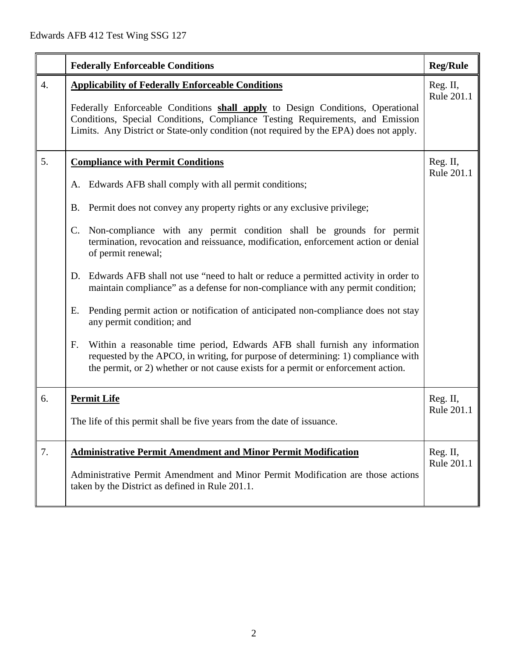|                  | <b>Federally Enforceable Conditions</b>                                                                                                                                                                                                                                                                                                                                                                                                                                                                                                                                                                                                                                                                                                                                                                                                                                                                                                      | <b>Reg/Rule</b>        |
|------------------|----------------------------------------------------------------------------------------------------------------------------------------------------------------------------------------------------------------------------------------------------------------------------------------------------------------------------------------------------------------------------------------------------------------------------------------------------------------------------------------------------------------------------------------------------------------------------------------------------------------------------------------------------------------------------------------------------------------------------------------------------------------------------------------------------------------------------------------------------------------------------------------------------------------------------------------------|------------------------|
| $\overline{4}$ . | <b>Applicability of Federally Enforceable Conditions</b><br>Federally Enforceable Conditions shall apply to Design Conditions, Operational<br>Conditions, Special Conditions, Compliance Testing Requirements, and Emission<br>Limits. Any District or State-only condition (not required by the EPA) does not apply.                                                                                                                                                                                                                                                                                                                                                                                                                                                                                                                                                                                                                        | Reg. II,<br>Rule 201.1 |
| 5.               | <b>Compliance with Permit Conditions</b><br>A. Edwards AFB shall comply with all permit conditions;<br>B. Permit does not convey any property rights or any exclusive privilege;<br>C. Non-compliance with any permit condition shall be grounds for permit<br>termination, revocation and reissuance, modification, enforcement action or denial<br>of permit renewal;<br>Edwards AFB shall not use "need to halt or reduce a permitted activity in order to<br>D.<br>maintain compliance" as a defense for non-compliance with any permit condition;<br>Pending permit action or notification of anticipated non-compliance does not stay<br>Ε.<br>any permit condition; and<br>Within a reasonable time period, Edwards AFB shall furnish any information<br>F.<br>requested by the APCO, in writing, for purpose of determining: 1) compliance with<br>the permit, or 2) whether or not cause exists for a permit or enforcement action. | Reg. II,<br>Rule 201.1 |
| 6.               | <b>Permit Life</b><br>The life of this permit shall be five years from the date of issuance.                                                                                                                                                                                                                                                                                                                                                                                                                                                                                                                                                                                                                                                                                                                                                                                                                                                 | Reg. II,<br>Rule 201.1 |
| 7.               | <b>Administrative Permit Amendment and Minor Permit Modification</b><br>Administrative Permit Amendment and Minor Permit Modification are those actions<br>taken by the District as defined in Rule 201.1.                                                                                                                                                                                                                                                                                                                                                                                                                                                                                                                                                                                                                                                                                                                                   | Reg. II,<br>Rule 201.1 |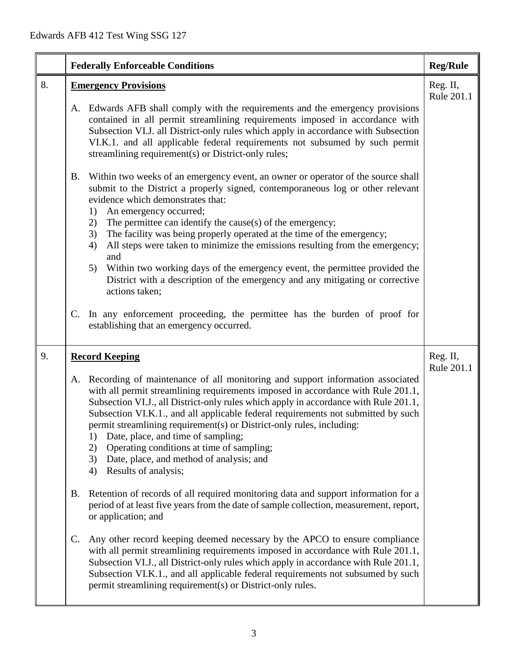|    | <b>Federally Enforceable Conditions</b>                                                                                                                                                                                                                                                                                                                                                                                                                                                                                                                                                                      | <b>Reg/Rule</b>        |
|----|--------------------------------------------------------------------------------------------------------------------------------------------------------------------------------------------------------------------------------------------------------------------------------------------------------------------------------------------------------------------------------------------------------------------------------------------------------------------------------------------------------------------------------------------------------------------------------------------------------------|------------------------|
| 8. | <b>Emergency Provisions</b>                                                                                                                                                                                                                                                                                                                                                                                                                                                                                                                                                                                  | Reg. II,<br>Rule 201.1 |
|    | Edwards AFB shall comply with the requirements and the emergency provisions<br>A.<br>contained in all permit streamlining requirements imposed in accordance with<br>Subsection VI.J. all District-only rules which apply in accordance with Subsection<br>VI.K.1. and all applicable federal requirements not subsumed by such permit<br>streamlining requirement(s) or District-only rules;                                                                                                                                                                                                                |                        |
|    | Within two weeks of an emergency event, an owner or operator of the source shall<br><b>B.</b><br>submit to the District a properly signed, contemporaneous log or other relevant<br>evidence which demonstrates that:<br>An emergency occurred;<br>1)                                                                                                                                                                                                                                                                                                                                                        |                        |
|    | The permittee can identify the cause(s) of the emergency;<br>2)<br>The facility was being properly operated at the time of the emergency;<br>3)<br>All steps were taken to minimize the emissions resulting from the emergency;<br>4)<br>and                                                                                                                                                                                                                                                                                                                                                                 |                        |
|    | Within two working days of the emergency event, the permittee provided the<br>5)<br>District with a description of the emergency and any mitigating or corrective<br>actions taken;                                                                                                                                                                                                                                                                                                                                                                                                                          |                        |
|    | In any enforcement proceeding, the permittee has the burden of proof for<br>C.<br>establishing that an emergency occurred.                                                                                                                                                                                                                                                                                                                                                                                                                                                                                   |                        |
| 9. | <b>Record Keeping</b>                                                                                                                                                                                                                                                                                                                                                                                                                                                                                                                                                                                        | Reg. II,<br>Rule 201.1 |
|    | Recording of maintenance of all monitoring and support information associated<br>A.<br>with all permit streamlining requirements imposed in accordance with Rule 201.1,<br>Subsection VI.J., all District-only rules which apply in accordance with Rule 201.1,<br>Subsection VI.K.1., and all applicable federal requirements not submitted by such<br>permit streamlining requirement(s) or District-only rules, including:<br>Date, place, and time of sampling;<br>1)<br>Operating conditions at time of sampling;<br>2)<br>Date, place, and method of analysis; and<br>3)<br>Results of analysis;<br>4) |                        |
|    | Retention of records of all required monitoring data and support information for a<br><b>B.</b><br>period of at least five years from the date of sample collection, measurement, report,<br>or application; and                                                                                                                                                                                                                                                                                                                                                                                             |                        |
|    | Any other record keeping deemed necessary by the APCO to ensure compliance<br>C.<br>with all permit streamlining requirements imposed in accordance with Rule 201.1,<br>Subsection VI.J., all District-only rules which apply in accordance with Rule 201.1,<br>Subsection VI.K.1., and all applicable federal requirements not subsumed by such<br>permit streamlining requirement(s) or District-only rules.                                                                                                                                                                                               |                        |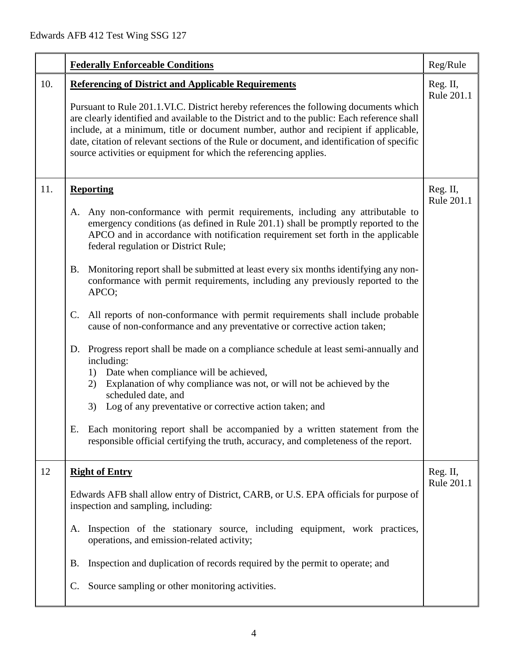|     | <b>Federally Enforceable Conditions</b>                                                                                                                                                                                                                                                                                                                                                                                                                                                                                                                                                                                                                                                                                                                                                                                                                                                                                                                                                                                                                                                                                                                                                                          | Reg/Rule               |
|-----|------------------------------------------------------------------------------------------------------------------------------------------------------------------------------------------------------------------------------------------------------------------------------------------------------------------------------------------------------------------------------------------------------------------------------------------------------------------------------------------------------------------------------------------------------------------------------------------------------------------------------------------------------------------------------------------------------------------------------------------------------------------------------------------------------------------------------------------------------------------------------------------------------------------------------------------------------------------------------------------------------------------------------------------------------------------------------------------------------------------------------------------------------------------------------------------------------------------|------------------------|
| 10. | <b>Referencing of District and Applicable Requirements</b><br>Pursuant to Rule 201.1.VI.C. District hereby references the following documents which<br>are clearly identified and available to the District and to the public: Each reference shall<br>include, at a minimum, title or document number, author and recipient if applicable,<br>date, citation of relevant sections of the Rule or document, and identification of specific<br>source activities or equipment for which the referencing applies.                                                                                                                                                                                                                                                                                                                                                                                                                                                                                                                                                                                                                                                                                                  | Reg. II,<br>Rule 201.1 |
| 11. | <b>Reporting</b><br>Any non-conformance with permit requirements, including any attributable to<br>A.<br>emergency conditions (as defined in Rule 201.1) shall be promptly reported to the<br>APCO and in accordance with notification requirement set forth in the applicable<br>federal regulation or District Rule;<br>Monitoring report shall be submitted at least every six months identifying any non-<br><b>B.</b><br>conformance with permit requirements, including any previously reported to the<br>APCO;<br>All reports of non-conformance with permit requirements shall include probable<br>$\mathsf{C}$ .<br>cause of non-conformance and any preventative or corrective action taken;<br>D. Progress report shall be made on a compliance schedule at least semi-annually and<br>including:<br>Date when compliance will be achieved,<br>1)<br>Explanation of why compliance was not, or will not be achieved by the<br>2)<br>scheduled date, and<br>Log of any preventative or corrective action taken; and<br>3)<br>Each monitoring report shall be accompanied by a written statement from the<br>Е.<br>responsible official certifying the truth, accuracy, and completeness of the report. | Reg. II,<br>Rule 201.1 |
| 12  | <b>Right of Entry</b><br>Edwards AFB shall allow entry of District, CARB, or U.S. EPA officials for purpose of<br>inspection and sampling, including:<br>Inspection of the stationary source, including equipment, work practices,<br>A.<br>operations, and emission-related activity;<br>Inspection and duplication of records required by the permit to operate; and<br>В.<br>Source sampling or other monitoring activities.<br>$\mathbf{C}$ .                                                                                                                                                                                                                                                                                                                                                                                                                                                                                                                                                                                                                                                                                                                                                                | Reg. II,<br>Rule 201.1 |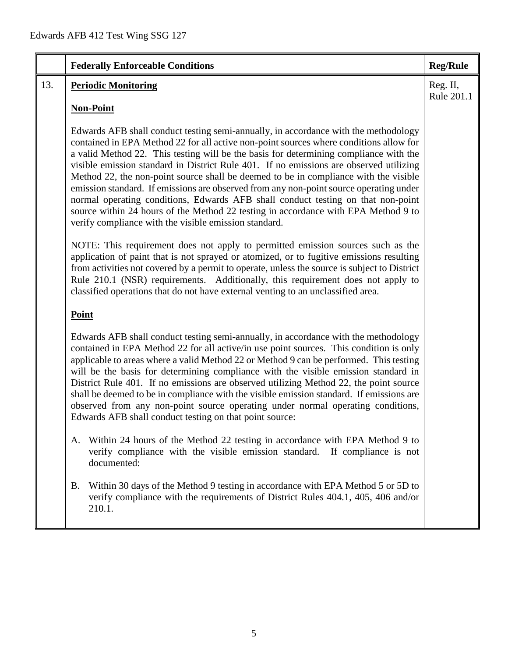|     | <b>Federally Enforceable Conditions</b>                                                                                                                                                                                                                                                                                                                                                                                                                                                                                                                                                                                                                                                                                                                                               | <b>Reg/Rule</b>        |
|-----|---------------------------------------------------------------------------------------------------------------------------------------------------------------------------------------------------------------------------------------------------------------------------------------------------------------------------------------------------------------------------------------------------------------------------------------------------------------------------------------------------------------------------------------------------------------------------------------------------------------------------------------------------------------------------------------------------------------------------------------------------------------------------------------|------------------------|
| 13. | <b>Periodic Monitoring</b>                                                                                                                                                                                                                                                                                                                                                                                                                                                                                                                                                                                                                                                                                                                                                            | Reg. II,<br>Rule 201.1 |
|     | <b>Non-Point</b>                                                                                                                                                                                                                                                                                                                                                                                                                                                                                                                                                                                                                                                                                                                                                                      |                        |
|     | Edwards AFB shall conduct testing semi-annually, in accordance with the methodology<br>contained in EPA Method 22 for all active non-point sources where conditions allow for<br>a valid Method 22. This testing will be the basis for determining compliance with the<br>visible emission standard in District Rule 401. If no emissions are observed utilizing<br>Method 22, the non-point source shall be deemed to be in compliance with the visible<br>emission standard. If emissions are observed from any non-point source operating under<br>normal operating conditions, Edwards AFB shall conduct testing on that non-point<br>source within 24 hours of the Method 22 testing in accordance with EPA Method 9 to<br>verify compliance with the visible emission standard. |                        |
|     | NOTE: This requirement does not apply to permitted emission sources such as the<br>application of paint that is not sprayed or atomized, or to fugitive emissions resulting<br>from activities not covered by a permit to operate, unless the source is subject to District<br>Rule 210.1 (NSR) requirements. Additionally, this requirement does not apply to<br>classified operations that do not have external venting to an unclassified area.                                                                                                                                                                                                                                                                                                                                    |                        |
|     | <b>Point</b>                                                                                                                                                                                                                                                                                                                                                                                                                                                                                                                                                                                                                                                                                                                                                                          |                        |
|     | Edwards AFB shall conduct testing semi-annually, in accordance with the methodology<br>contained in EPA Method 22 for all active/in use point sources. This condition is only<br>applicable to areas where a valid Method 22 or Method 9 can be performed. This testing<br>will be the basis for determining compliance with the visible emission standard in<br>District Rule 401. If no emissions are observed utilizing Method 22, the point source<br>shall be deemed to be in compliance with the visible emission standard. If emissions are<br>observed from any non-point source operating under normal operating conditions,<br>Edwards AFB shall conduct testing on that point source:                                                                                      |                        |
|     | A. Within 24 hours of the Method 22 testing in accordance with EPA Method 9 to<br>verify compliance with the visible emission standard. If compliance is not<br>documented:                                                                                                                                                                                                                                                                                                                                                                                                                                                                                                                                                                                                           |                        |
|     | Within 30 days of the Method 9 testing in accordance with EPA Method 5 or 5D to<br>B.<br>verify compliance with the requirements of District Rules 404.1, 405, 406 and/or<br>210.1.                                                                                                                                                                                                                                                                                                                                                                                                                                                                                                                                                                                                   |                        |
|     |                                                                                                                                                                                                                                                                                                                                                                                                                                                                                                                                                                                                                                                                                                                                                                                       |                        |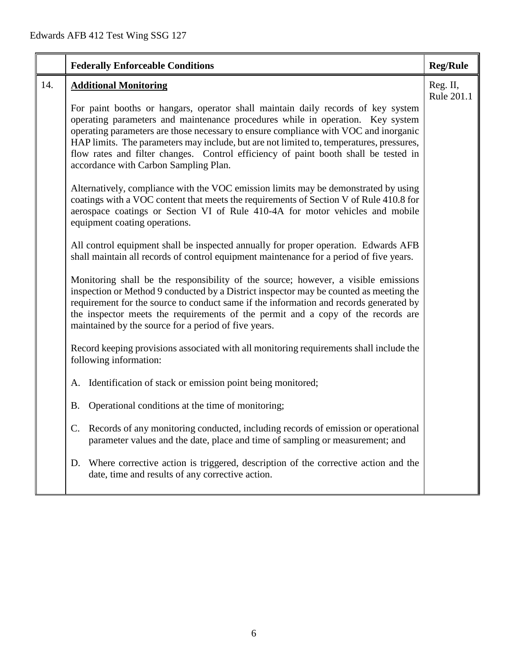|     | <b>Federally Enforceable Conditions</b>                                                                                                                                                                                                                                                                                                                                                                                                                                                | <b>Reg/Rule</b>        |
|-----|----------------------------------------------------------------------------------------------------------------------------------------------------------------------------------------------------------------------------------------------------------------------------------------------------------------------------------------------------------------------------------------------------------------------------------------------------------------------------------------|------------------------|
| 14. | <b>Additional Monitoring</b>                                                                                                                                                                                                                                                                                                                                                                                                                                                           | Reg. II,<br>Rule 201.1 |
|     | For paint booths or hangars, operator shall maintain daily records of key system<br>operating parameters and maintenance procedures while in operation. Key system<br>operating parameters are those necessary to ensure compliance with VOC and inorganic<br>HAP limits. The parameters may include, but are not limited to, temperatures, pressures,<br>flow rates and filter changes. Control efficiency of paint booth shall be tested in<br>accordance with Carbon Sampling Plan. |                        |
|     | Alternatively, compliance with the VOC emission limits may be demonstrated by using<br>coatings with a VOC content that meets the requirements of Section V of Rule 410.8 for<br>aerospace coatings or Section VI of Rule 410-4A for motor vehicles and mobile<br>equipment coating operations.                                                                                                                                                                                        |                        |
|     | All control equipment shall be inspected annually for proper operation. Edwards AFB<br>shall maintain all records of control equipment maintenance for a period of five years.                                                                                                                                                                                                                                                                                                         |                        |
|     | Monitoring shall be the responsibility of the source; however, a visible emissions<br>inspection or Method 9 conducted by a District inspector may be counted as meeting the<br>requirement for the source to conduct same if the information and records generated by<br>the inspector meets the requirements of the permit and a copy of the records are<br>maintained by the source for a period of five years.                                                                     |                        |
|     | Record keeping provisions associated with all monitoring requirements shall include the<br>following information:                                                                                                                                                                                                                                                                                                                                                                      |                        |
|     | Identification of stack or emission point being monitored;<br>А.                                                                                                                                                                                                                                                                                                                                                                                                                       |                        |
|     | Operational conditions at the time of monitoring;<br>Β.                                                                                                                                                                                                                                                                                                                                                                                                                                |                        |
|     | Records of any monitoring conducted, including records of emission or operational<br>C.<br>parameter values and the date, place and time of sampling or measurement; and                                                                                                                                                                                                                                                                                                               |                        |
|     | Where corrective action is triggered, description of the corrective action and the<br>D.<br>date, time and results of any corrective action.                                                                                                                                                                                                                                                                                                                                           |                        |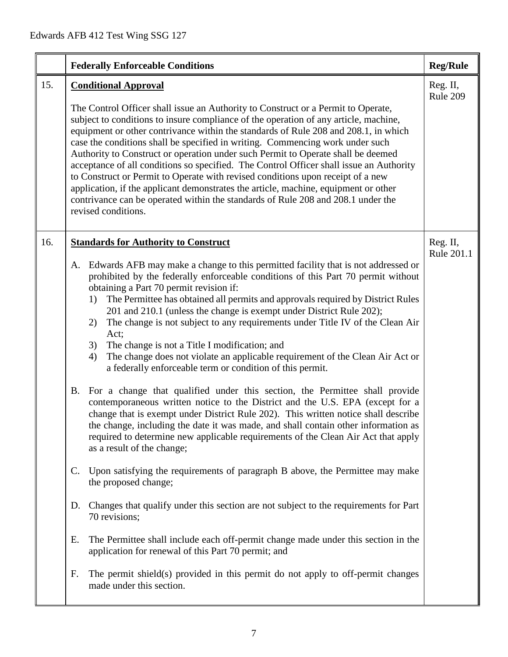|     | <b>Federally Enforceable Conditions</b>                                                                                                                                                                                                                                                                                                                                                                                                                                                                                                                                                                                                                                                                                                                                                                                                                                                                                                                                                                                                                                                                                                                                                                                                                                                                                                                                                                                                                                                                                                                                                                                                                                                                                              | <b>Reg/Rule</b>        |
|-----|--------------------------------------------------------------------------------------------------------------------------------------------------------------------------------------------------------------------------------------------------------------------------------------------------------------------------------------------------------------------------------------------------------------------------------------------------------------------------------------------------------------------------------------------------------------------------------------------------------------------------------------------------------------------------------------------------------------------------------------------------------------------------------------------------------------------------------------------------------------------------------------------------------------------------------------------------------------------------------------------------------------------------------------------------------------------------------------------------------------------------------------------------------------------------------------------------------------------------------------------------------------------------------------------------------------------------------------------------------------------------------------------------------------------------------------------------------------------------------------------------------------------------------------------------------------------------------------------------------------------------------------------------------------------------------------------------------------------------------------|------------------------|
| 15. | <b>Conditional Approval</b><br>The Control Officer shall issue an Authority to Construct or a Permit to Operate,<br>subject to conditions to insure compliance of the operation of any article, machine,<br>equipment or other contrivance within the standards of Rule 208 and 208.1, in which<br>case the conditions shall be specified in writing. Commencing work under such<br>Authority to Construct or operation under such Permit to Operate shall be deemed<br>acceptance of all conditions so specified. The Control Officer shall issue an Authority<br>to Construct or Permit to Operate with revised conditions upon receipt of a new<br>application, if the applicant demonstrates the article, machine, equipment or other<br>contrivance can be operated within the standards of Rule 208 and 208.1 under the<br>revised conditions.                                                                                                                                                                                                                                                                                                                                                                                                                                                                                                                                                                                                                                                                                                                                                                                                                                                                                 | Reg. II,<br>Rule 209   |
| 16. | <b>Standards for Authority to Construct</b><br>Edwards AFB may make a change to this permitted facility that is not addressed or<br>A.<br>prohibited by the federally enforceable conditions of this Part 70 permit without<br>obtaining a Part 70 permit revision if:<br>The Permittee has obtained all permits and approvals required by District Rules<br>1)<br>201 and 210.1 (unless the change is exempt under District Rule 202);<br>The change is not subject to any requirements under Title IV of the Clean Air<br>2)<br>Act;<br>The change is not a Title I modification; and<br>3)<br>The change does not violate an applicable requirement of the Clean Air Act or<br>4)<br>a federally enforceable term or condition of this permit.<br>B. For a change that qualified under this section, the Permittee shall provide<br>contemporaneous written notice to the District and the U.S. EPA (except for a<br>change that is exempt under District Rule 202). This written notice shall describe<br>the change, including the date it was made, and shall contain other information as<br>required to determine new applicable requirements of the Clean Air Act that apply<br>as a result of the change;<br>Upon satisfying the requirements of paragraph B above, the Permittee may make<br>$\mathbf{C}$ .<br>the proposed change;<br>Changes that qualify under this section are not subject to the requirements for Part<br>D.<br>70 revisions;<br>The Permittee shall include each off-permit change made under this section in the<br>Е.<br>application for renewal of this Part 70 permit; and<br>The permit shield(s) provided in this permit do not apply to off-permit changes<br>F.<br>made under this section. | Reg. II,<br>Rule 201.1 |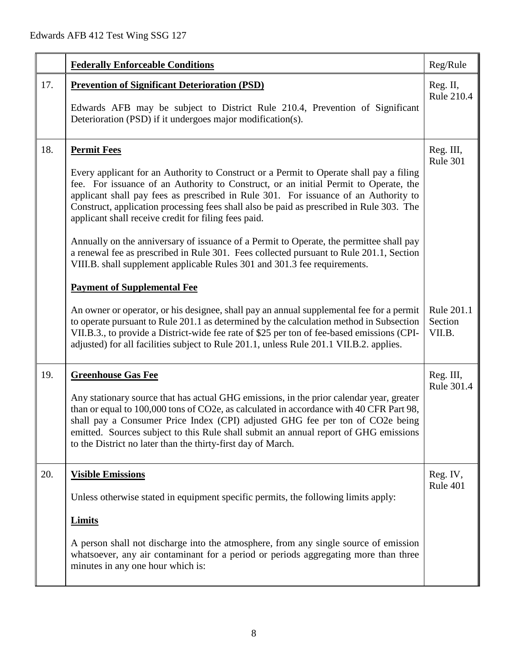|     | <b>Federally Enforceable Conditions</b>                                                                                                                                                                                                                                                                                                                                                                                                                                                                                                                                                                                                                                                                                                                   | Reg/Rule                        |
|-----|-----------------------------------------------------------------------------------------------------------------------------------------------------------------------------------------------------------------------------------------------------------------------------------------------------------------------------------------------------------------------------------------------------------------------------------------------------------------------------------------------------------------------------------------------------------------------------------------------------------------------------------------------------------------------------------------------------------------------------------------------------------|---------------------------------|
| 17. | <b>Prevention of Significant Deterioration (PSD)</b><br>Edwards AFB may be subject to District Rule 210.4, Prevention of Significant<br>Deterioration (PSD) if it undergoes major modification(s).                                                                                                                                                                                                                                                                                                                                                                                                                                                                                                                                                        | Reg. II,<br><b>Rule 210.4</b>   |
| 18. | <b>Permit Fees</b><br>Every applicant for an Authority to Construct or a Permit to Operate shall pay a filing<br>fee. For issuance of an Authority to Construct, or an initial Permit to Operate, the<br>applicant shall pay fees as prescribed in Rule 301. For issuance of an Authority to<br>Construct, application processing fees shall also be paid as prescribed in Rule 303. The<br>applicant shall receive credit for filing fees paid.<br>Annually on the anniversary of issuance of a Permit to Operate, the permittee shall pay<br>a renewal fee as prescribed in Rule 301. Fees collected pursuant to Rule 201.1, Section<br>VIII.B. shall supplement applicable Rules 301 and 301.3 fee requirements.<br><b>Payment of Supplemental Fee</b> | Reg. III,<br><b>Rule 301</b>    |
|     | An owner or operator, or his designee, shall pay an annual supplemental fee for a permit<br>to operate pursuant to Rule 201.1 as determined by the calculation method in Subsection<br>VII.B.3., to provide a District-wide fee rate of \$25 per ton of fee-based emissions (CPI-<br>adjusted) for all facilities subject to Rule 201.1, unless Rule 201.1 VII.B.2. applies.                                                                                                                                                                                                                                                                                                                                                                              | Rule 201.1<br>Section<br>VII.B. |
| 19. | <b>Greenhouse Gas Fee</b><br>Any stationary source that has actual GHG emissions, in the prior calendar year, greater<br>than or equal to 100,000 tons of CO2e, as calculated in accordance with 40 CFR Part 98,<br>shall pay a Consumer Price Index (CPI) adjusted GHG fee per ton of CO2e being<br>emitted. Sources subject to this Rule shall submit an annual report of GHG emissions<br>to the District no later than the thirty-first day of March.                                                                                                                                                                                                                                                                                                 | Reg. III,<br>Rule 301.4         |
| 20. | <b>Visible Emissions</b><br>Unless otherwise stated in equipment specific permits, the following limits apply:<br><b>Limits</b><br>A person shall not discharge into the atmosphere, from any single source of emission<br>whatsoever, any air contaminant for a period or periods aggregating more than three<br>minutes in any one hour which is:                                                                                                                                                                                                                                                                                                                                                                                                       | Reg. IV,<br>Rule 401            |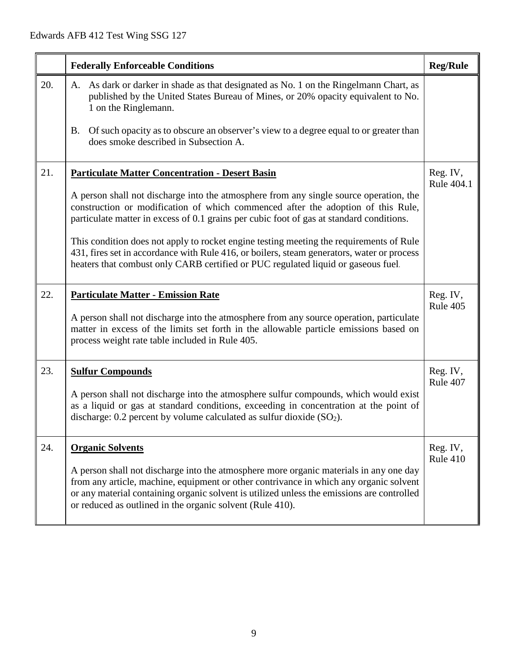|     | <b>Federally Enforceable Conditions</b>                                                                                                                                                                                                                                                                                                                                                                                                                                                                                                                                                                        | <b>Reg/Rule</b>        |
|-----|----------------------------------------------------------------------------------------------------------------------------------------------------------------------------------------------------------------------------------------------------------------------------------------------------------------------------------------------------------------------------------------------------------------------------------------------------------------------------------------------------------------------------------------------------------------------------------------------------------------|------------------------|
| 20. | As dark or darker in shade as that designated as No. 1 on the Ringelmann Chart, as<br>A.<br>published by the United States Bureau of Mines, or 20% opacity equivalent to No.<br>1 on the Ringlemann.<br>Of such opacity as to obscure an observer's view to a degree equal to or greater than<br>B.<br>does smoke described in Subsection A.                                                                                                                                                                                                                                                                   |                        |
| 21. | <b>Particulate Matter Concentration - Desert Basin</b><br>A person shall not discharge into the atmosphere from any single source operation, the<br>construction or modification of which commenced after the adoption of this Rule,<br>particulate matter in excess of 0.1 grains per cubic foot of gas at standard conditions.<br>This condition does not apply to rocket engine testing meeting the requirements of Rule<br>431, fires set in accordance with Rule 416, or boilers, steam generators, water or process<br>heaters that combust only CARB certified or PUC regulated liquid or gaseous fuel. | Reg. IV,<br>Rule 404.1 |
| 22. | <b>Particulate Matter - Emission Rate</b><br>A person shall not discharge into the atmosphere from any source operation, particulate<br>matter in excess of the limits set forth in the allowable particle emissions based on<br>process weight rate table included in Rule 405.                                                                                                                                                                                                                                                                                                                               | Reg. IV,<br>Rule 405   |
| 23. | <b>Sulfur Compounds</b><br>A person shall not discharge into the atmosphere sulfur compounds, which would exist<br>as a liquid or gas at standard conditions, exceeding in concentration at the point of<br>discharge: $0.2$ percent by volume calculated as sulfur dioxide $(SO2)$ .                                                                                                                                                                                                                                                                                                                          | Reg. IV,<br>Rule 407   |
| 24. | <b>Organic Solvents</b><br>A person shall not discharge into the atmosphere more organic materials in any one day<br>from any article, machine, equipment or other contrivance in which any organic solvent<br>or any material containing organic solvent is utilized unless the emissions are controlled<br>or reduced as outlined in the organic solvent (Rule 410).                                                                                                                                                                                                                                         | Reg. IV,<br>Rule 410   |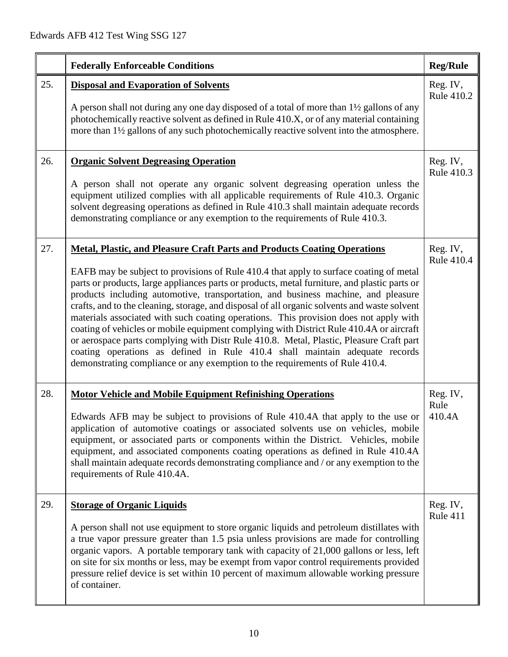|     | <b>Federally Enforceable Conditions</b>                                                                                                                                                                                                                                                                                                                                                                                                                                                                                                                                                                                                                                                                                                                                                                                                                                                                      | <b>Reg/Rule</b>             |
|-----|--------------------------------------------------------------------------------------------------------------------------------------------------------------------------------------------------------------------------------------------------------------------------------------------------------------------------------------------------------------------------------------------------------------------------------------------------------------------------------------------------------------------------------------------------------------------------------------------------------------------------------------------------------------------------------------------------------------------------------------------------------------------------------------------------------------------------------------------------------------------------------------------------------------|-----------------------------|
| 25. | <b>Disposal and Evaporation of Solvents</b><br>A person shall not during any one day disposed of a total of more than 1 <sup>1</sup> / <sub>2</sub> gallons of any<br>photochemically reactive solvent as defined in Rule 410.X, or of any material containing<br>more than 1½ gallons of any such photochemically reactive solvent into the atmosphere.                                                                                                                                                                                                                                                                                                                                                                                                                                                                                                                                                     | Reg. IV,<br>Rule 410.2      |
| 26. | <b>Organic Solvent Degreasing Operation</b><br>A person shall not operate any organic solvent degreasing operation unless the<br>equipment utilized complies with all applicable requirements of Rule 410.3. Organic<br>solvent degreasing operations as defined in Rule 410.3 shall maintain adequate records<br>demonstrating compliance or any exemption to the requirements of Rule 410.3.                                                                                                                                                                                                                                                                                                                                                                                                                                                                                                               | Reg. IV,<br>Rule 410.3      |
| 27. | <b>Metal, Plastic, and Pleasure Craft Parts and Products Coating Operations</b><br>EAFB may be subject to provisions of Rule 410.4 that apply to surface coating of metal<br>parts or products, large appliances parts or products, metal furniture, and plastic parts or<br>products including automotive, transportation, and business machine, and pleasure<br>crafts, and to the cleaning, storage, and disposal of all organic solvents and waste solvent<br>materials associated with such coating operations. This provision does not apply with<br>coating of vehicles or mobile equipment complying with District Rule 410.4A or aircraft<br>or aerospace parts complying with Distr Rule 410.8. Metal, Plastic, Pleasure Craft part<br>coating operations as defined in Rule 410.4 shall maintain adequate records<br>demonstrating compliance or any exemption to the requirements of Rule 410.4. | Reg. IV,<br>Rule 410.4      |
| 28. | <b>Motor Vehicle and Mobile Equipment Refinishing Operations</b><br>Edwards AFB may be subject to provisions of Rule 410.4A that apply to the use or<br>application of automotive coatings or associated solvents use on vehicles, mobile<br>equipment, or associated parts or components within the District. Vehicles, mobile<br>equipment, and associated components coating operations as defined in Rule 410.4A<br>shall maintain adequate records demonstrating compliance and / or any exemption to the<br>requirements of Rule 410.4A.                                                                                                                                                                                                                                                                                                                                                               | Reg. IV,<br>Rule<br>410.4A  |
| 29. | <b>Storage of Organic Liquids</b><br>A person shall not use equipment to store organic liquids and petroleum distillates with<br>a true vapor pressure greater than 1.5 psia unless provisions are made for controlling<br>organic vapors. A portable temporary tank with capacity of 21,000 gallons or less, left<br>on site for six months or less, may be exempt from vapor control requirements provided<br>pressure relief device is set within 10 percent of maximum allowable working pressure<br>of container.                                                                                                                                                                                                                                                                                                                                                                                       | Reg. IV,<br><b>Rule 411</b> |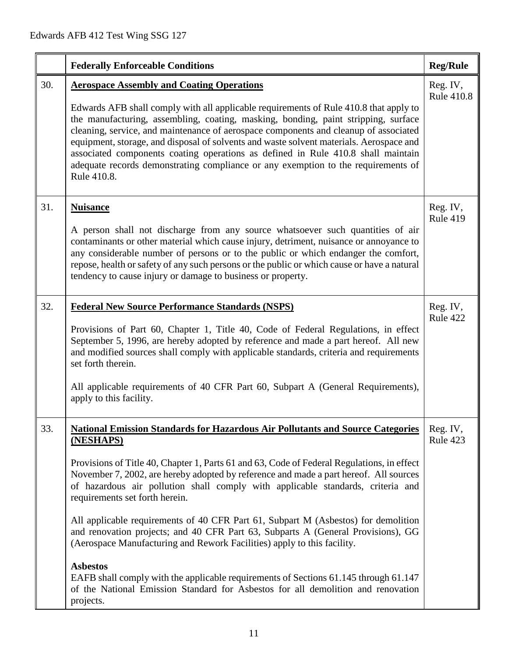|     | <b>Federally Enforceable Conditions</b>                                                                                                                                                                                                                                                                                                                                                                                                                                                                                                                                                                                                                                                                                                                                                                                                                                         | <b>Reg/Rule</b>               |
|-----|---------------------------------------------------------------------------------------------------------------------------------------------------------------------------------------------------------------------------------------------------------------------------------------------------------------------------------------------------------------------------------------------------------------------------------------------------------------------------------------------------------------------------------------------------------------------------------------------------------------------------------------------------------------------------------------------------------------------------------------------------------------------------------------------------------------------------------------------------------------------------------|-------------------------------|
| 30. | <b>Aerospace Assembly and Coating Operations</b><br>Edwards AFB shall comply with all applicable requirements of Rule 410.8 that apply to<br>the manufacturing, assembling, coating, masking, bonding, paint stripping, surface<br>cleaning, service, and maintenance of aerospace components and cleanup of associated<br>equipment, storage, and disposal of solvents and waste solvent materials. Aerospace and<br>associated components coating operations as defined in Rule 410.8 shall maintain<br>adequate records demonstrating compliance or any exemption to the requirements of<br>Rule 410.8.                                                                                                                                                                                                                                                                      | Reg. IV,<br><b>Rule 410.8</b> |
| 31. | <b>Nuisance</b><br>A person shall not discharge from any source whatsoever such quantities of air<br>contaminants or other material which cause injury, detriment, nuisance or annoyance to<br>any considerable number of persons or to the public or which endanger the comfort,<br>repose, health or safety of any such persons or the public or which cause or have a natural<br>tendency to cause injury or damage to business or property.                                                                                                                                                                                                                                                                                                                                                                                                                                 | Reg. IV,<br><b>Rule 419</b>   |
| 32. | <b>Federal New Source Performance Standards (NSPS)</b><br>Provisions of Part 60, Chapter 1, Title 40, Code of Federal Regulations, in effect<br>September 5, 1996, are hereby adopted by reference and made a part hereof. All new<br>and modified sources shall comply with applicable standards, criteria and requirements<br>set forth therein.<br>All applicable requirements of 40 CFR Part 60, Subpart A (General Requirements),<br>apply to this facility.                                                                                                                                                                                                                                                                                                                                                                                                               | Reg. IV,<br>Rule 422          |
| 33. | <b>National Emission Standards for Hazardous Air Pollutants and Source Categories</b><br>(NESHAPS)<br>Provisions of Title 40, Chapter 1, Parts 61 and 63, Code of Federal Regulations, in effect<br>November 7, 2002, are hereby adopted by reference and made a part hereof. All sources<br>of hazardous air pollution shall comply with applicable standards, criteria and<br>requirements set forth herein.<br>All applicable requirements of 40 CFR Part 61, Subpart M (Asbestos) for demolition<br>and renovation projects; and 40 CFR Part 63, Subparts A (General Provisions), GG<br>(Aerospace Manufacturing and Rework Facilities) apply to this facility.<br><b>Asbestos</b><br>EAFB shall comply with the applicable requirements of Sections 61.145 through 61.147<br>of the National Emission Standard for Asbestos for all demolition and renovation<br>projects. | Reg. IV,<br>Rule 423          |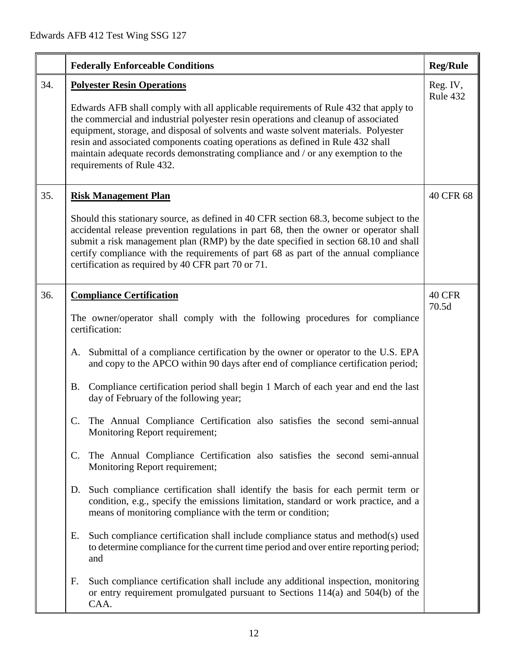|     | <b>Federally Enforceable Conditions</b>                                                                                                                                                                                                                                                                                                                                                                                                                                                                                                                                                                                                                                                                                                                                                                                                                                                                                                                                                                                                                                                                                                                                                                                                                                                                                          | <b>Reg/Rule</b>      |
|-----|----------------------------------------------------------------------------------------------------------------------------------------------------------------------------------------------------------------------------------------------------------------------------------------------------------------------------------------------------------------------------------------------------------------------------------------------------------------------------------------------------------------------------------------------------------------------------------------------------------------------------------------------------------------------------------------------------------------------------------------------------------------------------------------------------------------------------------------------------------------------------------------------------------------------------------------------------------------------------------------------------------------------------------------------------------------------------------------------------------------------------------------------------------------------------------------------------------------------------------------------------------------------------------------------------------------------------------|----------------------|
| 34. | <b>Polyester Resin Operations</b><br>Edwards AFB shall comply with all applicable requirements of Rule 432 that apply to<br>the commercial and industrial polyester resin operations and cleanup of associated<br>equipment, storage, and disposal of solvents and waste solvent materials. Polyester<br>resin and associated components coating operations as defined in Rule 432 shall<br>maintain adequate records demonstrating compliance and / or any exemption to the<br>requirements of Rule 432.                                                                                                                                                                                                                                                                                                                                                                                                                                                                                                                                                                                                                                                                                                                                                                                                                        | Reg. IV,<br>Rule 432 |
| 35. | <b>Risk Management Plan</b><br>Should this stationary source, as defined in 40 CFR section 68.3, become subject to the<br>accidental release prevention regulations in part 68, then the owner or operator shall<br>submit a risk management plan (RMP) by the date specified in section 68.10 and shall<br>certify compliance with the requirements of part 68 as part of the annual compliance<br>certification as required by 40 CFR part 70 or 71.                                                                                                                                                                                                                                                                                                                                                                                                                                                                                                                                                                                                                                                                                                                                                                                                                                                                           | 40 CFR 68            |
| 36. | <b>Compliance Certification</b><br>The owner/operator shall comply with the following procedures for compliance<br>certification:<br>A. Submittal of a compliance certification by the owner or operator to the U.S. EPA<br>and copy to the APCO within 90 days after end of compliance certification period;<br>Compliance certification period shall begin 1 March of each year and end the last<br><b>B.</b><br>day of February of the following year;<br>C. The Annual Compliance Certification also satisfies the second semi-annual<br>Monitoring Report requirement;<br>The Annual Compliance Certification also satisfies the second semi-annual<br>$\mathbf{C}$ .<br>Monitoring Report requirement;<br>Such compliance certification shall identify the basis for each permit term or<br>D.<br>condition, e.g., specify the emissions limitation, standard or work practice, and a<br>means of monitoring compliance with the term or condition;<br>Such compliance certification shall include compliance status and method(s) used<br>Е.<br>to determine compliance for the current time period and over entire reporting period;<br>and<br>F.<br>Such compliance certification shall include any additional inspection, monitoring<br>or entry requirement promulgated pursuant to Sections 114(a) and 504(b) of the | 40 CFR<br>70.5d      |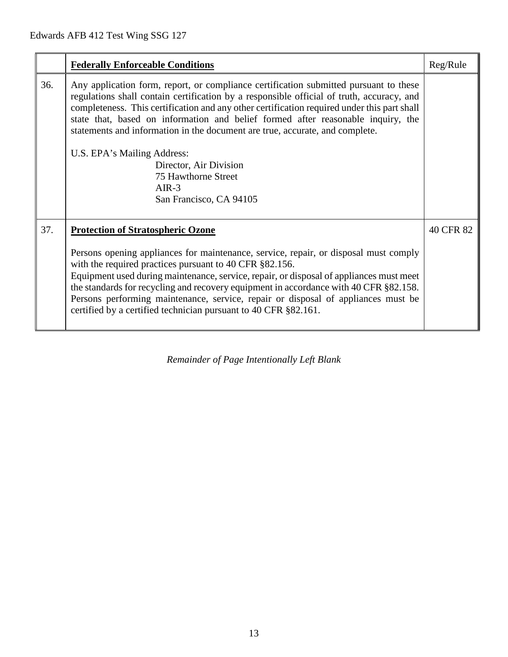|     | <b>Federally Enforceable Conditions</b>                                                                                                                                                                                                                                                                                                                                                                                                                                                                                                                                     | Reg/Rule  |
|-----|-----------------------------------------------------------------------------------------------------------------------------------------------------------------------------------------------------------------------------------------------------------------------------------------------------------------------------------------------------------------------------------------------------------------------------------------------------------------------------------------------------------------------------------------------------------------------------|-----------|
| 36. | Any application form, report, or compliance certification submitted pursuant to these<br>regulations shall contain certification by a responsible official of truth, accuracy, and<br>completeness. This certification and any other certification required under this part shall<br>state that, based on information and belief formed after reasonable inquiry, the<br>statements and information in the document are true, accurate, and complete.<br>U.S. EPA's Mailing Address:<br>Director, Air Division<br>75 Hawthorne Street<br>$AIR-3$<br>San Francisco, CA 94105 |           |
| 37. | <b>Protection of Stratospheric Ozone</b><br>Persons opening appliances for maintenance, service, repair, or disposal must comply<br>with the required practices pursuant to 40 CFR §82.156.<br>Equipment used during maintenance, service, repair, or disposal of appliances must meet<br>the standards for recycling and recovery equipment in accordance with 40 CFR §82.158.<br>Persons performing maintenance, service, repair or disposal of appliances must be<br>certified by a certified technician pursuant to 40 CFR §82.161.                                     | 40 CFR 82 |

*Remainder of Page Intentionally Left Blank*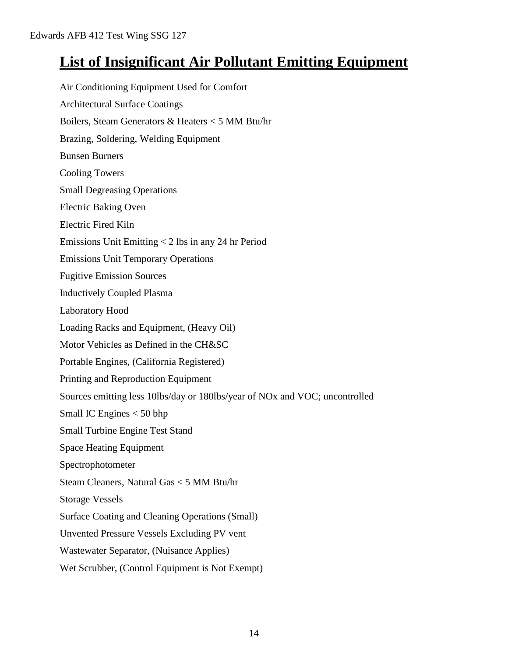## **List of Insignificant Air Pollutant Emitting Equipment**

Air Conditioning Equipment Used for Comfort Architectural Surface Coatings Boilers, Steam Generators & Heaters < 5 MM Btu/hr Brazing, Soldering, Welding Equipment Bunsen Burners Cooling Towers Small Degreasing Operations Electric Baking Oven Electric Fired Kiln Emissions Unit Emitting < 2 lbs in any 24 hr Period Emissions Unit Temporary Operations Fugitive Emission Sources Inductively Coupled Plasma Laboratory Hood Loading Racks and Equipment, (Heavy Oil) Motor Vehicles as Defined in the CH&SC Portable Engines, (California Registered) Printing and Reproduction Equipment Sources emitting less 10lbs/day or 180lbs/year of NOx and VOC; uncontrolled Small IC Engines < 50 bhp Small Turbine Engine Test Stand Space Heating Equipment Spectrophotometer Steam Cleaners, Natural Gas < 5 MM Btu/hr Storage Vessels Surface Coating and Cleaning Operations (Small) Unvented Pressure Vessels Excluding PV vent Wastewater Separator, (Nuisance Applies) Wet Scrubber, (Control Equipment is Not Exempt)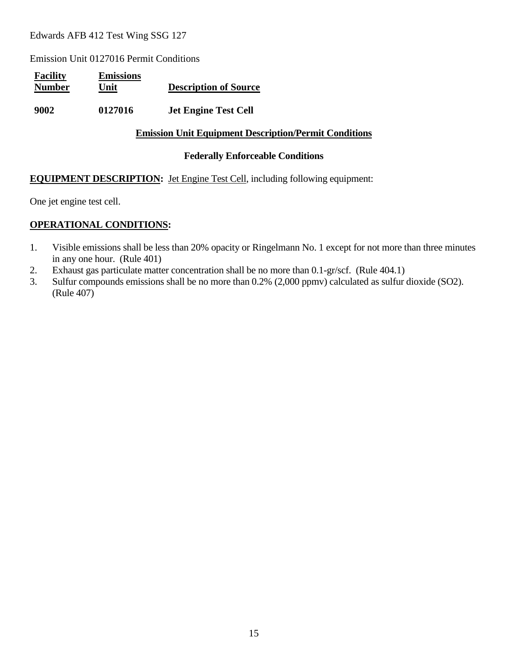Emission Unit 0127016 Permit Conditions

| <b>Facility</b><br><b>Number</b> | <b>Emissions</b><br>Unit | <b>Description of Source</b> |
|----------------------------------|--------------------------|------------------------------|
| 9002                             | 0127016                  | <b>Jet Engine Test Cell</b>  |

#### **Emission Unit Equipment Description/Permit Conditions**

#### **Federally Enforceable Conditions**

#### **EQUIPMENT DESCRIPTION:** Jet Engine Test Cell, including following equipment:

One jet engine test cell.

- 1. Visible emissions shall be less than 20% opacity or Ringelmann No. 1 except for not more than three minutes in any one hour. (Rule 401)
- 2. Exhaust gas particulate matter concentration shall be no more than 0.1-gr/scf. (Rule 404.1)
- 3. Sulfur compounds emissions shall be no more than 0.2% (2,000 ppmv) calculated as sulfur dioxide (SO2). (Rule 407)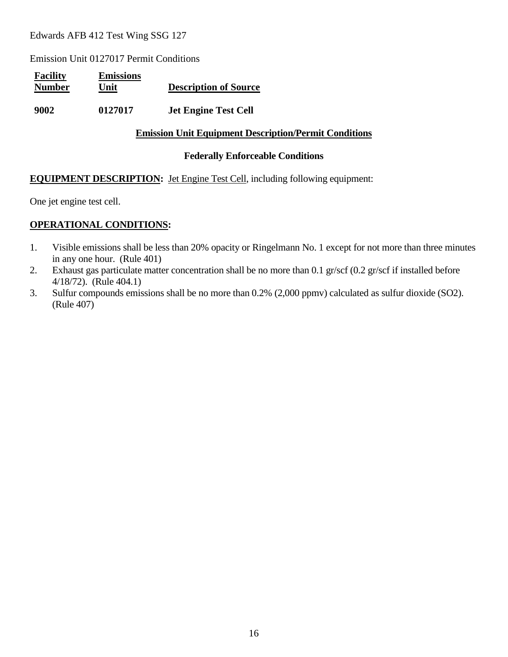Emission Unit 0127017 Permit Conditions

| <b>Facility</b><br><b>Number</b> | <b>Emissions</b><br>Unit | <b>Description of Source</b> |
|----------------------------------|--------------------------|------------------------------|
| 9002                             | 0127017                  | <b>Jet Engine Test Cell</b>  |

#### **Emission Unit Equipment Description/Permit Conditions**

#### **Federally Enforceable Conditions**

#### **EQUIPMENT DESCRIPTION:** Jet Engine Test Cell, including following equipment:

One jet engine test cell.

- 1. Visible emissions shall be less than 20% opacity or Ringelmann No. 1 except for not more than three minutes in any one hour. (Rule 401)
- 2. Exhaust gas particulate matter concentration shall be no more than 0.1 gr/scf (0.2 gr/scf if installed before 4/18/72). (Rule 404.1)
- 3. Sulfur compounds emissions shall be no more than 0.2% (2,000 ppmv) calculated as sulfur dioxide (SO2). (Rule 407)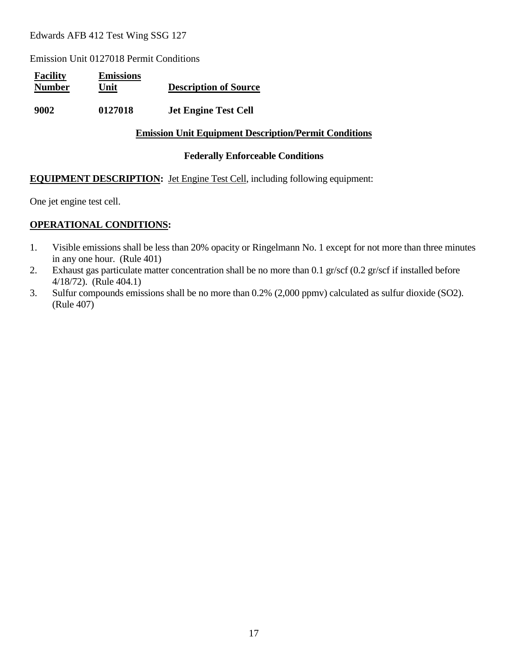Emission Unit 0127018 Permit Conditions

| <b>Facility</b><br><b>Number</b> | <b>Emissions</b><br>Unit | <b>Description of Source</b> |
|----------------------------------|--------------------------|------------------------------|
| 9002                             | 0127018                  | <b>Jet Engine Test Cell</b>  |

#### **Emission Unit Equipment Description/Permit Conditions**

#### **Federally Enforceable Conditions**

#### **EQUIPMENT DESCRIPTION:** Jet Engine Test Cell, including following equipment:

One jet engine test cell.

- 1. Visible emissions shall be less than 20% opacity or Ringelmann No. 1 except for not more than three minutes in any one hour. (Rule 401)
- 2. Exhaust gas particulate matter concentration shall be no more than 0.1 gr/scf (0.2 gr/scf if installed before 4/18/72). (Rule 404.1)
- 3. Sulfur compounds emissions shall be no more than 0.2% (2,000 ppmv) calculated as sulfur dioxide (SO2). (Rule 407)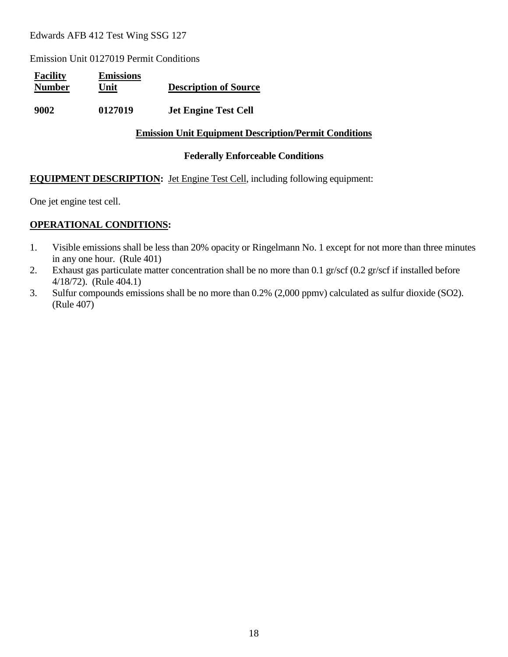Emission Unit 0127019 Permit Conditions

| <b>Facility</b><br><b>Number</b> | <b>Emissions</b><br>Unit | <b>Description of Source</b> |
|----------------------------------|--------------------------|------------------------------|
| 9002                             | 0127019                  | <b>Jet Engine Test Cell</b>  |

#### **Emission Unit Equipment Description/Permit Conditions**

#### **Federally Enforceable Conditions**

#### **EQUIPMENT DESCRIPTION:** Jet Engine Test Cell, including following equipment:

One jet engine test cell.

- 1. Visible emissions shall be less than 20% opacity or Ringelmann No. 1 except for not more than three minutes in any one hour. (Rule 401)
- 2. Exhaust gas particulate matter concentration shall be no more than 0.1 gr/scf (0.2 gr/scf if installed before 4/18/72). (Rule 404.1)
- 3. Sulfur compounds emissions shall be no more than 0.2% (2,000 ppmv) calculated as sulfur dioxide (SO2). (Rule 407)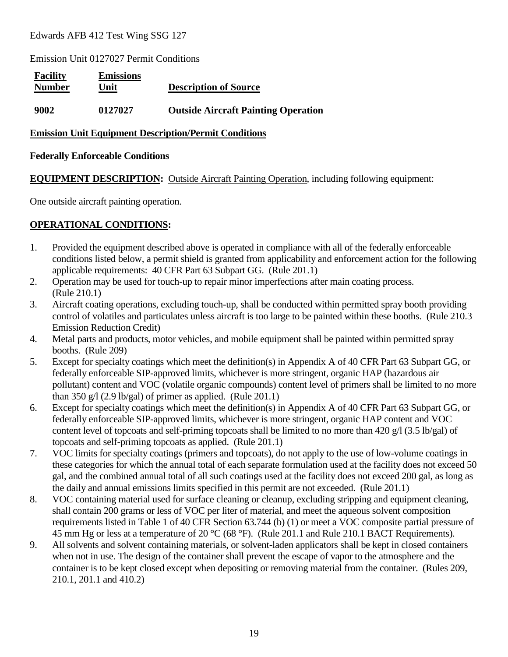Emission Unit 0127027 Permit Conditions

| <b>Facility</b><br><b>Number</b> | <b>Emissions</b><br>Unit | <b>Description of Source</b>               |
|----------------------------------|--------------------------|--------------------------------------------|
| 9002                             | 0127027                  | <b>Outside Aircraft Painting Operation</b> |

#### **Emission Unit Equipment Description/Permit Conditions**

#### **Federally Enforceable Conditions**

**EQUIPMENT DESCRIPTION:** Outside Aircraft Painting Operation, including following equipment:

One outside aircraft painting operation.

- 1. Provided the equipment described above is operated in compliance with all of the federally enforceable conditions listed below, a permit shield is granted from applicability and enforcement action for the following applicable requirements: 40 CFR Part 63 Subpart GG. (Rule 201.1)
- 2. Operation may be used for touch-up to repair minor imperfections after main coating process. (Rule 210.1)
- 3. Aircraft coating operations, excluding touch-up, shall be conducted within permitted spray booth providing control of volatiles and particulates unless aircraft is too large to be painted within these booths. (Rule 210.3 Emission Reduction Credit)
- 4. Metal parts and products, motor vehicles, and mobile equipment shall be painted within permitted spray booths. (Rule 209)
- 5. Except for specialty coatings which meet the definition(s) in Appendix A of 40 CFR Part 63 Subpart GG, or federally enforceable SIP-approved limits, whichever is more stringent, organic HAP (hazardous air pollutant) content and VOC (volatile organic compounds) content level of primers shall be limited to no more than 350 g/l (2.9 lb/gal) of primer as applied. (Rule 201.1)
- 6. Except for specialty coatings which meet the definition(s) in Appendix A of 40 CFR Part 63 Subpart GG, or federally enforceable SIP-approved limits, whichever is more stringent, organic HAP content and VOC content level of topcoats and self-priming topcoats shall be limited to no more than 420 g/l (3.5 lb/gal) of topcoats and self-priming topcoats as applied. (Rule 201.1)
- 7. VOC limits for specialty coatings (primers and topcoats), do not apply to the use of low-volume coatings in these categories for which the annual total of each separate formulation used at the facility does not exceed 50 gal, and the combined annual total of all such coatings used at the facility does not exceed 200 gal, as long as the daily and annual emissions limits specified in this permit are not exceeded. (Rule 201.1)
- 8. VOC containing material used for surface cleaning or cleanup, excluding stripping and equipment cleaning, shall contain 200 grams or less of VOC per liter of material, and meet the aqueous solvent composition requirements listed in Table 1 of 40 CFR Section 63.744 (b) (1) or meet a VOC composite partial pressure of 45 mm Hg or less at a temperature of 20 °C (68 °F). (Rule 201.1 and Rule 210.1 BACT Requirements).
- 9. All solvents and solvent containing materials, or solvent-laden applicators shall be kept in closed containers when not in use. The design of the container shall prevent the escape of vapor to the atmosphere and the container is to be kept closed except when depositing or removing material from the container. (Rules 209, 210.1, 201.1 and 410.2)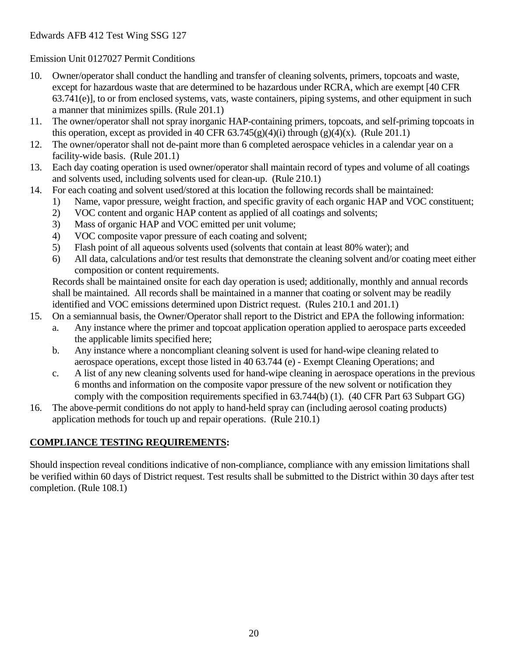- 10. Owner/operator shall conduct the handling and transfer of cleaning solvents, primers, topcoats and waste, except for hazardous waste that are determined to be hazardous under RCRA, which are exempt [40 CFR 63.741(e)], to or from enclosed systems, vats, waste containers, piping systems, and other equipment in such a manner that minimizes spills. (Rule 201.1)
- 11. The owner/operator shall not spray inorganic HAP-containing primers, topcoats, and self-priming topcoats in this operation, except as provided in 40 CFR  $63.745(g)(4)(i)$  through  $(g)(4)(x)$ . (Rule 201.1)
- 12. The owner/operator shall not de-paint more than 6 completed aerospace vehicles in a calendar year on a facility-wide basis. (Rule 201.1)
- 13. Each day coating operation is used owner/operator shall maintain record of types and volume of all coatings and solvents used, including solvents used for clean-up. (Rule 210.1)
- 14. For each coating and solvent used/stored at this location the following records shall be maintained:
	- 1) Name, vapor pressure, weight fraction, and specific gravity of each organic HAP and VOC constituent;
		- 2) VOC content and organic HAP content as applied of all coatings and solvents;
		- 3) Mass of organic HAP and VOC emitted per unit volume;
		- 4) VOC composite vapor pressure of each coating and solvent;
		- 5) Flash point of all aqueous solvents used (solvents that contain at least 80% water); and
		- 6) All data, calculations and/or test results that demonstrate the cleaning solvent and/or coating meet either composition or content requirements.

Records shall be maintained onsite for each day operation is used; additionally, monthly and annual records shall be maintained. All records shall be maintained in a manner that coating or solvent may be readily identified and VOC emissions determined upon District request. (Rules 210.1 and 201.1)

- 15. On a semiannual basis, the Owner/Operator shall report to the District and EPA the following information:
	- a. Any instance where the primer and topcoat application operation applied to aerospace parts exceeded the applicable limits specified here;
	- b. Any instance where a noncompliant cleaning solvent is used for hand-wipe cleaning related to aerospace operations, except those listed in 40 63.744 (e) - Exempt Cleaning Operations; and
	- c. A list of any new cleaning solvents used for hand-wipe cleaning in aerospace operations in the previous 6 months and information on the composite vapor pressure of the new solvent or notification they comply with the composition requirements specified in 63.744(b) (1). (40 CFR Part 63 Subpart GG)
- 16. The above-permit conditions do not apply to hand-held spray can (including aerosol coating products) application methods for touch up and repair operations. (Rule 210.1)

## **COMPLIANCE TESTING REQUIREMENTS:**

Should inspection reveal conditions indicative of non-compliance, compliance with any emission limitations shall be verified within 60 days of District request. Test results shall be submitted to the District within 30 days after test completion. (Rule 108.1)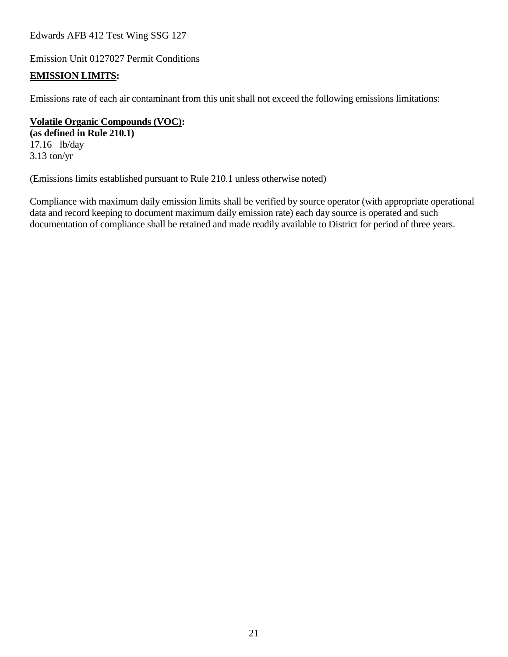Emission Unit 0127027 Permit Conditions

#### **EMISSION LIMITS:**

Emissions rate of each air contaminant from this unit shall not exceed the following emissions limitations:

**Volatile Organic Compounds (VOC): (as defined in Rule 210.1)** 17.16 lb/day

3.13 ton/yr

(Emissions limits established pursuant to Rule 210.1 unless otherwise noted)

Compliance with maximum daily emission limits shall be verified by source operator (with appropriate operational data and record keeping to document maximum daily emission rate) each day source is operated and such documentation of compliance shall be retained and made readily available to District for period of three years.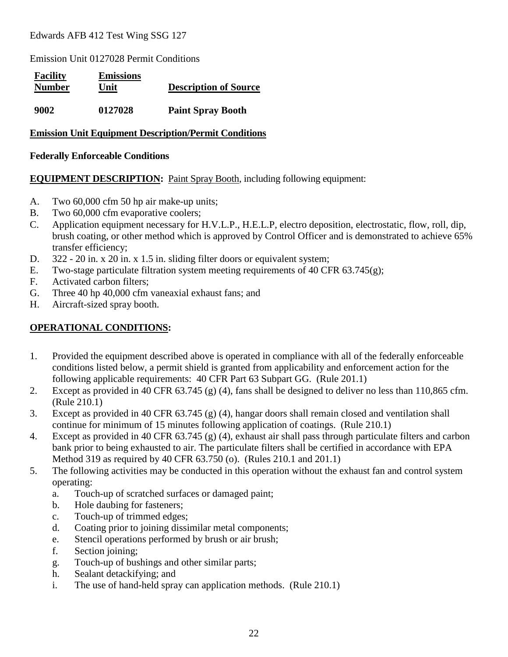Emission Unit 0127028 Permit Conditions

| <b>Facility</b><br><b>Number</b> | <b>Emissions</b><br>Unit | <b>Description of Source</b> |
|----------------------------------|--------------------------|------------------------------|
| 9002                             | 0127028                  | <b>Paint Spray Booth</b>     |

#### **Emission Unit Equipment Description/Permit Conditions**

#### **Federally Enforceable Conditions**

#### **EQUIPMENT DESCRIPTION:** Paint Spray Booth, including following equipment:

- A. Two 60,000 cfm 50 hp air make-up units;
- B. Two 60,000 cfm evaporative coolers;
- C. Application equipment necessary for H.V.L.P., H.E.L.P, electro deposition, electrostatic, flow, roll, dip, brush coating, or other method which is approved by Control Officer and is demonstrated to achieve 65% transfer efficiency;
- D. 322 20 in. x 20 in. x 1.5 in. sliding filter doors or equivalent system;
- E. Two-stage particulate filtration system meeting requirements of 40 CFR 63.745(g);
- F. Activated carbon filters;
- G. Three 40 hp 40,000 cfm vaneaxial exhaust fans; and
- H. Aircraft-sized spray booth.

- 1. Provided the equipment described above is operated in compliance with all of the federally enforceable conditions listed below, a permit shield is granted from applicability and enforcement action for the following applicable requirements: 40 CFR Part 63 Subpart GG. (Rule 201.1)
- 2. Except as provided in 40 CFR 63.745 (g) (4), fans shall be designed to deliver no less than 110,865 cfm. (Rule 210.1)
- 3. Except as provided in 40 CFR 63.745 (g) (4), hangar doors shall remain closed and ventilation shall continue for minimum of 15 minutes following application of coatings. (Rule 210.1)
- 4. Except as provided in 40 CFR 63.745 (g) (4), exhaust air shall pass through particulate filters and carbon bank prior to being exhausted to air. The particulate filters shall be certified in accordance with EPA Method 319 as required by 40 CFR 63.750 (o). (Rules 210.1 and 201.1)
- 5. The following activities may be conducted in this operation without the exhaust fan and control system operating:
	- a. Touch-up of scratched surfaces or damaged paint;
	- b. Hole daubing for fasteners;
	- c. Touch-up of trimmed edges;
	- d. Coating prior to joining dissimilar metal components;
	- e. Stencil operations performed by brush or air brush;
	- f. Section joining;
	- g. Touch-up of bushings and other similar parts;
	- h. Sealant detackifying; and
	- i. The use of hand-held spray can application methods. (Rule 210.1)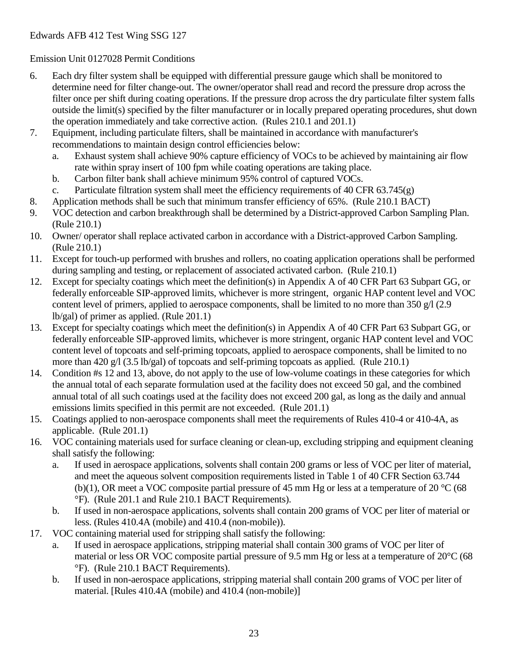- 6. Each dry filter system shall be equipped with differential pressure gauge which shall be monitored to determine need for filter change-out. The owner/operator shall read and record the pressure drop across the filter once per shift during coating operations. If the pressure drop across the dry particulate filter system falls outside the limit(s) specified by the filter manufacturer or in locally prepared operating procedures, shut down the operation immediately and take corrective action. (Rules 210.1 and 201.1)
- 7. Equipment, including particulate filters, shall be maintained in accordance with manufacturer's recommendations to maintain design control efficiencies below:
	- a. Exhaust system shall achieve 90% capture efficiency of VOCs to be achieved by maintaining air flow rate within spray insert of 100 fpm while coating operations are taking place.
	- b. Carbon filter bank shall achieve minimum 95% control of captured VOCs.
	- c. Particulate filtration system shall meet the efficiency requirements of 40 CFR  $63.745(g)$
- 8. Application methods shall be such that minimum transfer efficiency of 65%. (Rule 210.1 BACT)
- 9. VOC detection and carbon breakthrough shall be determined by a District-approved Carbon Sampling Plan. (Rule 210.1)
- 10. Owner/ operator shall replace activated carbon in accordance with a District-approved Carbon Sampling. (Rule 210.1)
- 11. Except for touch-up performed with brushes and rollers, no coating application operations shall be performed during sampling and testing, or replacement of associated activated carbon. (Rule 210.1)
- 12. Except for specialty coatings which meet the definition(s) in Appendix A of 40 CFR Part 63 Subpart GG, or federally enforceable SIP-approved limits, whichever is more stringent, organic HAP content level and VOC content level of primers, applied to aerospace components, shall be limited to no more than 350 g/l (2.9) lb/gal) of primer as applied. (Rule 201.1)
- 13. Except for specialty coatings which meet the definition(s) in Appendix A of 40 CFR Part 63 Subpart GG, or federally enforceable SIP-approved limits, whichever is more stringent, organic HAP content level and VOC content level of topcoats and self-priming topcoats, applied to aerospace components, shall be limited to no more than 420 g/l (3.5 lb/gal) of topcoats and self-priming topcoats as applied. (Rule 210.1)
- 14. Condition #s 12 and 13, above, do not apply to the use of low-volume coatings in these categories for which the annual total of each separate formulation used at the facility does not exceed 50 gal, and the combined annual total of all such coatings used at the facility does not exceed 200 gal, as long as the daily and annual emissions limits specified in this permit are not exceeded. (Rule 201.1)
- 15. Coatings applied to non-aerospace components shall meet the requirements of Rules 410-4 or 410-4A, as applicable. (Rule 201.1)
- 16. VOC containing materials used for surface cleaning or clean-up, excluding stripping and equipment cleaning shall satisfy the following:
	- a. If used in aerospace applications, solvents shall contain 200 grams or less of VOC per liter of material, and meet the aqueous solvent composition requirements listed in Table 1 of 40 CFR Section 63.744 (b)(1), OR meet a VOC composite partial pressure of 45 mm Hg or less at a temperature of 20  $^{\circ}$ C (68) °F). (Rule 201.1 and Rule 210.1 BACT Requirements).
	- b. If used in non-aerospace applications, solvents shall contain 200 grams of VOC per liter of material or less. (Rules 410.4A (mobile) and 410.4 (non-mobile)).
- 17. VOC containing material used for stripping shall satisfy the following:
	- a. If used in aerospace applications, stripping material shall contain 300 grams of VOC per liter of material or less OR VOC composite partial pressure of 9.5 mm Hg or less at a temperature of 20°C (68 °F). (Rule 210.1 BACT Requirements).
	- b. If used in non-aerospace applications, stripping material shall contain 200 grams of VOC per liter of material. [Rules 410.4A (mobile) and 410.4 (non-mobile)]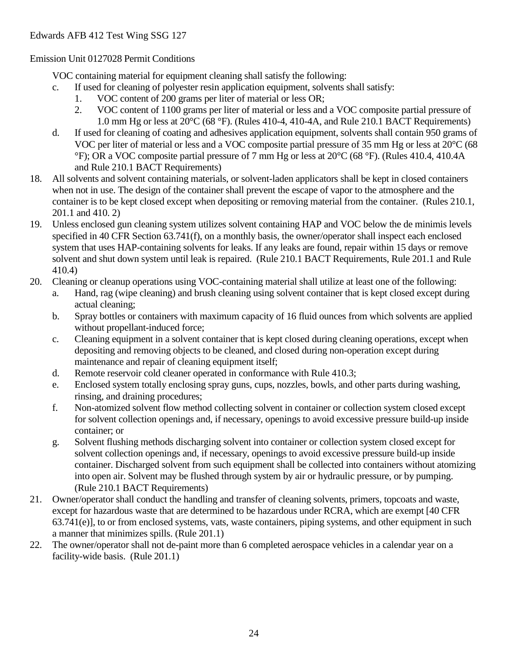VOC containing material for equipment cleaning shall satisfy the following:

- c. If used for cleaning of polyester resin application equipment, solvents shall satisfy:
	- 1. VOC content of 200 grams per liter of material or less OR;
	- 2. VOC content of 1100 grams per liter of material or less and a VOC composite partial pressure of 1.0 mm Hg or less at 20°C (68 °F). (Rules 410-4, 410-4A, and Rule 210.1 BACT Requirements)
- d. If used for cleaning of coating and adhesives application equipment, solvents shall contain 950 grams of VOC per liter of material or less and a VOC composite partial pressure of 35 mm Hg or less at 20°C (68 °F); OR a VOC composite partial pressure of 7 mm Hg or less at 20°C (68 °F). (Rules 410.4, 410.4A and Rule 210.1 BACT Requirements)
- 18. All solvents and solvent containing materials, or solvent-laden applicators shall be kept in closed containers when not in use. The design of the container shall prevent the escape of vapor to the atmosphere and the container is to be kept closed except when depositing or removing material from the container. (Rules 210.1, 201.1 and 410. 2)
- 19. Unless enclosed gun cleaning system utilizes solvent containing HAP and VOC below the de minimis levels specified in 40 CFR Section 63.741(f), on a monthly basis, the owner/operator shall inspect each enclosed system that uses HAP-containing solvents for leaks. If any leaks are found, repair within 15 days or remove solvent and shut down system until leak is repaired. (Rule 210.1 BACT Requirements, Rule 201.1 and Rule 410.4)
- 20. Cleaning or cleanup operations using VOC-containing material shall utilize at least one of the following:
	- a. Hand, rag (wipe cleaning) and brush cleaning using solvent container that is kept closed except during actual cleaning;
	- b. Spray bottles or containers with maximum capacity of 16 fluid ounces from which solvents are applied without propellant-induced force;
	- c. Cleaning equipment in a solvent container that is kept closed during cleaning operations, except when depositing and removing objects to be cleaned, and closed during non-operation except during maintenance and repair of cleaning equipment itself;
	- d. Remote reservoir cold cleaner operated in conformance with Rule 410.3;
	- e. Enclosed system totally enclosing spray guns, cups, nozzles, bowls, and other parts during washing, rinsing, and draining procedures;
	- f. Non-atomized solvent flow method collecting solvent in container or collection system closed except for solvent collection openings and, if necessary, openings to avoid excessive pressure build-up inside container; or
	- g. Solvent flushing methods discharging solvent into container or collection system closed except for solvent collection openings and, if necessary, openings to avoid excessive pressure build-up inside container. Discharged solvent from such equipment shall be collected into containers without atomizing into open air. Solvent may be flushed through system by air or hydraulic pressure, or by pumping. (Rule 210.1 BACT Requirements)
- 21. Owner/operator shall conduct the handling and transfer of cleaning solvents, primers, topcoats and waste, except for hazardous waste that are determined to be hazardous under RCRA, which are exempt [40 CFR 63.741(e)], to or from enclosed systems, vats, waste containers, piping systems, and other equipment in such a manner that minimizes spills. (Rule 201.1)
- 22. The owner/operator shall not de-paint more than 6 completed aerospace vehicles in a calendar year on a facility-wide basis. (Rule 201.1)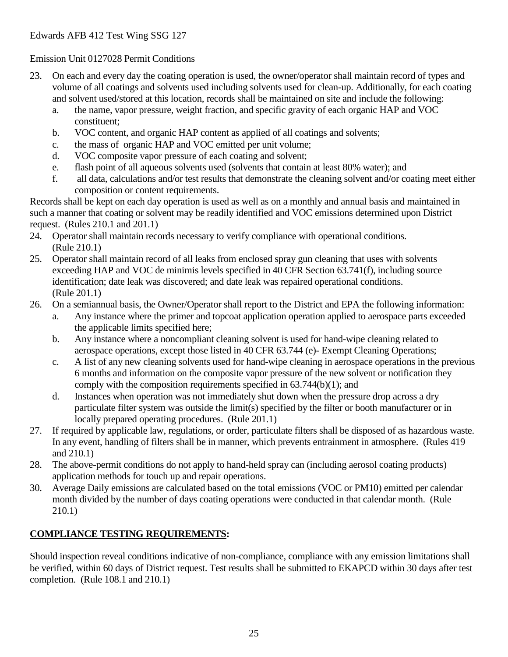- 23. On each and every day the coating operation is used, the owner/operator shall maintain record of types and volume of all coatings and solvents used including solvents used for clean-up. Additionally, for each coating and solvent used/stored at this location, records shall be maintained on site and include the following:
	- a. the name, vapor pressure, weight fraction, and specific gravity of each organic HAP and VOC constituent;
	- b. VOC content, and organic HAP content as applied of all coatings and solvents;
	- c. the mass of organic HAP and VOC emitted per unit volume;
	- d. VOC composite vapor pressure of each coating and solvent;
	- e. flash point of all aqueous solvents used (solvents that contain at least 80% water); and
	- f. all data, calculations and/or test results that demonstrate the cleaning solvent and/or coating meet either composition or content requirements.

Records shall be kept on each day operation is used as well as on a monthly and annual basis and maintained in such a manner that coating or solvent may be readily identified and VOC emissions determined upon District request. (Rules 210.1 and 201.1)

- 24. Operator shall maintain records necessary to verify compliance with operational conditions. (Rule 210.1)
- 25. Operator shall maintain record of all leaks from enclosed spray gun cleaning that uses with solvents exceeding HAP and VOC de minimis levels specified in 40 CFR Section 63.741(f), including source identification; date leak was discovered; and date leak was repaired operational conditions. (Rule 201.1)
- 26. On a semiannual basis, the Owner/Operator shall report to the District and EPA the following information:
	- a. Any instance where the primer and topcoat application operation applied to aerospace parts exceeded the applicable limits specified here;
	- b. Any instance where a noncompliant cleaning solvent is used for hand-wipe cleaning related to aerospace operations, except those listed in 40 CFR 63.744 (e)- Exempt Cleaning Operations;
	- c. A list of any new cleaning solvents used for hand-wipe cleaning in aerospace operations in the previous 6 months and information on the composite vapor pressure of the new solvent or notification they comply with the composition requirements specified in 63.744(b)(1); and
	- d. Instances when operation was not immediately shut down when the pressure drop across a dry particulate filter system was outside the limit(s) specified by the filter or booth manufacturer or in locally prepared operating procedures. (Rule 201.1)
- 27. If required by applicable law, regulations, or order, particulate filters shall be disposed of as hazardous waste. In any event, handling of filters shall be in manner, which prevents entrainment in atmosphere. (Rules 419 and 210.1)
- 28. The above-permit conditions do not apply to hand-held spray can (including aerosol coating products) application methods for touch up and repair operations.
- 30. Average Daily emissions are calculated based on the total emissions (VOC or PM10) emitted per calendar month divided by the number of days coating operations were conducted in that calendar month. (Rule 210.1)

## **COMPLIANCE TESTING REQUIREMENTS:**

Should inspection reveal conditions indicative of non-compliance, compliance with any emission limitations shall be verified, within 60 days of District request. Test results shall be submitted to EKAPCD within 30 days after test completion. (Rule 108.1 and 210.1)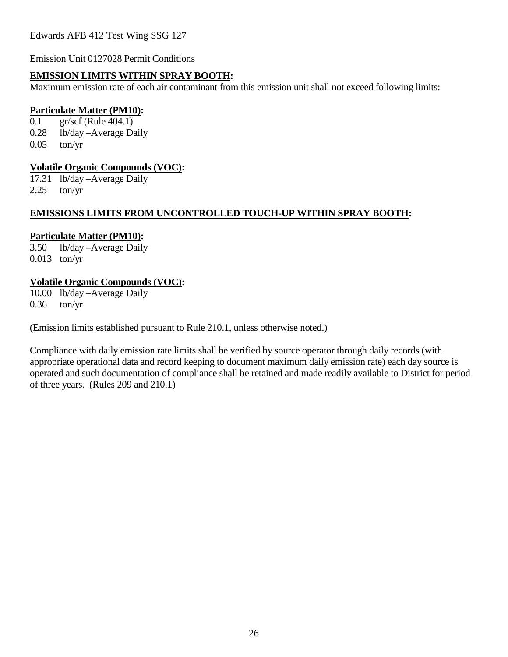Emission Unit 0127028 Permit Conditions

#### **EMISSION LIMITS WITHIN SPRAY BOOTH:**

Maximum emission rate of each air contaminant from this emission unit shall not exceed following limits:

#### **Particulate Matter (PM10):**

0.1 gr/scf (Rule 404.1) 0.28 lb/day –Average Daily  $0.05$  ton/yr

#### **Volatile Organic Compounds (VOC):**

17.31 lb/day –Average Daily  $2.25$  ton/yr

#### **EMISSIONS LIMITS FROM UNCONTROLLED TOUCH-UP WITHIN SPRAY BOOTH:**

#### **Particulate Matter (PM10):**

3.50 lb/day –Average Daily 0.013 ton/yr

#### **Volatile Organic Compounds (VOC):**

10.00 lb/day –Average Daily 0.36 ton/yr

(Emission limits established pursuant to Rule 210.1, unless otherwise noted.)

Compliance with daily emission rate limits shall be verified by source operator through daily records (with appropriate operational data and record keeping to document maximum daily emission rate) each day source is operated and such documentation of compliance shall be retained and made readily available to District for period of three years. (Rules 209 and 210.1)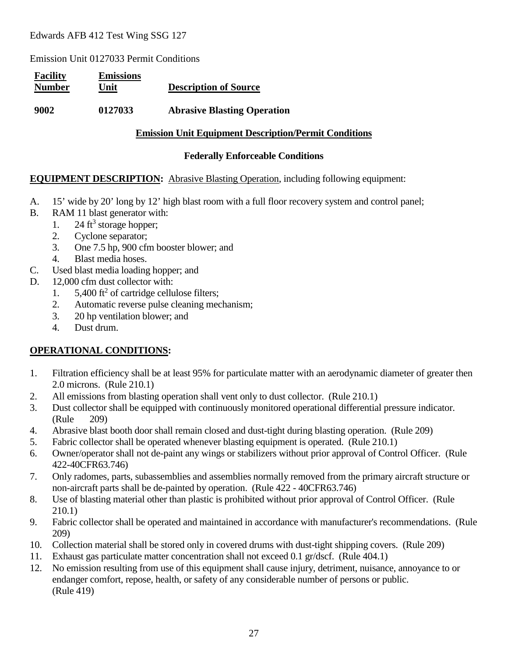Emission Unit 0127033 Permit Conditions

| <b>Facility</b><br><b>Number</b> | <b>Emissions</b><br>Unit | <b>Description of Source</b>       |
|----------------------------------|--------------------------|------------------------------------|
| 9002                             | 0127033                  | <b>Abrasive Blasting Operation</b> |

#### **Emission Unit Equipment Description/Permit Conditions**

#### **Federally Enforceable Conditions**

#### **EQUIPMENT DESCRIPTION:** Abrasive Blasting Operation, including following equipment:

- A. 15' wide by 20' long by 12' high blast room with a full floor recovery system and control panel;
- B. RAM 11 blast generator with:
	- 1. 24  $\text{ft}^3$  storage hopper;
	- 2. Cyclone separator;
	- 3. One 7.5 hp, 900 cfm booster blower; and
	- 4. Blast media hoses.
- C. Used blast media loading hopper; and
- D. 12,000 cfm dust collector with:
	- 1.  $5,400$  ft<sup>2</sup> of cartridge cellulose filters;
	- 2. Automatic reverse pulse cleaning mechanism;
	- 3. 20 hp ventilation blower; and
	- 4. Dust drum.

- 1. Filtration efficiency shall be at least 95% for particulate matter with an aerodynamic diameter of greater then 2.0 microns. (Rule 210.1)
- 2. All emissions from blasting operation shall vent only to dust collector. (Rule 210.1)
- 3. Dust collector shall be equipped with continuously monitored operational differential pressure indicator. (Rule 209)
- 4. Abrasive blast booth door shall remain closed and dust-tight during blasting operation. (Rule 209)
- 5. Fabric collector shall be operated whenever blasting equipment is operated. (Rule 210.1)
- 6. Owner/operator shall not de-paint any wings or stabilizers without prior approval of Control Officer. (Rule 422-40CFR63.746)
- 7. Only radomes, parts, subassemblies and assemblies normally removed from the primary aircraft structure or non-aircraft parts shall be de-painted by operation. (Rule 422 - 40CFR63.746)
- 8. Use of blasting material other than plastic is prohibited without prior approval of Control Officer. (Rule 210.1)
- 9. Fabric collector shall be operated and maintained in accordance with manufacturer's recommendations. (Rule 209)
- 10. Collection material shall be stored only in covered drums with dust-tight shipping covers. (Rule 209)
- 11. Exhaust gas particulate matter concentration shall not exceed 0.1 gr/dscf. (Rule 404.1)
- 12. No emission resulting from use of this equipment shall cause injury, detriment, nuisance, annoyance to or endanger comfort, repose, health, or safety of any considerable number of persons or public. (Rule 419)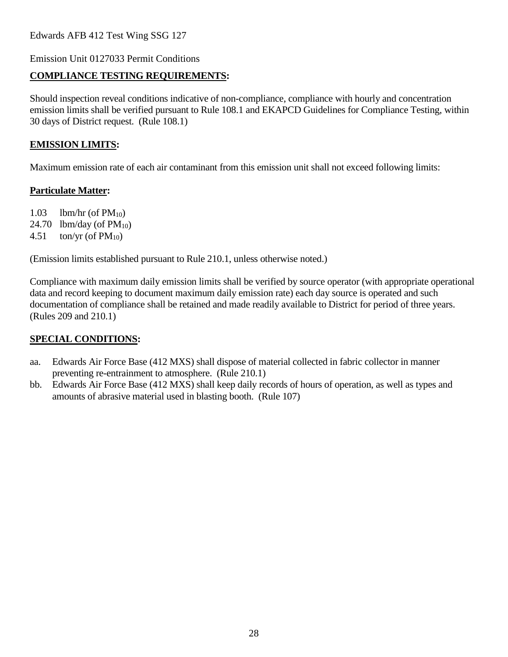Emission Unit 0127033 Permit Conditions

## **COMPLIANCE TESTING REQUIREMENTS:**

Should inspection reveal conditions indicative of non-compliance, compliance with hourly and concentration emission limits shall be verified pursuant to Rule 108.1 and EKAPCD Guidelines for Compliance Testing, within 30 days of District request. (Rule 108.1)

#### **EMISSION LIMITS:**

Maximum emission rate of each air contaminant from this emission unit shall not exceed following limits:

#### **Particulate Matter:**

1.03 lbm/hr (of  $PM_{10}$ )

24.70 lbm/day (of  $PM_{10}$ )

4.51 ton/yr (of  $PM_{10}$ )

(Emission limits established pursuant to Rule 210.1, unless otherwise noted.)

Compliance with maximum daily emission limits shall be verified by source operator (with appropriate operational data and record keeping to document maximum daily emission rate) each day source is operated and such documentation of compliance shall be retained and made readily available to District for period of three years. (Rules 209 and 210.1)

## **SPECIAL CONDITIONS:**

- aa. Edwards Air Force Base (412 MXS) shall dispose of material collected in fabric collector in manner preventing re-entrainment to atmosphere. (Rule 210.1)
- bb. Edwards Air Force Base (412 MXS) shall keep daily records of hours of operation, as well as types and amounts of abrasive material used in blasting booth. (Rule 107)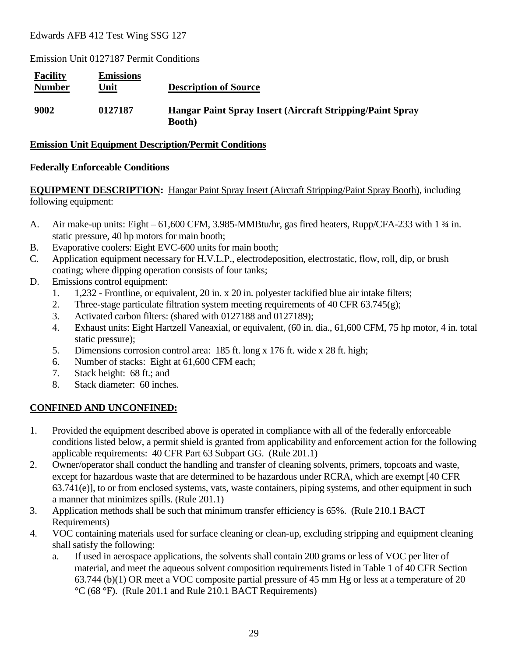Emission Unit 0127187 Permit Conditions

| <b>Facility</b><br><b>Number</b> | <b>Emissions</b><br>Unit | <b>Description of Source</b>                                                |
|----------------------------------|--------------------------|-----------------------------------------------------------------------------|
| 9002                             | 0127187                  | Hangar Paint Spray Insert (Aircraft Stripping/Paint Spray<br><b>Booth</b> ) |

#### **Emission Unit Equipment Description/Permit Conditions**

#### **Federally Enforceable Conditions**

#### **EQUIPMENT DESCRIPTION:** Hangar Paint Spray Insert (Aircraft Stripping/Paint Spray Booth), including following equipment:

- A. Air make-up units: Eight 61,600 CFM, 3.985-MMBtu/hr, gas fired heaters, Rupp/CFA-233 with 1 ¾ in. static pressure, 40 hp motors for main booth;
- B. Evaporative coolers: Eight EVC-600 units for main booth;
- C. Application equipment necessary for H.V.L.P., electrodeposition, electrostatic, flow, roll, dip, or brush coating; where dipping operation consists of four tanks;
- D. Emissions control equipment:
	- 1. 1,232 Frontline, or equivalent, 20 in. x 20 in. polyester tackified blue air intake filters;
	- 2. Three-stage particulate filtration system meeting requirements of 40 CFR  $63.745(g)$ ;
	- 3. Activated carbon filters: (shared with 0127188 and 0127189);
	- 4. Exhaust units: Eight Hartzell Vaneaxial, or equivalent, (60 in. dia., 61,600 CFM, 75 hp motor, 4 in. total static pressure);
	- 5. Dimensions corrosion control area: 185 ft. long x 176 ft. wide x 28 ft. high;
	- 6. Number of stacks: Eight at 61,600 CFM each;
	- 7. Stack height: 68 ft.; and
	- 8. Stack diameter: 60 inches.

## **CONFINED AND UNCONFINED:**

- 1. Provided the equipment described above is operated in compliance with all of the federally enforceable conditions listed below, a permit shield is granted from applicability and enforcement action for the following applicable requirements: 40 CFR Part 63 Subpart GG. (Rule 201.1)
- 2. Owner/operator shall conduct the handling and transfer of cleaning solvents, primers, topcoats and waste, except for hazardous waste that are determined to be hazardous under RCRA, which are exempt [40 CFR 63.741(e)], to or from enclosed systems, vats, waste containers, piping systems, and other equipment in such a manner that minimizes spills. (Rule 201.1)
- 3. Application methods shall be such that minimum transfer efficiency is 65%. (Rule 210.1 BACT Requirements)
- 4. VOC containing materials used for surface cleaning or clean-up, excluding stripping and equipment cleaning shall satisfy the following:
	- a. If used in aerospace applications, the solvents shall contain 200 grams or less of VOC per liter of material, and meet the aqueous solvent composition requirements listed in Table 1 of 40 CFR Section 63.744 (b)(1) OR meet a VOC composite partial pressure of 45 mm Hg or less at a temperature of 20 °C (68 °F). (Rule 201.1 and Rule 210.1 BACT Requirements)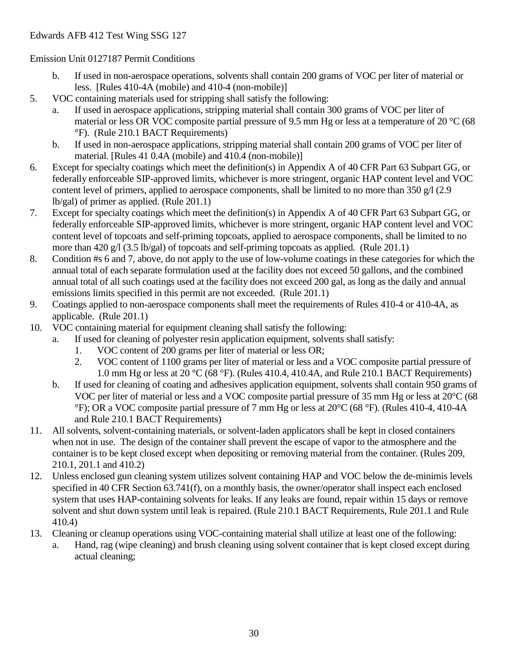- b. If used in non-aerospace operations, solvents shall contain 200 grams of VOC per liter of material or less. [Rules 410-4A (mobile) and 410-4 (non-mobile)]
- 5. VOC containing materials used for stripping shall satisfy the following:
	- a. If used in aerospace applications, stripping material shall contain 300 grams of VOC per liter of material or less OR VOC composite partial pressure of 9.5 mm Hg or less at a temperature of 20 °C (68 °F). (Rule 210.1 BACT Requirements)
	- b. If used in non-aerospace applications, stripping material shall contain 200 grams of VOC per liter of material. [Rules 41 0.4A (mobile) and 410.4 (non-mobile)]
- 6. Except for specialty coatings which meet the definition(s) in Appendix A of 40 CFR Part 63 Subpart GG, or federally enforceable SIP-approved limits, whichever is more stringent, organic HAP content level and VOC content level of primers, applied to aerospace components, shall be limited to no more than 350 g/l (2.9) lb/gal) of primer as applied. (Rule 201.1)
- 7. Except for specialty coatings which meet the definition(s) in Appendix A of 40 CFR Part 63 Subpart GG, or federally enforceable SIP-approved limits, whichever is more stringent, organic HAP content level and VOC content level of topcoats and self-priming topcoats, applied to aerospace components, shall be limited to no more than 420 g/l (3.5 lb/gal) of topcoats and self-priming topcoats as applied. (Rule 201.1)
- 8. Condition #s 6 and 7, above, do not apply to the use of low-volume coatings in these categories for which the annual total of each separate formulation used at the facility does not exceed 50 gallons, and the combined annual total of all such coatings used at the facility does not exceed 200 gal, as long as the daily and annual emissions limits specified in this permit are not exceeded. (Rule 201.1)
- 9. Coatings applied to non-aerospace components shall meet the requirements of Rules 410-4 or 410-4A, as applicable. (Rule 201.1)
- 10. VOC containing material for equipment cleaning shall satisfy the following:
	- a. If used for cleaning of polyester resin application equipment, solvents shall satisfy:
		- 1. VOC content of 200 grams per liter of material or less OR;
		- 2. VOC content of 1100 grams per liter of material or less and a VOC composite partial pressure of 1.0 mm Hg or less at 20  $^{\circ}$ C (68  $^{\circ}$ F). (Rules 410.4, 410.4A, and Rule 210.1 BACT Requirements)
	- b. If used for cleaning of coating and adhesives application equipment, solvents shall contain 950 grams of VOC per liter of material or less and a VOC composite partial pressure of 35 mm Hg or less at 20°C (68 °F); OR a VOC composite partial pressure of 7 mm Hg or less at 20°C (68 °F). (Rules 410-4, 410-4A and Rule 210.1 BACT Requirements)
- 11. All solvents, solvent-containing materials, or solvent-laden applicators shall be kept in closed containers when not in use. The design of the container shall prevent the escape of vapor to the atmosphere and the container is to be kept closed except when depositing or removing material from the container. (Rules 209, 210.1, 201.1 and 410.2)
- 12. Unless enclosed gun cleaning system utilizes solvent containing HAP and VOC below the de-minimis levels specified in 40 CFR Section 63.741(f), on a monthly basis, the owner/operator shall inspect each enclosed system that uses HAP-containing solvents for leaks. If any leaks are found, repair within 15 days or remove solvent and shut down system until leak is repaired. (Rule 210.1 BACT Requirements, Rule 201.1 and Rule 410.4)
- 13. Cleaning or cleanup operations using VOC-containing material shall utilize at least one of the following:
	- a. Hand, rag (wipe cleaning) and brush cleaning using solvent container that is kept closed except during actual cleaning;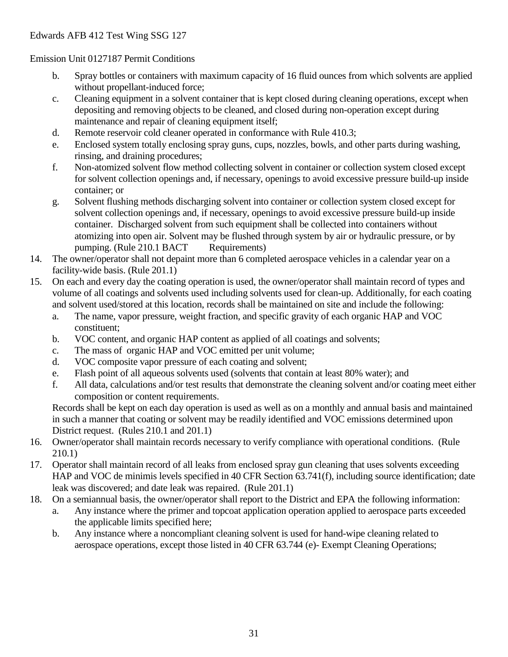- b. Spray bottles or containers with maximum capacity of 16 fluid ounces from which solvents are applied without propellant-induced force;
- c. Cleaning equipment in a solvent container that is kept closed during cleaning operations, except when depositing and removing objects to be cleaned, and closed during non-operation except during maintenance and repair of cleaning equipment itself;
- d. Remote reservoir cold cleaner operated in conformance with Rule 410.3;
- e. Enclosed system totally enclosing spray guns, cups, nozzles, bowls, and other parts during washing, rinsing, and draining procedures;
- f. Non-atomized solvent flow method collecting solvent in container or collection system closed except for solvent collection openings and, if necessary, openings to avoid excessive pressure build-up inside container; or
- g. Solvent flushing methods discharging solvent into container or collection system closed except for solvent collection openings and, if necessary, openings to avoid excessive pressure build-up inside container. Discharged solvent from such equipment shall be collected into containers without atomizing into open air. Solvent may be flushed through system by air or hydraulic pressure, or by pumping. (Rule 210.1 BACT Requirements)
- 14. The owner/operator shall not depaint more than 6 completed aerospace vehicles in a calendar year on a facility-wide basis. (Rule 201.1)
- 15. On each and every day the coating operation is used, the owner/operator shall maintain record of types and volume of all coatings and solvents used including solvents used for clean-up. Additionally, for each coating and solvent used/stored at this location, records shall be maintained on site and include the following:
	- a. The name, vapor pressure, weight fraction, and specific gravity of each organic HAP and VOC constituent;
	- b. VOC content, and organic HAP content as applied of all coatings and solvents;
	- c. The mass of organic HAP and VOC emitted per unit volume;
	- d. VOC composite vapor pressure of each coating and solvent;
	- e. Flash point of all aqueous solvents used (solvents that contain at least 80% water); and
	- f. All data, calculations and/or test results that demonstrate the cleaning solvent and/or coating meet either composition or content requirements.

Records shall be kept on each day operation is used as well as on a monthly and annual basis and maintained in such a manner that coating or solvent may be readily identified and VOC emissions determined upon District request. (Rules 210.1 and 201.1)

- 16. Owner/operator shall maintain records necessary to verify compliance with operational conditions. (Rule 210.1)
- 17. Operator shall maintain record of all leaks from enclosed spray gun cleaning that uses solvents exceeding HAP and VOC de minimis levels specified in 40 CFR Section 63.741(f), including source identification; date leak was discovered; and date leak was repaired. (Rule 201.1)
- 18. On a semiannual basis, the owner/operator shall report to the District and EPA the following information:
	- a. Any instance where the primer and topcoat application operation applied to aerospace parts exceeded the applicable limits specified here;
	- b. Any instance where a noncompliant cleaning solvent is used for hand-wipe cleaning related to aerospace operations, except those listed in 40 CFR 63.744 (e)- Exempt Cleaning Operations;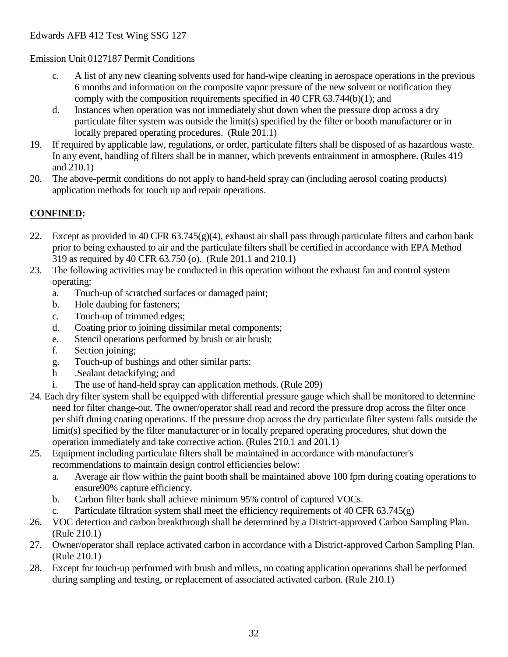- c. A list of any new cleaning solvents used for hand-wipe cleaning in aerospace operations in the previous 6 months and information on the composite vapor pressure of the new solvent or notification they comply with the composition requirements specified in 40 CFR 63.744(b)(1); and
- d. Instances when operation was not immediately shut down when the pressure drop across a dry particulate filter system was outside the limit(s) specified by the filter or booth manufacturer or in locally prepared operating procedures. (Rule 201.1)
- 19. If required by applicable law, regulations, or order, particulate filters shall be disposed of as hazardous waste. In any event, handling of filters shall be in manner, which prevents entrainment in atmosphere. (Rules 419 and 210.1)
- 20. The above-permit conditions do not apply to hand-held spray can (including aerosol coating products) application methods for touch up and repair operations.

## **CONFINED:**

- 22. Except as provided in 40 CFR  $63.745(g)(4)$ , exhaust air shall pass through particulate filters and carbon bank prior to being exhausted to air and the particulate filters shall be certified in accordance with EPA Method 319 as required by 40 CFR 63.750 (o). (Rule 201.1 and 210.1)
- 23. The following activities may be conducted in this operation without the exhaust fan and control system operating:
	- a. Touch-up of scratched surfaces or damaged paint;
	- b. Hole daubing for fasteners;
	- c. Touch-up of trimmed edges;
	- d. Coating prior to joining dissimilar metal components;
	- e. Stencil operations performed by brush or air brush;
	- f. Section joining;
	- g. Touch-up of bushings and other similar parts;
	- h .Sealant detackifying; and
	- i. The use of hand-held spray can application methods. (Rule 209)
- 24. Each dry filter system shall be equipped with differential pressure gauge which shall be monitored to determine need for filter change-out. The owner/operator shall read and record the pressure drop across the filter once per shift during coating operations. If the pressure drop across the dry particulate filter system falls outside the limit(s) specified by the filter manufacturer or in locally prepared operating procedures, shut down the operation immediately and take corrective action. (Rules 210.1 and 201.1)
- 25. Equipment including particulate filters shall be maintained in accordance with manufacturer's recommendations to maintain design control efficiencies below:
	- a. Average air flow within the paint booth shall be maintained above 100 fpm during coating operations to ensure90% capture efficiency.
	- b. Carbon filter bank shall achieve minimum 95% control of captured VOCs.
	- c. Particulate filtration system shall meet the efficiency requirements of 40 CFR 63.745(g)
- 26. VOC detection and carbon breakthrough shall be determined by a District-approved Carbon Sampling Plan. (Rule 210.1)
- 27. Owner/operator shall replace activated carbon in accordance with a District-approved Carbon Sampling Plan. (Rule 210.1)
- 28. Except for touch-up performed with brush and rollers, no coating application operations shall be performed during sampling and testing, or replacement of associated activated carbon. (Rule 210.1)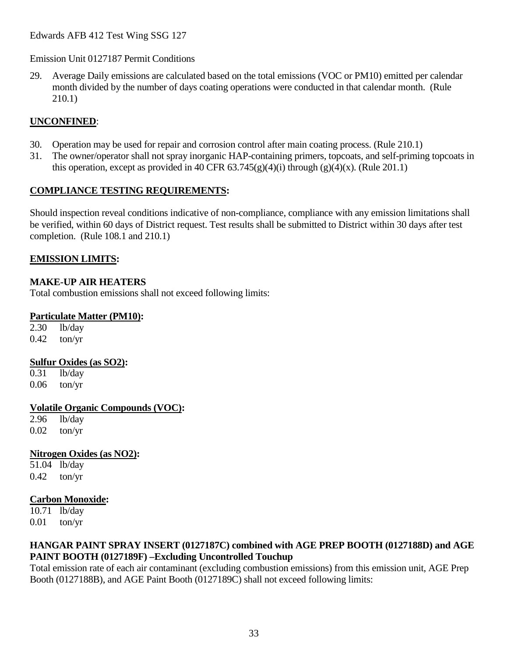29. Average Daily emissions are calculated based on the total emissions (VOC or PM10) emitted per calendar month divided by the number of days coating operations were conducted in that calendar month. (Rule 210.1)

#### **UNCONFINED**:

- 30. Operation may be used for repair and corrosion control after main coating process. (Rule 210.1)
- 31. The owner/operator shall not spray inorganic HAP-containing primers, topcoats, and self-priming topcoats in this operation, except as provided in 40 CFR  $63.745(g)(4)(i)$  through  $(g)(4)(x)$ . (Rule 201.1)

#### **COMPLIANCE TESTING REQUIREMENTS:**

Should inspection reveal conditions indicative of non-compliance, compliance with any emission limitations shall be verified, within 60 days of District request. Test results shall be submitted to District within 30 days after test completion. (Rule 108.1 and 210.1)

#### **EMISSION LIMITS:**

#### **MAKE-UP AIR HEATERS**

Total combustion emissions shall not exceed following limits:

#### **Particulate Matter (PM10):**

2.30 lb/day  $0.42$  ton/yr

#### **Sulfur Oxides (as SO2):**

0.31 lb/day 0.06 ton/yr

#### **Volatile Organic Compounds (VOC):**

2.96 lb/day 0.02 ton/yr

#### **Nitrogen Oxides (as NO2):**

51.04 lb/day  $0.42$  ton/yr

#### **Carbon Monoxide:**

10.71 lb/day 0.01 ton/yr

#### **HANGAR PAINT SPRAY INSERT (0127187C) combined with AGE PREP BOOTH (0127188D) and AGE PAINT BOOTH (0127189F) –Excluding Uncontrolled Touchup**

Total emission rate of each air contaminant (excluding combustion emissions) from this emission unit, AGE Prep Booth (0127188B), and AGE Paint Booth (0127189C) shall not exceed following limits: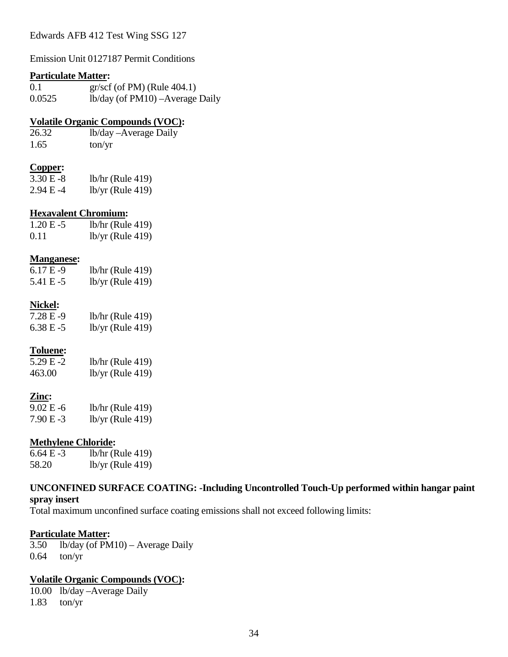Emission Unit 0127187 Permit Conditions

#### **Particulate Matter:**

| 0.1    | $gr/scf$ (of PM) (Rule 404.1)      |
|--------|------------------------------------|
| 0.0525 | $1b/day$ (of PM10) – Average Daily |

#### **Volatile Organic Compounds (VOC):**

26.32 lb/day –Average Daily 1.65 ton/yr

#### **Copper:**

| $3.30 E - 8$ | $lb/hr$ (Rule 419) |
|--------------|--------------------|
| 2.94 E -4    | $lb/yr$ (Rule 419) |

#### **Hexavalent Chromium:**

| $1.20 E - 5$ | $lb/hr$ (Rule 419) |
|--------------|--------------------|
| 0.11         | $lb/yr$ (Rule 419) |

#### **Manganese:**

| $6.17E-9$ | $lb/hr$ (Rule 419) |
|-----------|--------------------|
| 5.41 E -5 | $lb/yr$ (Rule 419) |

#### **Nickel:**

| 7.28 E -9 | lb/hr (Rule 419)   |
|-----------|--------------------|
| 6.38 E -5 | $lb/yr$ (Rule 419) |

#### **Toluene:**

| $5.29E - 2$ | $lb/hr$ (Rule 419) |
|-------------|--------------------|
| 463.00      | $lb/yr$ (Rule 419) |

#### **Zinc:**

| 9.02 E -6 | $lb/hr$ (Rule 419) |
|-----------|--------------------|
| 7.90 E -3 | $lb/yr$ (Rule 419) |

#### **Methylene Chloride:**

| 6.64 E -3 | $lb/hr$ (Rule 419) |
|-----------|--------------------|
| 58.20     | $lb/yr$ (Rule 419) |

#### **UNCONFINED SURFACE COATING: -Including Uncontrolled Touch-Up performed within hangar paint spray insert**

Total maximum unconfined surface coating emissions shall not exceed following limits:

#### **Particulate Matter:**

3.50 lb/day (of PM10) – Average Daily 0.64 ton/yr

#### **Volatile Organic Compounds (VOC):**

10.00 lb/day –Average Daily 1.83 ton/yr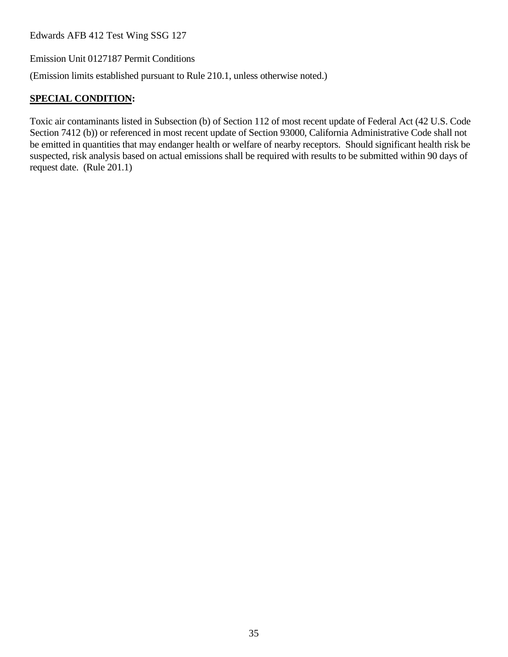Emission Unit 0127187 Permit Conditions

(Emission limits established pursuant to Rule 210.1, unless otherwise noted.)

# **SPECIAL CONDITION:**

Toxic air contaminants listed in Subsection (b) of Section 112 of most recent update of Federal Act (42 U.S. Code Section 7412 (b)) or referenced in most recent update of Section 93000, California Administrative Code shall not be emitted in quantities that may endanger health or welfare of nearby receptors. Should significant health risk be suspected, risk analysis based on actual emissions shall be required with results to be submitted within 90 days of request date. (Rule 201.1)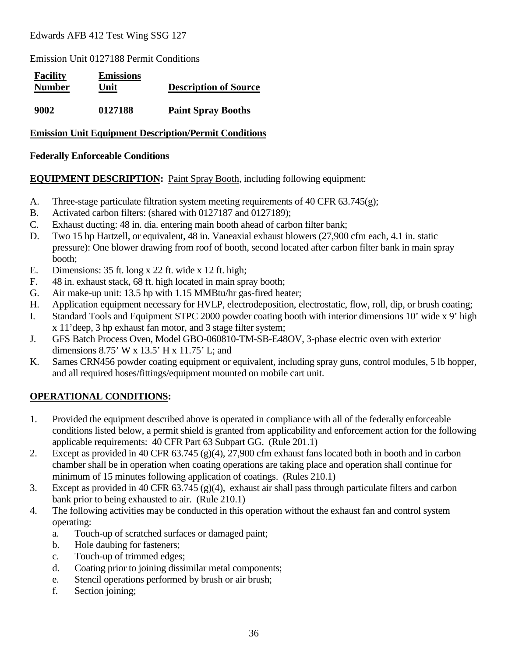Emission Unit 0127188 Permit Conditions

| <b>Facility</b><br><b>Number</b> | <b>Emissions</b><br>Unit | <b>Description of Source</b> |
|----------------------------------|--------------------------|------------------------------|
| 9002                             | 0127188                  | <b>Paint Spray Booths</b>    |

#### **Emission Unit Equipment Description/Permit Conditions**

#### **Federally Enforceable Conditions**

#### **EQUIPMENT DESCRIPTION:** Paint Spray Booth, including following equipment:

- A. Three-stage particulate filtration system meeting requirements of 40 CFR  $63.745(g)$ ;
- B. Activated carbon filters: (shared with 0127187 and 0127189);
- C. Exhaust ducting: 48 in. dia. entering main booth ahead of carbon filter bank;
- D. Two 15 hp Hartzell, or equivalent, 48 in. Vaneaxial exhaust blowers (27,900 cfm each, 4.1 in. static pressure): One blower drawing from roof of booth, second located after carbon filter bank in main spray booth;
- E. Dimensions: 35 ft. long x 22 ft. wide x 12 ft. high;
- F. 48 in. exhaust stack, 68 ft. high located in main spray booth;
- G. Air make-up unit: 13.5 hp with 1.15 MMBtu/hr gas-fired heater;
- H. Application equipment necessary for HVLP, electrodeposition, electrostatic, flow, roll, dip, or brush coating;
- I. Standard Tools and Equipment STPC 2000 powder coating booth with interior dimensions 10' wide x 9' high x 11'deep, 3 hp exhaust fan motor, and 3 stage filter system;
- J. GFS Batch Process Oven, Model GBO-060810-TM-SB-E48OV, 3-phase electric oven with exterior dimensions 8.75' W x 13.5' H x 11.75' L; and
- K. Sames CRN456 powder coating equipment or equivalent, including spray guns, control modules, 5 lb hopper, and all required hoses/fittings/equipment mounted on mobile cart unit.

### **OPERATIONAL CONDITIONS:**

- 1. Provided the equipment described above is operated in compliance with all of the federally enforceable conditions listed below, a permit shield is granted from applicability and enforcement action for the following applicable requirements: 40 CFR Part 63 Subpart GG. (Rule 201.1)
- 2. Except as provided in 40 CFR 63.745 (g)(4), 27,900 cfm exhaust fans located both in booth and in carbon chamber shall be in operation when coating operations are taking place and operation shall continue for minimum of 15 minutes following application of coatings. (Rules 210.1)
- 3. Except as provided in 40 CFR 63.745 (g)(4), exhaust air shall pass through particulate filters and carbon bank prior to being exhausted to air. (Rule 210.1)
- 4. The following activities may be conducted in this operation without the exhaust fan and control system operating:
	- a. Touch-up of scratched surfaces or damaged paint;
	- b. Hole daubing for fasteners;
	- c. Touch-up of trimmed edges;
	- d. Coating prior to joining dissimilar metal components;
	- e. Stencil operations performed by brush or air brush;
	- f. Section joining;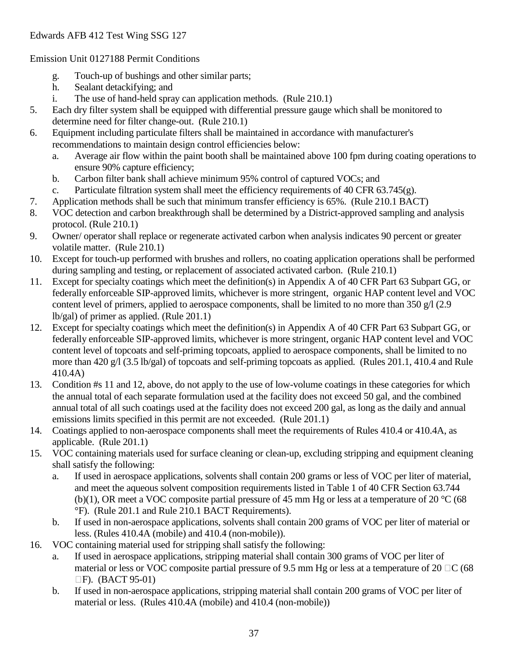#### Emission Unit 0127188 Permit Conditions

- g. Touch-up of bushings and other similar parts;
- h. Sealant detackifying; and
- i. The use of hand-held spray can application methods. (Rule 210.1)
- 5. Each dry filter system shall be equipped with differential pressure gauge which shall be monitored to determine need for filter change-out. (Rule 210.1)
- 6. Equipment including particulate filters shall be maintained in accordance with manufacturer's recommendations to maintain design control efficiencies below:
	- a. Average air flow within the paint booth shall be maintained above 100 fpm during coating operations to ensure 90% capture efficiency;
	- b. Carbon filter bank shall achieve minimum 95% control of captured VOCs; and
	- c. Particulate filtration system shall meet the efficiency requirements of 40 CFR  $63.745(g)$ .
- 7. Application methods shall be such that minimum transfer efficiency is 65%. (Rule 210.1 BACT)
- 8. VOC detection and carbon breakthrough shall be determined by a District-approved sampling and analysis protocol. (Rule 210.1)
- 9. Owner/ operator shall replace or regenerate activated carbon when analysis indicates 90 percent or greater volatile matter. (Rule 210.1)
- 10. Except for touch-up performed with brushes and rollers, no coating application operations shall be performed during sampling and testing, or replacement of associated activated carbon. (Rule 210.1)
- 11. Except for specialty coatings which meet the definition(s) in Appendix A of 40 CFR Part 63 Subpart GG, or federally enforceable SIP-approved limits, whichever is more stringent, organic HAP content level and VOC content level of primers, applied to aerospace components, shall be limited to no more than 350 g/l (2.9) lb/gal) of primer as applied. (Rule 201.1)
- 12. Except for specialty coatings which meet the definition(s) in Appendix A of 40 CFR Part 63 Subpart GG, or federally enforceable SIP-approved limits, whichever is more stringent, organic HAP content level and VOC content level of topcoats and self-priming topcoats, applied to aerospace components, shall be limited to no more than 420 g/l (3.5 lb/gal) of topcoats and self-priming topcoats as applied. (Rules 201.1, 410.4 and Rule 410.4A)
- 13. Condition #s 11 and 12, above, do not apply to the use of low-volume coatings in these categories for which the annual total of each separate formulation used at the facility does not exceed 50 gal, and the combined annual total of all such coatings used at the facility does not exceed 200 gal, as long as the daily and annual emissions limits specified in this permit are not exceeded. (Rule 201.1)
- 14. Coatings applied to non-aerospace components shall meet the requirements of Rules 410.4 or 410.4A, as applicable. (Rule 201.1)
- 15. VOC containing materials used for surface cleaning or clean-up, excluding stripping and equipment cleaning shall satisfy the following:
	- a. If used in aerospace applications, solvents shall contain 200 grams or less of VOC per liter of material, and meet the aqueous solvent composition requirements listed in Table 1 of 40 CFR Section 63.744 (b)(1), OR meet a VOC composite partial pressure of 45 mm Hg or less at a temperature of 20  $^{\circ}$ C (68) °F). (Rule 201.1 and Rule 210.1 BACT Requirements).
	- b. If used in non-aerospace applications, solvents shall contain 200 grams of VOC per liter of material or less. (Rules 410.4A (mobile) and 410.4 (non-mobile)).
- 16. VOC containing material used for stripping shall satisfy the following:
	- a. If used in aerospace applications, stripping material shall contain 300 grams of VOC per liter of material or less or VOC composite partial pressure of 9.5 mm Hg or less at a temperature of 20  $\Box$ C (68  $\Box$ F). (BACT 95-01)
	- b. If used in non-aerospace applications, stripping material shall contain 200 grams of VOC per liter of material or less. (Rules 410.4A (mobile) and 410.4 (non-mobile))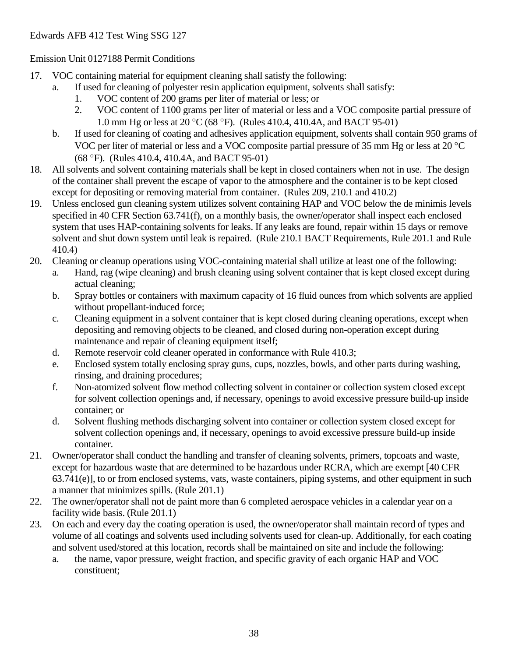#### Emission Unit 0127188 Permit Conditions

- 17. VOC containing material for equipment cleaning shall satisfy the following:
	- a. If used for cleaning of polyester resin application equipment, solvents shall satisfy:
		- 1. VOC content of 200 grams per liter of material or less; or
		- 2. VOC content of 1100 grams per liter of material or less and a VOC composite partial pressure of 1.0 mm Hg or less at 20 °C (68 °F). (Rules 410.4, 410.4A, and BACT 95-01)
	- b. If used for cleaning of coating and adhesives application equipment, solvents shall contain 950 grams of VOC per liter of material or less and a VOC composite partial pressure of 35 mm Hg or less at 20 °C (68 °F). (Rules 410.4, 410.4A, and BACT 95-01)
- 18. All solvents and solvent containing materials shall be kept in closed containers when not in use. The design of the container shall prevent the escape of vapor to the atmosphere and the container is to be kept closed except for depositing or removing material from container. (Rules 209, 210.1 and 410.2)
- 19. Unless enclosed gun cleaning system utilizes solvent containing HAP and VOC below the de minimis levels specified in 40 CFR Section 63.741(f), on a monthly basis, the owner/operator shall inspect each enclosed system that uses HAP-containing solvents for leaks. If any leaks are found, repair within 15 days or remove solvent and shut down system until leak is repaired. (Rule 210.1 BACT Requirements, Rule 201.1 and Rule 410.4)
- 20. Cleaning or cleanup operations using VOC-containing material shall utilize at least one of the following:
	- a. Hand, rag (wipe cleaning) and brush cleaning using solvent container that is kept closed except during actual cleaning;
	- b. Spray bottles or containers with maximum capacity of 16 fluid ounces from which solvents are applied without propellant-induced force;
	- c. Cleaning equipment in a solvent container that is kept closed during cleaning operations, except when depositing and removing objects to be cleaned, and closed during non-operation except during maintenance and repair of cleaning equipment itself;
	- d. Remote reservoir cold cleaner operated in conformance with Rule 410.3;
	- e. Enclosed system totally enclosing spray guns, cups, nozzles, bowls, and other parts during washing, rinsing, and draining procedures;
	- f. Non-atomized solvent flow method collecting solvent in container or collection system closed except for solvent collection openings and, if necessary, openings to avoid excessive pressure build-up inside container; or
	- d. Solvent flushing methods discharging solvent into container or collection system closed except for solvent collection openings and, if necessary, openings to avoid excessive pressure build-up inside container.
- 21. Owner/operator shall conduct the handling and transfer of cleaning solvents, primers, topcoats and waste, except for hazardous waste that are determined to be hazardous under RCRA, which are exempt [40 CFR 63.741(e)], to or from enclosed systems, vats, waste containers, piping systems, and other equipment in such a manner that minimizes spills. (Rule 201.1)
- 22. The owner/operator shall not de paint more than 6 completed aerospace vehicles in a calendar year on a facility wide basis. (Rule 201.1)
- 23. On each and every day the coating operation is used, the owner/operator shall maintain record of types and volume of all coatings and solvents used including solvents used for clean-up. Additionally, for each coating and solvent used/stored at this location, records shall be maintained on site and include the following:
	- a. the name, vapor pressure, weight fraction, and specific gravity of each organic HAP and VOC constituent;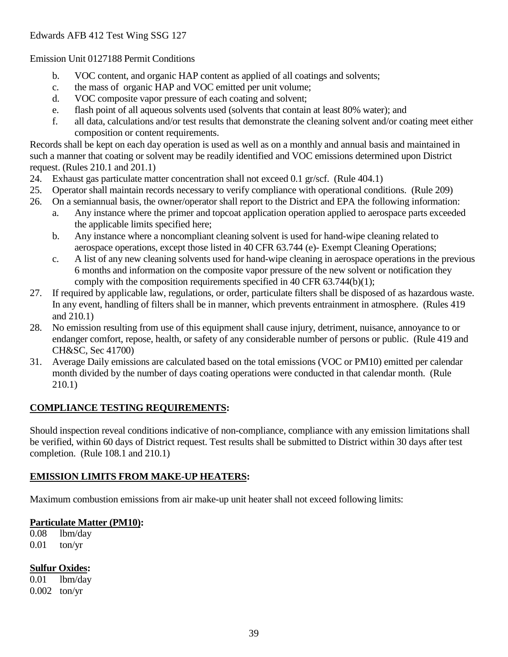Emission Unit 0127188 Permit Conditions

- b. VOC content, and organic HAP content as applied of all coatings and solvents;
- c. the mass of organic HAP and VOC emitted per unit volume;
- d. VOC composite vapor pressure of each coating and solvent;
- e. flash point of all aqueous solvents used (solvents that contain at least 80% water); and
- f. all data, calculations and/or test results that demonstrate the cleaning solvent and/or coating meet either composition or content requirements.

Records shall be kept on each day operation is used as well as on a monthly and annual basis and maintained in such a manner that coating or solvent may be readily identified and VOC emissions determined upon District request. (Rules 210.1 and 201.1)

- 24. Exhaust gas particulate matter concentration shall not exceed 0.1 gr/scf. (Rule 404.1)
- 25. Operator shall maintain records necessary to verify compliance with operational conditions. (Rule 209)
- 26. On a semiannual basis, the owner/operator shall report to the District and EPA the following information:
	- a. Any instance where the primer and topcoat application operation applied to aerospace parts exceeded the applicable limits specified here;
	- b. Any instance where a noncompliant cleaning solvent is used for hand-wipe cleaning related to aerospace operations, except those listed in 40 CFR 63.744 (e)- Exempt Cleaning Operations;
	- c. A list of any new cleaning solvents used for hand-wipe cleaning in aerospace operations in the previous 6 months and information on the composite vapor pressure of the new solvent or notification they comply with the composition requirements specified in 40 CFR 63.744(b)(1);
- 27. If required by applicable law, regulations, or order, particulate filters shall be disposed of as hazardous waste. In any event, handling of filters shall be in manner, which prevents entrainment in atmosphere. (Rules 419 and 210.1)
- 28. No emission resulting from use of this equipment shall cause injury, detriment, nuisance, annoyance to or endanger comfort, repose, health, or safety of any considerable number of persons or public. (Rule 419 and CH&SC, Sec 41700)
- 31. Average Daily emissions are calculated based on the total emissions (VOC or PM10) emitted per calendar month divided by the number of days coating operations were conducted in that calendar month. (Rule 210.1)

# **COMPLIANCE TESTING REQUIREMENTS:**

Should inspection reveal conditions indicative of non-compliance, compliance with any emission limitations shall be verified, within 60 days of District request. Test results shall be submitted to District within 30 days after test completion. (Rule 108.1 and 210.1)

# **EMISSION LIMITS FROM MAKE-UP HEATERS:**

Maximum combustion emissions from air make-up unit heater shall not exceed following limits:

# **Particulate Matter (PM10):**

0.08 lbm/day 0.01 ton/yr

# **Sulfur Oxides:**

0.01 lbm/day 0.002 ton/yr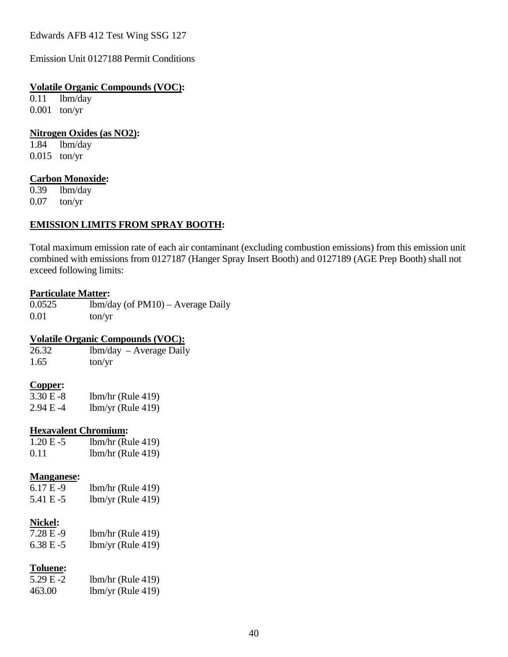Emission Unit 0127188 Permit Conditions

#### **Volatile Organic Compounds (VOC):**

0.11 lbm/day 0.001 ton/yr

# **Nitrogen Oxides (as NO2):**<br>1.84 **lbm**/day

lbm/day 0.015 ton/yr

#### **Carbon Monoxide:**

0.39 lbm/day 0.07 ton/yr

#### **EMISSION LIMITS FROM SPRAY BOOTH:**

Total maximum emission rate of each air contaminant (excluding combustion emissions) from this emission unit combined with emissions from 0127187 (Hanger Spray Insert Booth) and 0127189 (AGE Prep Booth) shall not exceed following limits:

#### **Particulate Matter:**

0.0525 lbm/day (of PM10) – Average Daily 0.01 ton/yr

#### **Volatile Organic Compounds (VOC):**

| 26.32 | $lbm/day - Average Daily$ |
|-------|---------------------------|
| 1.65  | ton/yr                    |

#### **Copper:**

| $3.30 E - 8$ | $lbm/hr$ (Rule 419) |
|--------------|---------------------|
| 2.94 E -4    | $lbm/yr$ (Rule 419) |

#### **Hexavalent Chromium:**

| $1.20 E - 5$ | $lbm/hr$ (Rule 419) |
|--------------|---------------------|
| 0.11         | $lbm/hr$ (Rule 419) |

#### **Manganese:**

| $6.17E-9$ | $lbm/hr$ (Rule 419) |
|-----------|---------------------|
| 5.41 E -5 | $lbm/yr$ (Rule 419) |

#### **Nickel:**

| 7.28 E-9     | $lbm/hr$ (Rule 419) |
|--------------|---------------------|
| $6.38 E - 5$ | $1bm/yr$ (Rule 419) |

#### **Toluene:**

| $5.29 E - 2$ | $lbm/hr$ (Rule 419) |
|--------------|---------------------|
| 463.00       | $lbm/yr$ (Rule 419) |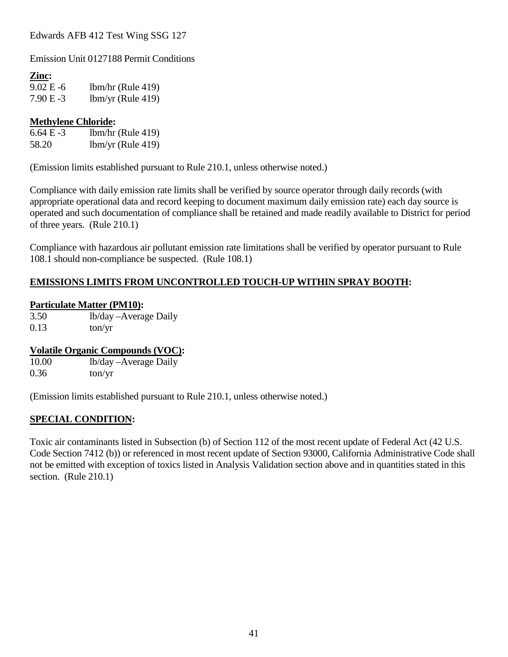Emission Unit 0127188 Permit Conditions

#### **Zinc:**

9.02 E -6 lbm/hr (Rule 419) 7.90 E -3 lbm/yr (Rule 419)

#### **Methylene Chloride:**

6.64 E -3 lbm/hr (Rule 419) 58.20 lbm/yr (Rule 419)

(Emission limits established pursuant to Rule 210.1, unless otherwise noted.)

Compliance with daily emission rate limits shall be verified by source operator through daily records (with appropriate operational data and record keeping to document maximum daily emission rate) each day source is operated and such documentation of compliance shall be retained and made readily available to District for period of three years. (Rule 210.1)

Compliance with hazardous air pollutant emission rate limitations shall be verified by operator pursuant to Rule 108.1 should non-compliance be suspected. (Rule 108.1)

#### **EMISSIONS LIMITS FROM UNCONTROLLED TOUCH-UP WITHIN SPRAY BOOTH:**

#### **Particulate Matter (PM10):**

3.50 lb/day –Average Daily  $0.13$  ton/yr

#### **Volatile Organic Compounds (VOC):**

10.00 lb/day –Average Daily  $0.36$  ton/yr

(Emission limits established pursuant to Rule 210.1, unless otherwise noted.)

#### **SPECIAL CONDITION:**

Toxic air contaminants listed in Subsection (b) of Section 112 of the most recent update of Federal Act (42 U.S. Code Section 7412 (b)) or referenced in most recent update of Section 93000, California Administrative Code shall not be emitted with exception of toxics listed in Analysis Validation section above and in quantities stated in this section. (Rule 210.1)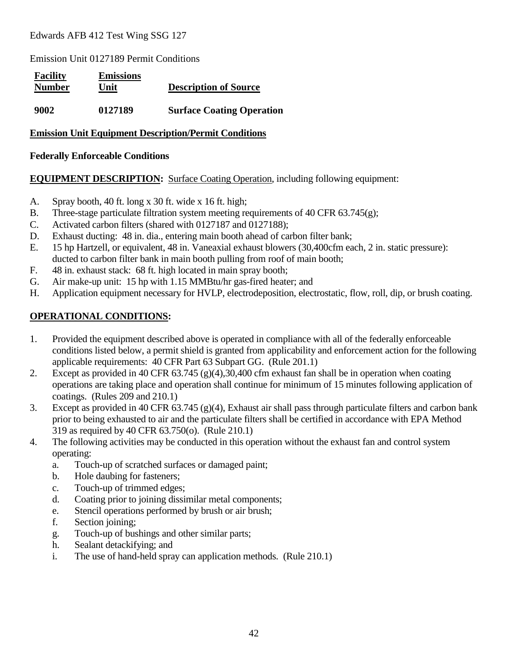Emission Unit 0127189 Permit Conditions

| <b>Facility</b><br><b>Number</b> | <b>Emissions</b><br>Unit | <b>Description of Source</b>     |
|----------------------------------|--------------------------|----------------------------------|
| 9002                             | 0127189                  | <b>Surface Coating Operation</b> |

#### **Emission Unit Equipment Description/Permit Conditions**

#### **Federally Enforceable Conditions**

**EQUIPMENT DESCRIPTION:** Surface Coating Operation, including following equipment:

- A. Spray booth, 40 ft. long x 30 ft. wide x 16 ft. high;
- B. Three-stage particulate filtration system meeting requirements of 40 CFR  $63.745(g)$ ;
- C. Activated carbon filters (shared with 0127187 and 0127188);
- D. Exhaust ducting: 48 in. dia., entering main booth ahead of carbon filter bank;
- E. 15 hp Hartzell, or equivalent, 48 in. Vaneaxial exhaust blowers (30,400cfm each, 2 in. static pressure): ducted to carbon filter bank in main booth pulling from roof of main booth;
- F. 48 in. exhaust stack: 68 ft. high located in main spray booth;
- G. Air make-up unit: 15 hp with 1.15 MMBtu/hr gas-fired heater; and
- H. Application equipment necessary for HVLP, electrodeposition, electrostatic, flow, roll, dip, or brush coating.

#### **OPERATIONAL CONDITIONS:**

- 1. Provided the equipment described above is operated in compliance with all of the federally enforceable conditions listed below, a permit shield is granted from applicability and enforcement action for the following applicable requirements: 40 CFR Part 63 Subpart GG. (Rule 201.1)
- 2. Except as provided in 40 CFR 63.745 (g)(4),30,400 cfm exhaust fan shall be in operation when coating operations are taking place and operation shall continue for minimum of 15 minutes following application of coatings. (Rules 209 and 210.1)
- 3. Except as provided in 40 CFR 63.745 (g)(4), Exhaust air shall pass through particulate filters and carbon bank prior to being exhausted to air and the particulate filters shall be certified in accordance with EPA Method 319 as required by 40 CFR 63.750(o). (Rule 210.1)
- 4. The following activities may be conducted in this operation without the exhaust fan and control system operating:
	- a. Touch-up of scratched surfaces or damaged paint;
	- b. Hole daubing for fasteners;
	- c. Touch-up of trimmed edges;
	- d. Coating prior to joining dissimilar metal components;
	- e. Stencil operations performed by brush or air brush;
	- f. Section joining;
	- g. Touch-up of bushings and other similar parts;
	- h. Sealant detackifying; and
	- i. The use of hand-held spray can application methods. (Rule 210.1)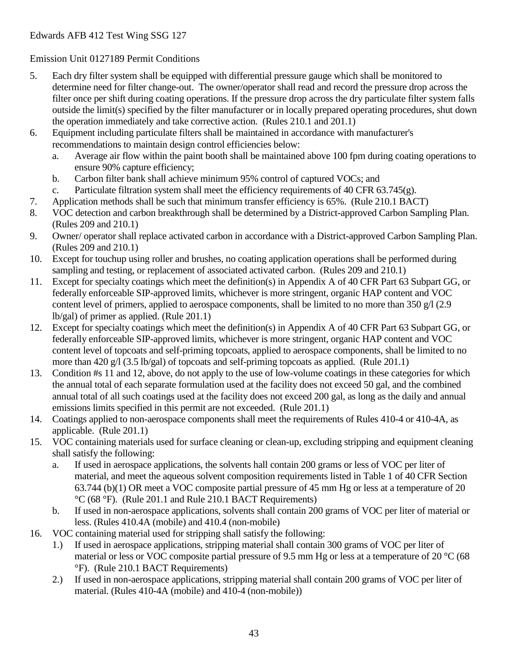Emission Unit 0127189 Permit Conditions

- 5. Each dry filter system shall be equipped with differential pressure gauge which shall be monitored to determine need for filter change-out. The owner/operator shall read and record the pressure drop across the filter once per shift during coating operations. If the pressure drop across the dry particulate filter system falls outside the limit(s) specified by the filter manufacturer or in locally prepared operating procedures, shut down the operation immediately and take corrective action. (Rules 210.1 and 201.1)
- 6. Equipment including particulate filters shall be maintained in accordance with manufacturer's recommendations to maintain design control efficiencies below:
	- a. Average air flow within the paint booth shall be maintained above 100 fpm during coating operations to ensure 90% capture efficiency;
	- b. Carbon filter bank shall achieve minimum 95% control of captured VOCs; and
	- c. Particulate filtration system shall meet the efficiency requirements of 40 CFR  $63.745(g)$ .
- 7. Application methods shall be such that minimum transfer efficiency is 65%. (Rule 210.1 BACT)
- 8. VOC detection and carbon breakthrough shall be determined by a District-approved Carbon Sampling Plan. (Rules 209 and 210.1)
- 9. Owner/ operator shall replace activated carbon in accordance with a District-approved Carbon Sampling Plan. (Rules 209 and 210.1)
- 10. Except for touchup using roller and brushes, no coating application operations shall be performed during sampling and testing, or replacement of associated activated carbon. (Rules 209 and 210.1)
- 11. Except for specialty coatings which meet the definition(s) in Appendix A of 40 CFR Part 63 Subpart GG, or federally enforceable SIP-approved limits, whichever is more stringent, organic HAP content and VOC content level of primers, applied to aerospace components, shall be limited to no more than 350  $g/1$  (2.9) lb/gal) of primer as applied. (Rule 201.1)
- 12. Except for specialty coatings which meet the definition(s) in Appendix A of 40 CFR Part 63 Subpart GG, or federally enforceable SIP-approved limits, whichever is more stringent, organic HAP content and VOC content level of topcoats and self-priming topcoats, applied to aerospace components, shall be limited to no more than 420 g/l (3.5 lb/gal) of topcoats and self-priming topcoats as applied. (Rule 201.1)
- 13. Condition #s 11 and 12, above, do not apply to the use of low-volume coatings in these categories for which the annual total of each separate formulation used at the facility does not exceed 50 gal, and the combined annual total of all such coatings used at the facility does not exceed 200 gal, as long as the daily and annual emissions limits specified in this permit are not exceeded. (Rule 201.1)
- 14. Coatings applied to non-aerospace components shall meet the requirements of Rules 410-4 or 410-4A, as applicable. (Rule 201.1)
- 15. VOC containing materials used for surface cleaning or clean-up, excluding stripping and equipment cleaning shall satisfy the following:
	- a. If used in aerospace applications, the solvents hall contain 200 grams or less of VOC per liter of material, and meet the aqueous solvent composition requirements listed in Table 1 of 40 CFR Section 63.744 (b)(1) OR meet a VOC composite partial pressure of 45 mm Hg or less at a temperature of 20 °C (68 °F). (Rule 201.1 and Rule 210.1 BACT Requirements)
	- b. If used in non-aerospace applications, solvents shall contain 200 grams of VOC per liter of material or less. (Rules 410.4A (mobile) and 410.4 (non-mobile)
- 16. VOC containing material used for stripping shall satisfy the following:
	- 1.) If used in aerospace applications, stripping material shall contain 300 grams of VOC per liter of material or less or VOC composite partial pressure of 9.5 mm Hg or less at a temperature of 20 °C (68 °F). (Rule 210.1 BACT Requirements)
	- 2.) If used in non-aerospace applications, stripping material shall contain 200 grams of VOC per liter of material. (Rules 410-4A (mobile) and 410-4 (non-mobile))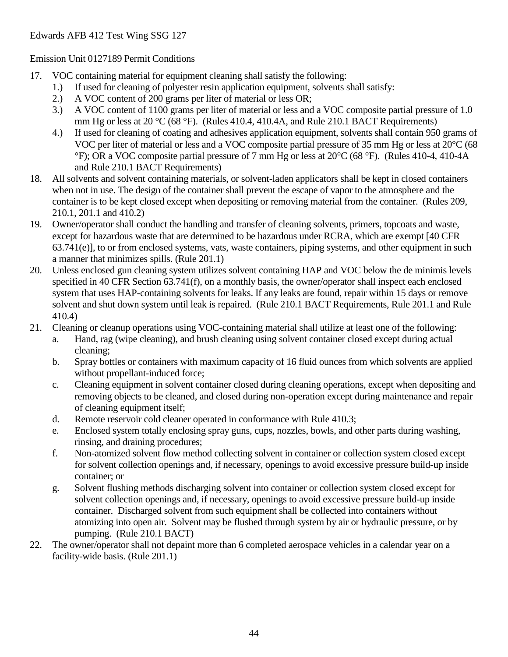#### Emission Unit 0127189 Permit Conditions

- 17. VOC containing material for equipment cleaning shall satisfy the following:
	- 1.) If used for cleaning of polyester resin application equipment, solvents shall satisfy:
	- 2.) A VOC content of 200 grams per liter of material or less OR;
	- 3.) A VOC content of 1100 grams per liter of material or less and a VOC composite partial pressure of 1.0 mm Hg or less at 20 °C (68 °F). (Rules 410.4, 410.4A, and Rule 210.1 BACT Requirements)
	- 4.) If used for cleaning of coating and adhesives application equipment, solvents shall contain 950 grams of VOC per liter of material or less and a VOC composite partial pressure of 35 mm Hg or less at 20°C (68 °F); OR a VOC composite partial pressure of 7 mm Hg or less at 20°C (68 °F). (Rules 410-4, 410-4A and Rule 210.1 BACT Requirements)
- 18. All solvents and solvent containing materials, or solvent-laden applicators shall be kept in closed containers when not in use. The design of the container shall prevent the escape of vapor to the atmosphere and the container is to be kept closed except when depositing or removing material from the container. (Rules 209, 210.1, 201.1 and 410.2)
- 19. Owner/operator shall conduct the handling and transfer of cleaning solvents, primers, topcoats and waste, except for hazardous waste that are determined to be hazardous under RCRA, which are exempt [40 CFR 63.741(e)], to or from enclosed systems, vats, waste containers, piping systems, and other equipment in such a manner that minimizes spills. (Rule 201.1)
- 20. Unless enclosed gun cleaning system utilizes solvent containing HAP and VOC below the de minimis levels specified in 40 CFR Section 63.741(f), on a monthly basis, the owner/operator shall inspect each enclosed system that uses HAP-containing solvents for leaks. If any leaks are found, repair within 15 days or remove solvent and shut down system until leak is repaired. (Rule 210.1 BACT Requirements, Rule 201.1 and Rule 410.4)
- 21. Cleaning or cleanup operations using VOC-containing material shall utilize at least one of the following:
	- a. Hand, rag (wipe cleaning), and brush cleaning using solvent container closed except during actual cleaning;
	- b. Spray bottles or containers with maximum capacity of 16 fluid ounces from which solvents are applied without propellant-induced force;
	- c. Cleaning equipment in solvent container closed during cleaning operations, except when depositing and removing objects to be cleaned, and closed during non-operation except during maintenance and repair of cleaning equipment itself;
	- d. Remote reservoir cold cleaner operated in conformance with Rule 410.3;
	- e. Enclosed system totally enclosing spray guns, cups, nozzles, bowls, and other parts during washing, rinsing, and draining procedures;
	- f. Non-atomized solvent flow method collecting solvent in container or collection system closed except for solvent collection openings and, if necessary, openings to avoid excessive pressure build-up inside container; or
	- g. Solvent flushing methods discharging solvent into container or collection system closed except for solvent collection openings and, if necessary, openings to avoid excessive pressure build-up inside container. Discharged solvent from such equipment shall be collected into containers without atomizing into open air. Solvent may be flushed through system by air or hydraulic pressure, or by pumping. (Rule 210.1 BACT)
- 22. The owner/operator shall not depaint more than 6 completed aerospace vehicles in a calendar year on a facility-wide basis. (Rule 201.1)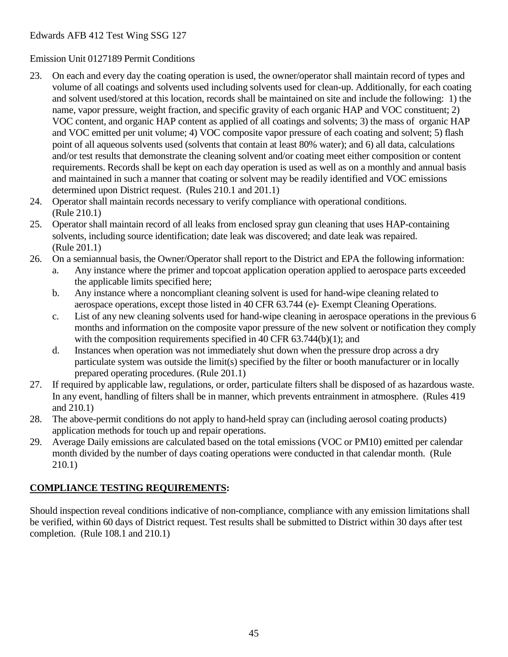#### Emission Unit 0127189 Permit Conditions

- 23. On each and every day the coating operation is used, the owner/operator shall maintain record of types and volume of all coatings and solvents used including solvents used for clean-up. Additionally, for each coating and solvent used/stored at this location, records shall be maintained on site and include the following: 1) the name, vapor pressure, weight fraction, and specific gravity of each organic HAP and VOC constituent; 2) VOC content, and organic HAP content as applied of all coatings and solvents; 3) the mass of organic HAP and VOC emitted per unit volume; 4) VOC composite vapor pressure of each coating and solvent; 5) flash point of all aqueous solvents used (solvents that contain at least 80% water); and 6) all data, calculations and/or test results that demonstrate the cleaning solvent and/or coating meet either composition or content requirements. Records shall be kept on each day operation is used as well as on a monthly and annual basis and maintained in such a manner that coating or solvent may be readily identified and VOC emissions determined upon District request. (Rules 210.1 and 201.1)
- 24. Operator shall maintain records necessary to verify compliance with operational conditions. (Rule 210.1)
- 25. Operator shall maintain record of all leaks from enclosed spray gun cleaning that uses HAP-containing solvents, including source identification; date leak was discovered; and date leak was repaired. (Rule 201.1)
- 26. On a semiannual basis, the Owner/Operator shall report to the District and EPA the following information:
	- a. Any instance where the primer and topcoat application operation applied to aerospace parts exceeded the applicable limits specified here;
	- b. Any instance where a noncompliant cleaning solvent is used for hand-wipe cleaning related to aerospace operations, except those listed in 40 CFR 63.744 (e)- Exempt Cleaning Operations.
	- c. List of any new cleaning solvents used for hand-wipe cleaning in aerospace operations in the previous 6 months and information on the composite vapor pressure of the new solvent or notification they comply with the composition requirements specified in 40 CFR 63.744(b)(1); and
	- d. Instances when operation was not immediately shut down when the pressure drop across a dry particulate system was outside the limit(s) specified by the filter or booth manufacturer or in locally prepared operating procedures. (Rule 201.1)
- 27. If required by applicable law, regulations, or order, particulate filters shall be disposed of as hazardous waste. In any event, handling of filters shall be in manner, which prevents entrainment in atmosphere. (Rules 419 and 210.1)
- 28. The above-permit conditions do not apply to hand-held spray can (including aerosol coating products) application methods for touch up and repair operations.
- 29. Average Daily emissions are calculated based on the total emissions (VOC or PM10) emitted per calendar month divided by the number of days coating operations were conducted in that calendar month. (Rule 210.1)

# **COMPLIANCE TESTING REQUIREMENTS:**

Should inspection reveal conditions indicative of non-compliance, compliance with any emission limitations shall be verified, within 60 days of District request. Test results shall be submitted to District within 30 days after test completion. (Rule 108.1 and 210.1)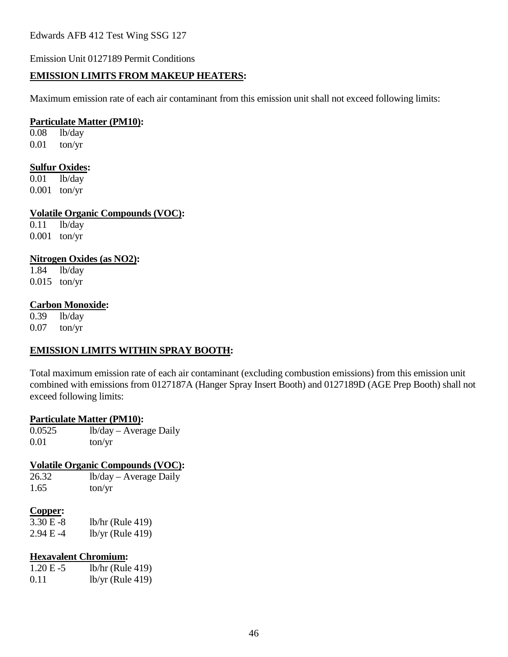Emission Unit 0127189 Permit Conditions

#### **EMISSION LIMITS FROM MAKEUP HEATERS:**

Maximum emission rate of each air contaminant from this emission unit shall not exceed following limits:

#### **Particulate Matter (PM10):**

0.08 lb/day 0.01 ton/yr

# **Sulfur Oxides:**<br>0.01 **lb/day**

lb/day 0.001 ton/yr

**Volatile Organic Compounds (VOC):**

 $0.11$  lb/day 0.001 ton/yr

#### **Nitrogen Oxides (as NO2):**

1.84 lb/day 0.015 ton/yr

#### **Carbon Monoxide:**

0.39 lb/day 0.07 ton/yr

#### **EMISSION LIMITS WITHIN SPRAY BOOTH:**

Total maximum emission rate of each air contaminant (excluding combustion emissions) from this emission unit combined with emissions from 0127187A (Hanger Spray Insert Booth) and 0127189D (AGE Prep Booth) shall not exceed following limits:

#### **Particulate Matter (PM10):**

0.0525 lb/day – Average Daily 0.01 ton/yr

#### **Volatile Organic Compounds (VOC):**

| 26.32     | lb/day – Average Daily |
|-----------|------------------------|
| $1\,c\,s$ | $tan \theta$           |

 $1.65$  ton/yr

#### **Copper:**

| 3.30 E -8 | $lb/hr$ (Rule 419) |
|-----------|--------------------|
| 2.94 E -4 | $lb/yr$ (Rule 419) |

#### **Hexavalent Chromium:**

| $1.20 E - 5$ | $lb/hr$ (Rule 419) |
|--------------|--------------------|
| 0.11         | $lb/yr$ (Rule 419) |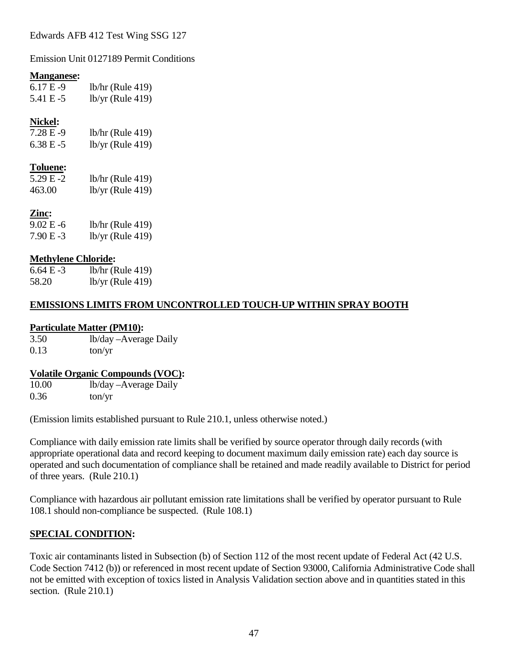Emission Unit 0127189 Permit Conditions

#### **Manganese:**

| $6.17E-9$ | $lb/hr$ (Rule 419) |
|-----------|--------------------|
| 5.41 E-5  | $lb/yr$ (Rule 419) |

### **Nickel:**

| 7.28 E -9 | $lb/hr$ (Rule 419) |
|-----------|--------------------|
| 6.38 E -5 | $lb/yr$ (Rule 419) |

#### **Toluene:**

| 5.29 E -2 | $lb/hr$ (Rule 419) |
|-----------|--------------------|
| 463.00    | $lb/yr$ (Rule 419) |

# **Zinc:**

| 9.02 E -6 | $lb/hr$ (Rule 419) |
|-----------|--------------------|
| 7.90 E -3 | $lb/yr$ (Rule 419) |

#### **Methylene Chloride:**

| $6.64 E - 3$ | $lb/hr$ (Rule 419) |
|--------------|--------------------|
| 58.20        | $lb/yr$ (Rule 419) |

#### **EMISSIONS LIMITS FROM UNCONTROLLED TOUCH-UP WITHIN SPRAY BOOTH**

#### **Particulate Matter (PM10):**

3.50 lb/day –Average Daily  $0.13$  ton/yr

#### **Volatile Organic Compounds (VOC):**

10.00 lb/day –Average Daily  $0.36$  ton/yr

(Emission limits established pursuant to Rule 210.1, unless otherwise noted.)

Compliance with daily emission rate limits shall be verified by source operator through daily records (with appropriate operational data and record keeping to document maximum daily emission rate) each day source is operated and such documentation of compliance shall be retained and made readily available to District for period of three years. (Rule 210.1)

Compliance with hazardous air pollutant emission rate limitations shall be verified by operator pursuant to Rule 108.1 should non-compliance be suspected. (Rule 108.1)

### **SPECIAL CONDITION:**

Toxic air contaminants listed in Subsection (b) of Section 112 of the most recent update of Federal Act (42 U.S. Code Section 7412 (b)) or referenced in most recent update of Section 93000, California Administrative Code shall not be emitted with exception of toxics listed in Analysis Validation section above and in quantities stated in this section. (Rule 210.1)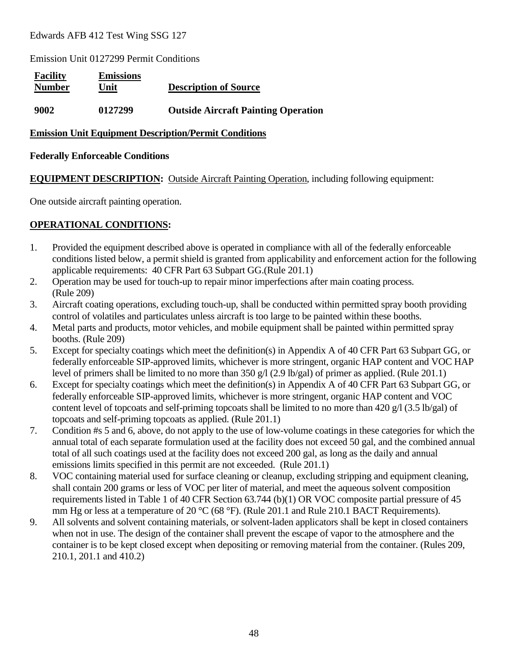Emission Unit 0127299 Permit Conditions

| <b>Facility</b><br><b>Number</b> | <b>Emissions</b><br>Unit | <b>Description of Source</b>               |
|----------------------------------|--------------------------|--------------------------------------------|
| 9002                             | 0127299                  | <b>Outside Aircraft Painting Operation</b> |

#### **Emission Unit Equipment Description/Permit Conditions**

#### **Federally Enforceable Conditions**

**EQUIPMENT DESCRIPTION:** Outside Aircraft Painting Operation, including following equipment:

One outside aircraft painting operation.

# **OPERATIONAL CONDITIONS:**

- 1. Provided the equipment described above is operated in compliance with all of the federally enforceable conditions listed below, a permit shield is granted from applicability and enforcement action for the following applicable requirements: 40 CFR Part 63 Subpart GG.(Rule 201.1)
- 2. Operation may be used for touch-up to repair minor imperfections after main coating process. (Rule 209)
- 3. Aircraft coating operations, excluding touch-up, shall be conducted within permitted spray booth providing control of volatiles and particulates unless aircraft is too large to be painted within these booths.
- 4. Metal parts and products, motor vehicles, and mobile equipment shall be painted within permitted spray booths. (Rule 209)
- 5. Except for specialty coatings which meet the definition(s) in Appendix A of 40 CFR Part 63 Subpart GG, or federally enforceable SIP-approved limits, whichever is more stringent, organic HAP content and VOC HAP level of primers shall be limited to no more than 350 g/l (2.9 lb/gal) of primer as applied. (Rule 201.1)
- 6. Except for specialty coatings which meet the definition(s) in Appendix A of 40 CFR Part 63 Subpart GG, or federally enforceable SIP-approved limits, whichever is more stringent, organic HAP content and VOC content level of topcoats and self-priming topcoats shall be limited to no more than 420 g/l (3.5 lb/gal) of topcoats and self-priming topcoats as applied. (Rule 201.1)
- 7. Condition #s 5 and 6, above, do not apply to the use of low-volume coatings in these categories for which the annual total of each separate formulation used at the facility does not exceed 50 gal, and the combined annual total of all such coatings used at the facility does not exceed 200 gal, as long as the daily and annual emissions limits specified in this permit are not exceeded. (Rule 201.1)
- 8. VOC containing material used for surface cleaning or cleanup, excluding stripping and equipment cleaning, shall contain 200 grams or less of VOC per liter of material, and meet the aqueous solvent composition requirements listed in Table 1 of 40 CFR Section 63.744 (b)(1) OR VOC composite partial pressure of 45 mm Hg or less at a temperature of 20 °C (68 °F). (Rule 201.1 and Rule 210.1 BACT Requirements).
- 9. All solvents and solvent containing materials, or solvent-laden applicators shall be kept in closed containers when not in use. The design of the container shall prevent the escape of vapor to the atmosphere and the container is to be kept closed except when depositing or removing material from the container. (Rules 209, 210.1, 201.1 and 410.2)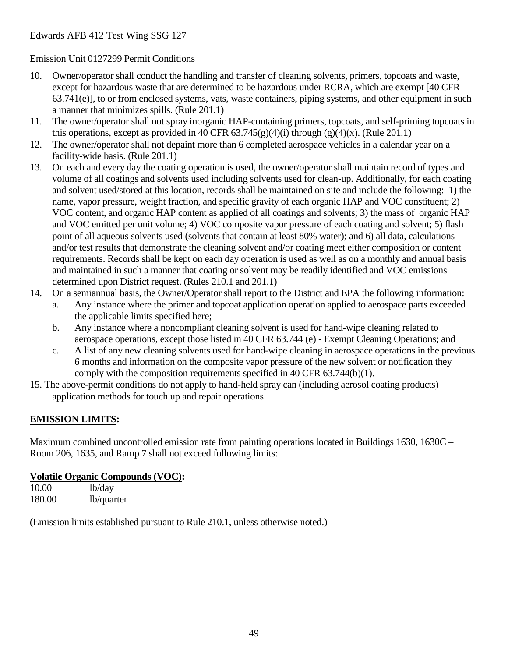Emission Unit 0127299 Permit Conditions

- 10. Owner/operator shall conduct the handling and transfer of cleaning solvents, primers, topcoats and waste, except for hazardous waste that are determined to be hazardous under RCRA, which are exempt [40 CFR 63.741(e)], to or from enclosed systems, vats, waste containers, piping systems, and other equipment in such a manner that minimizes spills. (Rule 201.1)
- 11. The owner/operator shall not spray inorganic HAP-containing primers, topcoats, and self-priming topcoats in this operations, except as provided in 40 CFR  $63.745(g)(4)(i)$  through  $(g)(4)(x)$ . (Rule 201.1)
- 12. The owner/operator shall not depaint more than 6 completed aerospace vehicles in a calendar year on a facility-wide basis. (Rule 201.1)
- 13. On each and every day the coating operation is used, the owner/operator shall maintain record of types and volume of all coatings and solvents used including solvents used for clean-up. Additionally, for each coating and solvent used/stored at this location, records shall be maintained on site and include the following: 1) the name, vapor pressure, weight fraction, and specific gravity of each organic HAP and VOC constituent; 2) VOC content, and organic HAP content as applied of all coatings and solvents; 3) the mass of organic HAP and VOC emitted per unit volume; 4) VOC composite vapor pressure of each coating and solvent; 5) flash point of all aqueous solvents used (solvents that contain at least 80% water); and 6) all data, calculations and/or test results that demonstrate the cleaning solvent and/or coating meet either composition or content requirements. Records shall be kept on each day operation is used as well as on a monthly and annual basis and maintained in such a manner that coating or solvent may be readily identified and VOC emissions determined upon District request. (Rules 210.1 and 201.1)
- 14. On a semiannual basis, the Owner/Operator shall report to the District and EPA the following information:
	- a. Any instance where the primer and topcoat application operation applied to aerospace parts exceeded the applicable limits specified here;
	- b. Any instance where a noncompliant cleaning solvent is used for hand-wipe cleaning related to aerospace operations, except those listed in 40 CFR 63.744 (e) - Exempt Cleaning Operations; and
	- c. A list of any new cleaning solvents used for hand-wipe cleaning in aerospace operations in the previous 6 months and information on the composite vapor pressure of the new solvent or notification they comply with the composition requirements specified in 40 CFR 63.744(b)(1).
- 15. The above-permit conditions do not apply to hand-held spray can (including aerosol coating products) application methods for touch up and repair operations.

# **EMISSION LIMITS:**

Maximum combined uncontrolled emission rate from painting operations located in Buildings 1630, 1630C – Room 206, 1635, and Ramp 7 shall not exceed following limits:

### **Volatile Organic Compounds (VOC):**

| 10.00  | lb/day     |
|--------|------------|
| 180.00 | lb/quarter |

(Emission limits established pursuant to Rule 210.1, unless otherwise noted.)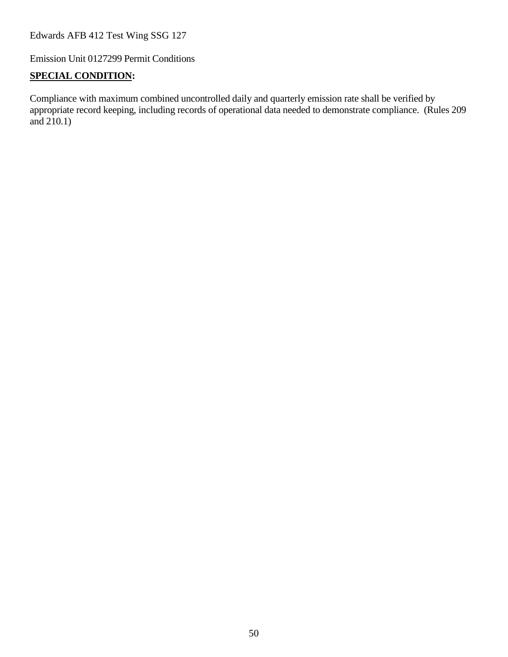Emission Unit 0127299 Permit Conditions

#### **SPECIAL CONDITION:**

Compliance with maximum combined uncontrolled daily and quarterly emission rate shall be verified by appropriate record keeping, including records of operational data needed to demonstrate compliance. (Rules 209 and 210.1)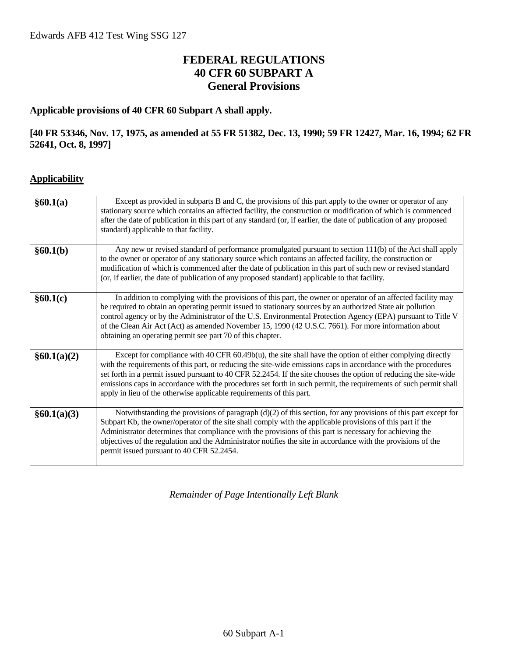# **FEDERAL REGULATIONS 40 CFR 60 SUBPART A General Provisions**

#### **Applicable provisions of 40 CFR 60 Subpart A shall apply.**

#### **[40 FR 53346, Nov. 17, 1975, as amended at 55 FR 51382, Dec. 13, 1990; 59 FR 12427, Mar. 16, 1994; 62 FR 52641, Oct. 8, 1997]**

#### **Applicability**

| §60.1(a)    | Except as provided in subparts B and C, the provisions of this part apply to the owner or operator of any<br>stationary source which contains an affected facility, the construction or modification of which is commenced<br>after the date of publication in this part of any standard (or, if earlier, the date of publication of any proposed<br>standard) applicable to that facility.                                                                                                                                                    |
|-------------|------------------------------------------------------------------------------------------------------------------------------------------------------------------------------------------------------------------------------------------------------------------------------------------------------------------------------------------------------------------------------------------------------------------------------------------------------------------------------------------------------------------------------------------------|
| §60.1(b)    | Any new or revised standard of performance promulgated pursuant to section 111(b) of the Act shall apply<br>to the owner or operator of any stationary source which contains an affected facility, the construction or<br>modification of which is commenced after the date of publication in this part of such new or revised standard<br>(or, if earlier, the date of publication of any proposed standard) applicable to that facility.                                                                                                     |
| §60.1(c)    | In addition to complying with the provisions of this part, the owner or operator of an affected facility may<br>be required to obtain an operating permit issued to stationary sources by an authorized State air pollution<br>control agency or by the Administrator of the U.S. Environmental Protection Agency (EPA) pursuant to Title V<br>of the Clean Air Act (Act) as amended November 15, 1990 (42 U.S.C. 7661). For more information about<br>obtaining an operating permit see part 70 of this chapter.                              |
| §60.1(a)(2) | Except for compliance with 40 CFR $60.49b(u)$ , the site shall have the option of either complying directly<br>with the requirements of this part, or reducing the site-wide emissions caps in accordance with the procedures<br>set forth in a permit issued pursuant to 40 CFR 52.2454. If the site chooses the option of reducing the site-wide<br>emissions caps in accordance with the procedures set forth in such permit, the requirements of such permit shall<br>apply in lieu of the otherwise applicable requirements of this part. |
| §60.1(a)(3) | Notwithstanding the provisions of paragraph (d)(2) of this section, for any provisions of this part except for<br>Subpart Kb, the owner/operator of the site shall comply with the applicable provisions of this part if the<br>Administrator determines that compliance with the provisions of this part is necessary for achieving the<br>objectives of the regulation and the Administrator notifies the site in accordance with the provisions of the<br>permit issued pursuant to 40 CFR 52.2454.                                         |

*Remainder of Page Intentionally Left Blank*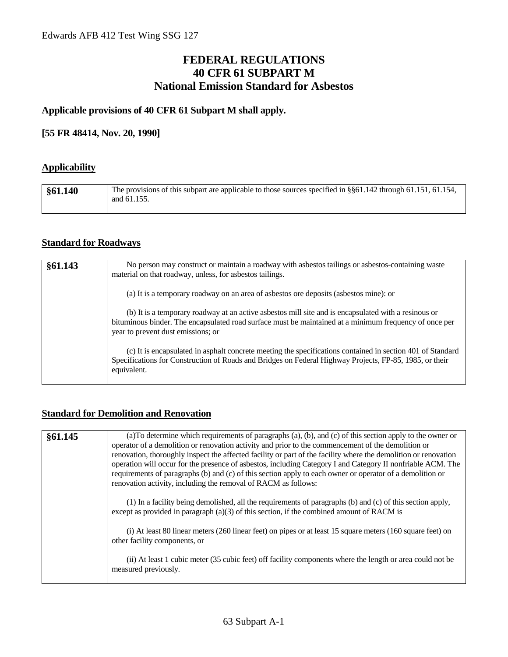# **FEDERAL REGULATIONS 40 CFR 61 SUBPART M National Emission Standard for Asbestos**

#### **Applicable provisions of 40 CFR 61 Subpart M shall apply.**

#### **[55 FR 48414, Nov. 20, 1990]**

#### **Applicability**

| $\frac{$61.140}{ }$ | The provisions of this subpart are applicable to those sources specified in §§61.142 through 61.151, 61.154,<br>and 61.155. |
|---------------------|-----------------------------------------------------------------------------------------------------------------------------|
|                     |                                                                                                                             |

#### **Standard for Roadways**

| §61.143 | No person may construct or maintain a roadway with asbestos tailings or asbestos-containing waste<br>material on that roadway, unless, for asbestos tailings.                                                                                        |
|---------|------------------------------------------------------------------------------------------------------------------------------------------------------------------------------------------------------------------------------------------------------|
|         | (a) It is a temporary roadway on an area of asbestos ore deposits (asbestos mine): or                                                                                                                                                                |
|         | (b) It is a temporary roadway at an active asbestos mill site and is encapsulated with a resinous or<br>bituminous binder. The encapsulated road surface must be maintained at a minimum frequency of once per<br>year to prevent dust emissions; or |
|         | (c) It is encapsulated in asphalt concrete meeting the specifications contained in section 401 of Standard<br>Specifications for Construction of Roads and Bridges on Federal Highway Projects, FP-85, 1985, or their<br>equivalent.                 |

#### **Standard for Demolition and Renovation**

| §61.145 | (a) To determine which requirements of paragraphs (a), (b), and (c) of this section apply to the owner or<br>operator of a demolition or renovation activity and prior to the commencement of the demolition or<br>renovation, thoroughly inspect the affected facility or part of the facility where the demolition or renovation<br>operation will occur for the presence of asbestos, including Category I and Category II nonfriable ACM. The<br>requirements of paragraphs (b) and (c) of this section apply to each owner or operator of a demolition or<br>renovation activity, including the removal of RACM as follows: |
|---------|----------------------------------------------------------------------------------------------------------------------------------------------------------------------------------------------------------------------------------------------------------------------------------------------------------------------------------------------------------------------------------------------------------------------------------------------------------------------------------------------------------------------------------------------------------------------------------------------------------------------------------|
|         | (1) In a facility being demolished, all the requirements of paragraphs (b) and (c) of this section apply,<br>except as provided in paragraph $(a)(3)$ of this section, if the combined amount of RACM is                                                                                                                                                                                                                                                                                                                                                                                                                         |
|         | (i) At least 80 linear meters (260 linear feet) on pipes or at least 15 square meters (160 square feet) on<br>other facility components, or                                                                                                                                                                                                                                                                                                                                                                                                                                                                                      |
|         | (ii) At least 1 cubic meter (35 cubic feet) off facility components where the length or area could not be<br>measured previously.                                                                                                                                                                                                                                                                                                                                                                                                                                                                                                |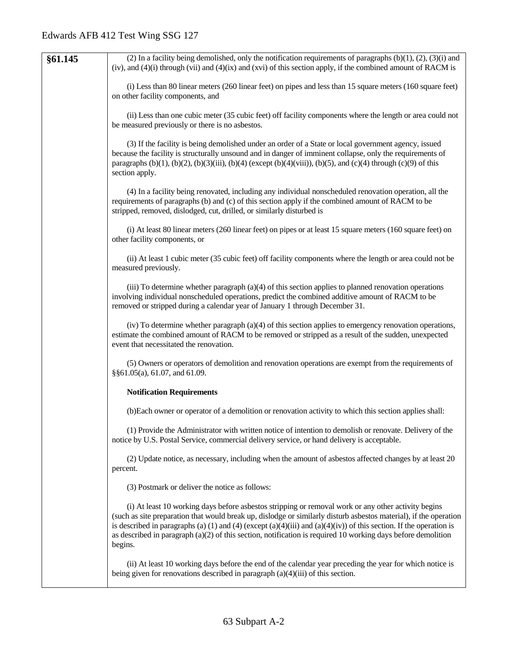| §61.145 | (2) In a facility being demolished, only the notification requirements of paragraphs $(b)(1)$ , $(2)$ , $(3)(i)$ and<br>(iv), and $(4)(i)$ through (vii) and $(4)(ix)$ and (xvi) of this section apply, if the combined amount of RACM is                                                                                                                                                                                                                                    |
|---------|------------------------------------------------------------------------------------------------------------------------------------------------------------------------------------------------------------------------------------------------------------------------------------------------------------------------------------------------------------------------------------------------------------------------------------------------------------------------------|
|         | (i) Less than 80 linear meters (260 linear feet) on pipes and less than 15 square meters (160 square feet)<br>on other facility components, and                                                                                                                                                                                                                                                                                                                              |
|         | (ii) Less than one cubic meter (35 cubic feet) off facility components where the length or area could not<br>be measured previously or there is no asbestos.                                                                                                                                                                                                                                                                                                                 |
|         | (3) If the facility is being demolished under an order of a State or local government agency, issued<br>because the facility is structurally unsound and in danger of imminent collapse, only the requirements of<br>paragraphs (b)(1), (b)(2), (b)(3)(iii), (b)(4) (except (b)(4)(viii)), (b)(5), and (c)(4) through (c)(9) of this<br>section apply.                                                                                                                       |
|         | (4) In a facility being renovated, including any individual nonscheduled renovation operation, all the<br>requirements of paragraphs (b) and (c) of this section apply if the combined amount of RACM to be<br>stripped, removed, dislodged, cut, drilled, or similarly disturbed is                                                                                                                                                                                         |
|         | (i) At least 80 linear meters (260 linear feet) on pipes or at least 15 square meters (160 square feet) on<br>other facility components, or                                                                                                                                                                                                                                                                                                                                  |
|         | (ii) At least 1 cubic meter (35 cubic feet) off facility components where the length or area could not be<br>measured previously.                                                                                                                                                                                                                                                                                                                                            |
|         | (iii) To determine whether paragraph $(a)(4)$ of this section applies to planned renovation operations<br>involving individual nonscheduled operations, predict the combined additive amount of RACM to be<br>removed or stripped during a calendar year of January 1 through December 31.                                                                                                                                                                                   |
|         | (iv) To determine whether paragraph (a)(4) of this section applies to emergency renovation operations,<br>estimate the combined amount of RACM to be removed or stripped as a result of the sudden, unexpected<br>event that necessitated the renovation.                                                                                                                                                                                                                    |
|         | (5) Owners or operators of demolition and renovation operations are exempt from the requirements of<br>§§61.05(a), 61.07, and 61.09.                                                                                                                                                                                                                                                                                                                                         |
|         | <b>Notification Requirements</b>                                                                                                                                                                                                                                                                                                                                                                                                                                             |
|         | (b) Each owner or operator of a demolition or renovation activity to which this section applies shall:                                                                                                                                                                                                                                                                                                                                                                       |
|         | (1) Provide the Administrator with written notice of intention to demolish or renovate. Delivery of the<br>notice by U.S. Postal Service, commercial delivery service, or hand delivery is acceptable.                                                                                                                                                                                                                                                                       |
|         | (2) Update notice, as necessary, including when the amount of asbestos affected changes by at least 20<br>percent.                                                                                                                                                                                                                                                                                                                                                           |
|         | (3) Postmark or deliver the notice as follows:                                                                                                                                                                                                                                                                                                                                                                                                                               |
|         | (i) At least 10 working days before asbestos stripping or removal work or any other activity begins<br>(such as site preparation that would break up, dislodge or similarly disturb asbestos material), if the operation<br>is described in paragraphs (a) (1) and (4) (except (a)(4)(iii) and (a)(4)(iv)) of this section. If the operation is<br>as described in paragraph $(a)(2)$ of this section, notification is required 10 working days before demolition<br>begins. |
|         | (ii) At least 10 working days before the end of the calendar year preceding the year for which notice is<br>being given for renovations described in paragraph $(a)(4)(iii)$ of this section.                                                                                                                                                                                                                                                                                |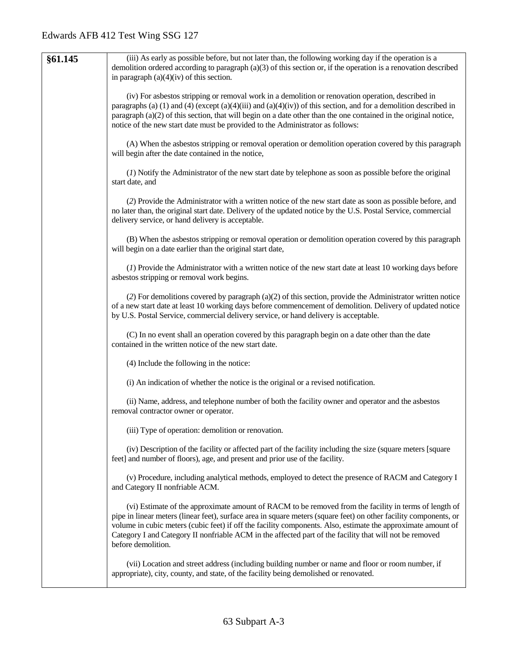| §61.145 | (iii) As early as possible before, but not later than, the following working day if the operation is a<br>demolition ordered according to paragraph $(a)(3)$ of this section or, if the operation is a renovation described                                                                                                                                                                                                                                                 |
|---------|-----------------------------------------------------------------------------------------------------------------------------------------------------------------------------------------------------------------------------------------------------------------------------------------------------------------------------------------------------------------------------------------------------------------------------------------------------------------------------|
|         | in paragraph $(a)(4)(iv)$ of this section.                                                                                                                                                                                                                                                                                                                                                                                                                                  |
|         | (iv) For asbestos stripping or removal work in a demolition or renovation operation, described in<br>paragraphs (a) (1) and (4) (except (a)(4)(iii) and (a)(4)(iv)) of this section, and for a demolition described in<br>paragraph (a)(2) of this section, that will begin on a date other than the one contained in the original notice,<br>notice of the new start date must be provided to the Administrator as follows:                                                |
|         | (A) When the asbestos stripping or removal operation or demolition operation covered by this paragraph<br>will begin after the date contained in the notice,                                                                                                                                                                                                                                                                                                                |
|         | (1) Notify the Administrator of the new start date by telephone as soon as possible before the original<br>start date, and                                                                                                                                                                                                                                                                                                                                                  |
|         | (2) Provide the Administrator with a written notice of the new start date as soon as possible before, and<br>no later than, the original start date. Delivery of the updated notice by the U.S. Postal Service, commercial<br>delivery service, or hand delivery is acceptable.                                                                                                                                                                                             |
|         | (B) When the asbestos stripping or removal operation or demolition operation covered by this paragraph<br>will begin on a date earlier than the original start date,                                                                                                                                                                                                                                                                                                        |
|         | (1) Provide the Administrator with a written notice of the new start date at least 10 working days before<br>asbestos stripping or removal work begins.                                                                                                                                                                                                                                                                                                                     |
|         | (2) For demolitions covered by paragraph (a)(2) of this section, provide the Administrator written notice<br>of a new start date at least 10 working days before commencement of demolition. Delivery of updated notice<br>by U.S. Postal Service, commercial delivery service, or hand delivery is acceptable.                                                                                                                                                             |
|         | (C) In no event shall an operation covered by this paragraph begin on a date other than the date<br>contained in the written notice of the new start date.                                                                                                                                                                                                                                                                                                                  |
|         | (4) Include the following in the notice:                                                                                                                                                                                                                                                                                                                                                                                                                                    |
|         | (i) An indication of whether the notice is the original or a revised notification.                                                                                                                                                                                                                                                                                                                                                                                          |
|         | (ii) Name, address, and telephone number of both the facility owner and operator and the asbestos<br>removal contractor owner or operator.                                                                                                                                                                                                                                                                                                                                  |
|         | (iii) Type of operation: demolition or renovation.                                                                                                                                                                                                                                                                                                                                                                                                                          |
|         | (iv) Description of the facility or affected part of the facility including the size (square meters [square<br>feet] and number of floors), age, and present and prior use of the facility.                                                                                                                                                                                                                                                                                 |
|         | (v) Procedure, including analytical methods, employed to detect the presence of RACM and Category I<br>and Category II nonfriable ACM.                                                                                                                                                                                                                                                                                                                                      |
|         | (vi) Estimate of the approximate amount of RACM to be removed from the facility in terms of length of<br>pipe in linear meters (linear feet), surface area in square meters (square feet) on other facility components, or<br>volume in cubic meters (cubic feet) if off the facility components. Also, estimate the approximate amount of<br>Category I and Category II nonfriable ACM in the affected part of the facility that will not be removed<br>before demolition. |
|         | (vii) Location and street address (including building number or name and floor or room number, if<br>appropriate), city, county, and state, of the facility being demolished or renovated.                                                                                                                                                                                                                                                                                  |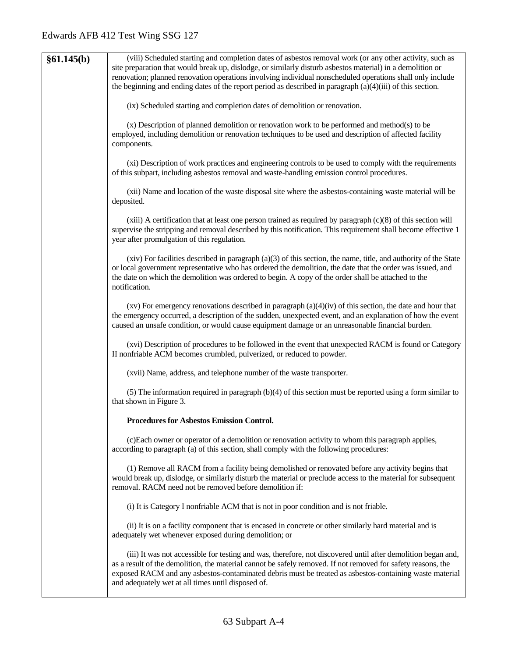| §61.145(b) | (viii) Scheduled starting and completion dates of asbestos removal work (or any other activity, such as<br>site preparation that would break up, dislodge, or similarly disturb asbestos material) in a demolition or<br>renovation; planned renovation operations involving individual nonscheduled operations shall only include<br>the beginning and ending dates of the report period as described in paragraph $(a)(4)(iii)$ of this section.<br>(ix) Scheduled starting and completion dates of demolition or renovation. |
|------------|---------------------------------------------------------------------------------------------------------------------------------------------------------------------------------------------------------------------------------------------------------------------------------------------------------------------------------------------------------------------------------------------------------------------------------------------------------------------------------------------------------------------------------|
|            | (x) Description of planned demolition or renovation work to be performed and method(s) to be<br>employed, including demolition or renovation techniques to be used and description of affected facility<br>components.                                                                                                                                                                                                                                                                                                          |
|            | (xi) Description of work practices and engineering controls to be used to comply with the requirements<br>of this subpart, including asbestos removal and waste-handling emission control procedures.                                                                                                                                                                                                                                                                                                                           |
|            | (xii) Name and location of the waste disposal site where the asbestos-containing waste material will be<br>deposited.                                                                                                                                                                                                                                                                                                                                                                                                           |
|            | $(xiii)$ A certification that at least one person trained as required by paragraph $(c)(8)$ of this section will<br>supervise the stripping and removal described by this notification. This requirement shall become effective 1<br>year after promulgation of this regulation.                                                                                                                                                                                                                                                |
|            | $(xiv)$ For facilities described in paragraph $(a)(3)$ of this section, the name, title, and authority of the State<br>or local government representative who has ordered the demolition, the date that the order was issued, and<br>the date on which the demolition was ordered to begin. A copy of the order shall be attached to the<br>notification.                                                                                                                                                                       |
|            | $(xv)$ For emergency renovations described in paragraph $(a)(4)(iv)$ of this section, the date and hour that<br>the emergency occurred, a description of the sudden, unexpected event, and an explanation of how the event<br>caused an unsafe condition, or would cause equipment damage or an unreasonable financial burden.                                                                                                                                                                                                  |
|            | (xvi) Description of procedures to be followed in the event that unexpected RACM is found or Category<br>II nonfriable ACM becomes crumbled, pulverized, or reduced to powder.                                                                                                                                                                                                                                                                                                                                                  |
|            | (xvii) Name, address, and telephone number of the waste transporter.                                                                                                                                                                                                                                                                                                                                                                                                                                                            |
|            | $(5)$ The information required in paragraph $(b)(4)$ of this section must be reported using a form similar to<br>that shown in Figure 3.                                                                                                                                                                                                                                                                                                                                                                                        |
|            | <b>Procedures for Asbestos Emission Control.</b>                                                                                                                                                                                                                                                                                                                                                                                                                                                                                |
|            | (c) Each owner or operator of a demolition or renovation activity to whom this paragraph applies,<br>according to paragraph (a) of this section, shall comply with the following procedures:                                                                                                                                                                                                                                                                                                                                    |
|            | (1) Remove all RACM from a facility being demolished or renovated before any activity begins that<br>would break up, dislodge, or similarly disturb the material or preclude access to the material for subsequent<br>removal. RACM need not be removed before demolition if:                                                                                                                                                                                                                                                   |
|            | (i) It is Category I nonfriable ACM that is not in poor condition and is not friable.                                                                                                                                                                                                                                                                                                                                                                                                                                           |
|            | (ii) It is on a facility component that is encased in concrete or other similarly hard material and is<br>adequately wet whenever exposed during demolition; or                                                                                                                                                                                                                                                                                                                                                                 |
|            | (iii) It was not accessible for testing and was, therefore, not discovered until after demolition began and,<br>as a result of the demolition, the material cannot be safely removed. If not removed for safety reasons, the<br>exposed RACM and any asbestos-contaminated debris must be treated as asbestos-containing waste material<br>and adequately wet at all times until disposed of.                                                                                                                                   |
|            |                                                                                                                                                                                                                                                                                                                                                                                                                                                                                                                                 |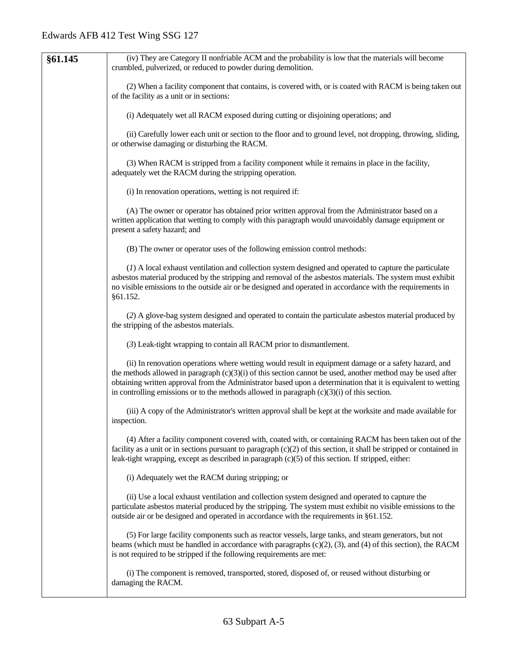| §61.145 | (iv) They are Category II nonfriable ACM and the probability is low that the materials will become                                                                                                                                                                                                                                                                                                                                     |
|---------|----------------------------------------------------------------------------------------------------------------------------------------------------------------------------------------------------------------------------------------------------------------------------------------------------------------------------------------------------------------------------------------------------------------------------------------|
|         | crumbled, pulverized, or reduced to powder during demolition.                                                                                                                                                                                                                                                                                                                                                                          |
|         | (2) When a facility component that contains, is covered with, or is coated with RACM is being taken out<br>of the facility as a unit or in sections:                                                                                                                                                                                                                                                                                   |
|         | (i) Adequately wet all RACM exposed during cutting or disjoining operations; and                                                                                                                                                                                                                                                                                                                                                       |
|         | (ii) Carefully lower each unit or section to the floor and to ground level, not dropping, throwing, sliding,<br>or otherwise damaging or disturbing the RACM.                                                                                                                                                                                                                                                                          |
|         | (3) When RACM is stripped from a facility component while it remains in place in the facility,<br>adequately wet the RACM during the stripping operation.                                                                                                                                                                                                                                                                              |
|         | (i) In renovation operations, wetting is not required if:                                                                                                                                                                                                                                                                                                                                                                              |
|         | (A) The owner or operator has obtained prior written approval from the Administrator based on a<br>written application that wetting to comply with this paragraph would unavoidably damage equipment or<br>present a safety hazard; and                                                                                                                                                                                                |
|         | (B) The owner or operator uses of the following emission control methods:                                                                                                                                                                                                                                                                                                                                                              |
|         | (1) A local exhaust ventilation and collection system designed and operated to capture the particulate<br>asbestos material produced by the stripping and removal of the asbestos materials. The system must exhibit<br>no visible emissions to the outside air or be designed and operated in accordance with the requirements in<br>§61.152.                                                                                         |
|         | (2) A glove-bag system designed and operated to contain the particulate asbestos material produced by<br>the stripping of the asbestos materials.                                                                                                                                                                                                                                                                                      |
|         | (3) Leak-tight wrapping to contain all RACM prior to dismantlement.                                                                                                                                                                                                                                                                                                                                                                    |
|         | (ii) In renovation operations where wetting would result in equipment damage or a safety hazard, and<br>the methods allowed in paragraph $(c)(3)(i)$ of this section cannot be used, another method may be used after<br>obtaining written approval from the Administrator based upon a determination that it is equivalent to wetting<br>in controlling emissions or to the methods allowed in paragraph $(c)(3)(i)$ of this section. |
|         | (iii) A copy of the Administrator's written approval shall be kept at the worksite and made available for<br>inspection.                                                                                                                                                                                                                                                                                                               |
|         | (4) After a facility component covered with, coated with, or containing RACM has been taken out of the<br>facility as a unit or in sections pursuant to paragraph $(c)(2)$ of this section, it shall be stripped or contained in<br>leak-tight wrapping, except as described in paragraph $(c)(5)$ of this section. If stripped, either:                                                                                               |
|         | (i) Adequately wet the RACM during stripping; or                                                                                                                                                                                                                                                                                                                                                                                       |
|         | (ii) Use a local exhaust ventilation and collection system designed and operated to capture the<br>particulate asbestos material produced by the stripping. The system must exhibit no visible emissions to the<br>outside air or be designed and operated in accordance with the requirements in §61.152.                                                                                                                             |
|         | (5) For large facility components such as reactor vessels, large tanks, and steam generators, but not<br>beams (which must be handled in accordance with paragraphs $(c)(2)$ , $(3)$ , and $(4)$ of this section), the RACM<br>is not required to be stripped if the following requirements are met:                                                                                                                                   |
|         | (i) The component is removed, transported, stored, disposed of, or reused without disturbing or<br>damaging the RACM.                                                                                                                                                                                                                                                                                                                  |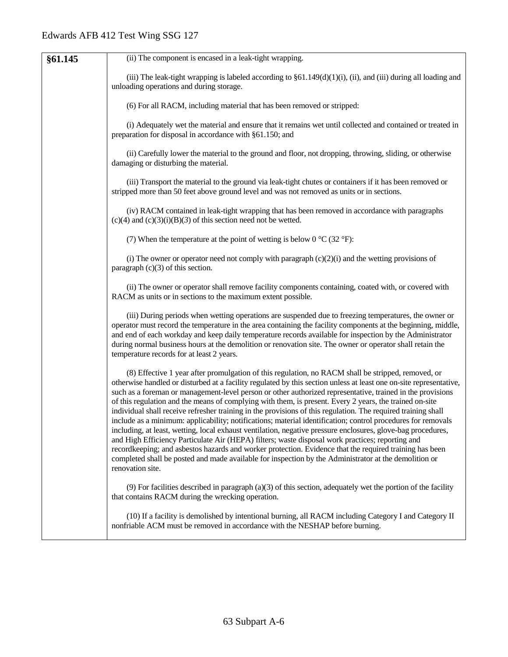| §61.145 | (ii) The component is encased in a leak-tight wrapping.                                                                                                                                                                                                                                                                                                                                                                                                                                                                                                                                                                                                                                                                                                                                                                                                                                                                                                                                                                                                                                                                                        |
|---------|------------------------------------------------------------------------------------------------------------------------------------------------------------------------------------------------------------------------------------------------------------------------------------------------------------------------------------------------------------------------------------------------------------------------------------------------------------------------------------------------------------------------------------------------------------------------------------------------------------------------------------------------------------------------------------------------------------------------------------------------------------------------------------------------------------------------------------------------------------------------------------------------------------------------------------------------------------------------------------------------------------------------------------------------------------------------------------------------------------------------------------------------|
|         | (iii) The leak-tight wrapping is labeled according to $\S61.149(d)(1)(i)$ , (ii), and (iii) during all loading and<br>unloading operations and during storage.                                                                                                                                                                                                                                                                                                                                                                                                                                                                                                                                                                                                                                                                                                                                                                                                                                                                                                                                                                                 |
|         | (6) For all RACM, including material that has been removed or stripped:                                                                                                                                                                                                                                                                                                                                                                                                                                                                                                                                                                                                                                                                                                                                                                                                                                                                                                                                                                                                                                                                        |
|         | (i) Adequately wet the material and ensure that it remains wet until collected and contained or treated in<br>preparation for disposal in accordance with §61.150; and                                                                                                                                                                                                                                                                                                                                                                                                                                                                                                                                                                                                                                                                                                                                                                                                                                                                                                                                                                         |
|         | (ii) Carefully lower the material to the ground and floor, not dropping, throwing, sliding, or otherwise<br>damaging or disturbing the material.                                                                                                                                                                                                                                                                                                                                                                                                                                                                                                                                                                                                                                                                                                                                                                                                                                                                                                                                                                                               |
|         | (iii) Transport the material to the ground via leak-tight chutes or containers if it has been removed or<br>stripped more than 50 feet above ground level and was not removed as units or in sections.                                                                                                                                                                                                                                                                                                                                                                                                                                                                                                                                                                                                                                                                                                                                                                                                                                                                                                                                         |
|         | (iv) RACM contained in leak-tight wrapping that has been removed in accordance with paragraphs<br>$(c)(4)$ and $(c)(3)(i)(B)(3)$ of this section need not be wetted.                                                                                                                                                                                                                                                                                                                                                                                                                                                                                                                                                                                                                                                                                                                                                                                                                                                                                                                                                                           |
|         | (7) When the temperature at the point of wetting is below 0 $^{\circ}$ C (32 $^{\circ}$ F):                                                                                                                                                                                                                                                                                                                                                                                                                                                                                                                                                                                                                                                                                                                                                                                                                                                                                                                                                                                                                                                    |
|         | (i) The owner or operator need not comply with paragraph $(c)(2)(i)$ and the wetting provisions of<br>paragraph $(c)(3)$ of this section.                                                                                                                                                                                                                                                                                                                                                                                                                                                                                                                                                                                                                                                                                                                                                                                                                                                                                                                                                                                                      |
|         | (ii) The owner or operator shall remove facility components containing, coated with, or covered with<br>RACM as units or in sections to the maximum extent possible.                                                                                                                                                                                                                                                                                                                                                                                                                                                                                                                                                                                                                                                                                                                                                                                                                                                                                                                                                                           |
|         | (iii) During periods when wetting operations are suspended due to freezing temperatures, the owner or<br>operator must record the temperature in the area containing the facility components at the beginning, middle,<br>and end of each workday and keep daily temperature records available for inspection by the Administrator<br>during normal business hours at the demolition or renovation site. The owner or operator shall retain the<br>temperature records for at least 2 years.                                                                                                                                                                                                                                                                                                                                                                                                                                                                                                                                                                                                                                                   |
|         | (8) Effective 1 year after promulgation of this regulation, no RACM shall be stripped, removed, or<br>otherwise handled or disturbed at a facility regulated by this section unless at least one on-site representative,<br>such as a foreman or management-level person or other authorized representative, trained in the provisions<br>of this regulation and the means of complying with them, is present. Every 2 years, the trained on-site<br>individual shall receive refresher training in the provisions of this regulation. The required training shall<br>include as a minimum: applicability; notifications; material identification; control procedures for removals<br>including, at least, wetting, local exhaust ventilation, negative pressure enclosures, glove-bag procedures,<br>and High Efficiency Particulate Air (HEPA) filters; waste disposal work practices; reporting and<br>recordkeeping; and asbestos hazards and worker protection. Evidence that the required training has been<br>completed shall be posted and made available for inspection by the Administrator at the demolition or<br>renovation site. |
|         | $(9)$ For facilities described in paragraph (a)(3) of this section, adequately wet the portion of the facility<br>that contains RACM during the wrecking operation.                                                                                                                                                                                                                                                                                                                                                                                                                                                                                                                                                                                                                                                                                                                                                                                                                                                                                                                                                                            |
|         | (10) If a facility is demolished by intentional burning, all RACM including Category I and Category II<br>nonfriable ACM must be removed in accordance with the NESHAP before burning.                                                                                                                                                                                                                                                                                                                                                                                                                                                                                                                                                                                                                                                                                                                                                                                                                                                                                                                                                         |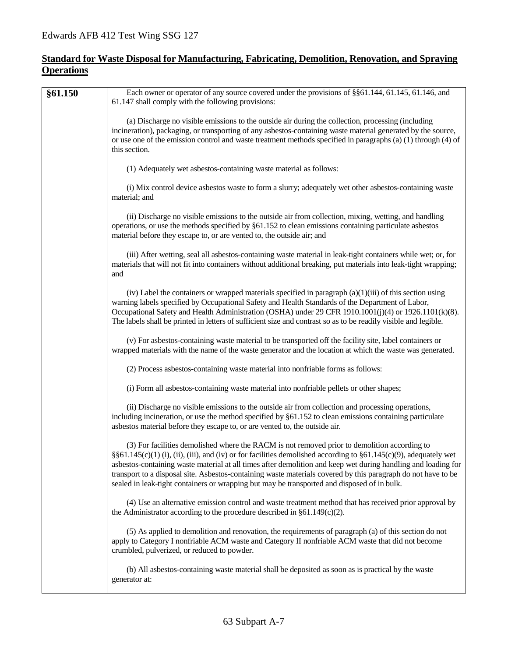#### **Standard for Waste Disposal for Manufacturing, Fabricating, Demolition, Renovation, and Spraying Operations**

| <b>§61.150</b> | Each owner or operator of any source covered under the provisions of §§61.144, 61.145, 61.146, and<br>61.147 shall comply with the following provisions:                                                                                                                                                                                                                                                                                                                                                                                           |
|----------------|----------------------------------------------------------------------------------------------------------------------------------------------------------------------------------------------------------------------------------------------------------------------------------------------------------------------------------------------------------------------------------------------------------------------------------------------------------------------------------------------------------------------------------------------------|
|                | (a) Discharge no visible emissions to the outside air during the collection, processing (including<br>incineration), packaging, or transporting of any asbestos-containing waste material generated by the source,<br>or use one of the emission control and waste treatment methods specified in paragraphs (a) (1) through (4) of<br>this section.                                                                                                                                                                                               |
|                | (1) Adequately wet asbestos-containing waste material as follows:                                                                                                                                                                                                                                                                                                                                                                                                                                                                                  |
|                | (i) Mix control device asbestos waste to form a slurry; adequately wet other asbestos-containing waste<br>material; and                                                                                                                                                                                                                                                                                                                                                                                                                            |
|                | (ii) Discharge no visible emissions to the outside air from collection, mixing, wetting, and handling<br>operations, or use the methods specified by §61.152 to clean emissions containing particulate asbestos<br>material before they escape to, or are vented to, the outside air; and                                                                                                                                                                                                                                                          |
|                | (iii) After wetting, seal all asbestos-containing waste material in leak-tight containers while wet; or, for<br>materials that will not fit into containers without additional breaking, put materials into leak-tight wrapping;<br>and                                                                                                                                                                                                                                                                                                            |
|                | (iv) Label the containers or wrapped materials specified in paragraph $(a)(1)(iii)$ of this section using<br>warning labels specified by Occupational Safety and Health Standards of the Department of Labor,<br>Occupational Safety and Health Administration (OSHA) under 29 CFR 1910.1001(j)(4) or 1926.1101(k)(8).<br>The labels shall be printed in letters of sufficient size and contrast so as to be readily visible and legible.                                                                                                          |
|                | (v) For asbestos-containing waste material to be transported off the facility site, label containers or<br>wrapped materials with the name of the waste generator and the location at which the waste was generated.                                                                                                                                                                                                                                                                                                                               |
|                | (2) Process asbestos-containing waste material into nonfriable forms as follows:                                                                                                                                                                                                                                                                                                                                                                                                                                                                   |
|                | (i) Form all asbestos-containing waste material into nonfriable pellets or other shapes;                                                                                                                                                                                                                                                                                                                                                                                                                                                           |
|                | (ii) Discharge no visible emissions to the outside air from collection and processing operations,<br>including incineration, or use the method specified by §61.152 to clean emissions containing particulate<br>asbestos material before they escape to, or are vented to, the outside air.                                                                                                                                                                                                                                                       |
|                | (3) For facilities demolished where the RACM is not removed prior to demolition according to<br>§§61.145(c)(1) (i), (ii), (iii), and (iv) or for facilities demolished according to §61.145(c)(9), adequately wet<br>asbestos-containing waste material at all times after demolition and keep wet during handling and loading for<br>transport to a disposal site. Asbestos-containing waste materials covered by this paragraph do not have to be<br>sealed in leak-tight containers or wrapping but may be transported and disposed of in bulk. |
|                | (4) Use an alternative emission control and waste treatment method that has received prior approval by<br>the Administrator according to the procedure described in $\S61.149(c)(2)$ .                                                                                                                                                                                                                                                                                                                                                             |
|                | (5) As applied to demolition and renovation, the requirements of paragraph (a) of this section do not<br>apply to Category I nonfriable ACM waste and Category II nonfriable ACM waste that did not become<br>crumbled, pulverized, or reduced to powder.                                                                                                                                                                                                                                                                                          |
|                | (b) All asbestos-containing waste material shall be deposited as soon as is practical by the waste<br>generator at:                                                                                                                                                                                                                                                                                                                                                                                                                                |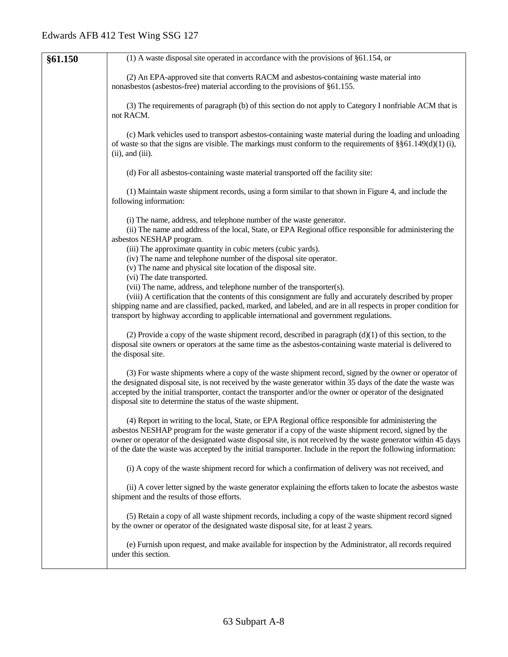| §61.150 | $(1)$ A waste disposal site operated in accordance with the provisions of §61.154, or                                                                                                                                                                                                                                                                                                                                                             |
|---------|---------------------------------------------------------------------------------------------------------------------------------------------------------------------------------------------------------------------------------------------------------------------------------------------------------------------------------------------------------------------------------------------------------------------------------------------------|
|         | (2) An EPA-approved site that converts RACM and asbestos-containing waste material into<br>nonasbestos (asbestos-free) material according to the provisions of §61.155.                                                                                                                                                                                                                                                                           |
|         | (3) The requirements of paragraph (b) of this section do not apply to Category I nonfriable ACM that is<br>not RACM.                                                                                                                                                                                                                                                                                                                              |
|         | (c) Mark vehicles used to transport asbestos-containing waste material during the loading and unloading<br>of waste so that the signs are visible. The markings must conform to the requirements of $\S61.149(d)(1)$ (i),<br>$(ii)$ , and $(iii)$ .                                                                                                                                                                                               |
|         | (d) For all asbestos-containing waste material transported off the facility site:                                                                                                                                                                                                                                                                                                                                                                 |
|         | (1) Maintain waste shipment records, using a form similar to that shown in Figure 4, and include the<br>following information:                                                                                                                                                                                                                                                                                                                    |
|         | (i) The name, address, and telephone number of the waste generator.<br>(ii) The name and address of the local, State, or EPA Regional office responsible for administering the<br>asbestos NESHAP program.<br>(iii) The approximate quantity in cubic meters (cubic yards).<br>(iv) The name and telephone number of the disposal site operator.<br>(v) The name and physical site location of the disposal site.                                 |
|         | (vi) The date transported.<br>(vii) The name, address, and telephone number of the transporter(s).<br>(viii) A certification that the contents of this consignment are fully and accurately described by proper<br>shipping name and are classified, packed, marked, and labeled, and are in all respects in proper condition for<br>transport by highway according to applicable international and government regulations.                       |
|         | (2) Provide a copy of the waste shipment record, described in paragraph $(d)(1)$ of this section, to the<br>disposal site owners or operators at the same time as the asbestos-containing waste material is delivered to<br>the disposal site.                                                                                                                                                                                                    |
|         | (3) For waste shipments where a copy of the waste shipment record, signed by the owner or operator of<br>the designated disposal site, is not received by the waste generator within 35 days of the date the waste was<br>accepted by the initial transporter, contact the transporter and/or the owner or operator of the designated<br>disposal site to determine the status of the waste shipment.                                             |
|         | (4) Report in writing to the local, State, or EPA Regional office responsible for administering the<br>asbestos NESHAP program for the waste generator if a copy of the waste shipment record, signed by the<br>owner or operator of the designated waste disposal site, is not received by the waste generator within 45 days<br>of the date the waste was accepted by the initial transporter. Include in the report the following information: |
|         | (i) A copy of the waste shipment record for which a confirmation of delivery was not received, and                                                                                                                                                                                                                                                                                                                                                |
|         | (ii) A cover letter signed by the waste generator explaining the efforts taken to locate the asbestos waste<br>shipment and the results of those efforts.                                                                                                                                                                                                                                                                                         |
|         | (5) Retain a copy of all waste shipment records, including a copy of the waste shipment record signed<br>by the owner or operator of the designated waste disposal site, for at least 2 years.                                                                                                                                                                                                                                                    |
|         | (e) Furnish upon request, and make available for inspection by the Administrator, all records required<br>under this section.                                                                                                                                                                                                                                                                                                                     |
|         |                                                                                                                                                                                                                                                                                                                                                                                                                                                   |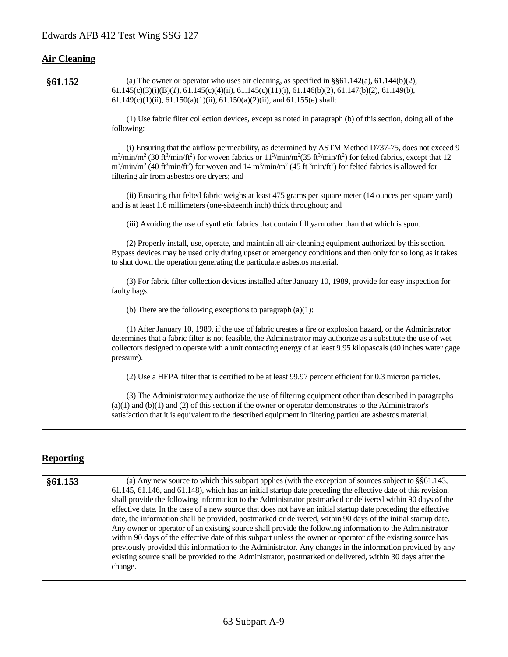# **Air Cleaning**

| §61.152 | (a) The owner or operator who uses air cleaning, as specified in $\S$ §61.142(a), 61.144(b)(2),                                                                                                                                                                                                                                                                                                                                                                                                                                    |
|---------|------------------------------------------------------------------------------------------------------------------------------------------------------------------------------------------------------------------------------------------------------------------------------------------------------------------------------------------------------------------------------------------------------------------------------------------------------------------------------------------------------------------------------------|
|         | $61.145(c)(3)(i)(B)(1)$ , $61.145(c)(4)(ii)$ , $61.145(c)(11)(i)$ , $61.146(b)(2)$ , $61.147(b)(2)$ , $61.149(b)$ ,                                                                                                                                                                                                                                                                                                                                                                                                                |
|         | $61.149(c)(1)(ii)$ , $61.150(a)(1)(ii)$ , $61.150(a)(2)(ii)$ , and $61.155(e)$ shall:                                                                                                                                                                                                                                                                                                                                                                                                                                              |
|         | (1) Use fabric filter collection devices, except as noted in paragraph (b) of this section, doing all of the<br>following:                                                                                                                                                                                                                                                                                                                                                                                                         |
|         | (i) Ensuring that the airflow permeability, as determined by ASTM Method D737-75, does not exceed 9<br>$m^3/min/m^2$ (30 ft <sup>3</sup> /min/ft <sup>2</sup> ) for woven fabrics or $11^3/min/m^2$ (35 ft <sup>3</sup> /min/ft <sup>2</sup> ) for felted fabrics, except that 12<br>$m^3/\text{min/m}^2$ (40 ft <sup>3</sup> min/ft <sup>2</sup> ) for woven and 14 m <sup>3</sup> /min/m <sup>2</sup> (45 ft <sup>3</sup> min/ft <sup>2</sup> ) for felted fabrics is allowed for<br>filtering air from asbestos ore dryers; and |
|         | (ii) Ensuring that felted fabric weighs at least 475 grams per square meter (14 ounces per square yard)<br>and is at least 1.6 millimeters (one-sixteenth inch) thick throughout; and                                                                                                                                                                                                                                                                                                                                              |
|         | (iii) Avoiding the use of synthetic fabrics that contain fill yarn other than that which is spun.                                                                                                                                                                                                                                                                                                                                                                                                                                  |
|         | (2) Properly install, use, operate, and maintain all air-cleaning equipment authorized by this section.<br>Bypass devices may be used only during upset or emergency conditions and then only for so long as it takes<br>to shut down the operation generating the particulate asbestos material.                                                                                                                                                                                                                                  |
|         | (3) For fabric filter collection devices installed after January 10, 1989, provide for easy inspection for<br>faulty bags.                                                                                                                                                                                                                                                                                                                                                                                                         |
|         | (b) There are the following exceptions to paragraph $(a)(1)$ :                                                                                                                                                                                                                                                                                                                                                                                                                                                                     |
|         | (1) After January 10, 1989, if the use of fabric creates a fire or explosion hazard, or the Administrator<br>determines that a fabric filter is not feasible, the Administrator may authorize as a substitute the use of wet<br>collectors designed to operate with a unit contacting energy of at least 9.95 kilopascals (40 inches water gage<br>pressure).                                                                                                                                                                      |
|         | (2) Use a HEPA filter that is certified to be at least 99.97 percent efficient for 0.3 micron particles.                                                                                                                                                                                                                                                                                                                                                                                                                           |
|         | (3) The Administrator may authorize the use of filtering equipment other than described in paragraphs<br>$(a)(1)$ and $(b)(1)$ and $(2)$ of this section if the owner or operator demonstrates to the Administrator's<br>satisfaction that it is equivalent to the described equipment in filtering particulate asbestos material.                                                                                                                                                                                                 |

# **Reporting**

| §61.153 | (a) Any new source to which this subpart applies (with the exception of sources subject to $\S$ §61.143,       |
|---------|----------------------------------------------------------------------------------------------------------------|
|         | 61.145, 61.146, and 61.148), which has an initial startup date preceding the effective date of this revision,  |
|         | shall provide the following information to the Administrator postmarked or delivered within 90 days of the     |
|         | effective date. In the case of a new source that does not have an initial startup date preceding the effective |
|         | date, the information shall be provided, postmarked or delivered, within 90 days of the initial startup date.  |
|         | Any owner or operator of an existing source shall provide the following information to the Administrator       |
|         | within 90 days of the effective date of this subpart unless the owner or operator of the existing source has   |
|         | previously provided this information to the Administrator. Any changes in the information provided by any      |
|         | existing source shall be provided to the Administrator, postmarked or delivered, within 30 days after the      |
|         | change.                                                                                                        |
|         |                                                                                                                |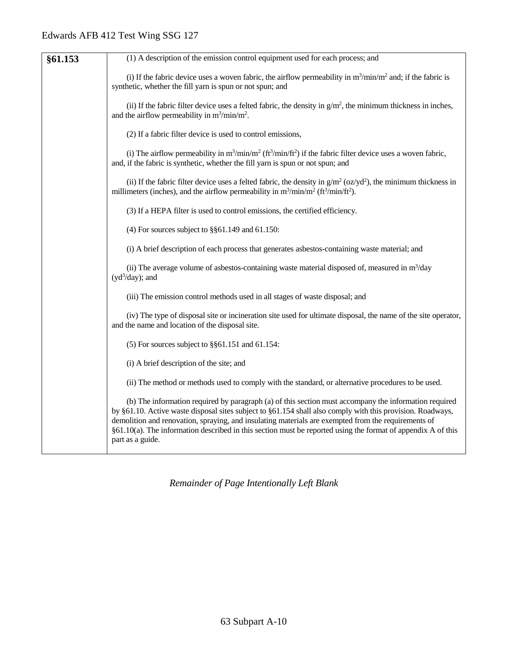| §61.153 | (1) A description of the emission control equipment used for each process; and                                                                                                                                                                                                                                                                                                                                                                                 |
|---------|----------------------------------------------------------------------------------------------------------------------------------------------------------------------------------------------------------------------------------------------------------------------------------------------------------------------------------------------------------------------------------------------------------------------------------------------------------------|
|         | (i) If the fabric device uses a woven fabric, the airflow permeability in $m^3/min/m^2$ and; if the fabric is<br>synthetic, whether the fill yarn is spun or not spun; and                                                                                                                                                                                                                                                                                     |
|         | (ii) If the fabric filter device uses a felted fabric, the density in $g/m2$ , the minimum thickness in inches,<br>and the airflow permeability in $m^3/min/m^2$ .                                                                                                                                                                                                                                                                                             |
|         | (2) If a fabric filter device is used to control emissions,                                                                                                                                                                                                                                                                                                                                                                                                    |
|         | (i) The airflow permeability in $m^3/min/m^2$ (ft <sup>3</sup> /min/ft <sup>2</sup> ) if the fabric filter device uses a woven fabric,<br>and, if the fabric is synthetic, whether the fill yarn is spun or not spun; and                                                                                                                                                                                                                                      |
|         | (ii) If the fabric filter device uses a felted fabric, the density in $g/m^2$ (oz/yd <sup>2</sup> ), the minimum thickness in<br>millimeters (inches), and the airflow permeability in $m^3/min/m^2$ (ft <sup>3</sup> /min/ft <sup>2</sup> ).                                                                                                                                                                                                                  |
|         | (3) If a HEPA filter is used to control emissions, the certified efficiency.                                                                                                                                                                                                                                                                                                                                                                                   |
|         | (4) For sources subject to $\S$ §61.149 and 61.150:                                                                                                                                                                                                                                                                                                                                                                                                            |
|         | (i) A brief description of each process that generates asbestos-containing waste material; and                                                                                                                                                                                                                                                                                                                                                                 |
|         | (ii) The average volume of asbestos-containing waste material disposed of, measured in $m^3$ /day<br>$(yd^3/day)$ ; and                                                                                                                                                                                                                                                                                                                                        |
|         | (iii) The emission control methods used in all stages of waste disposal; and                                                                                                                                                                                                                                                                                                                                                                                   |
|         | (iv) The type of disposal site or incineration site used for ultimate disposal, the name of the site operator,<br>and the name and location of the disposal site.                                                                                                                                                                                                                                                                                              |
|         | (5) For sources subject to $\S$ §61.151 and 61.154:                                                                                                                                                                                                                                                                                                                                                                                                            |
|         | (i) A brief description of the site; and                                                                                                                                                                                                                                                                                                                                                                                                                       |
|         | (ii) The method or methods used to comply with the standard, or alternative procedures to be used.                                                                                                                                                                                                                                                                                                                                                             |
|         | (b) The information required by paragraph (a) of this section must accompany the information required<br>by §61.10. Active waste disposal sites subject to §61.154 shall also comply with this provision. Roadways,<br>demolition and renovation, spraying, and insulating materials are exempted from the requirements of<br>§61.10(a). The information described in this section must be reported using the format of appendix A of this<br>part as a guide. |

*Remainder of Page Intentionally Left Blank*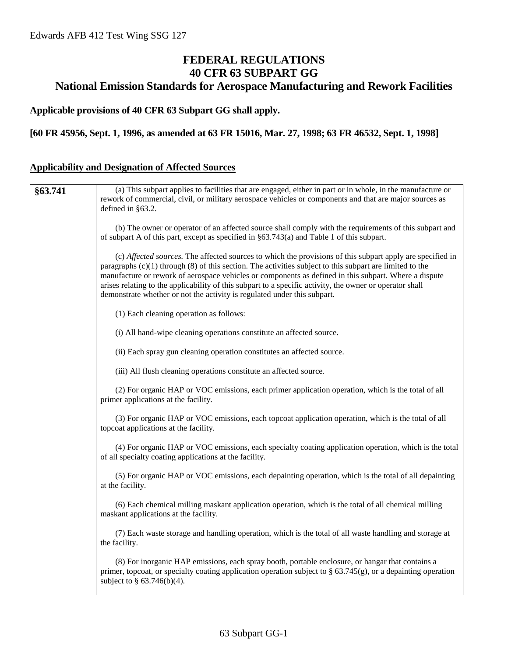# **FEDERAL REGULATIONS 40 CFR 63 SUBPART GG National Emission Standards for Aerospace Manufacturing and Rework Facilities**

#### **Applicable provisions of 40 CFR 63 Subpart GG shall apply.**

#### **[60 FR 45956, Sept. 1, 1996, as amended at 63 FR 15016, Mar. 27, 1998; 63 FR 46532, Sept. 1, 1998]**

## **Applicability and Designation of Affected Sources**

| §63.741 | (a) This subpart applies to facilities that are engaged, either in part or in whole, in the manufacture or                                                                                                                                                                                                                                                                                                                                                                                                                 |
|---------|----------------------------------------------------------------------------------------------------------------------------------------------------------------------------------------------------------------------------------------------------------------------------------------------------------------------------------------------------------------------------------------------------------------------------------------------------------------------------------------------------------------------------|
|         | rework of commercial, civil, or military aerospace vehicles or components and that are major sources as                                                                                                                                                                                                                                                                                                                                                                                                                    |
|         | defined in §63.2.                                                                                                                                                                                                                                                                                                                                                                                                                                                                                                          |
|         | (b) The owner or operator of an affected source shall comply with the requirements of this subpart and<br>of subpart A of this part, except as specified in $\S 63.743(a)$ and Table 1 of this subpart.                                                                                                                                                                                                                                                                                                                    |
|         | (c) Affected sources. The affected sources to which the provisions of this subpart apply are specified in<br>paragraphs $(c)(1)$ through $(8)$ of this section. The activities subject to this subpart are limited to the<br>manufacture or rework of aerospace vehicles or components as defined in this subpart. Where a dispute<br>arises relating to the applicability of this subpart to a specific activity, the owner or operator shall<br>demonstrate whether or not the activity is regulated under this subpart. |
|         | (1) Each cleaning operation as follows:                                                                                                                                                                                                                                                                                                                                                                                                                                                                                    |
|         | (i) All hand-wipe cleaning operations constitute an affected source.                                                                                                                                                                                                                                                                                                                                                                                                                                                       |
|         | (ii) Each spray gun cleaning operation constitutes an affected source.                                                                                                                                                                                                                                                                                                                                                                                                                                                     |
|         | (iii) All flush cleaning operations constitute an affected source.                                                                                                                                                                                                                                                                                                                                                                                                                                                         |
|         | (2) For organic HAP or VOC emissions, each primer application operation, which is the total of all<br>primer applications at the facility.                                                                                                                                                                                                                                                                                                                                                                                 |
|         | (3) For organic HAP or VOC emissions, each topcoat application operation, which is the total of all<br>topcoat applications at the facility.                                                                                                                                                                                                                                                                                                                                                                               |
|         | (4) For organic HAP or VOC emissions, each specialty coating application operation, which is the total<br>of all specialty coating applications at the facility.                                                                                                                                                                                                                                                                                                                                                           |
|         | (5) For organic HAP or VOC emissions, each depainting operation, which is the total of all depainting<br>at the facility.                                                                                                                                                                                                                                                                                                                                                                                                  |
|         | (6) Each chemical milling maskant application operation, which is the total of all chemical milling<br>maskant applications at the facility.                                                                                                                                                                                                                                                                                                                                                                               |
|         | (7) Each waste storage and handling operation, which is the total of all waste handling and storage at<br>the facility.                                                                                                                                                                                                                                                                                                                                                                                                    |
|         | (8) For inorganic HAP emissions, each spray booth, portable enclosure, or hangar that contains a<br>primer, topcoat, or specialty coating application operation subject to $\S$ 63.745(g), or a depainting operation<br>subject to $\S$ 63.746(b)(4).                                                                                                                                                                                                                                                                      |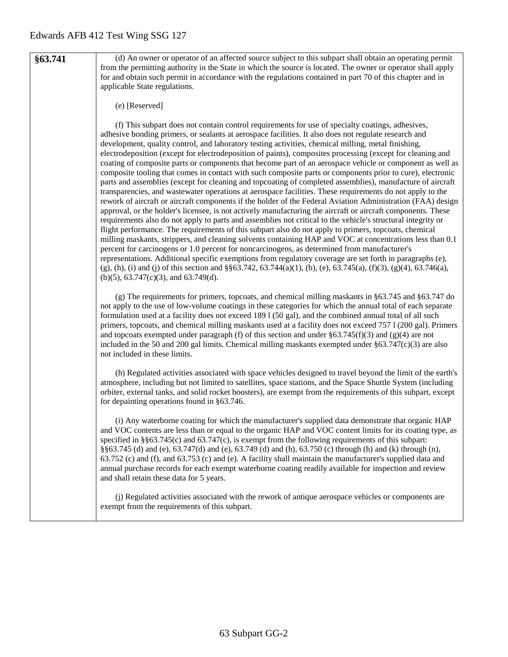**§63.741** (d) An owner or operator of an affected source subject to this subpart shall obtain an operating permit from the permitting authority in the State in which the source is located. The owner or operator shall apply for and obtain such permit in accordance with the regulations contained in part 70 of this chapter and in applicable State regulations.

#### (e) [Reserved]

(f) This subpart does not contain control requirements for use of specialty coatings, adhesives, adhesive bonding primers, or sealants at aerospace facilities. It also does not regulate research and development, quality control, and laboratory testing activities, chemical milling, metal finishing, electrodeposition (except for electrodeposition of paints), composites processing (except for cleaning and coating of composite parts or components that become part of an aerospace vehicle or component as well as composite tooling that comes in contact with such composite parts or components prior to cure), electronic parts and assemblies (except for cleaning and topcoating of completed assemblies), manufacture of aircraft transparencies, and wastewater operations at aerospace facilities. These requirements do not apply to the rework of aircraft or aircraft components if the holder of the Federal Aviation Administration (FAA) design approval, or the holder's licensee, is not actively manufacturing the aircraft or aircraft components. These requirements also do not apply to parts and assemblies not critical to the vehicle's structural integrity or flight performance. The requirements of this subpart also do not apply to primers, topcoats, chemical milling maskants, strippers, and cleaning solvents containing HAP and VOC at concentrations less than 0.1 percent for carcinogens or 1.0 percent for noncarcinogens, as determined from manufacturer's representations. Additional specific exemptions from regulatory coverage are set forth in paragraphs (e),  $(g)$ , (h), (i) and (j) of this section and §§63.742, 63.744(a)(1), (b), (e), 63.745(a), (f)(3), (g)(4), 63.746(a), (b)(5), 63.747(c)(3), and 63.749(d).

(g) The requirements for primers, topcoats, and chemical milling maskants in §63.745 and §63.747 do not apply to the use of low-volume coatings in these categories for which the annual total of each separate formulation used at a facility does not exceed 189 l (50 gal), and the combined annual total of all such primers, topcoats, and chemical milling maskants used at a facility does not exceed 757 l (200 gal). Primers and topcoats exempted under paragraph (f) of this section and under  $\S 63.745(f)(3)$  and (g)(4) are not included in the 50 and 200 gal limits. Chemical milling maskants exempted under  $\S 63.747(c)(3)$  are also not included in these limits.

(h) Regulated activities associated with space vehicles designed to travel beyond the limit of the earth's atmosphere, including but not limited to satellites, space stations, and the Space Shuttle System (including orbiter, external tanks, and solid rocket boosters), are exempt from the requirements of this subpart, except for depainting operations found in §63.746.

(i) Any waterborne coating for which the manufacturer's supplied data demonstrate that organic HAP and VOC contents are less than or equal to the organic HAP and VOC content limits for its coating type, as specified in §§63.745(c) and 63.747(c), is exempt from the following requirements of this subpart: §§63.745 (d) and (e), 63.747(d) and (e), 63.749 (d) and (h), 63.750 (c) through (h) and (k) through (n), 63.752 (c) and (f), and 63.753 (c) and (e). A facility shall maintain the manufacturer's supplied data and annual purchase records for each exempt waterborne coating readily available for inspection and review and shall retain these data for 5 years.

(j) Regulated activities associated with the rework of antique aerospace vehicles or components are exempt from the requirements of this subpart.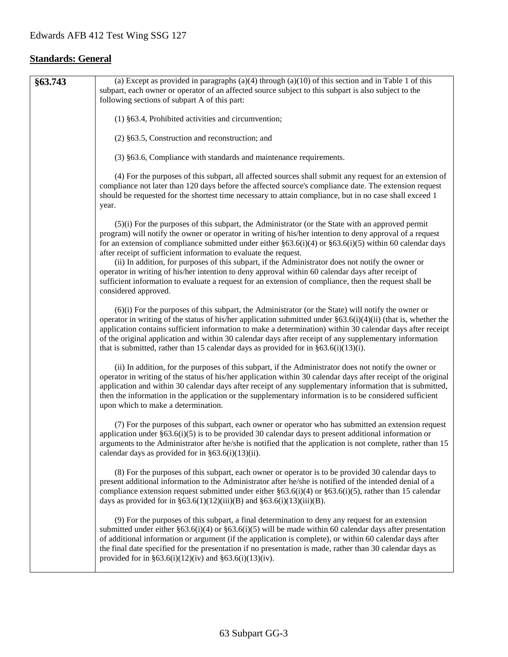# **Standards: General**

| §63.743 | (a) Except as provided in paragraphs (a)(4) through (a)(10) of this section and in Table 1 of this<br>subpart, each owner or operator of an affected source subject to this subpart is also subject to the<br>following sections of subpart A of this part:                                                                                                                                                                                                                                                                                                                                                                                                                                                                                         |
|---------|-----------------------------------------------------------------------------------------------------------------------------------------------------------------------------------------------------------------------------------------------------------------------------------------------------------------------------------------------------------------------------------------------------------------------------------------------------------------------------------------------------------------------------------------------------------------------------------------------------------------------------------------------------------------------------------------------------------------------------------------------------|
|         | (1) §63.4, Prohibited activities and circumvention;                                                                                                                                                                                                                                                                                                                                                                                                                                                                                                                                                                                                                                                                                                 |
|         | $(2)$ §63.5, Construction and reconstruction; and                                                                                                                                                                                                                                                                                                                                                                                                                                                                                                                                                                                                                                                                                                   |
|         | (3) §63.6, Compliance with standards and maintenance requirements.                                                                                                                                                                                                                                                                                                                                                                                                                                                                                                                                                                                                                                                                                  |
|         | (4) For the purposes of this subpart, all affected sources shall submit any request for an extension of<br>compliance not later than 120 days before the affected source's compliance date. The extension request<br>should be requested for the shortest time necessary to attain compliance, but in no case shall exceed 1<br>year.                                                                                                                                                                                                                                                                                                                                                                                                               |
|         | $(5)(i)$ For the purposes of this subpart, the Administrator (or the State with an approved permit<br>program) will notify the owner or operator in writing of his/her intention to deny approval of a request<br>for an extension of compliance submitted under either $\S 63.6(i)(4)$ or $\S 63.6(i)(5)$ within 60 calendar days<br>after receipt of sufficient information to evaluate the request.<br>(ii) In addition, for purposes of this subpart, if the Administrator does not notify the owner or<br>operator in writing of his/her intention to deny approval within 60 calendar days after receipt of<br>sufficient information to evaluate a request for an extension of compliance, then the request shall be<br>considered approved. |
|         | $(6)(i)$ For the purposes of this subpart, the Administrator (or the State) will notify the owner or<br>operator in writing of the status of his/her application submitted under $\S 63.6(i)(4)(ii)$ (that is, whether the<br>application contains sufficient information to make a determination) within 30 calendar days after receipt<br>of the original application and within 30 calendar days after receipt of any supplementary information<br>that is submitted, rather than 15 calendar days as provided for in $\S 63.6(i)(13)(i)$ .                                                                                                                                                                                                      |
|         | (ii) In addition, for the purposes of this subpart, if the Administrator does not notify the owner or<br>operator in writing of the status of his/her application within 30 calendar days after receipt of the original<br>application and within 30 calendar days after receipt of any supplementary information that is submitted,<br>then the information in the application or the supplementary information is to be considered sufficient<br>upon which to make a determination.                                                                                                                                                                                                                                                              |
|         | (7) For the purposes of this subpart, each owner or operator who has submitted an extension request<br>application under $\S 63.6(i)(5)$ is to be provided 30 calendar days to present additional information or<br>arguments to the Administrator after he/she is notified that the application is not complete, rather than 15<br>calendar days as provided for in $\S 63.6(i)(13)(ii)$ .                                                                                                                                                                                                                                                                                                                                                         |
|         | (8) For the purposes of this subpart, each owner or operator is to be provided 30 calendar days to<br>present additional information to the Administrator after he/she is notified of the intended denial of a<br>compliance extension request submitted under either $\S 63.6(i)(4)$ or $\S 63.6(i)(5)$ , rather than 15 calendar<br>days as provided for in §63.6(1)(12)(iii)(B) and §63.6(i)(13)(iii)(B).                                                                                                                                                                                                                                                                                                                                        |
|         | (9) For the purposes of this subpart, a final determination to deny any request for an extension<br>submitted under either §63.6(i)(4) or §63.6(i)(5) will be made within 60 calendar days after presentation<br>of additional information or argument (if the application is complete), or within 60 calendar days after<br>the final date specified for the presentation if no presentation is made, rather than 30 calendar days as<br>provided for in §63.6(i)(12)(iv) and §63.6(i)(13)(iv).                                                                                                                                                                                                                                                    |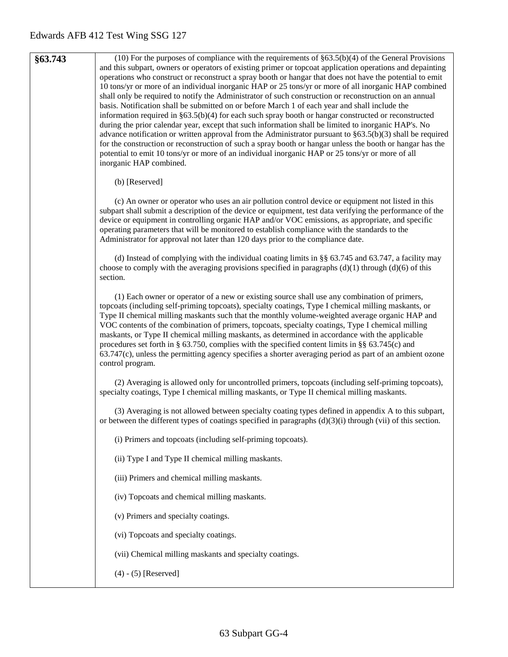| §63.743 | $(10)$ For the purposes of compliance with the requirements of §63.5(b)(4) of the General Provisions<br>and this subpart, owners or operators of existing primer or topcoat application operations and depainting<br>operations who construct or reconstruct a spray booth or hangar that does not have the potential to emit<br>10 tons/yr or more of an individual inorganic HAP or 25 tons/yr or more of all inorganic HAP combined<br>shall only be required to notify the Administrator of such construction or reconstruction on an annual<br>basis. Notification shall be submitted on or before March 1 of each year and shall include the<br>information required in $\S 63.5(b)(4)$ for each such spray booth or hangar constructed or reconstructed<br>during the prior calendar year, except that such information shall be limited to inorganic HAP's. No<br>advance notification or written approval from the Administrator pursuant to $\S 63.5(b)(3)$ shall be required<br>for the construction or reconstruction of such a spray booth or hangar unless the booth or hangar has the<br>potential to emit 10 tons/yr or more of an individual inorganic HAP or 25 tons/yr or more of all<br>inorganic HAP combined. |
|---------|-------------------------------------------------------------------------------------------------------------------------------------------------------------------------------------------------------------------------------------------------------------------------------------------------------------------------------------------------------------------------------------------------------------------------------------------------------------------------------------------------------------------------------------------------------------------------------------------------------------------------------------------------------------------------------------------------------------------------------------------------------------------------------------------------------------------------------------------------------------------------------------------------------------------------------------------------------------------------------------------------------------------------------------------------------------------------------------------------------------------------------------------------------------------------------------------------------------------------------------|
|         | (b) [Reserved]                                                                                                                                                                                                                                                                                                                                                                                                                                                                                                                                                                                                                                                                                                                                                                                                                                                                                                                                                                                                                                                                                                                                                                                                                      |
|         | (c) An owner or operator who uses an air pollution control device or equipment not listed in this<br>subpart shall submit a description of the device or equipment, test data verifying the performance of the<br>device or equipment in controlling organic HAP and/or VOC emissions, as appropriate, and specific<br>operating parameters that will be monitored to establish compliance with the standards to the<br>Administrator for approval not later than 120 days prior to the compliance date.                                                                                                                                                                                                                                                                                                                                                                                                                                                                                                                                                                                                                                                                                                                            |
|         | (d) Instead of complying with the individual coating limits in $\S$ 63.745 and 63.747, a facility may<br>choose to comply with the averaging provisions specified in paragraphs $(d)(1)$ through $(d)(6)$ of this<br>section.                                                                                                                                                                                                                                                                                                                                                                                                                                                                                                                                                                                                                                                                                                                                                                                                                                                                                                                                                                                                       |
|         | (1) Each owner or operator of a new or existing source shall use any combination of primers,<br>topcoats (including self-priming topcoats), specialty coatings, Type I chemical milling maskants, or<br>Type II chemical milling maskants such that the monthly volume-weighted average organic HAP and<br>VOC contents of the combination of primers, topcoats, specialty coatings, Type I chemical milling<br>maskants, or Type II chemical milling maskants, as determined in accordance with the applicable<br>procedures set forth in § 63.750, complies with the specified content limits in §§ 63.745(c) and<br>63.747(c), unless the permitting agency specifies a shorter averaging period as part of an ambient ozone<br>control program.                                                                                                                                                                                                                                                                                                                                                                                                                                                                                 |
|         | (2) Averaging is allowed only for uncontrolled primers, topcoats (including self-priming topcoats),<br>specialty coatings, Type I chemical milling maskants, or Type II chemical milling maskants.                                                                                                                                                                                                                                                                                                                                                                                                                                                                                                                                                                                                                                                                                                                                                                                                                                                                                                                                                                                                                                  |
|         | (3) Averaging is not allowed between specialty coating types defined in appendix A to this subpart,<br>or between the different types of coatings specified in paragraphs $(d)(3)(i)$ through (vii) of this section.                                                                                                                                                                                                                                                                                                                                                                                                                                                                                                                                                                                                                                                                                                                                                                                                                                                                                                                                                                                                                |
|         | (i) Primers and topcoats (including self-priming topcoats).                                                                                                                                                                                                                                                                                                                                                                                                                                                                                                                                                                                                                                                                                                                                                                                                                                                                                                                                                                                                                                                                                                                                                                         |
|         | (ii) Type I and Type II chemical milling maskants.                                                                                                                                                                                                                                                                                                                                                                                                                                                                                                                                                                                                                                                                                                                                                                                                                                                                                                                                                                                                                                                                                                                                                                                  |
|         | (iii) Primers and chemical milling maskants.                                                                                                                                                                                                                                                                                                                                                                                                                                                                                                                                                                                                                                                                                                                                                                                                                                                                                                                                                                                                                                                                                                                                                                                        |
|         | (iv) Topcoats and chemical milling maskants.                                                                                                                                                                                                                                                                                                                                                                                                                                                                                                                                                                                                                                                                                                                                                                                                                                                                                                                                                                                                                                                                                                                                                                                        |
|         | (v) Primers and specialty coatings.                                                                                                                                                                                                                                                                                                                                                                                                                                                                                                                                                                                                                                                                                                                                                                                                                                                                                                                                                                                                                                                                                                                                                                                                 |
|         | (vi) Topcoats and specialty coatings.                                                                                                                                                                                                                                                                                                                                                                                                                                                                                                                                                                                                                                                                                                                                                                                                                                                                                                                                                                                                                                                                                                                                                                                               |
|         | (vii) Chemical milling maskants and specialty coatings.                                                                                                                                                                                                                                                                                                                                                                                                                                                                                                                                                                                                                                                                                                                                                                                                                                                                                                                                                                                                                                                                                                                                                                             |
|         | $(4) - (5)$ [Reserved]                                                                                                                                                                                                                                                                                                                                                                                                                                                                                                                                                                                                                                                                                                                                                                                                                                                                                                                                                                                                                                                                                                                                                                                                              |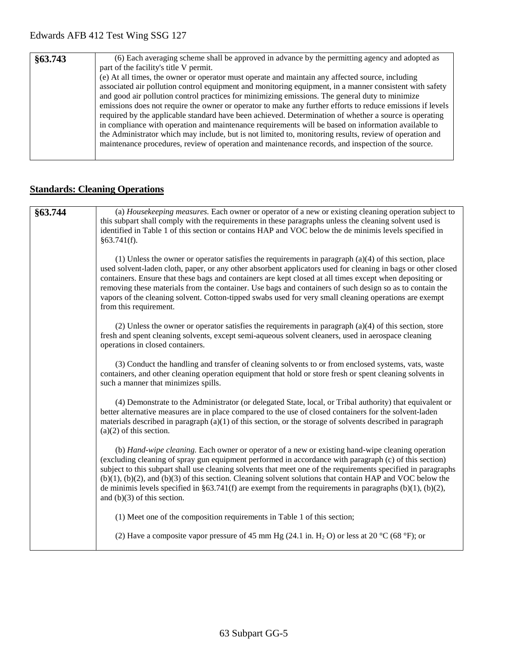| §63.743 | (6) Each averaging scheme shall be approved in advance by the permitting agency and adopted as             |
|---------|------------------------------------------------------------------------------------------------------------|
|         | part of the facility's title V permit.                                                                     |
|         | (e) At all times, the owner or operator must operate and maintain any affected source, including           |
|         | associated air pollution control equipment and monitoring equipment, in a manner consistent with safety    |
|         | and good air pollution control practices for minimizing emissions. The general duty to minimize            |
|         | emissions does not require the owner or operator to make any further efforts to reduce emissions if levels |
|         | required by the applicable standard have been achieved. Determination of whether a source is operating     |
|         | in compliance with operation and maintenance requirements will be based on information available to        |
|         | the Administrator which may include, but is not limited to, monitoring results, review of operation and    |
|         | maintenance procedures, review of operation and maintenance records, and inspection of the source.         |
|         |                                                                                                            |

# **Standards: Cleaning Operations**

| §63.744 | (a) Housekeeping measures. Each owner or operator of a new or existing cleaning operation subject to<br>this subpart shall comply with the requirements in these paragraphs unless the cleaning solvent used is<br>identified in Table 1 of this section or contains HAP and VOC below the de minimis levels specified in<br>§63.741(f).                                                                                                                                                                                                                                                            |
|---------|-----------------------------------------------------------------------------------------------------------------------------------------------------------------------------------------------------------------------------------------------------------------------------------------------------------------------------------------------------------------------------------------------------------------------------------------------------------------------------------------------------------------------------------------------------------------------------------------------------|
|         | $(1)$ Unless the owner or operator satisfies the requirements in paragraph $(a)(4)$ of this section, place<br>used solvent-laden cloth, paper, or any other absorbent applicators used for cleaning in bags or other closed<br>containers. Ensure that these bags and containers are kept closed at all times except when depositing or<br>removing these materials from the container. Use bags and containers of such design so as to contain the<br>vapors of the cleaning solvent. Cotton-tipped swabs used for very small cleaning operations are exempt<br>from this requirement.             |
|         | (2) Unless the owner or operator satisfies the requirements in paragraph $(a)(4)$ of this section, store<br>fresh and spent cleaning solvents, except semi-aqueous solvent cleaners, used in aerospace cleaning<br>operations in closed containers.                                                                                                                                                                                                                                                                                                                                                 |
|         | (3) Conduct the handling and transfer of cleaning solvents to or from enclosed systems, vats, waste<br>containers, and other cleaning operation equipment that hold or store fresh or spent cleaning solvents in<br>such a manner that minimizes spills.                                                                                                                                                                                                                                                                                                                                            |
|         | (4) Demonstrate to the Administrator (or delegated State, local, or Tribal authority) that equivalent or<br>better alternative measures are in place compared to the use of closed containers for the solvent-laden<br>materials described in paragraph $(a)(1)$ of this section, or the storage of solvents described in paragraph<br>$(a)(2)$ of this section.                                                                                                                                                                                                                                    |
|         | (b) Hand-wipe cleaning. Each owner or operator of a new or existing hand-wipe cleaning operation<br>(excluding cleaning of spray gun equipment performed in accordance with paragraph (c) of this section)<br>subject to this subpart shall use cleaning solvents that meet one of the requirements specified in paragraphs<br>$(b)(1)$ , $(b)(2)$ , and $(b)(3)$ of this section. Cleaning solvent solutions that contain HAP and VOC below the<br>de minimis levels specified in §63.741(f) are exempt from the requirements in paragraphs $(b)(1)$ , $(b)(2)$ ,<br>and $(b)(3)$ of this section. |
|         | (1) Meet one of the composition requirements in Table 1 of this section;                                                                                                                                                                                                                                                                                                                                                                                                                                                                                                                            |
|         | (2) Have a composite vapor pressure of 45 mm Hg (24.1 in. H <sub>2</sub> O) or less at 20 °C (68 °F); or                                                                                                                                                                                                                                                                                                                                                                                                                                                                                            |
|         |                                                                                                                                                                                                                                                                                                                                                                                                                                                                                                                                                                                                     |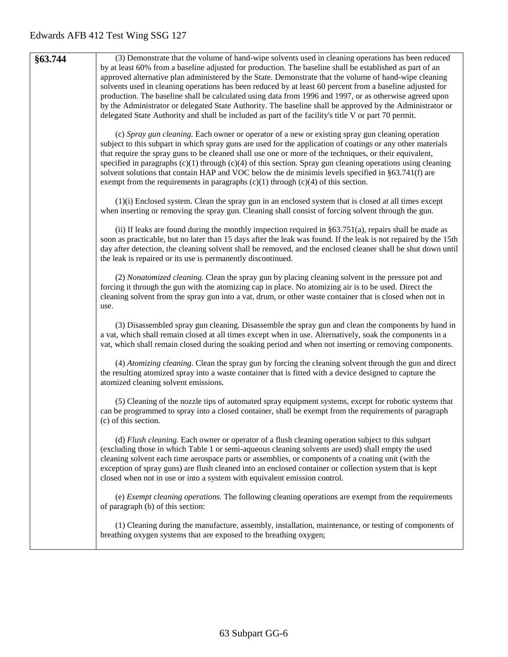| §63.744 | (3) Demonstrate that the volume of hand-wipe solvents used in cleaning operations has been reduced<br>by at least 60% from a baseline adjusted for production. The baseline shall be established as part of an<br>approved alternative plan administered by the State. Demonstrate that the volume of hand-wipe cleaning<br>solvents used in cleaning operations has been reduced by at least 60 percent from a baseline adjusted for<br>production. The baseline shall be calculated using data from 1996 and 1997, or as otherwise agreed upon<br>by the Administrator or delegated State Authority. The baseline shall be approved by the Administrator or |
|---------|---------------------------------------------------------------------------------------------------------------------------------------------------------------------------------------------------------------------------------------------------------------------------------------------------------------------------------------------------------------------------------------------------------------------------------------------------------------------------------------------------------------------------------------------------------------------------------------------------------------------------------------------------------------|
|         | delegated State Authority and shall be included as part of the facility's title V or part 70 permit.                                                                                                                                                                                                                                                                                                                                                                                                                                                                                                                                                          |
|         | (c) Spray gun cleaning. Each owner or operator of a new or existing spray gun cleaning operation<br>subject to this subpart in which spray guns are used for the application of coatings or any other materials<br>that require the spray guns to be cleaned shall use one or more of the techniques, or their equivalent,<br>specified in paragraphs $(c)(1)$ through $(c)(4)$ of this section. Spray gun cleaning operations using cleaning<br>solvent solutions that contain HAP and VOC below the de minimis levels specified in §63.741(f) are<br>exempt from the requirements in paragraphs $(c)(1)$ through $(c)(4)$ of this section.                  |
|         | $(1)(i)$ Enclosed system. Clean the spray gun in an enclosed system that is closed at all times except<br>when inserting or removing the spray gun. Cleaning shall consist of forcing solvent through the gun.                                                                                                                                                                                                                                                                                                                                                                                                                                                |
|         | (ii) If leaks are found during the monthly inspection required in $\S 63.751(a)$ , repairs shall be made as<br>soon as practicable, but no later than 15 days after the leak was found. If the leak is not repaired by the 15th<br>day after detection, the cleaning solvent shall be removed, and the enclosed cleaner shall be shut down until<br>the leak is repaired or its use is permanently discontinued.                                                                                                                                                                                                                                              |
|         | (2) Nonatomized cleaning. Clean the spray gun by placing cleaning solvent in the pressure pot and<br>forcing it through the gun with the atomizing cap in place. No atomizing air is to be used. Direct the<br>cleaning solvent from the spray gun into a vat, drum, or other waste container that is closed when not in<br>use.                                                                                                                                                                                                                                                                                                                              |
|         | (3) Disassembled spray gun cleaning. Disassemble the spray gun and clean the components by hand in<br>a vat, which shall remain closed at all times except when in use. Alternatively, soak the components in a<br>vat, which shall remain closed during the soaking period and when not inserting or removing components.                                                                                                                                                                                                                                                                                                                                    |
|         | (4) Atomizing cleaning. Clean the spray gun by forcing the cleaning solvent through the gun and direct<br>the resulting atomized spray into a waste container that is fitted with a device designed to capture the<br>atomized cleaning solvent emissions.                                                                                                                                                                                                                                                                                                                                                                                                    |
|         | (5) Cleaning of the nozzle tips of automated spray equipment systems, except for robotic systems that<br>can be programmed to spray into a closed container, shall be exempt from the requirements of paragraph<br>(c) of this section.                                                                                                                                                                                                                                                                                                                                                                                                                       |
|         | (d) Flush cleaning. Each owner or operator of a flush cleaning operation subject to this subpart<br>(excluding those in which Table 1 or semi-aqueous cleaning solvents are used) shall empty the used<br>cleaning solvent each time aerospace parts or assemblies, or components of a coating unit (with the<br>exception of spray guns) are flush cleaned into an enclosed container or collection system that is kept<br>closed when not in use or into a system with equivalent emission control.                                                                                                                                                         |
|         | (e) Exempt cleaning operations. The following cleaning operations are exempt from the requirements<br>of paragraph (b) of this section:                                                                                                                                                                                                                                                                                                                                                                                                                                                                                                                       |
|         | (1) Cleaning during the manufacture, assembly, installation, maintenance, or testing of components of<br>breathing oxygen systems that are exposed to the breathing oxygen;                                                                                                                                                                                                                                                                                                                                                                                                                                                                                   |
|         |                                                                                                                                                                                                                                                                                                                                                                                                                                                                                                                                                                                                                                                               |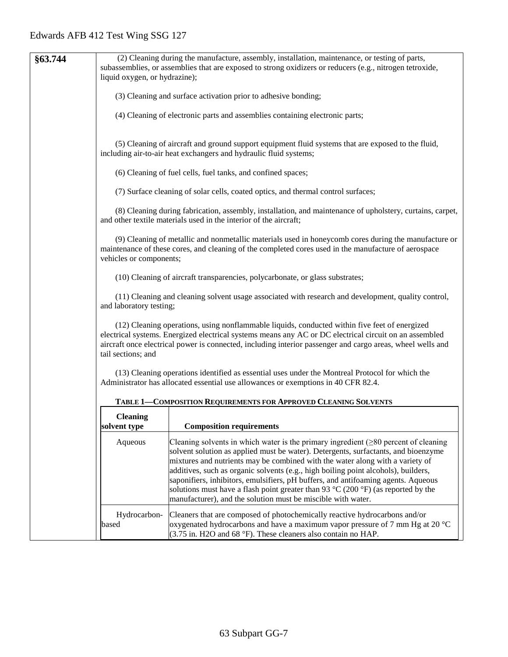|         | (2) Cleaning during the manufacture, assembly, installation, maintenance, or testing of parts,                                                                                                                                                                                                                                              |                                                                                                                                                                                                                                                                                                                                                                                                                                                                                                                                                    |  |  |  |  |  |
|---------|---------------------------------------------------------------------------------------------------------------------------------------------------------------------------------------------------------------------------------------------------------------------------------------------------------------------------------------------|----------------------------------------------------------------------------------------------------------------------------------------------------------------------------------------------------------------------------------------------------------------------------------------------------------------------------------------------------------------------------------------------------------------------------------------------------------------------------------------------------------------------------------------------------|--|--|--|--|--|
| §63.744 |                                                                                                                                                                                                                                                                                                                                             | subassemblies, or assemblies that are exposed to strong oxidizers or reducers (e.g., nitrogen tetroxide,                                                                                                                                                                                                                                                                                                                                                                                                                                           |  |  |  |  |  |
|         |                                                                                                                                                                                                                                                                                                                                             | liquid oxygen, or hydrazine);                                                                                                                                                                                                                                                                                                                                                                                                                                                                                                                      |  |  |  |  |  |
|         |                                                                                                                                                                                                                                                                                                                                             |                                                                                                                                                                                                                                                                                                                                                                                                                                                                                                                                                    |  |  |  |  |  |
|         |                                                                                                                                                                                                                                                                                                                                             | (3) Cleaning and surface activation prior to adhesive bonding;                                                                                                                                                                                                                                                                                                                                                                                                                                                                                     |  |  |  |  |  |
|         |                                                                                                                                                                                                                                                                                                                                             | (4) Cleaning of electronic parts and assemblies containing electronic parts;                                                                                                                                                                                                                                                                                                                                                                                                                                                                       |  |  |  |  |  |
|         | (5) Cleaning of aircraft and ground support equipment fluid systems that are exposed to the fluid,<br>including air-to-air heat exchangers and hydraulic fluid systems;                                                                                                                                                                     |                                                                                                                                                                                                                                                                                                                                                                                                                                                                                                                                                    |  |  |  |  |  |
|         | (6) Cleaning of fuel cells, fuel tanks, and confined spaces;                                                                                                                                                                                                                                                                                |                                                                                                                                                                                                                                                                                                                                                                                                                                                                                                                                                    |  |  |  |  |  |
|         | (7) Surface cleaning of solar cells, coated optics, and thermal control surfaces;                                                                                                                                                                                                                                                           |                                                                                                                                                                                                                                                                                                                                                                                                                                                                                                                                                    |  |  |  |  |  |
|         | (8) Cleaning during fabrication, assembly, installation, and maintenance of upholstery, curtains, carpet,<br>and other textile materials used in the interior of the aircraft;                                                                                                                                                              |                                                                                                                                                                                                                                                                                                                                                                                                                                                                                                                                                    |  |  |  |  |  |
|         | vehicles or components;                                                                                                                                                                                                                                                                                                                     | (9) Cleaning of metallic and nonmetallic materials used in honeycomb cores during the manufacture or<br>maintenance of these cores, and cleaning of the completed cores used in the manufacture of aerospace                                                                                                                                                                                                                                                                                                                                       |  |  |  |  |  |
|         | (10) Cleaning of aircraft transparencies, polycarbonate, or glass substrates;                                                                                                                                                                                                                                                               |                                                                                                                                                                                                                                                                                                                                                                                                                                                                                                                                                    |  |  |  |  |  |
|         | (11) Cleaning and cleaning solvent usage associated with research and development, quality control,<br>and laboratory testing;                                                                                                                                                                                                              |                                                                                                                                                                                                                                                                                                                                                                                                                                                                                                                                                    |  |  |  |  |  |
|         | (12) Cleaning operations, using nonflammable liquids, conducted within five feet of energized<br>electrical systems. Energized electrical systems means any AC or DC electrical circuit on an assembled<br>aircraft once electrical power is connected, including interior passenger and cargo areas, wheel wells and<br>tail sections; and |                                                                                                                                                                                                                                                                                                                                                                                                                                                                                                                                                    |  |  |  |  |  |
|         | (13) Cleaning operations identified as essential uses under the Montreal Protocol for which the<br>Administrator has allocated essential use allowances or exemptions in 40 CFR 82.4.                                                                                                                                                       |                                                                                                                                                                                                                                                                                                                                                                                                                                                                                                                                                    |  |  |  |  |  |
|         |                                                                                                                                                                                                                                                                                                                                             | TABLE 1-COMPOSITION REQUIREMENTS FOR APPROVED CLEANING SOLVENTS                                                                                                                                                                                                                                                                                                                                                                                                                                                                                    |  |  |  |  |  |
|         | <b>Cleaning</b>                                                                                                                                                                                                                                                                                                                             |                                                                                                                                                                                                                                                                                                                                                                                                                                                                                                                                                    |  |  |  |  |  |
|         | <b>Composition requirements</b><br>solvent type                                                                                                                                                                                                                                                                                             |                                                                                                                                                                                                                                                                                                                                                                                                                                                                                                                                                    |  |  |  |  |  |
|         | Aqueous                                                                                                                                                                                                                                                                                                                                     | Cleaning solvents in which water is the primary ingredient $(\geq 80$ percent of cleaning<br>solvent solution as applied must be water). Detergents, surfactants, and bioenzyme<br>mixtures and nutrients may be combined with the water along with a variety of<br>additives, such as organic solvents (e.g., high boiling point alcohols), builders,<br>saponifiers, inhibitors, emulsifiers, pH buffers, and antifoaming agents. Aqueous<br>solutions must have a flash point greater than 93 $\degree$ C (200 $\degree$ F) (as reported by the |  |  |  |  |  |
|         |                                                                                                                                                                                                                                                                                                                                             | manufacturer), and the solution must be miscible with water.                                                                                                                                                                                                                                                                                                                                                                                                                                                                                       |  |  |  |  |  |
|         | Hydrocarbon-<br>based                                                                                                                                                                                                                                                                                                                       | Cleaners that are composed of photochemically reactive hydrocarbons and/or<br>oxygenated hydrocarbons and have a maximum vapor pressure of 7 mm Hg at 20 $^{\circ}$ C<br>(3.75 in. H2O and 68 °F). These cleaners also contain no HAP.                                                                                                                                                                                                                                                                                                             |  |  |  |  |  |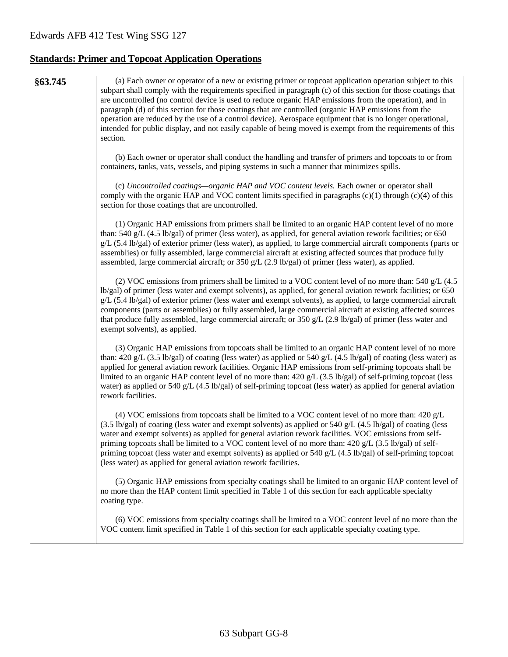# **Standards: Primer and Topcoat Application Operations**

| §63.745 | (a) Each owner or operator of a new or existing primer or topcoat application operation subject to this<br>subpart shall comply with the requirements specified in paragraph (c) of this section for those coatings that<br>are uncontrolled (no control device is used to reduce organic HAP emissions from the operation), and in<br>paragraph (d) of this section for those coatings that are controlled (organic HAP emissions from the<br>operation are reduced by the use of a control device). Aerospace equipment that is no longer operational,<br>intended for public display, and not easily capable of being moved is exempt from the requirements of this<br>section. |
|---------|------------------------------------------------------------------------------------------------------------------------------------------------------------------------------------------------------------------------------------------------------------------------------------------------------------------------------------------------------------------------------------------------------------------------------------------------------------------------------------------------------------------------------------------------------------------------------------------------------------------------------------------------------------------------------------|
|         | (b) Each owner or operator shall conduct the handling and transfer of primers and topcoats to or from<br>containers, tanks, vats, vessels, and piping systems in such a manner that minimizes spills.                                                                                                                                                                                                                                                                                                                                                                                                                                                                              |
|         | (c) Uncontrolled coatings—organic HAP and VOC content levels. Each owner or operator shall<br>comply with the organic HAP and VOC content limits specified in paragraphs (c)(1) through (c)(4) of this<br>section for those coatings that are uncontrolled.                                                                                                                                                                                                                                                                                                                                                                                                                        |
|         | (1) Organic HAP emissions from primers shall be limited to an organic HAP content level of no more<br>than: 540 g/L $(4.5 \text{ lb/gal})$ of primer (less water), as applied, for general aviation rework facilities; or 650<br>g/L (5.4 lb/gal) of exterior primer (less water), as applied, to large commercial aircraft components (parts or<br>assemblies) or fully assembled, large commercial aircraft at existing affected sources that produce fully<br>assembled, large commercial aircraft; or 350 g/L $(2.9 \text{ lb/gal})$ of primer (less water), as applied.                                                                                                       |
|         | (2) VOC emissions from primers shall be limited to a VOC content level of no more than: 540 $g/L$ (4.5)<br>lb/gal) of primer (less water and exempt solvents), as applied, for general aviation rework facilities; or 650<br>$g/L$ (5.4 lb/gal) of exterior primer (less water and exempt solvents), as applied, to large commercial aircraft<br>components (parts or assemblies) or fully assembled, large commercial aircraft at existing affected sources<br>that produce fully assembled, large commercial aircraft; or $350 g/L$ (2.9 lb/gal) of primer (less water and<br>exempt solvents), as applied.                                                                      |
|         | (3) Organic HAP emissions from topcoats shall be limited to an organic HAP content level of no more<br>than: 420 g/L (3.5 lb/gal) of coating (less water) as applied or 540 g/L (4.5 lb/gal) of coating (less water) as<br>applied for general aviation rework facilities. Organic HAP emissions from self-priming topcoats shall be<br>limited to an organic HAP content level of no more than: $420 g/L$ (3.5 lb/gal) of self-priming topcoat (less<br>water) as applied or 540 g/L (4.5 lb/gal) of self-priming topcoat (less water) as applied for general aviation<br>rework facilities.                                                                                      |
|         | (4) VOC emissions from topcoats shall be limited to a VOC content level of no more than: $420 g/L$<br>(3.5 lb/gal) of coating (less water and exempt solvents) as applied or 540 g/L (4.5 lb/gal) of coating (less<br>water and exempt solvents) as applied for general aviation rework facilities. VOC emissions from self-<br>priming topcoats shall be limited to a VOC content level of no more than: $420 g/L$ (3.5 lb/gal) of self-<br>priming topcoat (less water and exempt solvents) as applied or 540 g/L $(4.5 \text{ lb/gal})$ of self-priming topcoat<br>(less water) as applied for general aviation rework facilities.                                              |
|         | (5) Organic HAP emissions from specialty coatings shall be limited to an organic HAP content level of<br>no more than the HAP content limit specified in Table 1 of this section for each applicable specialty<br>coating type.                                                                                                                                                                                                                                                                                                                                                                                                                                                    |
|         | (6) VOC emissions from specialty coatings shall be limited to a VOC content level of no more than the<br>VOC content limit specified in Table 1 of this section for each applicable specialty coating type.                                                                                                                                                                                                                                                                                                                                                                                                                                                                        |
|         |                                                                                                                                                                                                                                                                                                                                                                                                                                                                                                                                                                                                                                                                                    |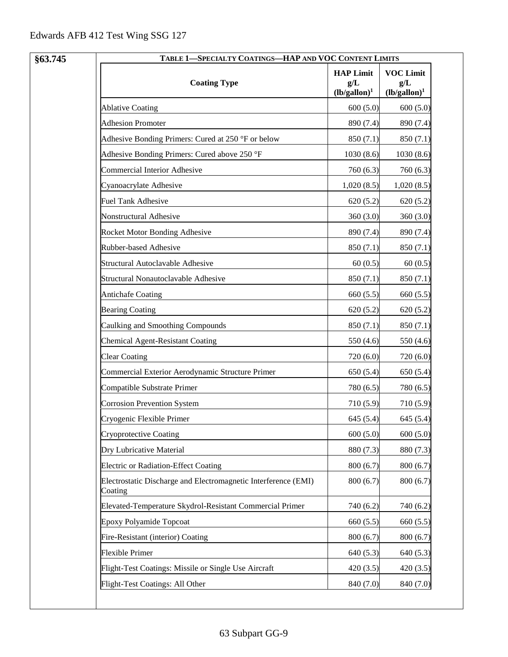| <b>HAP Limit</b><br><b>VOC Limit</b><br><b>Coating Type</b><br>g/L<br>g/L<br>$(lb/gallon)^1$<br>$(lb/gallon)^1$<br><b>Ablative Coating</b><br>600(5.0)<br>600(5.0)<br><b>Adhesion Promoter</b><br>890 (7.4)<br>890 (7.4)<br>Adhesive Bonding Primers: Cured at 250 °F or below<br>850 (7.1)<br>850(7.1)<br>Adhesive Bonding Primers: Cured above 250 °F<br>1030 (8.6)<br>1030(8.6)<br>Commercial Interior Adhesive<br>760 (6.3)<br>760(6.3)<br>Cyanoacrylate Adhesive<br>1,020(8.5)<br>1,020(8.5)<br><b>Fuel Tank Adhesive</b><br>620(5.2)<br>620(5.2)<br>Nonstructural Adhesive<br>360(3.0)<br>360(3.0)<br>Rocket Motor Bonding Adhesive<br>890 (7.4)<br>890 (7.4)<br>Rubber-based Adhesive<br>850 (7.1)<br>850(7.1)<br>Structural Autoclavable Adhesive<br>60(0.5)<br>60(0.5)<br>Structural Nonautoclavable Adhesive<br>850 (7.1)<br>850(7.1)<br><b>Antichafe Coating</b><br>660 (5.5)<br>660 (5.5)<br><b>Bearing Coating</b><br>620(5.2)<br>620(5.2)<br>Caulking and Smoothing Compounds<br>850 (7.1)<br>850 (7.1)<br><b>Chemical Agent-Resistant Coating</b><br>550 (4.6)<br>550 (4.6)<br><b>Clear Coating</b><br>720 (6.0)<br>720(6.0)<br>Commercial Exterior Aerodynamic Structure Primer<br>650 (5.4)<br>650(5.4)<br>Compatible Substrate Primer<br>780 (6.5)<br>780 (6.5)<br><b>Corrosion Prevention System</b><br>710(5.9)<br>710 (5.9)<br>Cryogenic Flexible Primer<br>645 (5.4)<br>645 (5.4)<br>600(5.0)<br>600(5.0)<br>Cryoprotective Coating<br>Dry Lubricative Material<br>880 (7.3)<br>880 (7.3)<br>Electric or Radiation-Effect Coating<br>800(6.7)<br>800(6.7)<br>Electrostatic Discharge and Electromagnetic Interference (EMI)<br>800(6.7)<br>800(6.7)<br>Coating<br>Elevated-Temperature Skydrol-Resistant Commercial Primer<br>740 (6.2)<br>740 (6.2)<br><b>Epoxy Polyamide Topcoat</b><br>660 (5.5)<br>660 (5.5)<br>Fire-Resistant (interior) Coating<br>800(6.7)<br>800 (6.7)<br><b>Flexible Primer</b><br>640(5.3)<br>640 (5.3)<br>Flight-Test Coatings: Missile or Single Use Aircraft<br>420(3.5)<br>420(3.5) | §63.745 | TABLE 1-SPECIALTY COATINGS-HAP AND VOC CONTENT LIMITS |  |  |  |
|-----------------------------------------------------------------------------------------------------------------------------------------------------------------------------------------------------------------------------------------------------------------------------------------------------------------------------------------------------------------------------------------------------------------------------------------------------------------------------------------------------------------------------------------------------------------------------------------------------------------------------------------------------------------------------------------------------------------------------------------------------------------------------------------------------------------------------------------------------------------------------------------------------------------------------------------------------------------------------------------------------------------------------------------------------------------------------------------------------------------------------------------------------------------------------------------------------------------------------------------------------------------------------------------------------------------------------------------------------------------------------------------------------------------------------------------------------------------------------------------------------------------------------------------------------------------------------------------------------------------------------------------------------------------------------------------------------------------------------------------------------------------------------------------------------------------------------------------------------------------------------------------------------------------------------------------------------------------------------------------------------------------------------------------|---------|-------------------------------------------------------|--|--|--|
|                                                                                                                                                                                                                                                                                                                                                                                                                                                                                                                                                                                                                                                                                                                                                                                                                                                                                                                                                                                                                                                                                                                                                                                                                                                                                                                                                                                                                                                                                                                                                                                                                                                                                                                                                                                                                                                                                                                                                                                                                                         |         |                                                       |  |  |  |
|                                                                                                                                                                                                                                                                                                                                                                                                                                                                                                                                                                                                                                                                                                                                                                                                                                                                                                                                                                                                                                                                                                                                                                                                                                                                                                                                                                                                                                                                                                                                                                                                                                                                                                                                                                                                                                                                                                                                                                                                                                         |         |                                                       |  |  |  |
|                                                                                                                                                                                                                                                                                                                                                                                                                                                                                                                                                                                                                                                                                                                                                                                                                                                                                                                                                                                                                                                                                                                                                                                                                                                                                                                                                                                                                                                                                                                                                                                                                                                                                                                                                                                                                                                                                                                                                                                                                                         |         |                                                       |  |  |  |
|                                                                                                                                                                                                                                                                                                                                                                                                                                                                                                                                                                                                                                                                                                                                                                                                                                                                                                                                                                                                                                                                                                                                                                                                                                                                                                                                                                                                                                                                                                                                                                                                                                                                                                                                                                                                                                                                                                                                                                                                                                         |         |                                                       |  |  |  |
|                                                                                                                                                                                                                                                                                                                                                                                                                                                                                                                                                                                                                                                                                                                                                                                                                                                                                                                                                                                                                                                                                                                                                                                                                                                                                                                                                                                                                                                                                                                                                                                                                                                                                                                                                                                                                                                                                                                                                                                                                                         |         |                                                       |  |  |  |
|                                                                                                                                                                                                                                                                                                                                                                                                                                                                                                                                                                                                                                                                                                                                                                                                                                                                                                                                                                                                                                                                                                                                                                                                                                                                                                                                                                                                                                                                                                                                                                                                                                                                                                                                                                                                                                                                                                                                                                                                                                         |         |                                                       |  |  |  |
|                                                                                                                                                                                                                                                                                                                                                                                                                                                                                                                                                                                                                                                                                                                                                                                                                                                                                                                                                                                                                                                                                                                                                                                                                                                                                                                                                                                                                                                                                                                                                                                                                                                                                                                                                                                                                                                                                                                                                                                                                                         |         |                                                       |  |  |  |
|                                                                                                                                                                                                                                                                                                                                                                                                                                                                                                                                                                                                                                                                                                                                                                                                                                                                                                                                                                                                                                                                                                                                                                                                                                                                                                                                                                                                                                                                                                                                                                                                                                                                                                                                                                                                                                                                                                                                                                                                                                         |         |                                                       |  |  |  |
|                                                                                                                                                                                                                                                                                                                                                                                                                                                                                                                                                                                                                                                                                                                                                                                                                                                                                                                                                                                                                                                                                                                                                                                                                                                                                                                                                                                                                                                                                                                                                                                                                                                                                                                                                                                                                                                                                                                                                                                                                                         |         |                                                       |  |  |  |
|                                                                                                                                                                                                                                                                                                                                                                                                                                                                                                                                                                                                                                                                                                                                                                                                                                                                                                                                                                                                                                                                                                                                                                                                                                                                                                                                                                                                                                                                                                                                                                                                                                                                                                                                                                                                                                                                                                                                                                                                                                         |         |                                                       |  |  |  |
|                                                                                                                                                                                                                                                                                                                                                                                                                                                                                                                                                                                                                                                                                                                                                                                                                                                                                                                                                                                                                                                                                                                                                                                                                                                                                                                                                                                                                                                                                                                                                                                                                                                                                                                                                                                                                                                                                                                                                                                                                                         |         |                                                       |  |  |  |
|                                                                                                                                                                                                                                                                                                                                                                                                                                                                                                                                                                                                                                                                                                                                                                                                                                                                                                                                                                                                                                                                                                                                                                                                                                                                                                                                                                                                                                                                                                                                                                                                                                                                                                                                                                                                                                                                                                                                                                                                                                         |         |                                                       |  |  |  |
|                                                                                                                                                                                                                                                                                                                                                                                                                                                                                                                                                                                                                                                                                                                                                                                                                                                                                                                                                                                                                                                                                                                                                                                                                                                                                                                                                                                                                                                                                                                                                                                                                                                                                                                                                                                                                                                                                                                                                                                                                                         |         |                                                       |  |  |  |
|                                                                                                                                                                                                                                                                                                                                                                                                                                                                                                                                                                                                                                                                                                                                                                                                                                                                                                                                                                                                                                                                                                                                                                                                                                                                                                                                                                                                                                                                                                                                                                                                                                                                                                                                                                                                                                                                                                                                                                                                                                         |         |                                                       |  |  |  |
|                                                                                                                                                                                                                                                                                                                                                                                                                                                                                                                                                                                                                                                                                                                                                                                                                                                                                                                                                                                                                                                                                                                                                                                                                                                                                                                                                                                                                                                                                                                                                                                                                                                                                                                                                                                                                                                                                                                                                                                                                                         |         |                                                       |  |  |  |
|                                                                                                                                                                                                                                                                                                                                                                                                                                                                                                                                                                                                                                                                                                                                                                                                                                                                                                                                                                                                                                                                                                                                                                                                                                                                                                                                                                                                                                                                                                                                                                                                                                                                                                                                                                                                                                                                                                                                                                                                                                         |         |                                                       |  |  |  |
|                                                                                                                                                                                                                                                                                                                                                                                                                                                                                                                                                                                                                                                                                                                                                                                                                                                                                                                                                                                                                                                                                                                                                                                                                                                                                                                                                                                                                                                                                                                                                                                                                                                                                                                                                                                                                                                                                                                                                                                                                                         |         |                                                       |  |  |  |
|                                                                                                                                                                                                                                                                                                                                                                                                                                                                                                                                                                                                                                                                                                                                                                                                                                                                                                                                                                                                                                                                                                                                                                                                                                                                                                                                                                                                                                                                                                                                                                                                                                                                                                                                                                                                                                                                                                                                                                                                                                         |         |                                                       |  |  |  |
|                                                                                                                                                                                                                                                                                                                                                                                                                                                                                                                                                                                                                                                                                                                                                                                                                                                                                                                                                                                                                                                                                                                                                                                                                                                                                                                                                                                                                                                                                                                                                                                                                                                                                                                                                                                                                                                                                                                                                                                                                                         |         |                                                       |  |  |  |
|                                                                                                                                                                                                                                                                                                                                                                                                                                                                                                                                                                                                                                                                                                                                                                                                                                                                                                                                                                                                                                                                                                                                                                                                                                                                                                                                                                                                                                                                                                                                                                                                                                                                                                                                                                                                                                                                                                                                                                                                                                         |         |                                                       |  |  |  |
|                                                                                                                                                                                                                                                                                                                                                                                                                                                                                                                                                                                                                                                                                                                                                                                                                                                                                                                                                                                                                                                                                                                                                                                                                                                                                                                                                                                                                                                                                                                                                                                                                                                                                                                                                                                                                                                                                                                                                                                                                                         |         |                                                       |  |  |  |
|                                                                                                                                                                                                                                                                                                                                                                                                                                                                                                                                                                                                                                                                                                                                                                                                                                                                                                                                                                                                                                                                                                                                                                                                                                                                                                                                                                                                                                                                                                                                                                                                                                                                                                                                                                                                                                                                                                                                                                                                                                         |         |                                                       |  |  |  |
|                                                                                                                                                                                                                                                                                                                                                                                                                                                                                                                                                                                                                                                                                                                                                                                                                                                                                                                                                                                                                                                                                                                                                                                                                                                                                                                                                                                                                                                                                                                                                                                                                                                                                                                                                                                                                                                                                                                                                                                                                                         |         |                                                       |  |  |  |
|                                                                                                                                                                                                                                                                                                                                                                                                                                                                                                                                                                                                                                                                                                                                                                                                                                                                                                                                                                                                                                                                                                                                                                                                                                                                                                                                                                                                                                                                                                                                                                                                                                                                                                                                                                                                                                                                                                                                                                                                                                         |         |                                                       |  |  |  |
|                                                                                                                                                                                                                                                                                                                                                                                                                                                                                                                                                                                                                                                                                                                                                                                                                                                                                                                                                                                                                                                                                                                                                                                                                                                                                                                                                                                                                                                                                                                                                                                                                                                                                                                                                                                                                                                                                                                                                                                                                                         |         |                                                       |  |  |  |
|                                                                                                                                                                                                                                                                                                                                                                                                                                                                                                                                                                                                                                                                                                                                                                                                                                                                                                                                                                                                                                                                                                                                                                                                                                                                                                                                                                                                                                                                                                                                                                                                                                                                                                                                                                                                                                                                                                                                                                                                                                         |         |                                                       |  |  |  |
|                                                                                                                                                                                                                                                                                                                                                                                                                                                                                                                                                                                                                                                                                                                                                                                                                                                                                                                                                                                                                                                                                                                                                                                                                                                                                                                                                                                                                                                                                                                                                                                                                                                                                                                                                                                                                                                                                                                                                                                                                                         |         |                                                       |  |  |  |
|                                                                                                                                                                                                                                                                                                                                                                                                                                                                                                                                                                                                                                                                                                                                                                                                                                                                                                                                                                                                                                                                                                                                                                                                                                                                                                                                                                                                                                                                                                                                                                                                                                                                                                                                                                                                                                                                                                                                                                                                                                         |         |                                                       |  |  |  |
|                                                                                                                                                                                                                                                                                                                                                                                                                                                                                                                                                                                                                                                                                                                                                                                                                                                                                                                                                                                                                                                                                                                                                                                                                                                                                                                                                                                                                                                                                                                                                                                                                                                                                                                                                                                                                                                                                                                                                                                                                                         |         |                                                       |  |  |  |
|                                                                                                                                                                                                                                                                                                                                                                                                                                                                                                                                                                                                                                                                                                                                                                                                                                                                                                                                                                                                                                                                                                                                                                                                                                                                                                                                                                                                                                                                                                                                                                                                                                                                                                                                                                                                                                                                                                                                                                                                                                         |         |                                                       |  |  |  |
|                                                                                                                                                                                                                                                                                                                                                                                                                                                                                                                                                                                                                                                                                                                                                                                                                                                                                                                                                                                                                                                                                                                                                                                                                                                                                                                                                                                                                                                                                                                                                                                                                                                                                                                                                                                                                                                                                                                                                                                                                                         |         |                                                       |  |  |  |
| Flight-Test Coatings: All Other<br>840 (7.0)<br>840 (7.0)                                                                                                                                                                                                                                                                                                                                                                                                                                                                                                                                                                                                                                                                                                                                                                                                                                                                                                                                                                                                                                                                                                                                                                                                                                                                                                                                                                                                                                                                                                                                                                                                                                                                                                                                                                                                                                                                                                                                                                               |         |                                                       |  |  |  |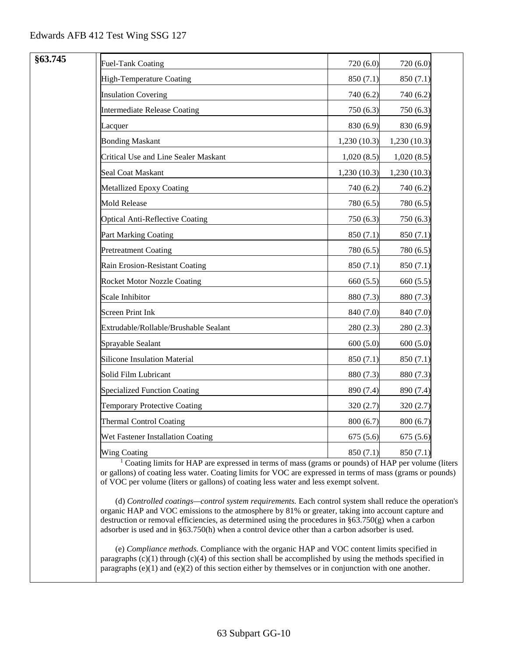| §63.745 | <b>Fuel-Tank Coating</b>                                                                                                             | 720 (6.0)   | 720 (6.0)    |
|---------|--------------------------------------------------------------------------------------------------------------------------------------|-------------|--------------|
|         | High-Temperature Coating                                                                                                             | 850 (7.1)   | 850 (7.1)    |
|         | <b>Insulation Covering</b>                                                                                                           | 740 (6.2)   | 740 (6.2)    |
|         | Intermediate Release Coating                                                                                                         | 750 (6.3)   | 750 (6.3)    |
|         | Lacquer                                                                                                                              | 830 (6.9)   | 830 (6.9)    |
|         | <b>Bonding Maskant</b>                                                                                                               | 1,230(10.3) | 1,230 (10.3) |
|         | Critical Use and Line Sealer Maskant                                                                                                 | 1,020(8.5)  | 1,020(8.5)   |
|         | Seal Coat Maskant                                                                                                                    | 1,230(10.3) | 1,230(10.3)  |
|         | Metallized Epoxy Coating                                                                                                             | 740 (6.2)   | 740 (6.2)    |
|         | <b>Mold Release</b>                                                                                                                  | 780 (6.5)   | 780 (6.5)    |
|         | <b>Optical Anti-Reflective Coating</b>                                                                                               | 750 (6.3)   | 750 (6.3)    |
|         | Part Marking Coating                                                                                                                 | 850 (7.1)   | 850 (7.1)    |
|         | <b>Pretreatment Coating</b>                                                                                                          | 780 (6.5)   | 780 (6.5)    |
|         | Rain Erosion-Resistant Coating                                                                                                       | 850(7.1)    | 850 (7.1)    |
|         | <b>Rocket Motor Nozzle Coating</b>                                                                                                   | 660 (5.5)   | 660 (5.5)    |
|         | <b>Scale Inhibitor</b>                                                                                                               | 880 (7.3)   | 880 (7.3)    |
|         | <b>Screen Print Ink</b>                                                                                                              | 840 (7.0)   | 840 (7.0)    |
|         | Extrudable/Rollable/Brushable Sealant                                                                                                | 280(2.3)    | 280 (2.3)    |
|         | Sprayable Sealant                                                                                                                    | 600(5.0)    | 600(5.0)     |
|         | <b>Silicone Insulation Material</b>                                                                                                  | 850 (7.1)   | 850 (7.1)    |
|         | Solid Film Lubricant                                                                                                                 | 880 (7.3)   | 880 (7.3)    |
|         | <b>Specialized Function Coating</b>                                                                                                  | 890 (7.4)   | 890 (7.4)    |
|         | <b>Temporary Protective Coating</b>                                                                                                  | 320(2.7)    | 320 (2.7)    |
|         | <b>Thermal Control Coating</b>                                                                                                       | 800(6.7)    | 800(6.7)     |
|         | Wet Fastener Installation Coating                                                                                                    | 675(5.6)    | 675(5.6)     |
|         | Wing Coating<br>$\mathbf{a}$ $\mathbf{b}$ $\mathbf{c}$ $\mathbf{c}$ $\mathbf{c}$ $\mathbf{c}$ $\mathbf{c}$ $\mathbf{c}$ $\mathbf{c}$ | 850(7.1)    | 850 (7.1)    |

<sup>1</sup> Coating limits for HAP are expressed in terms of mass (grams or pounds) of HAP per volume (liters or gallons) of coating less water. Coating limits for VOC are expressed in terms of mass (grams or pounds) of VOC per volume (liters or gallons) of coating less water and less exempt solvent.

(d) *Controlled coatings—control system requirements.* Each control system shall reduce the operation's organic HAP and VOC emissions to the atmosphere by 81% or greater, taking into account capture and destruction or removal efficiencies, as determined using the procedures in §63.750(g) when a carbon adsorber is used and in §63.750(h) when a control device other than a carbon adsorber is used.

(e) *Compliance methods.* Compliance with the organic HAP and VOC content limits specified in paragraphs  $(c)(1)$  through  $(c)(4)$  of this section shall be accomplished by using the methods specified in paragraphs  $(e)(1)$  and  $(e)(2)$  of this section either by themselves or in conjunction with one another.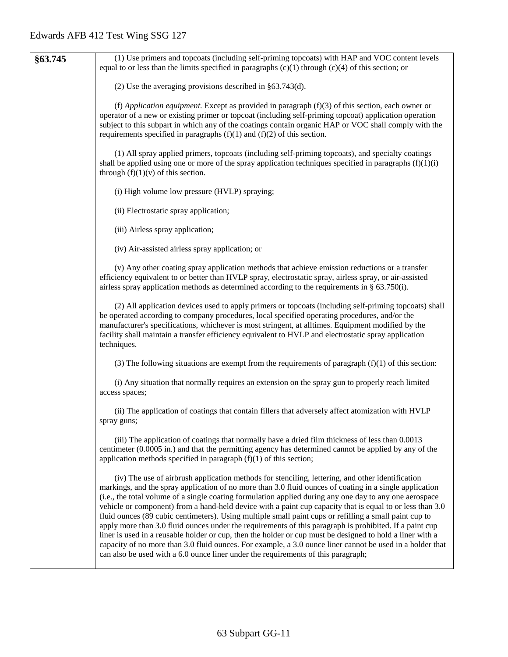| (1) Use primers and topcoats (including self-priming topcoats) with HAP and VOC content levels<br>equal to or less than the limits specified in paragraphs $(c)(1)$ through $(c)(4)$ of this section; or                                                                                                                                                                                                                                                                                                                                                                                                                                                                                                                                                                                                                                                                                                                                                                |
|-------------------------------------------------------------------------------------------------------------------------------------------------------------------------------------------------------------------------------------------------------------------------------------------------------------------------------------------------------------------------------------------------------------------------------------------------------------------------------------------------------------------------------------------------------------------------------------------------------------------------------------------------------------------------------------------------------------------------------------------------------------------------------------------------------------------------------------------------------------------------------------------------------------------------------------------------------------------------|
| (2) Use the averaging provisions described in $§63.743(d)$ .                                                                                                                                                                                                                                                                                                                                                                                                                                                                                                                                                                                                                                                                                                                                                                                                                                                                                                            |
| (f) Application equipment. Except as provided in paragraph $(f)(3)$ of this section, each owner or<br>operator of a new or existing primer or topcoat (including self-priming topcoat) application operation<br>subject to this subpart in which any of the coatings contain organic HAP or VOC shall comply with the<br>requirements specified in paragraphs $(f)(1)$ and $(f)(2)$ of this section.                                                                                                                                                                                                                                                                                                                                                                                                                                                                                                                                                                    |
| (1) All spray applied primers, topcoats (including self-priming topcoats), and specialty coatings<br>shall be applied using one or more of the spray application techniques specified in paragraphs $(f)(1)(i)$<br>through $(f)(1)(v)$ of this section.                                                                                                                                                                                                                                                                                                                                                                                                                                                                                                                                                                                                                                                                                                                 |
| (i) High volume low pressure (HVLP) spraying;                                                                                                                                                                                                                                                                                                                                                                                                                                                                                                                                                                                                                                                                                                                                                                                                                                                                                                                           |
| (ii) Electrostatic spray application;                                                                                                                                                                                                                                                                                                                                                                                                                                                                                                                                                                                                                                                                                                                                                                                                                                                                                                                                   |
| (iii) Airless spray application;                                                                                                                                                                                                                                                                                                                                                                                                                                                                                                                                                                                                                                                                                                                                                                                                                                                                                                                                        |
| (iv) Air-assisted airless spray application; or                                                                                                                                                                                                                                                                                                                                                                                                                                                                                                                                                                                                                                                                                                                                                                                                                                                                                                                         |
| (v) Any other coating spray application methods that achieve emission reductions or a transfer<br>efficiency equivalent to or better than HVLP spray, electrostatic spray, airless spray, or air-assisted<br>airless spray application methods as determined according to the requirements in $\S$ 63.750(i).                                                                                                                                                                                                                                                                                                                                                                                                                                                                                                                                                                                                                                                           |
| (2) All application devices used to apply primers or topcoats (including self-priming topcoats) shall<br>be operated according to company procedures, local specified operating procedures, and/or the<br>manufacturer's specifications, whichever is most stringent, at all times. Equipment modified by the<br>facility shall maintain a transfer efficiency equivalent to HVLP and electrostatic spray application<br>techniques.                                                                                                                                                                                                                                                                                                                                                                                                                                                                                                                                    |
| (3) The following situations are exempt from the requirements of paragraph $(f)(1)$ of this section:                                                                                                                                                                                                                                                                                                                                                                                                                                                                                                                                                                                                                                                                                                                                                                                                                                                                    |
| (i) Any situation that normally requires an extension on the spray gun to properly reach limited<br>access spaces;                                                                                                                                                                                                                                                                                                                                                                                                                                                                                                                                                                                                                                                                                                                                                                                                                                                      |
| (ii) The application of coatings that contain fillers that adversely affect atomization with HVLP<br>spray guns;                                                                                                                                                                                                                                                                                                                                                                                                                                                                                                                                                                                                                                                                                                                                                                                                                                                        |
| (iii) The application of coatings that normally have a dried film thickness of less than 0.0013<br>centimeter (0.0005 in.) and that the permitting agency has determined cannot be applied by any of the<br>application methods specified in paragraph $(f)(1)$ of this section;                                                                                                                                                                                                                                                                                                                                                                                                                                                                                                                                                                                                                                                                                        |
| (iv) The use of airbrush application methods for stenciling, lettering, and other identification<br>markings, and the spray application of no more than 3.0 fluid ounces of coating in a single application<br>(i.e., the total volume of a single coating formulation applied during any one day to any one aerospace<br>vehicle or component) from a hand-held device with a paint cup capacity that is equal to or less than 3.0<br>fluid ounces (89 cubic centimeters). Using multiple small paint cups or refilling a small paint cup to<br>apply more than 3.0 fluid ounces under the requirements of this paragraph is prohibited. If a paint cup<br>liner is used in a reusable holder or cup, then the holder or cup must be designed to hold a liner with a<br>capacity of no more than 3.0 fluid ounces. For example, a 3.0 ounce liner cannot be used in a holder that<br>can also be used with a 6.0 ounce liner under the requirements of this paragraph; |
|                                                                                                                                                                                                                                                                                                                                                                                                                                                                                                                                                                                                                                                                                                                                                                                                                                                                                                                                                                         |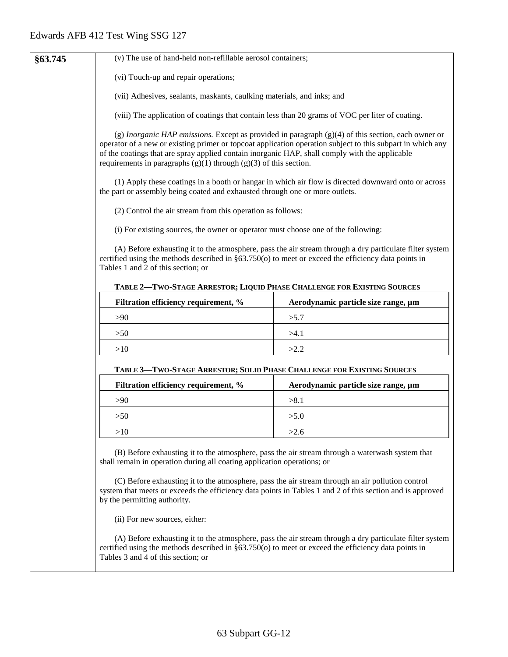| §63.745 | (v) The use of hand-held non-refillable aerosol containers;                                                                                                                                                                                                                           |                                                                                                         |
|---------|---------------------------------------------------------------------------------------------------------------------------------------------------------------------------------------------------------------------------------------------------------------------------------------|---------------------------------------------------------------------------------------------------------|
|         | (vi) Touch-up and repair operations;                                                                                                                                                                                                                                                  |                                                                                                         |
|         | (vii) Adhesives, sealants, maskants, caulking materials, and inks; and                                                                                                                                                                                                                |                                                                                                         |
|         | (viii) The application of coatings that contain less than 20 grams of VOC per liter of coating.                                                                                                                                                                                       |                                                                                                         |
|         | operator of a new or existing primer or topcoat application operation subject to this subpart in which any<br>of the coatings that are spray applied contain inorganic HAP, shall comply with the applicable<br>requirements in paragraphs $(g)(1)$ through $(g)(3)$ of this section. | (g) Inorganic HAP emissions. Except as provided in paragraph $(g)(4)$ of this section, each owner or    |
|         | the part or assembly being coated and exhausted through one or more outlets.                                                                                                                                                                                                          | (1) Apply these coatings in a booth or hangar in which air flow is directed downward onto or across     |
|         | (2) Control the air stream from this operation as follows:                                                                                                                                                                                                                            |                                                                                                         |
|         | (i) For existing sources, the owner or operator must choose one of the following:                                                                                                                                                                                                     |                                                                                                         |
|         | certified using the methods described in §63.750(o) to meet or exceed the efficiency data points in<br>Tables 1 and 2 of this section; or                                                                                                                                             | (A) Before exhausting it to the atmosphere, pass the air stream through a dry particulate filter system |
|         | TABLE 2-TWO-STAGE ARRESTOR; LIQUID PHASE CHALLENGE FOR EXISTING SOURCES                                                                                                                                                                                                               |                                                                                                         |
|         | Filtration efficiency requirement, %                                                                                                                                                                                                                                                  | Aerodynamic particle size range, µm                                                                     |
|         | >90                                                                                                                                                                                                                                                                                   | >5.7                                                                                                    |
|         | >50                                                                                                                                                                                                                                                                                   | >4.1                                                                                                    |
|         | >10                                                                                                                                                                                                                                                                                   | >2.2                                                                                                    |
|         | TABLE 3-TWO-STAGE ARRESTOR; SOLID PHASE CHALLENGE FOR EXISTING SOURCES                                                                                                                                                                                                                |                                                                                                         |
|         | Filtration efficiency requirement, %                                                                                                                                                                                                                                                  | Aerodynamic particle size range, µm                                                                     |
|         | >90                                                                                                                                                                                                                                                                                   | >8.1                                                                                                    |
|         | >50                                                                                                                                                                                                                                                                                   | >5.0                                                                                                    |
|         | >10                                                                                                                                                                                                                                                                                   | >2.6                                                                                                    |
|         | (B) Before exhausting it to the atmosphere, pass the air stream through a waterwash system that<br>shall remain in operation during all coating application operations; or<br>(C) Before exhausting it to the atmosphere, pass the air stream through an air pollution control        |                                                                                                         |
|         | system that meets or exceeds the efficiency data points in Tables 1 and 2 of this section and is approved<br>by the permitting authority.                                                                                                                                             |                                                                                                         |
|         | (ii) For new sources, either:                                                                                                                                                                                                                                                         |                                                                                                         |
|         | certified using the methods described in $\S 63.750(o)$ to meet or exceed the efficiency data points in<br>Tables 3 and 4 of this section; or                                                                                                                                         | (A) Before exhausting it to the atmosphere, pass the air stream through a dry particulate filter system |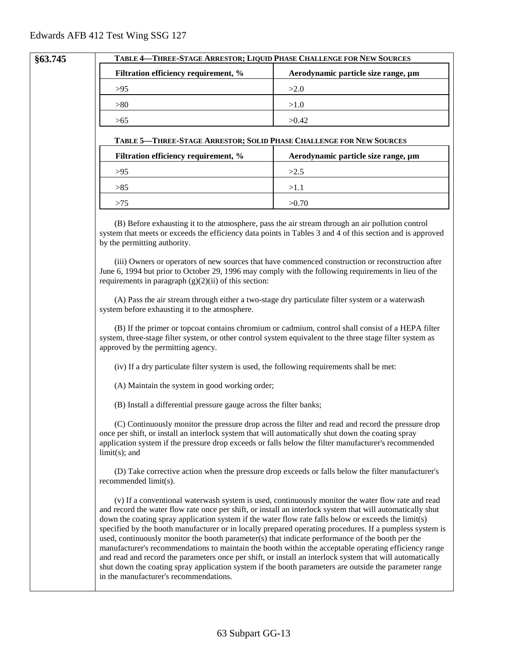#### **§63.745 TABLE 4—THREE-STAGE ARRESTOR; LIQUID PHASE CHALLENGE FOR NEW SOURCES**

| Filtration efficiency requirement, % | Aerodynamic particle size range, µm |
|--------------------------------------|-------------------------------------|
| >95                                  | >2.0                                |
| > 80                                 | >1.0                                |
| >65                                  | >0.42                               |

#### **TABLE 5—THREE-STAGE ARRESTOR; SOLID PHASE CHALLENGE FOR NEW SOURCES**

| Filtration efficiency requirement, % | Aerodynamic particle size range, µm |
|--------------------------------------|-------------------------------------|
| >95                                  | >2.5                                |
| >85                                  | >1.1                                |
| >75                                  | >0.70                               |

(B) Before exhausting it to the atmosphere, pass the air stream through an air pollution control system that meets or exceeds the efficiency data points in Tables 3 and 4 of this section and is approved by the permitting authority.

(iii) Owners or operators of new sources that have commenced construction or reconstruction after June 6, 1994 but prior to October 29, 1996 may comply with the following requirements in lieu of the requirements in paragraph  $(g)(2)(ii)$  of this section:

(A) Pass the air stream through either a two-stage dry particulate filter system or a waterwash system before exhausting it to the atmosphere.

(B) If the primer or topcoat contains chromium or cadmium, control shall consist of a HEPA filter system, three-stage filter system, or other control system equivalent to the three stage filter system as approved by the permitting agency.

(iv) If a dry particulate filter system is used, the following requirements shall be met:

(A) Maintain the system in good working order;

(B) Install a differential pressure gauge across the filter banks;

(C) Continuously monitor the pressure drop across the filter and read and record the pressure drop once per shift, or install an interlock system that will automatically shut down the coating spray application system if the pressure drop exceeds or falls below the filter manufacturer's recommended limit(s); and

(D) Take corrective action when the pressure drop exceeds or falls below the filter manufacturer's recommended limit(s).

(v) If a conventional waterwash system is used, continuously monitor the water flow rate and read and record the water flow rate once per shift, or install an interlock system that will automatically shut down the coating spray application system if the water flow rate falls below or exceeds the limit(s) specified by the booth manufacturer or in locally prepared operating procedures. If a pumpless system is used, continuously monitor the booth parameter(s) that indicate performance of the booth per the manufacturer's recommendations to maintain the booth within the acceptable operating efficiency range and read and record the parameters once per shift, or install an interlock system that will automatically shut down the coating spray application system if the booth parameters are outside the parameter range in the manufacturer's recommendations.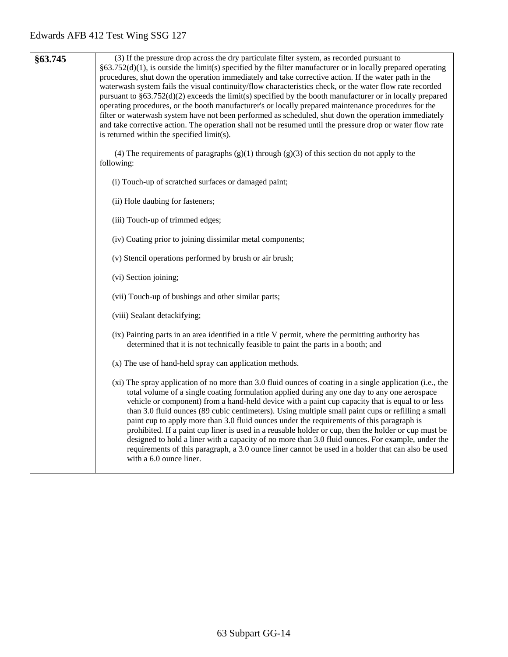| §63.745 | (3) If the pressure drop across the dry particulate filter system, as recorded pursuant to<br>$\S63.752(d)(1)$ , is outside the limit(s) specified by the filter manufacturer or in locally prepared operating<br>procedures, shut down the operation immediately and take corrective action. If the water path in the<br>waterwash system fails the visual continuity/flow characteristics check, or the water flow rate recorded<br>pursuant to $\S 63.752(d)(2)$ exceeds the limit(s) specified by the booth manufacturer or in locally prepared<br>operating procedures, or the booth manufacturer's or locally prepared maintenance procedures for the<br>filter or waterwash system have not been performed as scheduled, shut down the operation immediately<br>and take corrective action. The operation shall not be resumed until the pressure drop or water flow rate<br>is returned within the specified limit(s). |
|---------|--------------------------------------------------------------------------------------------------------------------------------------------------------------------------------------------------------------------------------------------------------------------------------------------------------------------------------------------------------------------------------------------------------------------------------------------------------------------------------------------------------------------------------------------------------------------------------------------------------------------------------------------------------------------------------------------------------------------------------------------------------------------------------------------------------------------------------------------------------------------------------------------------------------------------------|
|         | (4) The requirements of paragraphs $(g)(1)$ through $(g)(3)$ of this section do not apply to the<br>following:                                                                                                                                                                                                                                                                                                                                                                                                                                                                                                                                                                                                                                                                                                                                                                                                                 |
|         | (i) Touch-up of scratched surfaces or damaged paint;                                                                                                                                                                                                                                                                                                                                                                                                                                                                                                                                                                                                                                                                                                                                                                                                                                                                           |
|         | (ii) Hole daubing for fasteners;                                                                                                                                                                                                                                                                                                                                                                                                                                                                                                                                                                                                                                                                                                                                                                                                                                                                                               |
|         | (iii) Touch-up of trimmed edges;                                                                                                                                                                                                                                                                                                                                                                                                                                                                                                                                                                                                                                                                                                                                                                                                                                                                                               |
|         | (iv) Coating prior to joining dissimilar metal components;                                                                                                                                                                                                                                                                                                                                                                                                                                                                                                                                                                                                                                                                                                                                                                                                                                                                     |
|         | (v) Stencil operations performed by brush or air brush;                                                                                                                                                                                                                                                                                                                                                                                                                                                                                                                                                                                                                                                                                                                                                                                                                                                                        |
|         | (vi) Section joining;                                                                                                                                                                                                                                                                                                                                                                                                                                                                                                                                                                                                                                                                                                                                                                                                                                                                                                          |
|         | (vii) Touch-up of bushings and other similar parts;                                                                                                                                                                                                                                                                                                                                                                                                                                                                                                                                                                                                                                                                                                                                                                                                                                                                            |
|         | (viii) Sealant detackifying;                                                                                                                                                                                                                                                                                                                                                                                                                                                                                                                                                                                                                                                                                                                                                                                                                                                                                                   |
|         | (ix) Painting parts in an area identified in a title V permit, where the permitting authority has<br>determined that it is not technically feasible to paint the parts in a booth; and                                                                                                                                                                                                                                                                                                                                                                                                                                                                                                                                                                                                                                                                                                                                         |
|         | (x) The use of hand-held spray can application methods.                                                                                                                                                                                                                                                                                                                                                                                                                                                                                                                                                                                                                                                                                                                                                                                                                                                                        |
|         | (xi) The spray application of no more than 3.0 fluid ounces of coating in a single application (i.e., the<br>total volume of a single coating formulation applied during any one day to any one aerospace<br>vehicle or component) from a hand-held device with a paint cup capacity that is equal to or less<br>than 3.0 fluid ounces (89 cubic centimeters). Using multiple small paint cups or refilling a small<br>paint cup to apply more than 3.0 fluid ounces under the requirements of this paragraph is<br>prohibited. If a paint cup liner is used in a reusable holder or cup, then the holder or cup must be<br>designed to hold a liner with a capacity of no more than 3.0 fluid ounces. For example, under the<br>requirements of this paragraph, a 3.0 ounce liner cannot be used in a holder that can also be used<br>with a 6.0 ounce liner.                                                                 |
|         |                                                                                                                                                                                                                                                                                                                                                                                                                                                                                                                                                                                                                                                                                                                                                                                                                                                                                                                                |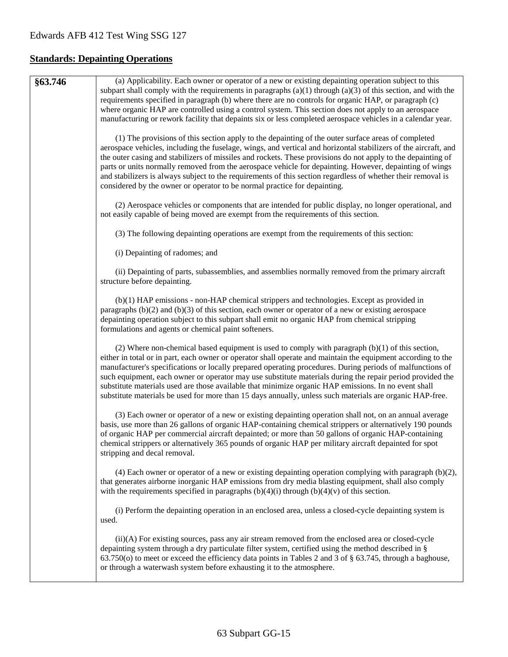# **Standards: Depainting Operations**

| §63.746 | (a) Applicability. Each owner or operator of a new or existing depainting operation subject to this<br>subpart shall comply with the requirements in paragraphs $(a)(1)$ through $(a)(3)$ of this section, and with the<br>requirements specified in paragraph (b) where there are no controls for organic HAP, or paragraph (c)<br>where organic HAP are controlled using a control system. This section does not apply to an aerospace<br>manufacturing or rework facility that depaints six or less completed aerospace vehicles in a calendar year.                                                                                                         |
|---------|-----------------------------------------------------------------------------------------------------------------------------------------------------------------------------------------------------------------------------------------------------------------------------------------------------------------------------------------------------------------------------------------------------------------------------------------------------------------------------------------------------------------------------------------------------------------------------------------------------------------------------------------------------------------|
|         | (1) The provisions of this section apply to the depainting of the outer surface areas of completed<br>aerospace vehicles, including the fuselage, wings, and vertical and horizontal stabilizers of the aircraft, and<br>the outer casing and stabilizers of missiles and rockets. These provisions do not apply to the depainting of<br>parts or units normally removed from the aerospace vehicle for depainting. However, depainting of wings<br>and stabilizers is always subject to the requirements of this section regardless of whether their removal is<br>considered by the owner or operator to be normal practice for depainting.                   |
|         | (2) Aerospace vehicles or components that are intended for public display, no longer operational, and<br>not easily capable of being moved are exempt from the requirements of this section.                                                                                                                                                                                                                                                                                                                                                                                                                                                                    |
|         | (3) The following depainting operations are exempt from the requirements of this section:                                                                                                                                                                                                                                                                                                                                                                                                                                                                                                                                                                       |
|         | (i) Depainting of radomes; and                                                                                                                                                                                                                                                                                                                                                                                                                                                                                                                                                                                                                                  |
|         | (ii) Depainting of parts, subassemblies, and assemblies normally removed from the primary aircraft<br>structure before depainting.                                                                                                                                                                                                                                                                                                                                                                                                                                                                                                                              |
|         | (b)(1) HAP emissions - non-HAP chemical strippers and technologies. Except as provided in<br>paragraphs $(b)(2)$ and $(b)(3)$ of this section, each owner or operator of a new or existing aerospace<br>depainting operation subject to this subpart shall emit no organic HAP from chemical stripping<br>formulations and agents or chemical paint softeners.                                                                                                                                                                                                                                                                                                  |
|         | (2) Where non-chemical based equipment is used to comply with paragraph $(b)(1)$ of this section,<br>either in total or in part, each owner or operator shall operate and maintain the equipment according to the<br>manufacturer's specifications or locally prepared operating procedures. During periods of malfunctions of<br>such equipment, each owner or operator may use substitute materials during the repair period provided the<br>substitute materials used are those available that minimize organic HAP emissions. In no event shall<br>substitute materials be used for more than 15 days annually, unless such materials are organic HAP-free. |
|         | (3) Each owner or operator of a new or existing depainting operation shall not, on an annual average<br>basis, use more than 26 gallons of organic HAP-containing chemical strippers or alternatively 190 pounds<br>of organic HAP per commercial aircraft depainted; or more than 50 gallons of organic HAP-containing<br>chemical strippers or alternatively 365 pounds of organic HAP per military aircraft depainted for spot<br>stripping and decal removal.                                                                                                                                                                                               |
|         | $(4)$ Each owner or operator of a new or existing depainting operation complying with paragraph $(b)(2)$ ,<br>that generates airborne inorganic HAP emissions from dry media blasting equipment, shall also comply<br>with the requirements specified in paragraphs $(b)(4)(i)$ through $(b)(4)(v)$ of this section.                                                                                                                                                                                                                                                                                                                                            |
|         | (i) Perform the depainting operation in an enclosed area, unless a closed-cycle depainting system is<br>used.                                                                                                                                                                                                                                                                                                                                                                                                                                                                                                                                                   |
|         | (ii)(A) For existing sources, pass any air stream removed from the enclosed area or closed-cycle<br>depainting system through a dry particulate filter system, certified using the method described in §<br>63.750(o) to meet or exceed the efficiency data points in Tables 2 and 3 of § 63.745, through a baghouse,<br>or through a waterwash system before exhausting it to the atmosphere.                                                                                                                                                                                                                                                                  |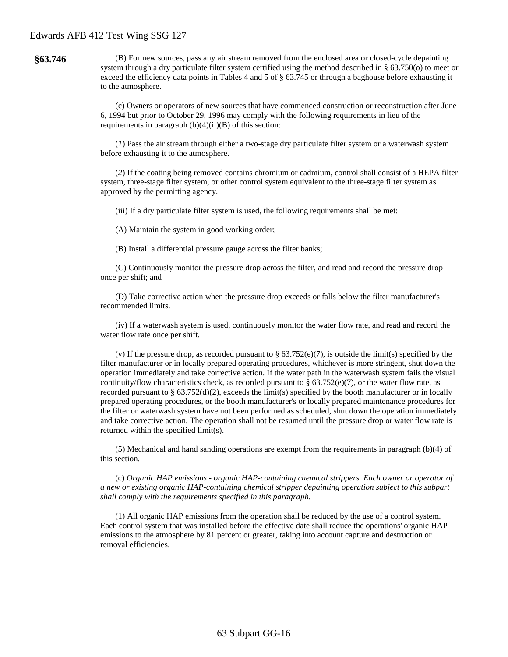| §63.746 | (B) For new sources, pass any air stream removed from the enclosed area or closed-cycle depainting<br>system through a dry particulate filter system certified using the method described in $\S$ 63.750(o) to meet or<br>exceed the efficiency data points in Tables 4 and 5 of $\S$ 63.745 or through a baghouse before exhausting it<br>to the atmosphere.                                                                                                                                                                                                                                                                                                                                                                                                                                                                                                                                                                                                    |
|---------|------------------------------------------------------------------------------------------------------------------------------------------------------------------------------------------------------------------------------------------------------------------------------------------------------------------------------------------------------------------------------------------------------------------------------------------------------------------------------------------------------------------------------------------------------------------------------------------------------------------------------------------------------------------------------------------------------------------------------------------------------------------------------------------------------------------------------------------------------------------------------------------------------------------------------------------------------------------|
|         | (c) Owners or operators of new sources that have commenced construction or reconstruction after June<br>6, 1994 but prior to October 29, 1996 may comply with the following requirements in lieu of the<br>requirements in paragraph $(b)(4)(ii)(B)$ of this section:                                                                                                                                                                                                                                                                                                                                                                                                                                                                                                                                                                                                                                                                                            |
|         | (1) Pass the air stream through either a two-stage dry particulate filter system or a waterwash system<br>before exhausting it to the atmosphere.                                                                                                                                                                                                                                                                                                                                                                                                                                                                                                                                                                                                                                                                                                                                                                                                                |
|         | (2) If the coating being removed contains chromium or cadmium, control shall consist of a HEPA filter<br>system, three-stage filter system, or other control system equivalent to the three-stage filter system as<br>approved by the permitting agency.                                                                                                                                                                                                                                                                                                                                                                                                                                                                                                                                                                                                                                                                                                         |
|         | (iii) If a dry particulate filter system is used, the following requirements shall be met:                                                                                                                                                                                                                                                                                                                                                                                                                                                                                                                                                                                                                                                                                                                                                                                                                                                                       |
|         | (A) Maintain the system in good working order;                                                                                                                                                                                                                                                                                                                                                                                                                                                                                                                                                                                                                                                                                                                                                                                                                                                                                                                   |
|         | (B) Install a differential pressure gauge across the filter banks;                                                                                                                                                                                                                                                                                                                                                                                                                                                                                                                                                                                                                                                                                                                                                                                                                                                                                               |
|         | (C) Continuously monitor the pressure drop across the filter, and read and record the pressure drop<br>once per shift; and                                                                                                                                                                                                                                                                                                                                                                                                                                                                                                                                                                                                                                                                                                                                                                                                                                       |
|         | (D) Take corrective action when the pressure drop exceeds or falls below the filter manufacturer's<br>recommended limits.                                                                                                                                                                                                                                                                                                                                                                                                                                                                                                                                                                                                                                                                                                                                                                                                                                        |
|         | (iv) If a waterwash system is used, continuously monitor the water flow rate, and read and record the<br>water flow rate once per shift.                                                                                                                                                                                                                                                                                                                                                                                                                                                                                                                                                                                                                                                                                                                                                                                                                         |
|         | (v) If the pressure drop, as recorded pursuant to $\S 63.752(e)(7)$ , is outside the limit(s) specified by the<br>filter manufacturer or in locally prepared operating procedures, whichever is more stringent, shut down the<br>operation immediately and take corrective action. If the water path in the waterwash system fails the visual<br>continuity/flow characteristics check, as recorded pursuant to § 63.752(e)(7), or the water flow rate, as<br>recorded pursuant to $\S$ 63.752(d)(2), exceeds the limit(s) specified by the booth manufacturer or in locally<br>prepared operating procedures, or the booth manufacturer's or locally prepared maintenance procedures for<br>the filter or waterwash system have not been performed as scheduled, shut down the operation immediately<br>and take corrective action. The operation shall not be resumed until the pressure drop or water flow rate is<br>returned within the specified limit(s). |
|         | $(5)$ Mechanical and hand sanding operations are exempt from the requirements in paragraph $(b)(4)$ of<br>this section.                                                                                                                                                                                                                                                                                                                                                                                                                                                                                                                                                                                                                                                                                                                                                                                                                                          |
|         | (c) Organic HAP emissions - organic HAP-containing chemical strippers. Each owner or operator of<br>a new or existing organic HAP-containing chemical stripper depainting operation subject to this subpart<br>shall comply with the requirements specified in this paragraph.                                                                                                                                                                                                                                                                                                                                                                                                                                                                                                                                                                                                                                                                                   |
|         | (1) All organic HAP emissions from the operation shall be reduced by the use of a control system.<br>Each control system that was installed before the effective date shall reduce the operations' organic HAP<br>emissions to the atmosphere by 81 percent or greater, taking into account capture and destruction or<br>removal efficiencies.                                                                                                                                                                                                                                                                                                                                                                                                                                                                                                                                                                                                                  |
|         |                                                                                                                                                                                                                                                                                                                                                                                                                                                                                                                                                                                                                                                                                                                                                                                                                                                                                                                                                                  |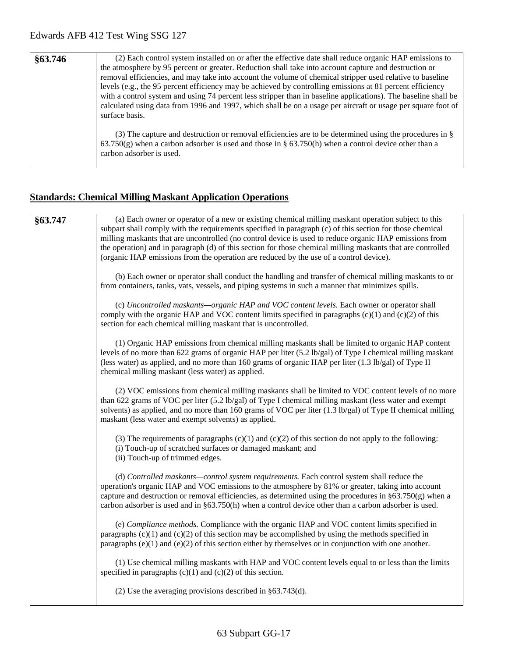| §63.746 | (2) Each control system installed on or after the effective date shall reduce organic HAP emissions to<br>the atmosphere by 95 percent or greater. Reduction shall take into account capture and destruction or<br>removal efficiencies, and may take into account the volume of chemical stripper used relative to baseline<br>levels (e.g., the 95 percent efficiency may be achieved by controlling emissions at 81 percent efficiency<br>with a control system and using 74 percent less stripper than in baseline applications). The baseline shall be<br>calculated using data from 1996 and 1997, which shall be on a usage per aircraft or usage per square foot of<br>surface basis. |
|---------|-----------------------------------------------------------------------------------------------------------------------------------------------------------------------------------------------------------------------------------------------------------------------------------------------------------------------------------------------------------------------------------------------------------------------------------------------------------------------------------------------------------------------------------------------------------------------------------------------------------------------------------------------------------------------------------------------|
|         | (3) The capture and destruction or removal efficiencies are to be determined using the procedures in $\S$<br>$63.750(g)$ when a carbon adsorber is used and those in § 63.750(h) when a control device other than a<br>carbon adsorber is used.                                                                                                                                                                                                                                                                                                                                                                                                                                               |

## **Standards: Chemical Milling Maskant Application Operations**

| §63.747 | (a) Each owner or operator of a new or existing chemical milling maskant operation subject to this<br>subpart shall comply with the requirements specified in paragraph (c) of this section for those chemical<br>milling maskants that are uncontrolled (no control device is used to reduce organic HAP emissions from<br>the operation) and in paragraph (d) of this section for those chemical milling maskants that are controlled<br>(organic HAP emissions from the operation are reduced by the use of a control device). |
|---------|-----------------------------------------------------------------------------------------------------------------------------------------------------------------------------------------------------------------------------------------------------------------------------------------------------------------------------------------------------------------------------------------------------------------------------------------------------------------------------------------------------------------------------------|
|         | (b) Each owner or operator shall conduct the handling and transfer of chemical milling maskants to or<br>from containers, tanks, vats, vessels, and piping systems in such a manner that minimizes spills.                                                                                                                                                                                                                                                                                                                        |
|         | (c) Uncontrolled maskants—organic HAP and VOC content levels. Each owner or operator shall<br>comply with the organic HAP and VOC content limits specified in paragraphs $(c)(1)$ and $(c)(2)$ of this<br>section for each chemical milling maskant that is uncontrolled.                                                                                                                                                                                                                                                         |
|         | (1) Organic HAP emissions from chemical milling maskants shall be limited to organic HAP content<br>levels of no more than 622 grams of organic HAP per liter (5.2 lb/gal) of Type I chemical milling maskant<br>(less water) as applied, and no more than 160 grams of organic HAP per liter (1.3 lb/gal) of Type II<br>chemical milling maskant (less water) as applied.                                                                                                                                                        |
|         | (2) VOC emissions from chemical milling maskants shall be limited to VOC content levels of no more<br>than 622 grams of VOC per liter (5.2 lb/gal) of Type I chemical milling maskant (less water and exempt<br>solvents) as applied, and no more than 160 grams of VOC per liter $(1.3 \text{ lb/gal})$ of Type II chemical milling<br>maskant (less water and exempt solvents) as applied.                                                                                                                                      |
|         | (3) The requirements of paragraphs $(c)(1)$ and $(c)(2)$ of this section do not apply to the following:<br>(i) Touch-up of scratched surfaces or damaged maskant; and<br>(ii) Touch-up of trimmed edges.                                                                                                                                                                                                                                                                                                                          |
|         | (d) Controlled maskants—control system requirements. Each control system shall reduce the<br>operation's organic HAP and VOC emissions to the atmosphere by 81% or greater, taking into account<br>capture and destruction or removal efficiencies, as determined using the procedures in $\S 63.750(g)$ when a<br>carbon adsorber is used and in $\S 63.750(h)$ when a control device other than a carbon adsorber is used.                                                                                                      |
|         | (e) Compliance methods. Compliance with the organic HAP and VOC content limits specified in<br>paragraphs $(c)(1)$ and $(c)(2)$ of this section may be accomplished by using the methods specified in<br>paragraphs $(e)(1)$ and $(e)(2)$ of this section either by themselves or in conjunction with one another.                                                                                                                                                                                                                |
|         | (1) Use chemical milling maskants with HAP and VOC content levels equal to or less than the limits<br>specified in paragraphs $(c)(1)$ and $(c)(2)$ of this section.                                                                                                                                                                                                                                                                                                                                                              |
|         | (2) Use the averaging provisions described in $§63.743(d)$ .                                                                                                                                                                                                                                                                                                                                                                                                                                                                      |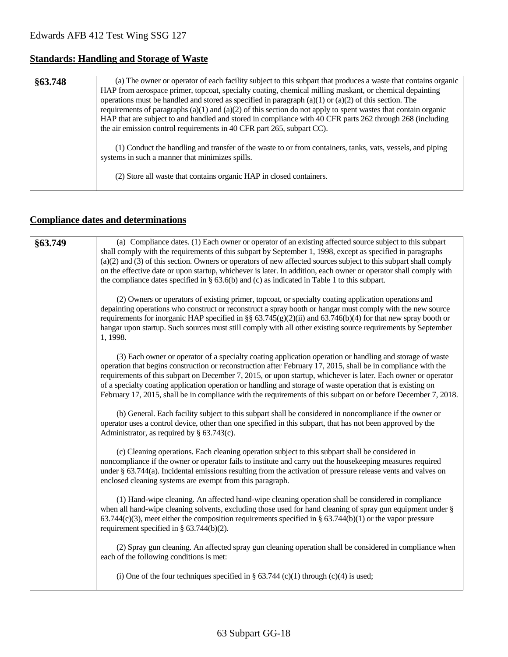## **Standards: Handling and Storage of Waste**

| (a) The owner or operator of each facility subject to this subpart that produces a waste that contains organic<br>§63.748<br>HAP from aerospace primer, topcoat, specialty coating, chemical milling maskant, or chemical depainting<br>operations must be handled and stored as specified in paragraph (a)(1) or (a)(2) of this section. The<br>requirements of paragraphs $(a)(1)$ and $(a)(2)$ of this section do not apply to spent wastes that contain organic<br>HAP that are subject to and handled and stored in compliance with 40 CFR parts 262 through 268 (including<br>the air emission control requirements in 40 CFR part 265, subpart CC). |                                                                                                                                                                                                                                      |
|------------------------------------------------------------------------------------------------------------------------------------------------------------------------------------------------------------------------------------------------------------------------------------------------------------------------------------------------------------------------------------------------------------------------------------------------------------------------------------------------------------------------------------------------------------------------------------------------------------------------------------------------------------|--------------------------------------------------------------------------------------------------------------------------------------------------------------------------------------------------------------------------------------|
|                                                                                                                                                                                                                                                                                                                                                                                                                                                                                                                                                                                                                                                            | (1) Conduct the handling and transfer of the waste to or from containers, tanks, vats, vessels, and piping<br>systems in such a manner that minimizes spills.<br>(2) Store all waste that contains organic HAP in closed containers. |

## **Compliance dates and determinations**

| §63.749 | (a) Compliance dates. (1) Each owner or operator of an existing affected source subject to this subpart<br>shall comply with the requirements of this subpart by September 1, 1998, except as specified in paragraphs<br>$(a)(2)$ and $(3)$ of this section. Owners or operators of new affected sources subject to this subpart shall comply<br>on the effective date or upon startup, whichever is later. In addition, each owner or operator shall comply with<br>the compliance dates specified in $\S$ 63.6(b) and (c) as indicated in Table 1 to this subpart.        |
|---------|-----------------------------------------------------------------------------------------------------------------------------------------------------------------------------------------------------------------------------------------------------------------------------------------------------------------------------------------------------------------------------------------------------------------------------------------------------------------------------------------------------------------------------------------------------------------------------|
|         | (2) Owners or operators of existing primer, topcoat, or specialty coating application operations and<br>depainting operations who construct or reconstruct a spray booth or hangar must comply with the new source<br>requirements for inorganic HAP specified in §§ 63.745(g)(2)(ii) and 63.746(b)(4) for that new spray booth or<br>hangar upon startup. Such sources must still comply with all other existing source requirements by September<br>1, 1998.                                                                                                              |
|         | (3) Each owner or operator of a specialty coating application operation or handling and storage of waste<br>operation that begins construction or reconstruction after February 17, 2015, shall be in compliance with the<br>requirements of this subpart on December 7, 2015, or upon startup, whichever is later. Each owner or operator<br>of a specialty coating application operation or handling and storage of waste operation that is existing on<br>February 17, 2015, shall be in compliance with the requirements of this subpart on or before December 7, 2018. |
|         | (b) General. Each facility subject to this subpart shall be considered in noncompliance if the owner or<br>operator uses a control device, other than one specified in this subpart, that has not been approved by the<br>Administrator, as required by $\S$ 63.743(c).                                                                                                                                                                                                                                                                                                     |
|         | (c) Cleaning operations. Each cleaning operation subject to this subpart shall be considered in<br>noncompliance if the owner or operator fails to institute and carry out the housekeeping measures required<br>under § 63.744(a). Incidental emissions resulting from the activation of pressure release vents and valves on<br>enclosed cleaning systems are exempt from this paragraph.                                                                                                                                                                                 |
|         | (1) Hand-wipe cleaning. An affected hand-wipe cleaning operation shall be considered in compliance<br>when all hand-wipe cleaning solvents, excluding those used for hand cleaning of spray gun equipment under §<br>$63.744(c)(3)$ , meet either the composition requirements specified in § 63.744(b)(1) or the vapor pressure<br>requirement specified in $\S$ 63.744(b)(2).                                                                                                                                                                                             |
|         | (2) Spray gun cleaning. An affected spray gun cleaning operation shall be considered in compliance when<br>each of the following conditions is met:                                                                                                                                                                                                                                                                                                                                                                                                                         |
|         | (i) One of the four techniques specified in § 63.744 (c)(1) through (c)(4) is used;                                                                                                                                                                                                                                                                                                                                                                                                                                                                                         |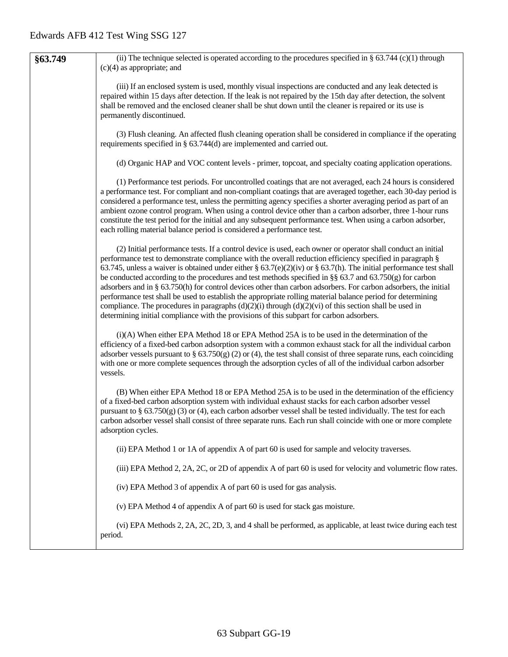| §63.749 | (ii) The technique selected is operated according to the procedures specified in § 63.744 (c)(1) through<br>$(c)(4)$ as appropriate; and                                                                                                                                                                                                                                                                                                                                                                                                                                                                                                                                                                                                                                                                                                                                                              |
|---------|-------------------------------------------------------------------------------------------------------------------------------------------------------------------------------------------------------------------------------------------------------------------------------------------------------------------------------------------------------------------------------------------------------------------------------------------------------------------------------------------------------------------------------------------------------------------------------------------------------------------------------------------------------------------------------------------------------------------------------------------------------------------------------------------------------------------------------------------------------------------------------------------------------|
|         | (iii) If an enclosed system is used, monthly visual inspections are conducted and any leak detected is<br>repaired within 15 days after detection. If the leak is not repaired by the 15th day after detection, the solvent<br>shall be removed and the enclosed cleaner shall be shut down until the cleaner is repaired or its use is<br>permanently discontinued.                                                                                                                                                                                                                                                                                                                                                                                                                                                                                                                                  |
|         | (3) Flush cleaning. An affected flush cleaning operation shall be considered in compliance if the operating<br>requirements specified in $\S$ 63.744(d) are implemented and carried out.                                                                                                                                                                                                                                                                                                                                                                                                                                                                                                                                                                                                                                                                                                              |
|         | (d) Organic HAP and VOC content levels - primer, topcoat, and specialty coating application operations.                                                                                                                                                                                                                                                                                                                                                                                                                                                                                                                                                                                                                                                                                                                                                                                               |
|         | (1) Performance test periods. For uncontrolled coatings that are not averaged, each 24 hours is considered<br>a performance test. For compliant and non-compliant coatings that are averaged together, each 30-day period is<br>considered a performance test, unless the permitting agency specifies a shorter averaging period as part of an<br>ambient ozone control program. When using a control device other than a carbon adsorber, three 1-hour runs<br>constitute the test period for the initial and any subsequent performance test. When using a carbon adsorber,<br>each rolling material balance period is considered a performance test.                                                                                                                                                                                                                                               |
|         | (2) Initial performance tests. If a control device is used, each owner or operator shall conduct an initial<br>performance test to demonstrate compliance with the overall reduction efficiency specified in paragraph §<br>63.745, unless a waiver is obtained under either § 63.7(e)(2)(iv) or § 63.7(h). The initial performance test shall<br>be conducted according to the procedures and test methods specified in §§ 63.7 and 63.750(g) for carbon<br>adsorbers and in § 63.750(h) for control devices other than carbon adsorbers. For carbon adsorbers, the initial<br>performance test shall be used to establish the appropriate rolling material balance period for determining<br>compliance. The procedures in paragraphs $(d)(2)(i)$ through $(d)(2)(vi)$ of this section shall be used in<br>determining initial compliance with the provisions of this subpart for carbon adsorbers. |
|         | (i)(A) When either EPA Method 18 or EPA Method 25A is to be used in the determination of the<br>efficiency of a fixed-bed carbon adsorption system with a common exhaust stack for all the individual carbon<br>adsorber vessels pursuant to § $63.750(g)$ (2) or (4), the test shall consist of three separate runs, each coinciding<br>with one or more complete sequences through the adsorption cycles of all of the individual carbon adsorber<br>vessels.                                                                                                                                                                                                                                                                                                                                                                                                                                       |
|         | (B) When either EPA Method 18 or EPA Method 25A is to be used in the determination of the efficiency<br>of a fixed-bed carbon adsorption system with individual exhaust stacks for each carbon adsorber vessel<br>pursuant to $\S$ 63.750(g) (3) or (4), each carbon adsorber vessel shall be tested individually. The test for each<br>carbon adsorber vessel shall consist of three separate runs. Each run shall coincide with one or more complete<br>adsorption cycles.                                                                                                                                                                                                                                                                                                                                                                                                                          |
|         | (ii) EPA Method 1 or 1A of appendix A of part 60 is used for sample and velocity traverses.                                                                                                                                                                                                                                                                                                                                                                                                                                                                                                                                                                                                                                                                                                                                                                                                           |
|         | (iii) EPA Method 2, 2A, 2C, or 2D of appendix A of part 60 is used for velocity and volumetric flow rates.                                                                                                                                                                                                                                                                                                                                                                                                                                                                                                                                                                                                                                                                                                                                                                                            |
|         | (iv) EPA Method 3 of appendix A of part 60 is used for gas analysis.                                                                                                                                                                                                                                                                                                                                                                                                                                                                                                                                                                                                                                                                                                                                                                                                                                  |
|         | (v) EPA Method 4 of appendix A of part 60 is used for stack gas moisture.                                                                                                                                                                                                                                                                                                                                                                                                                                                                                                                                                                                                                                                                                                                                                                                                                             |
|         | (vi) EPA Methods 2, 2A, 2C, 2D, 3, and 4 shall be performed, as applicable, at least twice during each test<br>period.                                                                                                                                                                                                                                                                                                                                                                                                                                                                                                                                                                                                                                                                                                                                                                                |
|         |                                                                                                                                                                                                                                                                                                                                                                                                                                                                                                                                                                                                                                                                                                                                                                                                                                                                                                       |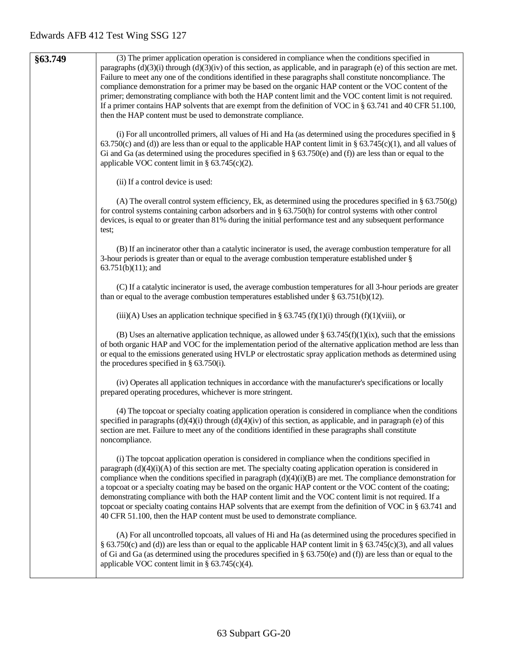| §63.749 | (3) The primer application operation is considered in compliance when the conditions specified in<br>paragraphs $(d)(3)(i)$ through $(d)(3)(iv)$ of this section, as applicable, and in paragraph (e) of this section are met.<br>Failure to meet any one of the conditions identified in these paragraphs shall constitute noncompliance. The<br>compliance demonstration for a primer may be based on the organic HAP content or the VOC content of the                                                                                                                                                                                                                                                                                                         |
|---------|-------------------------------------------------------------------------------------------------------------------------------------------------------------------------------------------------------------------------------------------------------------------------------------------------------------------------------------------------------------------------------------------------------------------------------------------------------------------------------------------------------------------------------------------------------------------------------------------------------------------------------------------------------------------------------------------------------------------------------------------------------------------|
|         | primer; demonstrating compliance with both the HAP content limit and the VOC content limit is not required.<br>If a primer contains HAP solvents that are exempt from the definition of VOC in $\S$ 63.741 and 40 CFR 51.100,<br>then the HAP content must be used to demonstrate compliance.                                                                                                                                                                                                                                                                                                                                                                                                                                                                     |
|         | (i) For all uncontrolled primers, all values of Hi and Ha (as determined using the procedures specified in $\S$<br>63.750(c) and (d)) are less than or equal to the applicable HAP content limit in § 63.745(c)(1), and all values of<br>Gi and Ga (as determined using the procedures specified in $\S$ 63.750(e) and (f)) are less than or equal to the<br>applicable VOC content limit in $\S$ 63.745(c)(2).                                                                                                                                                                                                                                                                                                                                                   |
|         | (ii) If a control device is used:                                                                                                                                                                                                                                                                                                                                                                                                                                                                                                                                                                                                                                                                                                                                 |
|         | (A) The overall control system efficiency, Ek, as determined using the procedures specified in $\S$ 63.750(g)<br>for control systems containing carbon adsorbers and in $\S$ 63.750(h) for control systems with other control<br>devices, is equal to or greater than 81% during the initial performance test and any subsequent performance<br>test;                                                                                                                                                                                                                                                                                                                                                                                                             |
|         | (B) If an incinerator other than a catalytic incinerator is used, the average combustion temperature for all<br>3-hour periods is greater than or equal to the average combustion temperature established under $\S$<br>$63.751(b)(11)$ ; and                                                                                                                                                                                                                                                                                                                                                                                                                                                                                                                     |
|         | (C) If a catalytic incinerator is used, the average combustion temperatures for all 3-hour periods are greater<br>than or equal to the average combustion temperatures established under $\S$ 63.751(b)(12).                                                                                                                                                                                                                                                                                                                                                                                                                                                                                                                                                      |
|         | (iii)(A) Uses an application technique specified in § 63.745 (f)(1)(i) through (f)(1)(viii), or                                                                                                                                                                                                                                                                                                                                                                                                                                                                                                                                                                                                                                                                   |
|         | (B) Uses an alternative application technique, as allowed under $\S 63.745(f)(1)(ix)$ , such that the emissions<br>of both organic HAP and VOC for the implementation period of the alternative application method are less than<br>or equal to the emissions generated using HVLP or electrostatic spray application methods as determined using<br>the procedures specified in $\S$ 63.750(i).                                                                                                                                                                                                                                                                                                                                                                  |
|         | (iv) Operates all application techniques in accordance with the manufacturer's specifications or locally<br>prepared operating procedures, whichever is more stringent.                                                                                                                                                                                                                                                                                                                                                                                                                                                                                                                                                                                           |
|         | (4) The topcoat or specialty coating application operation is considered in compliance when the conditions<br>specified in paragraphs $(d)(4)(i)$ through $(d)(4)(iv)$ of this section, as applicable, and in paragraph (e) of this<br>section are met. Failure to meet any of the conditions identified in these paragraphs shall constitute<br>noncompliance.                                                                                                                                                                                                                                                                                                                                                                                                   |
|         | (i) The topcoat application operation is considered in compliance when the conditions specified in<br>paragraph $(d)(4)(i)(A)$ of this section are met. The specialty coating application operation is considered in<br>compliance when the conditions specified in paragraph $(d)(4)(i)(B)$ are met. The compliance demonstration for<br>a topcoat or a specialty coating may be based on the organic HAP content or the VOC content of the coating;<br>demonstrating compliance with both the HAP content limit and the VOC content limit is not required. If a<br>topcoat or specialty coating contains HAP solvents that are exempt from the definition of VOC in § 63.741 and<br>40 CFR 51.100, then the HAP content must be used to demonstrate compliance. |
|         | (A) For all uncontrolled topcoats, all values of Hi and Ha (as determined using the procedures specified in<br>§ 63.750(c) and (d)) are less than or equal to the applicable HAP content limit in § 63.745(c)(3), and all values<br>of Gi and Ga (as determined using the procedures specified in $\S$ 63.750(e) and (f)) are less than or equal to the<br>applicable VOC content limit in $\S$ 63.745(c)(4).                                                                                                                                                                                                                                                                                                                                                     |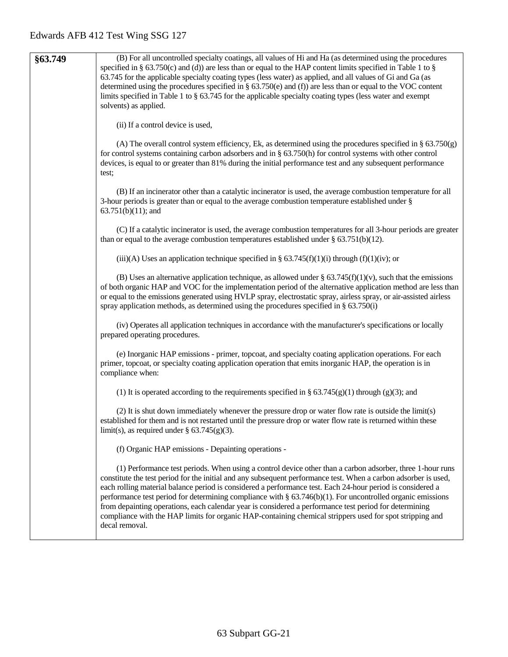| §63.749 | (B) For all uncontrolled specialty coatings, all values of Hi and Ha (as determined using the procedures                   |
|---------|----------------------------------------------------------------------------------------------------------------------------|
|         | specified in § 63.750(c) and (d)) are less than or equal to the HAP content limits specified in Table 1 to §               |
|         | 63.745 for the applicable specialty coating types (less water) as applied, and all values of Gi and Ga (as                 |
|         | determined using the procedures specified in § 63.750(e) and (f)) are less than or equal to the VOC content                |
|         | limits specified in Table 1 to $\S$ 63.745 for the applicable specialty coating types (less water and exempt               |
|         | solvents) as applied.                                                                                                      |
|         |                                                                                                                            |
|         | (ii) If a control device is used,                                                                                          |
|         | (A) The overall control system efficiency, Ek, as determined using the procedures specified in $\S$ 63.750(g)              |
|         | for control systems containing carbon adsorbers and in $\S$ 63.750(h) for control systems with other control               |
|         | devices, is equal to or greater than 81% during the initial performance test and any subsequent performance                |
|         | test;                                                                                                                      |
|         |                                                                                                                            |
|         | (B) If an incinerator other than a catalytic incinerator is used, the average combustion temperature for all               |
|         | 3-hour periods is greater than or equal to the average combustion temperature established under $\S$                       |
|         | $63.751(b)(11)$ ; and                                                                                                      |
|         | (C) If a catalytic incinerator is used, the average combustion temperatures for all 3-hour periods are greater             |
|         | than or equal to the average combustion temperatures established under $\S 63.751(b)(12)$ .                                |
|         |                                                                                                                            |
|         | (iii)(A) Uses an application technique specified in § 63.745(f)(1)(i) through (f)(1)(iv); or                               |
|         | (B) Uses an alternative application technique, as allowed under § $63.745(f)(1)(v)$ , such that the emissions              |
|         | of both organic HAP and VOC for the implementation period of the alternative application method are less than              |
|         | or equal to the emissions generated using HVLP spray, electrostatic spray, airless spray, or air-assisted airless          |
|         | spray application methods, as determined using the procedures specified in $\S$ 63.750(i)                                  |
|         |                                                                                                                            |
|         | (iv) Operates all application techniques in accordance with the manufacturer's specifications or locally                   |
|         | prepared operating procedures.                                                                                             |
|         |                                                                                                                            |
|         | (e) Inorganic HAP emissions - primer, topcoat, and specialty coating application operations. For each                      |
|         | primer, topcoat, or specialty coating application operation that emits inorganic HAP, the operation is in                  |
|         | compliance when:                                                                                                           |
|         | (1) It is operated according to the requirements specified in § 63.745(g)(1) through (g)(3); and                           |
|         |                                                                                                                            |
|         | (2) It is shut down immediately whenever the pressure drop or water flow rate is outside the limit(s)                      |
|         | established for them and is not restarted until the pressure drop or water flow rate is returned within these              |
|         | limit(s), as required under § $63.745(g)(3)$ .                                                                             |
|         | (f) Organic HAP emissions - Depainting operations -                                                                        |
|         |                                                                                                                            |
|         | (1) Performance test periods. When using a control device other than a carbon adsorber, three 1-hour runs                  |
|         | constitute the test period for the initial and any subsequent performance test. When a carbon adsorber is used,            |
|         | each rolling material balance period is considered a performance test. Each 24-hour period is considered a                 |
|         | performance test period for determining compliance with $\S 63.746(b)(1)$ . For uncontrolled organic emissions             |
|         | from depainting operations, each calendar year is considered a performance test period for determining                     |
|         | compliance with the HAP limits for organic HAP-containing chemical strippers used for spot stripping and<br>decal removal. |
|         |                                                                                                                            |
|         |                                                                                                                            |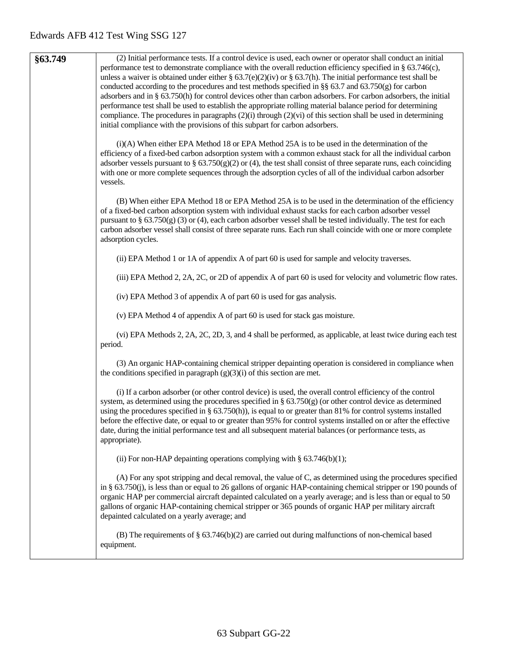| §63.749 | (2) Initial performance tests. If a control device is used, each owner or operator shall conduct an initial                                                                                                                                                                                                                                                                                                                                                                                                                                                                                    |
|---------|------------------------------------------------------------------------------------------------------------------------------------------------------------------------------------------------------------------------------------------------------------------------------------------------------------------------------------------------------------------------------------------------------------------------------------------------------------------------------------------------------------------------------------------------------------------------------------------------|
|         | performance test to demonstrate compliance with the overall reduction efficiency specified in § 63.746(c),<br>unless a waiver is obtained under either § 63.7(e)(2)(iv) or § 63.7(h). The initial performance test shall be                                                                                                                                                                                                                                                                                                                                                                    |
|         | conducted according to the procedures and test methods specified in §§ 63.7 and 63.750(g) for carbon<br>adsorbers and in § 63.750(h) for control devices other than carbon adsorbers. For carbon adsorbers, the initial                                                                                                                                                                                                                                                                                                                                                                        |
|         | performance test shall be used to establish the appropriate rolling material balance period for determining                                                                                                                                                                                                                                                                                                                                                                                                                                                                                    |
|         | compliance. The procedures in paragraphs $(2)(i)$ through $(2)(vi)$ of this section shall be used in determining<br>initial compliance with the provisions of this subpart for carbon adsorbers.                                                                                                                                                                                                                                                                                                                                                                                               |
|         | (i)(A) When either EPA Method 18 or EPA Method 25A is to be used in the determination of the<br>efficiency of a fixed-bed carbon adsorption system with a common exhaust stack for all the individual carbon<br>adsorber vessels pursuant to § 63.750(g)(2) or (4), the test shall consist of three separate runs, each coinciding<br>with one or more complete sequences through the adsorption cycles of all of the individual carbon adsorber<br>vessels.                                                                                                                                   |
|         | (B) When either EPA Method 18 or EPA Method 25A is to be used in the determination of the efficiency<br>of a fixed-bed carbon adsorption system with individual exhaust stacks for each carbon adsorber vessel<br>pursuant to $\S$ 63.750(g) (3) or (4), each carbon adsorber vessel shall be tested individually. The test for each<br>carbon adsorber vessel shall consist of three separate runs. Each run shall coincide with one or more complete<br>adsorption cycles.                                                                                                                   |
|         | (ii) EPA Method 1 or 1A of appendix A of part 60 is used for sample and velocity traverses.                                                                                                                                                                                                                                                                                                                                                                                                                                                                                                    |
|         | (iii) EPA Method 2, 2A, 2C, or 2D of appendix A of part 60 is used for velocity and volumetric flow rates.                                                                                                                                                                                                                                                                                                                                                                                                                                                                                     |
|         | (iv) EPA Method 3 of appendix A of part 60 is used for gas analysis.                                                                                                                                                                                                                                                                                                                                                                                                                                                                                                                           |
|         | (v) EPA Method 4 of appendix A of part 60 is used for stack gas moisture.                                                                                                                                                                                                                                                                                                                                                                                                                                                                                                                      |
|         | (vi) EPA Methods 2, 2A, 2C, 2D, 3, and 4 shall be performed, as applicable, at least twice during each test<br>period.                                                                                                                                                                                                                                                                                                                                                                                                                                                                         |
|         | (3) An organic HAP-containing chemical stripper depainting operation is considered in compliance when<br>the conditions specified in paragraph $(g)(3)(i)$ of this section are met.                                                                                                                                                                                                                                                                                                                                                                                                            |
|         | (i) If a carbon adsorber (or other control device) is used, the overall control efficiency of the control<br>system, as determined using the procedures specified in $\S$ 63.750(g) (or other control device as determined<br>using the procedures specified in § 63.750(h)), is equal to or greater than 81% for control systems installed<br>before the effective date, or equal to or greater than 95% for control systems installed on or after the effective<br>date, during the initial performance test and all subsequent material balances (or performance tests, as<br>appropriate). |
|         | (ii) For non-HAP depainting operations complying with $\S$ 63.746(b)(1);                                                                                                                                                                                                                                                                                                                                                                                                                                                                                                                       |
|         | (A) For any spot stripping and decal removal, the value of C, as determined using the procedures specified<br>in § $63.750(j)$ , is less than or equal to 26 gallons of organic HAP-containing chemical stripper or 190 pounds of<br>organic HAP per commercial aircraft depainted calculated on a yearly average; and is less than or equal to 50<br>gallons of organic HAP-containing chemical stripper or 365 pounds of organic HAP per military aircraft<br>depainted calculated on a yearly average; and                                                                                  |
|         | (B) The requirements of $\S$ 63.746(b)(2) are carried out during malfunctions of non-chemical based<br>equipment.                                                                                                                                                                                                                                                                                                                                                                                                                                                                              |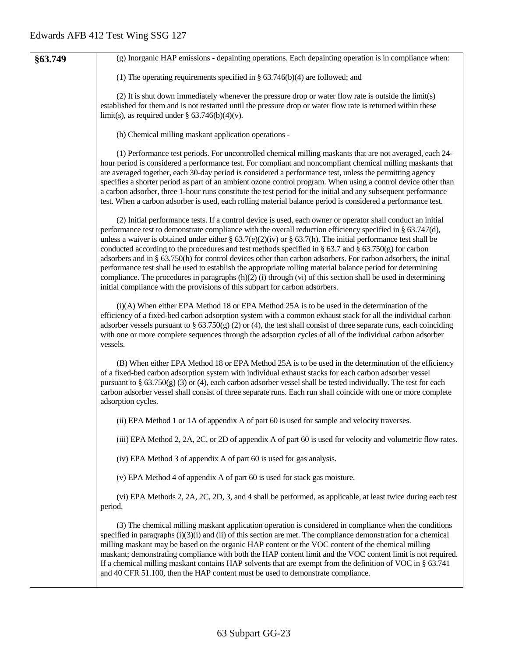| §63.749 | (g) Inorganic HAP emissions - depainting operations. Each depainting operation is in compliance when:                                                                                                                                                                                                                                                                                                                                                                                                                                                                                                                                                                                                                                                                                                                                                                                          |
|---------|------------------------------------------------------------------------------------------------------------------------------------------------------------------------------------------------------------------------------------------------------------------------------------------------------------------------------------------------------------------------------------------------------------------------------------------------------------------------------------------------------------------------------------------------------------------------------------------------------------------------------------------------------------------------------------------------------------------------------------------------------------------------------------------------------------------------------------------------------------------------------------------------|
|         | (1) The operating requirements specified in $\S$ 63.746(b)(4) are followed; and                                                                                                                                                                                                                                                                                                                                                                                                                                                                                                                                                                                                                                                                                                                                                                                                                |
|         | (2) It is shut down immediately whenever the pressure drop or water flow rate is outside the limit(s)<br>established for them and is not restarted until the pressure drop or water flow rate is returned within these<br>limit(s), as required under $\S$ 63.746(b)(4)(v).                                                                                                                                                                                                                                                                                                                                                                                                                                                                                                                                                                                                                    |
|         | (h) Chemical milling maskant application operations -                                                                                                                                                                                                                                                                                                                                                                                                                                                                                                                                                                                                                                                                                                                                                                                                                                          |
|         | (1) Performance test periods. For uncontrolled chemical milling maskants that are not averaged, each 24-<br>hour period is considered a performance test. For compliant and noncompliant chemical milling maskants that<br>are averaged together, each 30-day period is considered a performance test, unless the permitting agency<br>specifies a shorter period as part of an ambient ozone control program. When using a control device other than<br>a carbon adsorber, three 1-hour runs constitute the test period for the initial and any subsequent performance<br>test. When a carbon adsorber is used, each rolling material balance period is considered a performance test.                                                                                                                                                                                                        |
|         | (2) Initial performance tests. If a control device is used, each owner or operator shall conduct an initial<br>performance test to demonstrate compliance with the overall reduction efficiency specified in § 63.747(d),<br>unless a waiver is obtained under either § 63.7(e)(2)(iv) or § 63.7(h). The initial performance test shall be<br>conducted according to the procedures and test methods specified in $\S$ 63.7 and $\S$ 63.750(g) for carbon<br>adsorbers and in § 63.750(h) for control devices other than carbon adsorbers. For carbon adsorbers, the initial<br>performance test shall be used to establish the appropriate rolling material balance period for determining<br>compliance. The procedures in paragraphs $(h)(2)$ (i) through (vi) of this section shall be used in determining<br>initial compliance with the provisions of this subpart for carbon adsorbers. |
|         | (i)(A) When either EPA Method 18 or EPA Method 25A is to be used in the determination of the<br>efficiency of a fixed-bed carbon adsorption system with a common exhaust stack for all the individual carbon<br>adsorber vessels pursuant to § $63.750(g)$ (2) or (4), the test shall consist of three separate runs, each coinciding<br>with one or more complete sequences through the adsorption cycles of all of the individual carbon adsorber<br>vessels.                                                                                                                                                                                                                                                                                                                                                                                                                                |
|         | (B) When either EPA Method 18 or EPA Method 25A is to be used in the determination of the efficiency<br>of a fixed-bed carbon adsorption system with individual exhaust stacks for each carbon adsorber vessel<br>pursuant to $\S$ 63.750(g) (3) or (4), each carbon adsorber vessel shall be tested individually. The test for each<br>carbon adsorber vessel shall consist of three separate runs. Each run shall coincide with one or more complete<br>adsorption cycles.                                                                                                                                                                                                                                                                                                                                                                                                                   |
|         | (ii) EPA Method 1 or 1A of appendix A of part 60 is used for sample and velocity traverses.                                                                                                                                                                                                                                                                                                                                                                                                                                                                                                                                                                                                                                                                                                                                                                                                    |
|         | (iii) EPA Method 2, 2A, 2C, or 2D of appendix A of part 60 is used for velocity and volumetric flow rates.                                                                                                                                                                                                                                                                                                                                                                                                                                                                                                                                                                                                                                                                                                                                                                                     |
|         | (iv) EPA Method 3 of appendix A of part 60 is used for gas analysis.                                                                                                                                                                                                                                                                                                                                                                                                                                                                                                                                                                                                                                                                                                                                                                                                                           |
|         | (v) EPA Method 4 of appendix A of part 60 is used for stack gas moisture.                                                                                                                                                                                                                                                                                                                                                                                                                                                                                                                                                                                                                                                                                                                                                                                                                      |
|         | (vi) EPA Methods 2, 2A, 2C, 2D, 3, and 4 shall be performed, as applicable, at least twice during each test<br>period.                                                                                                                                                                                                                                                                                                                                                                                                                                                                                                                                                                                                                                                                                                                                                                         |
|         | (3) The chemical milling maskant application operation is considered in compliance when the conditions<br>specified in paragraphs $(i)(3)(i)$ and $(ii)$ of this section are met. The compliance demonstration for a chemical<br>milling maskant may be based on the organic HAP content or the VOC content of the chemical milling<br>maskant; demonstrating compliance with both the HAP content limit and the VOC content limit is not required.<br>If a chemical milling maskant contains HAP solvents that are exempt from the definition of VOC in § 63.741<br>and 40 CFR 51.100, then the HAP content must be used to demonstrate compliance.                                                                                                                                                                                                                                           |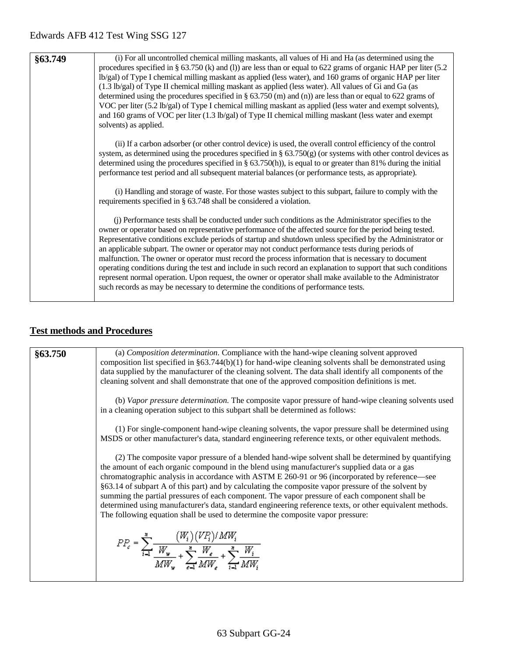| §63.749 | (i) For all uncontrolled chemical milling maskants, all values of Hi and Ha (as determined using the<br>procedures specified in § 63.750 (k) and (l)) are less than or equal to 622 grams of organic HAP per liter (5.2<br>lb/gal) of Type I chemical milling maskant as applied (less water), and 160 grams of organic HAP per liter<br>(1.3 lb/gal) of Type II chemical milling maskant as applied (less water). All values of Gi and Ga (as<br>determined using the procedures specified in $\S 63.750$ (m) and (n)) are less than or equal to 622 grams of<br>VOC per liter (5.2 lb/gal) of Type I chemical milling maskant as applied (less water and exempt solvents),<br>and 160 grams of VOC per liter (1.3 lb/gal) of Type II chemical milling maskant (less water and exempt<br>solvents) as applied.                                                  |
|---------|------------------------------------------------------------------------------------------------------------------------------------------------------------------------------------------------------------------------------------------------------------------------------------------------------------------------------------------------------------------------------------------------------------------------------------------------------------------------------------------------------------------------------------------------------------------------------------------------------------------------------------------------------------------------------------------------------------------------------------------------------------------------------------------------------------------------------------------------------------------|
|         | (ii) If a carbon adsorber (or other control device) is used, the overall control efficiency of the control<br>system, as determined using the procedures specified in $\S$ 63.750(g) (or systems with other control devices as<br>determined using the procedures specified in § 63.750(h)), is equal to or greater than 81% during the initial<br>performance test period and all subsequent material balances (or performance tests, as appropriate).                                                                                                                                                                                                                                                                                                                                                                                                          |
|         | (i) Handling and storage of waste. For those wastes subject to this subpart, failure to comply with the<br>requirements specified in § 63.748 shall be considered a violation.                                                                                                                                                                                                                                                                                                                                                                                                                                                                                                                                                                                                                                                                                   |
|         | (j) Performance tests shall be conducted under such conditions as the Administrator specifies to the<br>owner or operator based on representative performance of the affected source for the period being tested.<br>Representative conditions exclude periods of startup and shutdown unless specified by the Administrator or<br>an applicable subpart. The owner or operator may not conduct performance tests during periods of<br>malfunction. The owner or operator must record the process information that is necessary to document<br>operating conditions during the test and include in such record an explanation to support that such conditions<br>represent normal operation. Upon request, the owner or operator shall make available to the Administrator<br>such records as may be necessary to determine the conditions of performance tests. |

# **Test methods and Procedures**

| §63.750 | (a) Composition determination. Compliance with the hand-wipe cleaning solvent approved<br>composition list specified in $\S 63.744(b)(1)$ for hand-wipe cleaning solvents shall be demonstrated using<br>data supplied by the manufacturer of the cleaning solvent. The data shall identify all components of the<br>cleaning solvent and shall demonstrate that one of the approved composition definitions is met.                                                                                                                                                                                                                                                                                         |
|---------|--------------------------------------------------------------------------------------------------------------------------------------------------------------------------------------------------------------------------------------------------------------------------------------------------------------------------------------------------------------------------------------------------------------------------------------------------------------------------------------------------------------------------------------------------------------------------------------------------------------------------------------------------------------------------------------------------------------|
|         | (b) Vapor pressure determination. The composite vapor pressure of hand-wipe cleaning solvents used<br>in a cleaning operation subject to this subpart shall be determined as follows:                                                                                                                                                                                                                                                                                                                                                                                                                                                                                                                        |
|         | (1) For single-component hand-wipe cleaning solvents, the vapor pressure shall be determined using<br>MSDS or other manufacturer's data, standard engineering reference texts, or other equivalent methods.                                                                                                                                                                                                                                                                                                                                                                                                                                                                                                  |
|         | (2) The composite vapor pressure of a blended hand-wipe solvent shall be determined by quantifying<br>the amount of each organic compound in the blend using manufacturer's supplied data or a gas<br>chromatographic analysis in accordance with ASTM E 260-91 or 96 (incorporated by reference—see<br>§63.14 of subpart A of this part) and by calculating the composite vapor pressure of the solvent by<br>summing the partial pressures of each component. The vapor pressure of each component shall be<br>determined using manufacturer's data, standard engineering reference texts, or other equivalent methods.<br>The following equation shall be used to determine the composite vapor pressure: |
|         | $PP_e = \sum_{i=1}^n \frac{\left(W_i\right)\left(VF_i\right)/MW_i}{W_W} + \sum_{i=1}^n \frac{W_e}{MW_i} + \sum_{i=1}^n \frac{W_i}{MW_i}$                                                                                                                                                                                                                                                                                                                                                                                                                                                                                                                                                                     |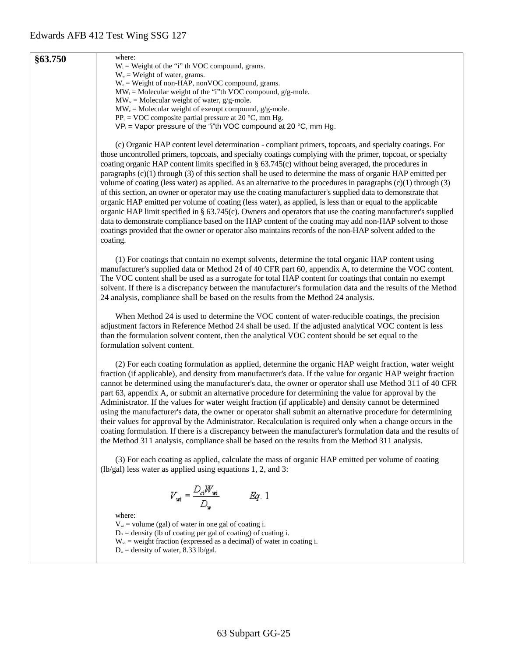| §63.750 | where:<br>$W_i$ = Weight of the "i" th VOC compound, grams.                                                                                                                                                                                                                                                                                                                                                                                                                                                                                                                                                                                                                                                                                                                                                                                                                                                                                                                                                                                                                                                                                                |
|---------|------------------------------------------------------------------------------------------------------------------------------------------------------------------------------------------------------------------------------------------------------------------------------------------------------------------------------------------------------------------------------------------------------------------------------------------------------------------------------------------------------------------------------------------------------------------------------------------------------------------------------------------------------------------------------------------------------------------------------------------------------------------------------------------------------------------------------------------------------------------------------------------------------------------------------------------------------------------------------------------------------------------------------------------------------------------------------------------------------------------------------------------------------------|
|         | $W_{w}$ = Weight of water, grams.                                                                                                                                                                                                                                                                                                                                                                                                                                                                                                                                                                                                                                                                                                                                                                                                                                                                                                                                                                                                                                                                                                                          |
|         | $W_e$ = Weight of non-HAP, nonVOC compound, grams.                                                                                                                                                                                                                                                                                                                                                                                                                                                                                                                                                                                                                                                                                                                                                                                                                                                                                                                                                                                                                                                                                                         |
|         | $MW_i = Molecular weight of the "i"th VOC compound, g/g-mole.$                                                                                                                                                                                                                                                                                                                                                                                                                                                                                                                                                                                                                                                                                                                                                                                                                                                                                                                                                                                                                                                                                             |
|         | $MWw = Molecular weight of water, g/g-mole.$<br>$MW_{e}$ = Molecular weight of exempt compound, g/g-mole.                                                                                                                                                                                                                                                                                                                                                                                                                                                                                                                                                                                                                                                                                                                                                                                                                                                                                                                                                                                                                                                  |
|         | $PP_c = VOC$ composite partial pressure at 20 °C, mm Hg.                                                                                                                                                                                                                                                                                                                                                                                                                                                                                                                                                                                                                                                                                                                                                                                                                                                                                                                                                                                                                                                                                                   |
|         | $VP_i$ = Vapor pressure of the "i"th VOC compound at 20 °C, mm Hg.                                                                                                                                                                                                                                                                                                                                                                                                                                                                                                                                                                                                                                                                                                                                                                                                                                                                                                                                                                                                                                                                                         |
|         | (c) Organic HAP content level determination - compliant primers, topcoats, and specialty coatings. For<br>those uncontrolled primers, topcoats, and specialty coatings complying with the primer, topcoat, or specialty<br>coating organic HAP content limits specified in $\S$ 63.745(c) without being averaged, the procedures in<br>paragraphs $(c)(1)$ through $(3)$ of this section shall be used to determine the mass of organic HAP emitted per<br>volume of coating (less water) as applied. As an alternative to the procedures in paragraphs (c)(1) through (3)<br>of this section, an owner or operator may use the coating manufacturer's supplied data to demonstrate that<br>organic HAP emitted per volume of coating (less water), as applied, is less than or equal to the applicable<br>organic HAP limit specified in § 63.745(c). Owners and operators that use the coating manufacturer's supplied<br>data to demonstrate compliance based on the HAP content of the coating may add non-HAP solvent to those<br>coatings provided that the owner or operator also maintains records of the non-HAP solvent added to the<br>coating. |
|         | (1) For coatings that contain no exempt solvents, determine the total organic HAP content using<br>manufacturer's supplied data or Method 24 of 40 CFR part 60, appendix A, to determine the VOC content.<br>The VOC content shall be used as a surrogate for total HAP content for coatings that contain no exempt<br>solvent. If there is a discrepancy between the manufacturer's formulation data and the results of the Method<br>24 analysis, compliance shall be based on the results from the Method 24 analysis.                                                                                                                                                                                                                                                                                                                                                                                                                                                                                                                                                                                                                                  |
|         | When Method 24 is used to determine the VOC content of water-reducible coatings, the precision<br>adjustment factors in Reference Method 24 shall be used. If the adjusted analytical VOC content is less<br>than the formulation solvent content, then the analytical VOC content should be set equal to the<br>formulation solvent content.                                                                                                                                                                                                                                                                                                                                                                                                                                                                                                                                                                                                                                                                                                                                                                                                              |
|         | (2) For each coating formulation as applied, determine the organic HAP weight fraction, water weight<br>fraction (if applicable), and density from manufacturer's data. If the value for organic HAP weight fraction<br>cannot be determined using the manufacturer's data, the owner or operator shall use Method 311 of 40 CFR<br>part 63, appendix A, or submit an alternative procedure for determining the value for approval by the<br>Administrator. If the values for water weight fraction (if applicable) and density cannot be determined<br>using the manufacturer's data, the owner or operator shall submit an alternative procedure for determining<br>their values for approval by the Administrator. Recalculation is required only when a change occurs in the<br>coating formulation. If there is a discrepancy between the manufacturer's formulation data and the results of<br>the Method 311 analysis, compliance shall be based on the results from the Method 311 analysis.                                                                                                                                                       |
|         | (3) For each coating as applied, calculate the mass of organic HAP emitted per volume of coating<br>$(lb/gal)$ less water as applied using equations 1, 2, and 3:                                                                                                                                                                                                                                                                                                                                                                                                                                                                                                                                                                                                                                                                                                                                                                                                                                                                                                                                                                                          |
|         | $V_{wi} = \frac{D_d W_{wi}}{D_w}$<br>Eq. 1                                                                                                                                                                                                                                                                                                                                                                                                                                                                                                                                                                                                                                                                                                                                                                                                                                                                                                                                                                                                                                                                                                                 |
|         | where:<br>$V_{wi}$ = volume (gal) of water in one gal of coating i.<br>$D_{\alpha}$ = density (lb of coating per gal of coating) of coating i.<br>$W_{wi}$ = weight fraction (expressed as a decimal) of water in coating i.<br>$D_w$ = density of water, 8.33 lb/gal.                                                                                                                                                                                                                                                                                                                                                                                                                                                                                                                                                                                                                                                                                                                                                                                                                                                                                     |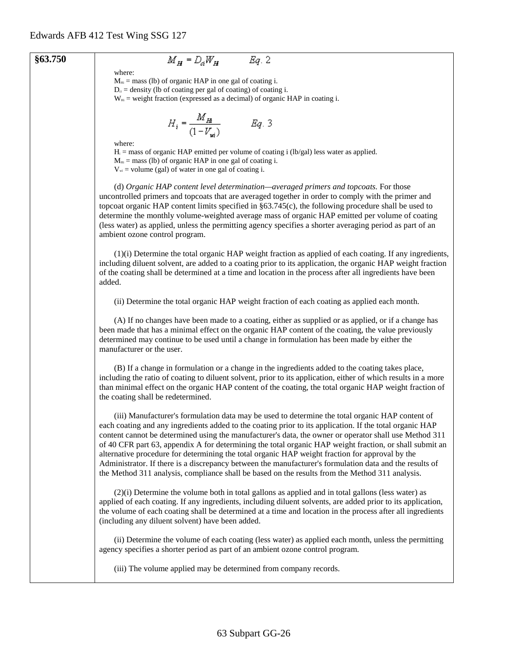#### **§63.750**

# $M_H = D_d W_H$  Eq. 2

where:  $M_{Hi}$  = mass (lb) of organic HAP in one gal of coating i.

 $D_{\alpha}$  = density (lb of coating per gal of coating) of coating i.

 $W_{Hi}$  = weight fraction (expressed as a decimal) of organic HAP in coating i.

$$
H_i = \frac{M_{H_i}}{(1 - V_{wi})}
$$
 Eq. 3

where:

 $H_i$  = mass of organic HAP emitted per volume of coating i (lb/gal) less water as applied.

 $M<sub>Hi</sub> = mass$  (lb) of organic HAP in one gal of coating i.

 $V_{\text{wi}}$  = volume (gal) of water in one gal of coating i.

(d) *Organic HAP content level determination—averaged primers and topcoats.* For those uncontrolled primers and topcoats that are averaged together in order to comply with the primer and topcoat organic HAP content limits specified in §63.745(c), the following procedure shall be used to determine the monthly volume-weighted average mass of organic HAP emitted per volume of coating (less water) as applied, unless the permitting agency specifies a shorter averaging period as part of an ambient ozone control program.

(1)(i) Determine the total organic HAP weight fraction as applied of each coating. If any ingredients, including diluent solvent, are added to a coating prior to its application, the organic HAP weight fraction of the coating shall be determined at a time and location in the process after all ingredients have been added.

(ii) Determine the total organic HAP weight fraction of each coating as applied each month.

(A) If no changes have been made to a coating, either as supplied or as applied, or if a change has been made that has a minimal effect on the organic HAP content of the coating, the value previously determined may continue to be used until a change in formulation has been made by either the manufacturer or the user.

(B) If a change in formulation or a change in the ingredients added to the coating takes place, including the ratio of coating to diluent solvent, prior to its application, either of which results in a more than minimal effect on the organic HAP content of the coating, the total organic HAP weight fraction of the coating shall be redetermined.

(iii) Manufacturer's formulation data may be used to determine the total organic HAP content of each coating and any ingredients added to the coating prior to its application. If the total organic HAP content cannot be determined using the manufacturer's data, the owner or operator shall use Method 311 of 40 CFR part 63, appendix A for determining the total organic HAP weight fraction, or shall submit an alternative procedure for determining the total organic HAP weight fraction for approval by the Administrator. If there is a discrepancy between the manufacturer's formulation data and the results of the Method 311 analysis, compliance shall be based on the results from the Method 311 analysis.

(2)(i) Determine the volume both in total gallons as applied and in total gallons (less water) as applied of each coating. If any ingredients, including diluent solvents, are added prior to its application, the volume of each coating shall be determined at a time and location in the process after all ingredients (including any diluent solvent) have been added.

(ii) Determine the volume of each coating (less water) as applied each month, unless the permitting agency specifies a shorter period as part of an ambient ozone control program.

(iii) The volume applied may be determined from company records.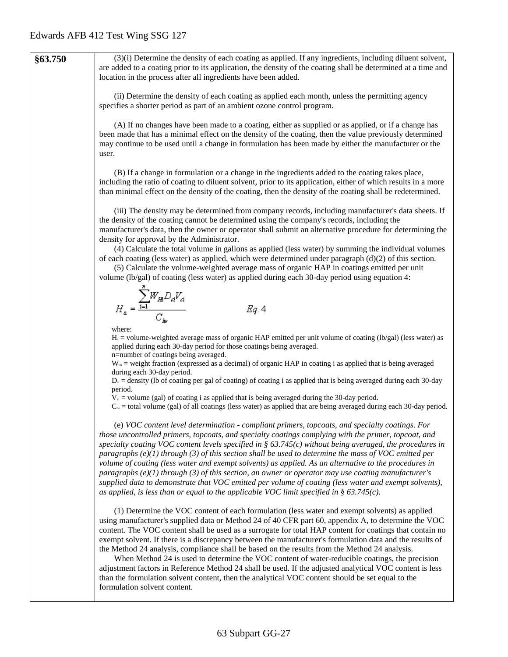**§63.750** (3)(i) Determine the density of each coating as applied. If any ingredients, including diluent solvent, are added to a coating prior to its application, the density of the coating shall be determined at a time and location in the process after all ingredients have been added. (ii) Determine the density of each coating as applied each month, unless the permitting agency specifies a shorter period as part of an ambient ozone control program. (A) If no changes have been made to a coating, either as supplied or as applied, or if a change has been made that has a minimal effect on the density of the coating, then the value previously determined may continue to be used until a change in formulation has been made by either the manufacturer or the user. (B) If a change in formulation or a change in the ingredients added to the coating takes place, including the ratio of coating to diluent solvent, prior to its application, either of which results in a more than minimal effect on the density of the coating, then the density of the coating shall be redetermined. (iii) The density may be determined from company records, including manufacturer's data sheets. If the density of the coating cannot be determined using the company's records, including the manufacturer's data, then the owner or operator shall submit an alternative procedure for determining the density for approval by the Administrator. (4) Calculate the total volume in gallons as applied (less water) by summing the individual volumes of each coating (less water) as applied, which were determined under paragraph  $(d)(2)$  of this section. (5) Calculate the volume-weighted average mass of organic HAP in coatings emitted per unit volume (lb/gal) of coating (less water) as applied during each 30-day period using equation 4:  $H_a = \frac{\sum_{i=1}^{n} W_{H_i} D_{ci} V_{ci}}{C_{in}}$  $Eq. 4$ where:  $H<sub>a</sub>$  = volume-weighted average mass of organic HAP emitted per unit volume of coating (lb/gal) (less water) as applied during each 30-day period for those coatings being averaged. n=number of coatings being averaged.  $W_{\text{Hi}}$  = weight fraction (expressed as a decimal) of organic HAP in coating i as applied that is being averaged during each 30-day period.  $D_{\alpha}$  = density (Ib of coating per gal of coating) of coating i as applied that is being averaged during each 30-day period.  $V_{ci}$  = volume (gal) of coating i as applied that is being averaged during the 30-day period.  $C_{\text{lw}}$  = total volume (gal) of all coatings (less water) as applied that are being averaged during each 30-day period. (e) *VOC content level determination - compliant primers, topcoats, and specialty coatings. For those uncontrolled primers, topcoats, and specialty coatings complying with the primer, topcoat, and specialty coating VOC content levels specified in § 63.745(c) without being averaged, the procedures in paragraphs (e)(1) through (3) of this section shall be used to determine the mass of VOC emitted per volume of coating (less water and exempt solvents) as applied. As an alternative to the procedures in paragraphs (e)(1) through (3) of this section, an owner or operator may use coating manufacturer's supplied data to demonstrate that VOC emitted per volume of coating (less water and exempt solvents), as applied, is less than or equal to the applicable VOC limit specified in § 63.745(c).* (1) Determine the VOC content of each formulation (less water and exempt solvents) as applied using manufacturer's supplied data or Method 24 of 40 CFR part 60, appendix A, to determine the VOC content. The VOC content shall be used as a surrogate for total HAP content for coatings that contain no exempt solvent. If there is a discrepancy between the manufacturer's formulation data and the results of the Method 24 analysis, compliance shall be based on the results from the Method 24 analysis. When Method 24 is used to determine the VOC content of water-reducible coatings, the precision adjustment factors in Reference Method 24 shall be used. If the adjusted analytical VOC content is less than the formulation solvent content, then the analytical VOC content should be set equal to the formulation solvent content.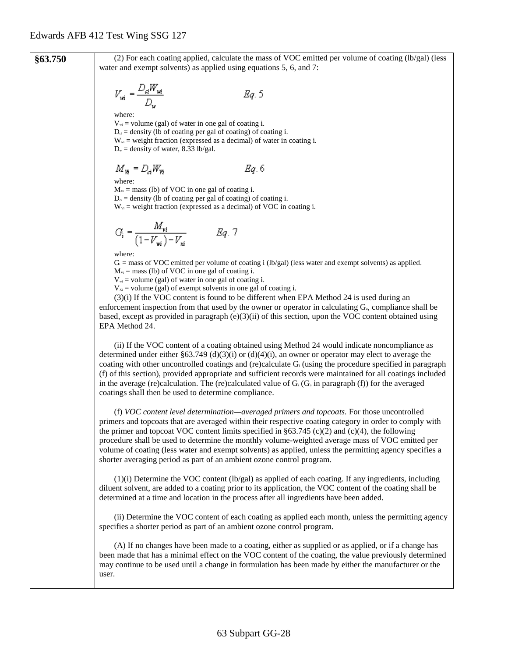**§63.750** (2) For each coating applied, calculate the mass of VOC emitted per volume of coating (lb/gal) (less water and exempt solvents) as applied using equations 5, 6, and 7:  $V_{wi} = \frac{D_d W_{wi}}{D_w}$ Eg. 5 where:  $V_{wi}$  = volume (gal) of water in one gal of coating i.  $D_{ci}$  = density (lb of coating per gal of coating) of coating i.  $W_{wi}$  = weight fraction (expressed as a decimal) of water in coating i.  $D_w$  = density of water, 8.33 lb/gal.  $M_{\nu} = D_{\alpha} W_{\nu}$ Eg. 6 where:  $M_{\text{Vi}}$  = mass (lb) of VOC in one gal of coating i.  $D_{ci}$  = density (lb of coating per gal of coating) of coating i.  $W_{\text{vi}}$  = weight fraction (expressed as a decimal) of VOC in coating i.  $G_i = \frac{M_{vi}}{(1 - V_{wi}) - V_{xi}}$  Eq. 7 where:  $G_i$  = mass of VOC emitted per volume of coating i (lb/gal) (less water and exempt solvents) as applied.  $M_{\rm vi}$  = mass (lb) of VOC in one gal of coating i.  $V_{w_i}$  = volume (gal) of water in one gal of coating i.  $V_{x}$  = volume (gal) of exempt solvents in one gal of coating i. (3)(i) If the VOC content is found to be different when EPA Method 24 is used during an enforcement inspection from that used by the owner or operator in calculating  $G_a$ , compliance shall be based, except as provided in paragraph  $(e)(3)(ii)$  of this section, upon the VOC content obtained using EPA Method 24. (ii) If the VOC content of a coating obtained using Method 24 would indicate noncompliance as determined under either §63.749 (d)(3)(i) or (d)(4)(i), an owner or operator may elect to average the coating with other uncontrolled coatings and (re)calculate Gi (using the procedure specified in paragraph (f) of this section), provided appropriate and sufficient records were maintained for all coatings included in the average (re)calculation. The (re)calculated value of  $G_i$  ( $G_i$  in paragraph (f)) for the averaged coatings shall then be used to determine compliance. (f) *VOC content level determination—averaged primers and topcoats.* For those uncontrolled primers and topcoats that are averaged within their respective coating category in order to comply with the primer and topcoat VOC content limits specified in  $\S 63.745$  (c)(2) and (c)(4), the following procedure shall be used to determine the monthly volume-weighted average mass of VOC emitted per volume of coating (less water and exempt solvents) as applied, unless the permitting agency specifies a shorter averaging period as part of an ambient ozone control program.  $(1)(i)$  Determine the VOC content  $(lb/gal)$  as applied of each coating. If any ingredients, including diluent solvent, are added to a coating prior to its application, the VOC content of the coating shall be determined at a time and location in the process after all ingredients have been added. (ii) Determine the VOC content of each coating as applied each month, unless the permitting agency specifies a shorter period as part of an ambient ozone control program.

> (A) If no changes have been made to a coating, either as supplied or as applied, or if a change has been made that has a minimal effect on the VOC content of the coating, the value previously determined may continue to be used until a change in formulation has been made by either the manufacturer or the user.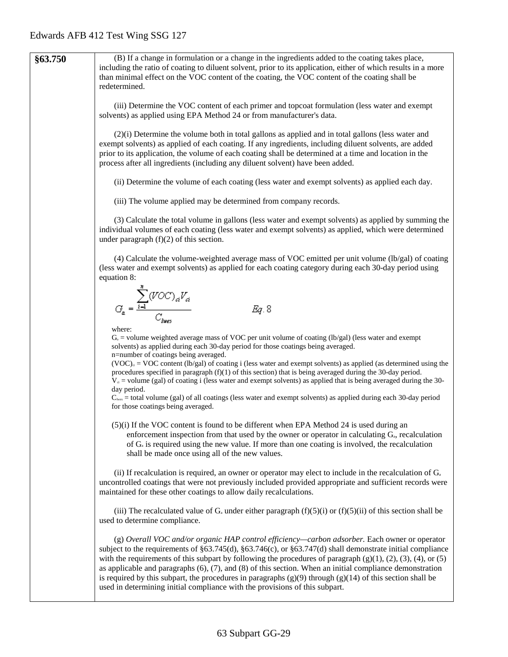**§63.750** (B) If a change in formulation or a change in the ingredients added to the coating takes place, including the ratio of coating to diluent solvent, prior to its application, either of which results in a more than minimal effect on the VOC content of the coating, the VOC content of the coating shall be redetermined. (iii) Determine the VOC content of each primer and topcoat formulation (less water and exempt solvents) as applied using EPA Method 24 or from manufacturer's data. (2)(i) Determine the volume both in total gallons as applied and in total gallons (less water and exempt solvents) as applied of each coating. If any ingredients, including diluent solvents, are added prior to its application, the volume of each coating shall be determined at a time and location in the process after all ingredients (including any diluent solvent) have been added. (ii) Determine the volume of each coating (less water and exempt solvents) as applied each day. (iii) The volume applied may be determined from company records. (3) Calculate the total volume in gallons (less water and exempt solvents) as applied by summing the individual volumes of each coating (less water and exempt solvents) as applied, which were determined under paragraph (f)(2) of this section. (4) Calculate the volume-weighted average mass of VOC emitted per unit volume (lb/gal) of coating (less water and exempt solvents) as applied for each coating category during each 30-day period using equation 8:  $G_a = \frac{\sum_{i=1}^{n} (VOC)_{ai} V_{ai}}{C}$ Eg. 8 where:  $G_a$  = volume weighted average mass of VOC per unit volume of coating (lb/gal) (less water and exempt solvents) as applied during each 30-day period for those coatings being averaged. n=number of coatings being averaged.  $(VOC)_{c}$  = VOC content (lb/gal) of coating i (less water and exempt solvents) as applied (as determined using the procedures specified in paragraph  $(f)(1)$  of this section) that is being averaged during the 30-day period.  $V<sub>d</sub>$  = volume (gal) of coating i (less water and exempt solvents) as applied that is being averaged during the 30day period.  $C<sub>lws</sub> = total volume (gal) of all coatings (less water and exempt solvents) as applied during each 30-day period$ for those coatings being averaged. (5)(i) If the VOC content is found to be different when EPA Method 24 is used during an enforcement inspection from that used by the owner or operator in calculating  $G_a$ , recalculation of  $G_a$  is required using the new value. If more than one coating is involved, the recalculation shall be made once using all of the new values. (ii) If recalculation is required, an owner or operator may elect to include in the recalculation of  $G_a$ uncontrolled coatings that were not previously included provided appropriate and sufficient records were maintained for these other coatings to allow daily recalculations. (iii) The recalculated value of  $G_a$  under either paragraph (f)(5)(i) or (f)(5)(ii) of this section shall be used to determine compliance. (g) *Overall VOC and/or organic HAP control efficiency—carbon adsorber.* Each owner or operator subject to the requirements of §63.745(d), §63.746(c), or §63.747(d) shall demonstrate initial compliance with the requirements of this subpart by following the procedures of paragraph  $(g)(1)$ ,  $(2)$ ,  $(3)$ ,  $(4)$ , or  $(5)$ as applicable and paragraphs  $(6)$ ,  $(7)$ , and  $(8)$  of this section. When an initial compliance demonstration is required by this subpart, the procedures in paragraphs  $(g)(9)$  through  $(g)(14)$  of this section shall be used in determining initial compliance with the provisions of this subpart.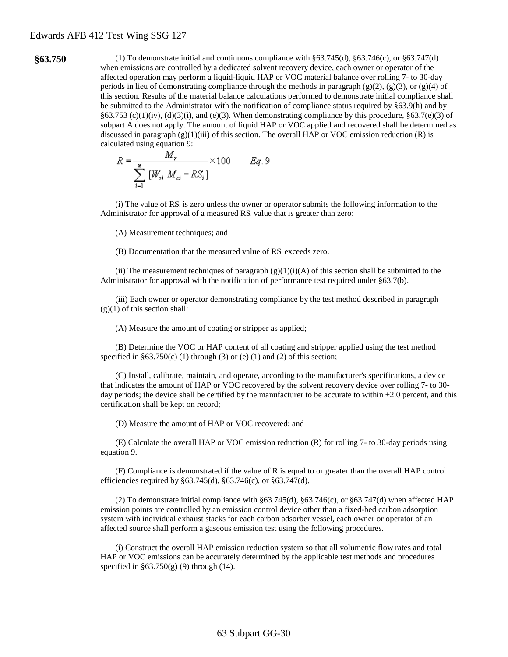**§63.750** (1) To demonstrate initial and continuous compliance with §63.745(d), §63.746(c), or §63.747(d) when emissions are controlled by a dedicated solvent recovery device, each owner or operator of the affected operation may perform a liquid-liquid HAP or VOC material balance over rolling 7- to 30-day periods in lieu of demonstrating compliance through the methods in paragraph  $(g)(2)$ ,  $(g)(3)$ , or  $(g)(4)$  of this section. Results of the material balance calculations performed to demonstrate initial compliance shall be submitted to the Administrator with the notification of compliance status required by §63.9(h) and by §63.753 (c)(1)(iv), (d)(3)(i), and (e)(3). When demonstrating compliance by this procedure, §63.7(e)(3) of subpart A does not apply. The amount of liquid HAP or VOC applied and recovered shall be determined as discussed in paragraph  $(g)(1)(iii)$  of this section. The overall HAP or VOC emission reduction  $(R)$  is calculated using equation 9:<br>  $R = \frac{M_r}{\sum_{i=1}^{8} [W_{oi} M_{ci} - RS_i]} \times 100$   $Eq. 9$ (i) The value of RSi is zero unless the owner or operator submits the following information to the Administrator for approval of a measured RS<sub>i</sub> value that is greater than zero: (A) Measurement techniques; and (B) Documentation that the measured value of RSi exceeds zero. (ii) The measurement techniques of paragraph  $(g)(1)(i)(A)$  of this section shall be submitted to the Administrator for approval with the notification of performance test required under §63.7(b). (iii) Each owner or operator demonstrating compliance by the test method described in paragraph  $(g)(1)$  of this section shall: (A) Measure the amount of coating or stripper as applied; (B) Determine the VOC or HAP content of all coating and stripper applied using the test method specified in  $§63.750(c)$  (1) through (3) or (e) (1) and (2) of this section; (C) Install, calibrate, maintain, and operate, according to the manufacturer's specifications, a device that indicates the amount of HAP or VOC recovered by the solvent recovery device over rolling 7- to 30 day periods; the device shall be certified by the manufacturer to be accurate to within  $\pm 2.0$  percent, and this certification shall be kept on record; (D) Measure the amount of HAP or VOC recovered; and (E) Calculate the overall HAP or VOC emission reduction (R) for rolling 7- to 30-day periods using equation 9. (F) Compliance is demonstrated if the value of R is equal to or greater than the overall HAP control efficiencies required by §63.745(d), §63.746(c), or §63.747(d). (2) To demonstrate initial compliance with  $\S 63.745(d)$ ,  $\S 63.746(c)$ , or  $\S 63.747(d)$  when affected HAP emission points are controlled by an emission control device other than a fixed-bed carbon adsorption system with individual exhaust stacks for each carbon adsorber vessel, each owner or operator of an affected source shall perform a gaseous emission test using the following procedures. (i) Construct the overall HAP emission reduction system so that all volumetric flow rates and total HAP or VOC emissions can be accurately determined by the applicable test methods and procedures specified in  $§63.750(g)$  (9) through (14).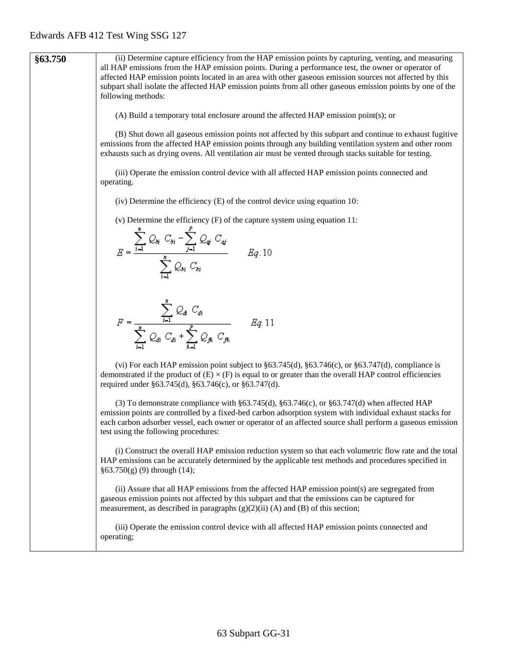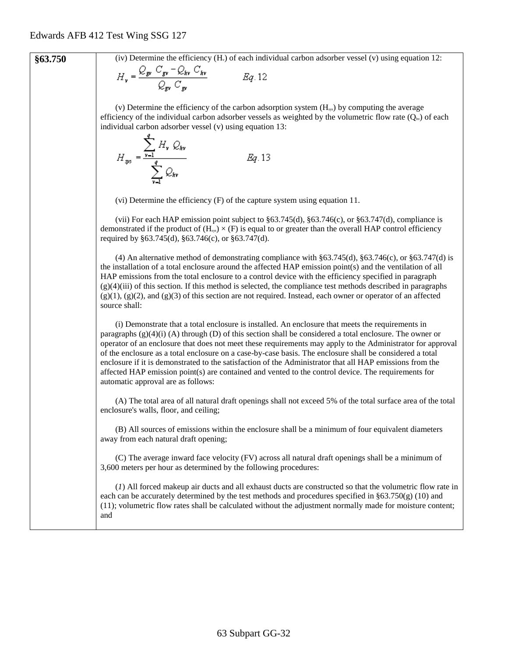**§63.750** (iv) Determine the efficiency (H<sub>v</sub>) of each individual carbon adsorber vessel (v) using equation 12:

$$
H_v = \frac{\sum_{\mathbf{g}v} \sum_{\mathbf{g}v} \sum_{kv} \sum_{kv}}{\mathcal{Q}_{\mathbf{g}v} \mathcal{C}_{\mathbf{g}v}} \qquad \qquad Eq. 12
$$

(v) Determine the efficiency of the carbon adsorption system  $(H_{ss})$  by computing the average efficiency of the individual carbon adsorber vessels as weighted by the volumetric flow rate  $(Q_w)$  of each individual carbon adsorber vessel (v) using equation 13: a

$$
H_{\rm sys} = \frac{\sum_{\mathbf{v} = 1} H_{\mathbf{v}} Q_{\rm sky}}{\sum_{\mathbf{v} = 1}^{q} Q_{\rm sky}} \qquad \qquad Eq. 13
$$

(vi) Determine the efficiency (F) of the capture system using equation 11.

(vii) For each HAP emission point subject to §63.745(d), §63.746(c), or §63.747(d), compliance is demonstrated if the product of  $(H_{sys}) \times (F)$  is equal to or greater than the overall HAP control efficiency required by §63.745(d), §63.746(c), or §63.747(d).

(4) An alternative method of demonstrating compliance with §63.745(d), §63.746(c), or §63.747(d) is the installation of a total enclosure around the affected HAP emission point(s) and the ventilation of all HAP emissions from the total enclosure to a control device with the efficiency specified in paragraph  $(g)(4)(iii)$  of this section. If this method is selected, the compliance test methods described in paragraphs  $(g)(1)$ ,  $(g)(2)$ , and  $(g)(3)$  of this section are not required. Instead, each owner or operator of an affected source shall:

(i) Demonstrate that a total enclosure is installed. An enclosure that meets the requirements in paragraphs  $(g)(4)(i)$  (A) through (D) of this section shall be considered a total enclosure. The owner or operator of an enclosure that does not meet these requirements may apply to the Administrator for approval of the enclosure as a total enclosure on a case-by-case basis. The enclosure shall be considered a total enclosure if it is demonstrated to the satisfaction of the Administrator that all HAP emissions from the affected HAP emission point(s) are contained and vented to the control device. The requirements for automatic approval are as follows:

(A) The total area of all natural draft openings shall not exceed 5% of the total surface area of the total enclosure's walls, floor, and ceiling;

(B) All sources of emissions within the enclosure shall be a minimum of four equivalent diameters away from each natural draft opening;

(C) The average inward face velocity (FV) across all natural draft openings shall be a minimum of 3,600 meters per hour as determined by the following procedures:

(*1*) All forced makeup air ducts and all exhaust ducts are constructed so that the volumetric flow rate in each can be accurately determined by the test methods and procedures specified in  $\S63.750(g)$  (10) and (11); volumetric flow rates shall be calculated without the adjustment normally made for moisture content; and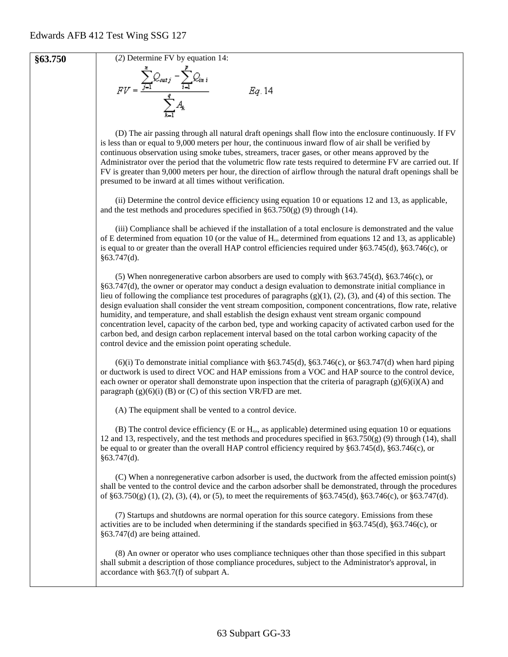

**§63.750** (2) Determine FV by equation 14:<br> $FV = \frac{\sum_{j=1}^{n} Q_{outj} - \sum_{i=1}^{p} Q_{ini}}{\sum_{i=1}^{q} A_{k}}$ 

Eq. 14

(D) The air passing through all natural draft openings shall flow into the enclosure continuously. If FV is less than or equal to 9,000 meters per hour, the continuous inward flow of air shall be verified by continuous observation using smoke tubes, streamers, tracer gases, or other means approved by the Administrator over the period that the volumetric flow rate tests required to determine FV are carried out. If FV is greater than 9,000 meters per hour, the direction of airflow through the natural draft openings shall be presumed to be inward at all times without verification.

(ii) Determine the control device efficiency using equation 10 or equations 12 and 13, as applicable, and the test methods and procedures specified in  $\S 63.750(g)$  (9) through (14).

(iii) Compliance shall be achieved if the installation of a total enclosure is demonstrated and the value of E determined from equation 10 (or the value of  $H_{\text{ss}}$  determined from equations 12 and 13, as applicable) is equal to or greater than the overall HAP control efficiencies required under §63.745(d), §63.746(c), or  $§63.747(d)$ .

(5) When nonregenerative carbon absorbers are used to comply with §63.745(d), §63.746(c), or §63.747(d), the owner or operator may conduct a design evaluation to demonstrate initial compliance in lieu of following the compliance test procedures of paragraphs (g)(1), (2), (3), and (4) of this section. The design evaluation shall consider the vent stream composition, component concentrations, flow rate, relative humidity, and temperature, and shall establish the design exhaust vent stream organic compound concentration level, capacity of the carbon bed, type and working capacity of activated carbon used for the carbon bed, and design carbon replacement interval based on the total carbon working capacity of the control device and the emission point operating schedule.

 $(6)(i)$  To demonstrate initial compliance with §63.745(d), §63.746(c), or §63.747(d) when hard piping or ductwork is used to direct VOC and HAP emissions from a VOC and HAP source to the control device, each owner or operator shall demonstrate upon inspection that the criteria of paragraph  $(g)(6)(i)$ (A) and paragraph  $(g)(6)(i)$  (B) or (C) of this section VR/FD are met.

(A) The equipment shall be vented to a control device.

(B) The control device efficiency (E or  $H<sub>sys</sub>$ , as applicable) determined using equation 10 or equations 12 and 13, respectively, and the test methods and procedures specified in §63.750(g) (9) through (14), shall be equal to or greater than the overall HAP control efficiency required by §63.745(d), §63.746(c), or §63.747(d).

(C) When a nonregenerative carbon adsorber is used, the ductwork from the affected emission point(s) shall be vented to the control device and the carbon adsorber shall be demonstrated, through the procedures of §63.750(g) (1), (2), (3), (4), or (5), to meet the requirements of §63.745(d), §63.746(c), or §63.747(d).

(7) Startups and shutdowns are normal operation for this source category. Emissions from these activities are to be included when determining if the standards specified in §63.745(d), §63.746(c), or §63.747(d) are being attained.

(8) An owner or operator who uses compliance techniques other than those specified in this subpart shall submit a description of those compliance procedures, subject to the Administrator's approval, in accordance with §63.7(f) of subpart A.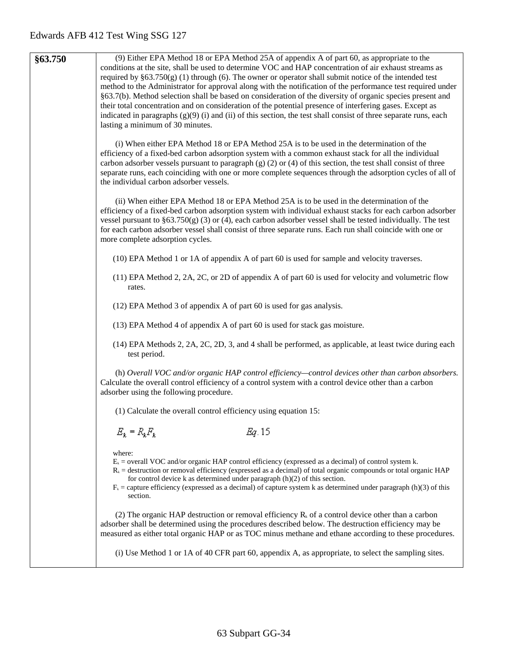| §63.750 | (9) Either EPA Method 18 or EPA Method 25A of appendix A of part 60, as appropriate to the<br>conditions at the site, shall be used to determine VOC and HAP concentration of air exhaust streams as                         |
|---------|------------------------------------------------------------------------------------------------------------------------------------------------------------------------------------------------------------------------------|
|         | required by $\S63.750(g)$ (1) through (6). The owner or operator shall submit notice of the intended test<br>method to the Administrator for approval along with the notification of the performance test required under     |
|         | §63.7(b). Method selection shall be based on consideration of the diversity of organic species present and                                                                                                                   |
|         | their total concentration and on consideration of the potential presence of interfering gases. Except as<br>indicated in paragraphs (g)(9) (i) and (ii) of this section, the test shall consist of three separate runs, each |
|         | lasting a minimum of 30 minutes.                                                                                                                                                                                             |
|         | (i) When either EPA Method 18 or EPA Method 25A is to be used in the determination of the                                                                                                                                    |
|         | efficiency of a fixed-bed carbon adsorption system with a common exhaust stack for all the individual                                                                                                                        |
|         | carbon adsorber vessels pursuant to paragraph $(g)$ (2) or (4) of this section, the test shall consist of three                                                                                                              |
|         | separate runs, each coinciding with one or more complete sequences through the adsorption cycles of all of<br>the individual carbon adsorber vessels.                                                                        |
|         |                                                                                                                                                                                                                              |
|         | (ii) When either EPA Method 18 or EPA Method 25A is to be used in the determination of the<br>efficiency of a fixed-bed carbon adsorption system with individual exhaust stacks for each carbon adsorber                     |
|         | vessel pursuant to $\S 63.750(g)$ (3) or (4), each carbon adsorber vessel shall be tested individually. The test                                                                                                             |
|         | for each carbon adsorber vessel shall consist of three separate runs. Each run shall coincide with one or<br>more complete adsorption cycles.                                                                                |
|         |                                                                                                                                                                                                                              |
|         | (10) EPA Method 1 or 1A of appendix A of part 60 is used for sample and velocity traverses.                                                                                                                                  |
|         | (11) EPA Method 2, 2A, 2C, or 2D of appendix A of part 60 is used for velocity and volumetric flow<br>rates.                                                                                                                 |
|         | (12) EPA Method 3 of appendix A of part 60 is used for gas analysis.                                                                                                                                                         |
|         |                                                                                                                                                                                                                              |
|         | (13) EPA Method 4 of appendix A of part 60 is used for stack gas moisture.                                                                                                                                                   |
|         | (14) EPA Methods 2, 2A, 2C, 2D, 3, and 4 shall be performed, as applicable, at least twice during each<br>test period.                                                                                                       |
|         | (h) Overall VOC and/or organic HAP control efficiency—control devices other than carbon absorbers.                                                                                                                           |
|         | Calculate the overall control efficiency of a control system with a control device other than a carbon<br>adsorber using the following procedure.                                                                            |
|         | (1) Calculate the overall control efficiency using equation 15:                                                                                                                                                              |
|         |                                                                                                                                                                                                                              |
|         | $E_k = R_k F_k$<br>Eg. 15                                                                                                                                                                                                    |
|         | where:                                                                                                                                                                                                                       |
|         | $Ek$ = overall VOC and/or organic HAP control efficiency (expressed as a decimal) of control system k.<br>$Rk$ = destruction or removal efficiency (expressed as a decimal) of total organic compounds or total organic HAP  |
|         | for control device k as determined under paragraph (h)(2) of this section.<br>$F_k$ = capture efficiency (expressed as a decimal) of capture system k as determined under paragraph (h)(3) of this                           |
|         | section.                                                                                                                                                                                                                     |
|         | (2) The organic HAP destruction or removal efficiency $R_k$ of a control device other than a carbon                                                                                                                          |
|         | adsorber shall be determined using the procedures described below. The destruction efficiency may be                                                                                                                         |
|         | measured as either total organic HAP or as TOC minus methane and ethane according to these procedures.                                                                                                                       |

(i) Use Method 1 or 1A of 40 CFR part 60, appendix A, as appropriate, to select the sampling sites.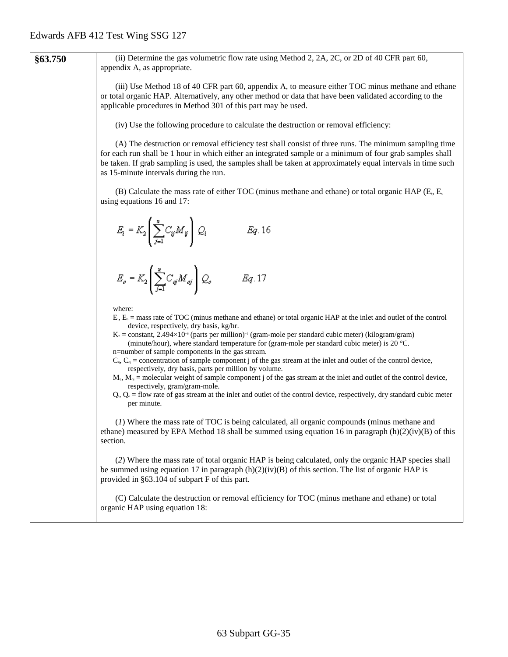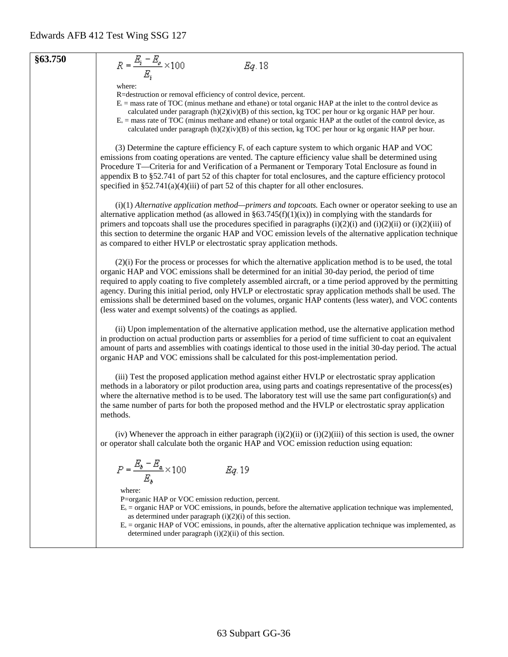#### **§63.750**

$$
Eq. 18
$$

where:

 $R = \frac{E_i - E_o}{E_i} \times 100$ 

R=destruction or removal efficiency of control device, percent.

- $E_i$  = mass rate of TOC (minus methane and ethane) or total organic HAP at the inlet to the control device as
- calculated under paragraph  $(h)(2)(iv)(B)$  of this section, kg TOC per hour or kg organic HAP per hour.
- $E<sub>o</sub>$  = mass rate of TOC (minus methane and ethane) or total organic HAP at the outlet of the control device, as calculated under paragraph  $(h)(2)(iv)(B)$  of this section, kg TOC per hour or kg organic HAP per hour.

(3) Determine the capture efficiency  $F_k$  of each capture system to which organic HAP and VOC emissions from coating operations are vented. The capture efficiency value shall be determined using Procedure T—Criteria for and Verification of a Permanent or Temporary Total Enclosure as found in appendix B to §52.741 of part 52 of this chapter for total enclosures, and the capture efficiency protocol specified in §52.741(a)(4)(iii) of part 52 of this chapter for all other enclosures.

(i)(1) *Alternative application method—primers and topcoats.* Each owner or operator seeking to use an alternative application method (as allowed in  $\S63.745(f)(1)(ix)$ ) in complying with the standards for primers and topcoats shall use the procedures specified in paragraphs  $(i)(2)(i)$  and  $(i)(2)(ii)$  or  $(i)(2)(iii)$  of this section to determine the organic HAP and VOC emission levels of the alternative application technique as compared to either HVLP or electrostatic spray application methods.

(2)(i) For the process or processes for which the alternative application method is to be used, the total organic HAP and VOC emissions shall be determined for an initial 30-day period, the period of time required to apply coating to five completely assembled aircraft, or a time period approved by the permitting agency. During this initial period, only HVLP or electrostatic spray application methods shall be used. The emissions shall be determined based on the volumes, organic HAP contents (less water), and VOC contents (less water and exempt solvents) of the coatings as applied.

(ii) Upon implementation of the alternative application method, use the alternative application method in production on actual production parts or assemblies for a period of time sufficient to coat an equivalent amount of parts and assemblies with coatings identical to those used in the initial 30-day period. The actual organic HAP and VOC emissions shall be calculated for this post-implementation period.

(iii) Test the proposed application method against either HVLP or electrostatic spray application methods in a laboratory or pilot production area, using parts and coatings representative of the process(es) where the alternative method is to be used. The laboratory test will use the same part configuration(s) and the same number of parts for both the proposed method and the HVLP or electrostatic spray application methods.

(iv) Whenever the approach in either paragraph  $(i)(2)(ii)$  or  $(i)(2)(iii)$  of this section is used, the owner or operator shall calculate both the organic HAP and VOC emission reduction using equation:

$$
P = \frac{E_b - E_a}{E_b} \times 100 \hspace{1cm} Eq. 19
$$

where:

P=organic HAP or VOC emission reduction, percent.

- $E<sub>b</sub>$  = organic HAP or VOC emissions, in pounds, before the alternative application technique was implemented, as determined under paragraph  $(i)(2)(i)$  of this section.
- $E_a$  = organic HAP of VOC emissions, in pounds, after the alternative application technique was implemented, as determined under paragraph (i)(2)(ii) of this section.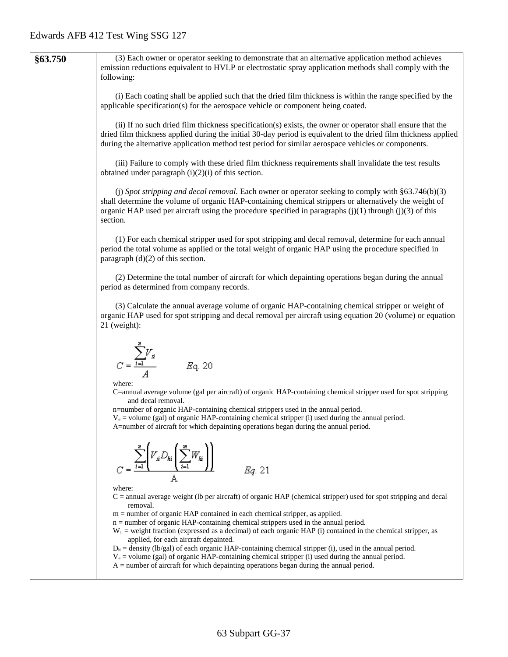|         | $W_{hi}$ = weight fraction (expressed as a decimal) of each organic HAP (i) contained in the chemical stripper, as<br>applied, for each aircraft depainted.<br>$D_{\rm ii}$ = density (lb/gal) of each organic HAP-containing chemical stripper (i), used in the annual period.<br>$V_a$ = volume (gal) of organic HAP-containing chemical stripper (i) used during the annual period.<br>$A =$ number of aircraft for which depainting operations began during the annual period. |
|---------|------------------------------------------------------------------------------------------------------------------------------------------------------------------------------------------------------------------------------------------------------------------------------------------------------------------------------------------------------------------------------------------------------------------------------------------------------------------------------------|
|         | where:<br>$C =$ annual average weight (lb per aircraft) of organic HAP (chemical stripper) used for spot stripping and decal<br>removal.<br>m = number of organic HAP contained in each chemical stripper, as applied.<br>$n =$ number of organic HAP-containing chemical strippers used in the annual period.                                                                                                                                                                     |
|         | $V_s D_{ki} \sum_{i=1}^{n} V_i$<br>Eg. 21                                                                                                                                                                                                                                                                                                                                                                                                                                          |
|         | C=annual average volume (gal per aircraft) of organic HAP-containing chemical stripper used for spot stripping<br>and decal removal.<br>n=number of organic HAP-containing chemical strippers used in the annual period.<br>$Vs$ = volume (gal) of organic HAP-containing chemical stripper (i) used during the annual period.<br>A=number of aircraft for which depainting operations began during the annual period.                                                             |
|         | $C = \frac{\sum_{i=1}^{n} V_{si}}{4}$ $Eq. 20$<br>where:                                                                                                                                                                                                                                                                                                                                                                                                                           |
|         | (3) Calculate the annual average volume of organic HAP-containing chemical stripper or weight of<br>organic HAP used for spot stripping and decal removal per aircraft using equation 20 (volume) or equation<br>$21$ (weight):                                                                                                                                                                                                                                                    |
|         | (2) Determine the total number of aircraft for which depainting operations began during the annual<br>period as determined from company records.                                                                                                                                                                                                                                                                                                                                   |
|         | (1) For each chemical stripper used for spot stripping and decal removal, determine for each annual<br>period the total volume as applied or the total weight of organic HAP using the procedure specified in<br>paragraph $(d)(2)$ of this section.                                                                                                                                                                                                                               |
|         | (j) Spot stripping and decal removal. Each owner or operator seeking to comply with $\S 63.746(b)(3)$<br>shall determine the volume of organic HAP-containing chemical strippers or alternatively the weight of<br>organic HAP used per aircraft using the procedure specified in paragraphs $(j)(1)$ through $(j)(3)$ of this<br>section.                                                                                                                                         |
|         | (iii) Failure to comply with these dried film thickness requirements shall invalidate the test results<br>obtained under paragraph $(i)(2)(i)$ of this section.                                                                                                                                                                                                                                                                                                                    |
|         | (ii) If no such dried film thickness specification(s) exists, the owner or operator shall ensure that the<br>dried film thickness applied during the initial 30-day period is equivalent to the dried film thickness applied<br>during the alternative application method test period for similar aerospace vehicles or components.                                                                                                                                                |
|         | (i) Each coating shall be applied such that the dried film thickness is within the range specified by the<br>applicable specification(s) for the aerospace vehicle or component being coated.                                                                                                                                                                                                                                                                                      |
| §63.750 | (3) Each owner or operator seeking to demonstrate that an alternative application method achieves<br>emission reductions equivalent to HVLP or electrostatic spray application methods shall comply with the<br>following:                                                                                                                                                                                                                                                         |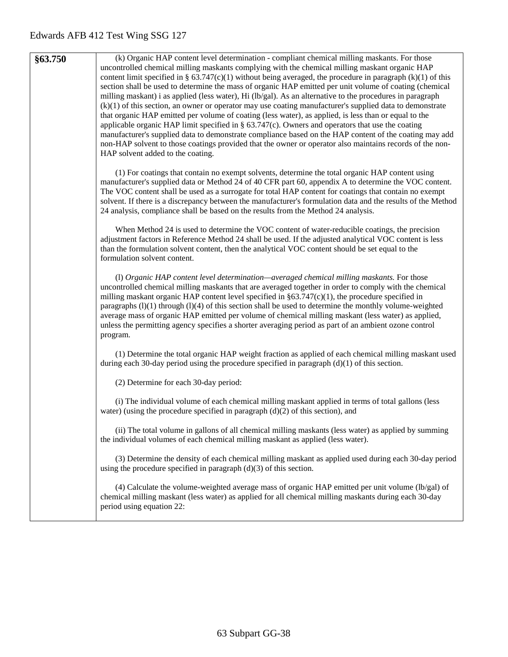| §63.750 | (k) Organic HAP content level determination - compliant chemical milling maskants. For those<br>uncontrolled chemical milling maskants complying with the chemical milling maskant organic HAP<br>content limit specified in § 63.747(c)(1) without being averaged, the procedure in paragraph (k)(1) of this<br>section shall be used to determine the mass of organic HAP emitted per unit volume of coating (chemical<br>milling maskant) i as applied (less water), Hi (lb/gal). As an alternative to the procedures in paragraph<br>$(k)(1)$ of this section, an owner or operator may use coating manufacturer's supplied data to demonstrate<br>that organic HAP emitted per volume of coating (less water), as applied, is less than or equal to the<br>applicable organic HAP limit specified in $\S$ 63.747(c). Owners and operators that use the coating<br>manufacturer's supplied data to demonstrate compliance based on the HAP content of the coating may add<br>non-HAP solvent to those coatings provided that the owner or operator also maintains records of the non-<br>HAP solvent added to the coating. |
|---------|--------------------------------------------------------------------------------------------------------------------------------------------------------------------------------------------------------------------------------------------------------------------------------------------------------------------------------------------------------------------------------------------------------------------------------------------------------------------------------------------------------------------------------------------------------------------------------------------------------------------------------------------------------------------------------------------------------------------------------------------------------------------------------------------------------------------------------------------------------------------------------------------------------------------------------------------------------------------------------------------------------------------------------------------------------------------------------------------------------------------------------|
|         | (1) For coatings that contain no exempt solvents, determine the total organic HAP content using<br>manufacturer's supplied data or Method 24 of 40 CFR part 60, appendix A to determine the VOC content.<br>The VOC content shall be used as a surrogate for total HAP content for coatings that contain no exempt<br>solvent. If there is a discrepancy between the manufacturer's formulation data and the results of the Method<br>24 analysis, compliance shall be based on the results from the Method 24 analysis.                                                                                                                                                                                                                                                                                                                                                                                                                                                                                                                                                                                                       |
|         | When Method 24 is used to determine the VOC content of water-reducible coatings, the precision<br>adjustment factors in Reference Method 24 shall be used. If the adjusted analytical VOC content is less<br>than the formulation solvent content, then the analytical VOC content should be set equal to the<br>formulation solvent content.                                                                                                                                                                                                                                                                                                                                                                                                                                                                                                                                                                                                                                                                                                                                                                                  |
|         | (1) Organic HAP content level determination—averaged chemical milling maskants. For those<br>uncontrolled chemical milling maskants that are averaged together in order to comply with the chemical<br>milling maskant organic HAP content level specified in $\S 63.747(c)(1)$ , the procedure specified in<br>paragraphs (1)(1) through (1)(4) of this section shall be used to determine the monthly volume-weighted<br>average mass of organic HAP emitted per volume of chemical milling maskant (less water) as applied,<br>unless the permitting agency specifies a shorter averaging period as part of an ambient ozone control<br>program.                                                                                                                                                                                                                                                                                                                                                                                                                                                                            |
|         | (1) Determine the total organic HAP weight fraction as applied of each chemical milling maskant used<br>during each 30-day period using the procedure specified in paragraph $(d)(1)$ of this section.                                                                                                                                                                                                                                                                                                                                                                                                                                                                                                                                                                                                                                                                                                                                                                                                                                                                                                                         |
|         | (2) Determine for each 30-day period:                                                                                                                                                                                                                                                                                                                                                                                                                                                                                                                                                                                                                                                                                                                                                                                                                                                                                                                                                                                                                                                                                          |
|         | (i) The individual volume of each chemical milling maskant applied in terms of total gallons (less<br>water) (using the procedure specified in paragraph $(d)(2)$ of this section), and                                                                                                                                                                                                                                                                                                                                                                                                                                                                                                                                                                                                                                                                                                                                                                                                                                                                                                                                        |
|         | (ii) The total volume in gallons of all chemical milling maskants (less water) as applied by summing<br>the individual volumes of each chemical milling maskant as applied (less water).                                                                                                                                                                                                                                                                                                                                                                                                                                                                                                                                                                                                                                                                                                                                                                                                                                                                                                                                       |
|         | (3) Determine the density of each chemical milling maskant as applied used during each 30-day period<br>using the procedure specified in paragraph $(d)(3)$ of this section.                                                                                                                                                                                                                                                                                                                                                                                                                                                                                                                                                                                                                                                                                                                                                                                                                                                                                                                                                   |
|         | $(4)$ Calculate the volume-weighted average mass of organic HAP emitted per unit volume (lb/gal) of<br>chemical milling maskant (less water) as applied for all chemical milling maskants during each 30-day<br>period using equation 22:                                                                                                                                                                                                                                                                                                                                                                                                                                                                                                                                                                                                                                                                                                                                                                                                                                                                                      |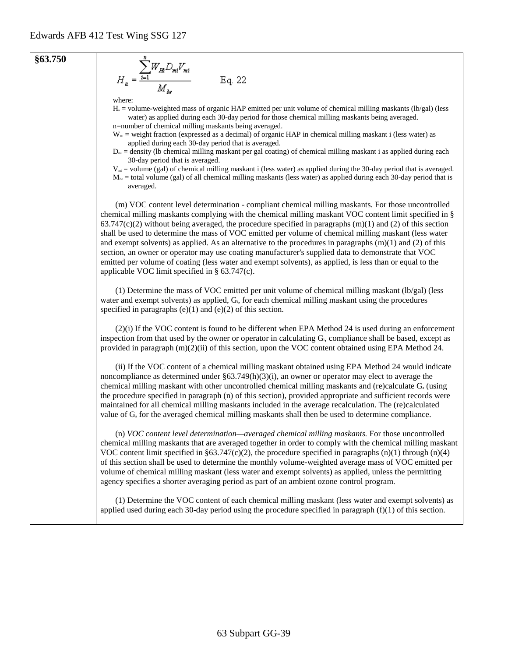

 $H<sub>a</sub>$  = volume-weighted mass of organic HAP emitted per unit volume of chemical milling maskants (lb/gal) (less water) as applied during each 30-day period for those chemical milling maskants being averaged. n=number of chemical milling maskants being averaged.

 $W_{\text{Hi}}$  = weight fraction (expressed as a decimal) of organic HAP in chemical milling maskant i (less water) as applied during each 30-day period that is averaged.

 $D<sub>mi</sub> =$  density (Ib chemical milling maskant per gal coating) of chemical milling maskant i as applied during each 30-day period that is averaged.

 $V_m$  = volume (gal) of chemical milling maskant i (less water) as applied during the 30-day period that is averaged.

 $M_{\text{lw}}$  = total volume (gal) of all chemical milling maskants (less water) as applied during each 30-day period that is averaged.

(m) VOC content level determination - compliant chemical milling maskants. For those uncontrolled chemical milling maskants complying with the chemical milling maskant VOC content limit specified in §  $63.747(c)(2)$  without being averaged, the procedure specified in paragraphs (m)(1) and (2) of this section shall be used to determine the mass of VOC emitted per volume of chemical milling maskant (less water and exempt solvents) as applied. As an alternative to the procedures in paragraphs  $(m)(1)$  and  $(2)$  of this section, an owner or operator may use coating manufacturer's supplied data to demonstrate that VOC emitted per volume of coating (less water and exempt solvents), as applied, is less than or equal to the applicable VOC limit specified in § 63.747(c).

(1) Determine the mass of VOC emitted per unit volume of chemical milling maskant (lb/gal) (less water and exempt solvents) as applied, G<sub>i</sub>, for each chemical milling maskant using the procedures specified in paragraphs  $(e)(1)$  and  $(e)(2)$  of this section.

(2)(i) If the VOC content is found to be different when EPA Method 24 is used during an enforcement inspection from that used by the owner or operator in calculating G<sub>i</sub>, compliance shall be based, except as provided in paragraph (m)(2)(ii) of this section, upon the VOC content obtained using EPA Method 24.

(ii) If the VOC content of a chemical milling maskant obtained using EPA Method 24 would indicate noncompliance as determined under  $\S 63.749(h)(3)(i)$ , an owner or operator may elect to average the chemical milling maskant with other uncontrolled chemical milling maskants and (re)calculate Ga (using the procedure specified in paragraph (n) of this section), provided appropriate and sufficient records were maintained for all chemical milling maskants included in the average recalculation. The (re)calculated value of G<sub>a</sub> for the averaged chemical milling maskants shall then be used to determine compliance.

(n) *VOC content level determination—averaged chemical milling maskants.* For those uncontrolled chemical milling maskants that are averaged together in order to comply with the chemical milling maskant VOC content limit specified in §63.747(c)(2), the procedure specified in paragraphs  $(n)(1)$  through  $(n)(4)$ of this section shall be used to determine the monthly volume-weighted average mass of VOC emitted per volume of chemical milling maskant (less water and exempt solvents) as applied, unless the permitting agency specifies a shorter averaging period as part of an ambient ozone control program.

(1) Determine the VOC content of each chemical milling maskant (less water and exempt solvents) as applied used during each 30-day period using the procedure specified in paragraph  $(f)(1)$  of this section.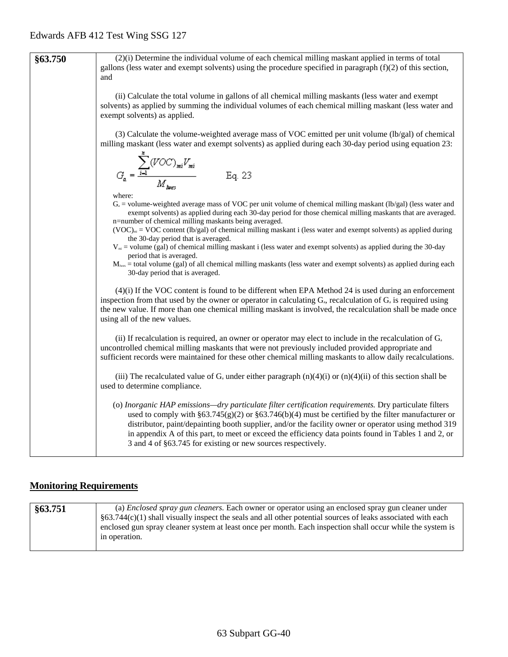| §63.750 | (2)(i) Determine the individual volume of each chemical milling maskant applied in terms of total<br>gallons (less water and exempt solvents) using the procedure specified in paragraph $(f)(2)$ of this section,<br>and                                                                                                                                                                                                                                                                                                                                                                 |
|---------|-------------------------------------------------------------------------------------------------------------------------------------------------------------------------------------------------------------------------------------------------------------------------------------------------------------------------------------------------------------------------------------------------------------------------------------------------------------------------------------------------------------------------------------------------------------------------------------------|
|         | (ii) Calculate the total volume in gallons of all chemical milling maskants (less water and exempt<br>solvents) as applied by summing the individual volumes of each chemical milling maskant (less water and<br>exempt solvents) as applied.                                                                                                                                                                                                                                                                                                                                             |
|         | (3) Calculate the volume-weighted average mass of VOC emitted per unit volume (lb/gal) of chemical<br>milling maskant (less water and exempt solvents) as applied during each 30-day period using equation 23:                                                                                                                                                                                                                                                                                                                                                                            |
|         | $G_{a} = \frac{\displaystyle\sum_{i=1}^{a}(VOC)_{mi}V_{mi}}{M_{\text{hues}}}$<br>Eq. 23                                                                                                                                                                                                                                                                                                                                                                                                                                                                                                   |
|         | where:<br>$G_a$ = volume-weighted average mass of VOC per unit volume of chemical milling maskant (lb/gal) (less water and<br>exempt solvents) as applied during each 30-day period for those chemical milling maskants that are averaged.<br>n=number of chemical milling maskants being averaged.<br>$(VOC)_{mi} = VOC$ content (lb/gal) of chemical milling maskant i (less water and exempt solvents) as applied during<br>the 30-day period that is averaged.<br>$V_{mi}$ = volume (gal) of chemical milling maskant i (less water and exempt solvents) as applied during the 30-day |
|         | period that is averaged.<br>$M_{\text{lws}}$ = total volume (gal) of all chemical milling maskants (less water and exempt solvents) as applied during each<br>30-day period that is averaged.                                                                                                                                                                                                                                                                                                                                                                                             |
|         | $(4)(i)$ If the VOC content is found to be different when EPA Method 24 is used during an enforcement<br>inspection from that used by the owner or operator in calculating $G_a$ , recalculation of $G_a$ is required using<br>the new value. If more than one chemical milling maskant is involved, the recalculation shall be made once<br>using all of the new values.                                                                                                                                                                                                                 |
|         | (ii) If recalculation is required, an owner or operator may elect to include in the recalculation of $G_a$<br>uncontrolled chemical milling maskants that were not previously included provided appropriate and<br>sufficient records were maintained for these other chemical milling maskants to allow daily recalculations.                                                                                                                                                                                                                                                            |
|         | (iii) The recalculated value of $G_a$ under either paragraph (n)(4)(i) or (n)(4)(ii) of this section shall be<br>used to determine compliance.                                                                                                                                                                                                                                                                                                                                                                                                                                            |
|         | (o) Inorganic HAP emissions—dry particulate filter certification requirements. Dry particulate filters<br>used to comply with $\S 63.745(g)(2)$ or $\S 63.746(b)(4)$ must be certified by the filter manufacturer or<br>distributor, paint/depainting booth supplier, and/or the facility owner or operator using method 319<br>in appendix A of this part, to meet or exceed the efficiency data points found in Tables 1 and 2, or<br>3 and 4 of §63.745 for existing or new sources respectively.                                                                                      |

# **Monitoring Requirements**

| §63.751 | (a) <i>Enclosed spray gun cleaners</i> . Each owner or operator using an enclosed spray gun cleaner under        |
|---------|------------------------------------------------------------------------------------------------------------------|
|         | $\S$ 63.744(c)(1) shall visually inspect the seals and all other potential sources of leaks associated with each |
|         | enclosed gun spray cleaner system at least once per month. Each inspection shall occur while the system is       |
|         | in operation.                                                                                                    |
|         |                                                                                                                  |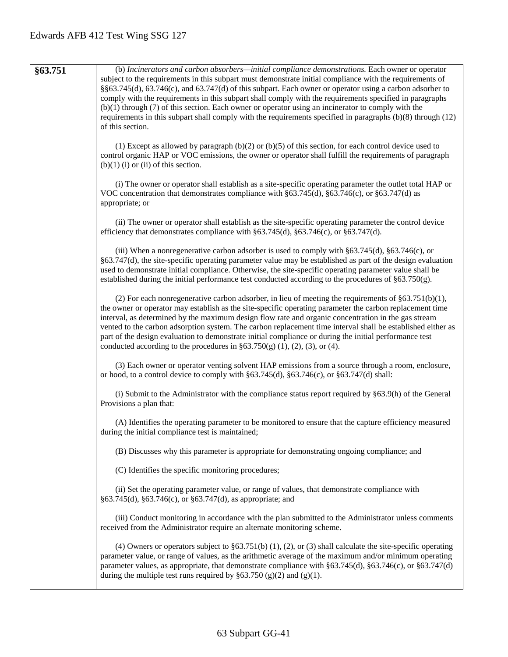| §63.751 | (b) Incinerators and carbon absorbers—initial compliance demonstrations. Each owner or operator<br>subject to the requirements in this subpart must demonstrate initial compliance with the requirements of<br>§§63.745(d), 63.746(c), and 63.747(d) of this subpart. Each owner or operator using a carbon adsorber to<br>comply with the requirements in this subpart shall comply with the requirements specified in paragraphs<br>$(b)(1)$ through $(7)$ of this section. Each owner or operator using an incinerator to comply with the<br>requirements in this subpart shall comply with the requirements specified in paragraphs (b)(8) through (12)<br>of this section. |
|---------|---------------------------------------------------------------------------------------------------------------------------------------------------------------------------------------------------------------------------------------------------------------------------------------------------------------------------------------------------------------------------------------------------------------------------------------------------------------------------------------------------------------------------------------------------------------------------------------------------------------------------------------------------------------------------------|
|         | (1) Except as allowed by paragraph $(b)(2)$ or $(b)(5)$ of this section, for each control device used to<br>control organic HAP or VOC emissions, the owner or operator shall fulfill the requirements of paragraph<br>$(b)(1)$ (i) or (ii) of this section.                                                                                                                                                                                                                                                                                                                                                                                                                    |
|         | (i) The owner or operator shall establish as a site-specific operating parameter the outlet total HAP or<br>VOC concentration that demonstrates compliance with $\S 63.745(d)$ , $\S 63.746(c)$ , or $\S 63.747(d)$ as<br>appropriate; or                                                                                                                                                                                                                                                                                                                                                                                                                                       |
|         | (ii) The owner or operator shall establish as the site-specific operating parameter the control device<br>efficiency that demonstrates compliance with $\S 63.745(d)$ , $\S 63.746(c)$ , or $\S 63.747(d)$ .                                                                                                                                                                                                                                                                                                                                                                                                                                                                    |
|         | (iii) When a nonregenerative carbon adsorber is used to comply with $\S 63.745(d)$ , $\S 63.746(c)$ , or<br>§63.747(d), the site-specific operating parameter value may be established as part of the design evaluation<br>used to demonstrate initial compliance. Otherwise, the site-specific operating parameter value shall be<br>established during the initial performance test conducted according to the procedures of $\S 63.750(g)$ .                                                                                                                                                                                                                                 |
|         | (2) For each nonregenerative carbon adsorber, in lieu of meeting the requirements of $\S 63.751(b)(1)$ ,<br>the owner or operator may establish as the site-specific operating parameter the carbon replacement time<br>interval, as determined by the maximum design flow rate and organic concentration in the gas stream<br>vented to the carbon adsorption system. The carbon replacement time interval shall be established either as<br>part of the design evaluation to demonstrate initial compliance or during the initial performance test<br>conducted according to the procedures in $\S 63.750(g)$ (1), (2), (3), or (4).                                          |
|         | (3) Each owner or operator venting solvent HAP emissions from a source through a room, enclosure,<br>or hood, to a control device to comply with $\S 63.745(d)$ , $\S 63.746(c)$ , or $\S 63.747(d)$ shall:                                                                                                                                                                                                                                                                                                                                                                                                                                                                     |
|         | (i) Submit to the Administrator with the compliance status report required by §63.9(h) of the General<br>Provisions a plan that:                                                                                                                                                                                                                                                                                                                                                                                                                                                                                                                                                |
|         | (A) Identifies the operating parameter to be monitored to ensure that the capture efficiency measured<br>during the initial compliance test is maintained;                                                                                                                                                                                                                                                                                                                                                                                                                                                                                                                      |
|         | (B) Discusses why this parameter is appropriate for demonstrating ongoing compliance; and                                                                                                                                                                                                                                                                                                                                                                                                                                                                                                                                                                                       |
|         | (C) Identifies the specific monitoring procedures;                                                                                                                                                                                                                                                                                                                                                                                                                                                                                                                                                                                                                              |
|         | (ii) Set the operating parameter value, or range of values, that demonstrate compliance with<br>§63.745(d), §63.746(c), or §63.747(d), as appropriate; and                                                                                                                                                                                                                                                                                                                                                                                                                                                                                                                      |
|         | (iii) Conduct monitoring in accordance with the plan submitted to the Administrator unless comments<br>received from the Administrator require an alternate monitoring scheme.                                                                                                                                                                                                                                                                                                                                                                                                                                                                                                  |
|         | (4) Owners or operators subject to $\S 63.751(b)$ (1), (2), or (3) shall calculate the site-specific operating<br>parameter value, or range of values, as the arithmetic average of the maximum and/or minimum operating<br>parameter values, as appropriate, that demonstrate compliance with §63.745(d), §63.746(c), or §63.747(d)<br>during the multiple test runs required by $\S 63.750$ (g)(2) and (g)(1).                                                                                                                                                                                                                                                                |
|         |                                                                                                                                                                                                                                                                                                                                                                                                                                                                                                                                                                                                                                                                                 |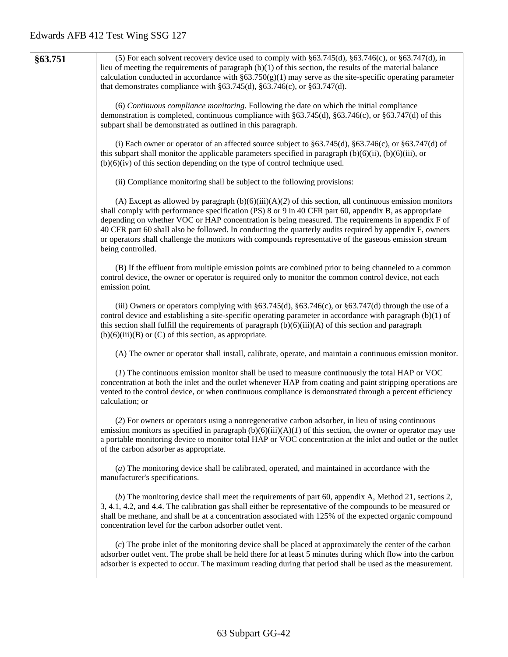| §63.751 | (5) For each solvent recovery device used to comply with $\S 63.745(d)$ , $\S 63.746(c)$ , or $\S 63.747(d)$ , in  |
|---------|--------------------------------------------------------------------------------------------------------------------|
|         | lieu of meeting the requirements of paragraph $(b)(1)$ of this section, the results of the material balance        |
|         | calculation conducted in accordance with $\S 63.750(g)(1)$ may serve as the site-specific operating parameter      |
|         | that demonstrates compliance with $\S 63.745(d)$ , $\S 63.746(c)$ , or $\S 63.747(d)$ .                            |
|         |                                                                                                                    |
|         | (6) Continuous compliance monitoring. Following the date on which the initial compliance                           |
|         | demonstration is completed, continuous compliance with §63.745(d), §63.746(c), or §63.747(d) of this               |
|         |                                                                                                                    |
|         | subpart shall be demonstrated as outlined in this paragraph.                                                       |
|         |                                                                                                                    |
|         | (i) Each owner or operator of an affected source subject to $\S 63.745(d)$ , $\S 63.746(c)$ , or $\S 63.747(d)$ of |
|         | this subpart shall monitor the applicable parameters specified in paragraph $(b)(6)(ii)$ , $(b)(6)(iii)$ , or      |
|         | $(b)(6)(iv)$ of this section depending on the type of control technique used.                                      |
|         |                                                                                                                    |
|         | (ii) Compliance monitoring shall be subject to the following provisions:                                           |
|         |                                                                                                                    |
|         | (A) Except as allowed by paragraph $(b)(6)(iii)(A)(2)$ of this section, all continuous emission monitors           |
|         | shall comply with performance specification (PS) 8 or 9 in 40 CFR part 60, appendix B, as appropriate              |
|         | depending on whether VOC or HAP concentration is being measured. The requirements in appendix F of                 |
|         | 40 CFR part 60 shall also be followed. In conducting the quarterly audits required by appendix F, owners           |
|         | or operators shall challenge the monitors with compounds representative of the gaseous emission stream             |
|         | being controlled.                                                                                                  |
|         |                                                                                                                    |
|         | (B) If the effluent from multiple emission points are combined prior to being channeled to a common                |
|         | control device, the owner or operator is required only to monitor the common control device, not each              |
|         | emission point.                                                                                                    |
|         |                                                                                                                    |
|         | (iii) Owners or operators complying with $\S 63.745(d)$ , $\S 63.746(c)$ , or $\S 63.747(d)$ through the use of a  |
|         | control device and establishing a site-specific operating parameter in accordance with paragraph $(b)(1)$ of       |
|         | this section shall fulfill the requirements of paragraph $(b)(6)(iii)(A)$ of this section and paragraph            |
|         | $(b)(6)(iii)(B)$ or $(C)$ of this section, as appropriate.                                                         |
|         |                                                                                                                    |
|         | (A) The owner or operator shall install, calibrate, operate, and maintain a continuous emission monitor.           |
|         |                                                                                                                    |
|         | (1) The continuous emission monitor shall be used to measure continuously the total HAP or VOC                     |
|         | concentration at both the inlet and the outlet whenever HAP from coating and paint stripping operations are        |
|         | vented to the control device, or when continuous compliance is demonstrated through a percent efficiency           |
|         | calculation; or                                                                                                    |
|         |                                                                                                                    |
|         | (2) For owners or operators using a nonregenerative carbon adsorber, in lieu of using continuous                   |
|         | emission monitors as specified in paragraph $(b)(6)(iii)(A)(I)$ of this section, the owner or operator may use     |
|         | a portable monitoring device to monitor total HAP or VOC concentration at the inlet and outlet or the outlet       |
|         | of the carbon adsorber as appropriate.                                                                             |
|         |                                                                                                                    |
|         | (a) The monitoring device shall be calibrated, operated, and maintained in accordance with the                     |
|         | manufacturer's specifications.                                                                                     |
|         |                                                                                                                    |
|         | (b) The monitoring device shall meet the requirements of part 60, appendix A, Method 21, sections 2,               |
|         | 3, 4.1, 4.2, and 4.4. The calibration gas shall either be representative of the compounds to be measured or        |
|         | shall be methane, and shall be at a concentration associated with 125% of the expected organic compound            |
|         | concentration level for the carbon adsorber outlet vent.                                                           |
|         |                                                                                                                    |
|         | (c) The probe inlet of the monitoring device shall be placed at approximately the center of the carbon             |
|         | adsorber outlet vent. The probe shall be held there for at least 5 minutes during which flow into the carbon       |
|         | adsorber is expected to occur. The maximum reading during that period shall be used as the measurement.            |
|         |                                                                                                                    |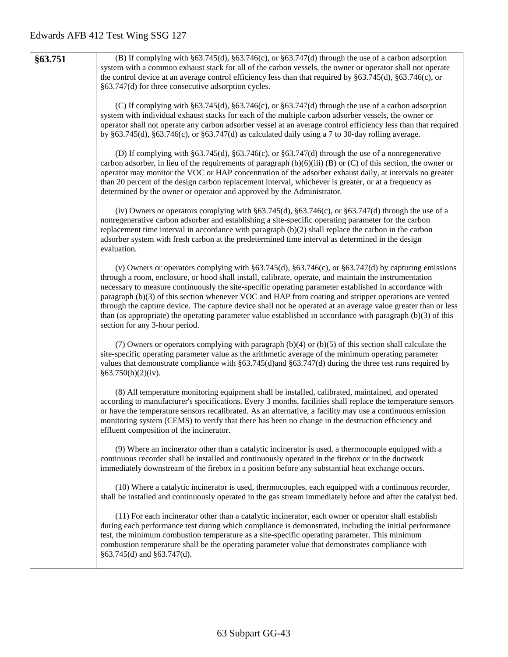| §63.751 | (B) If complying with $\S63.745(d)$ , $\S63.746(c)$ , or $\S63.747(d)$ through the use of a carbon adsorption<br>system with a common exhaust stack for all of the carbon vessels, the owner or operator shall not operate<br>the control device at an average control efficiency less than that required by $\S 63.745(d)$ , $\S 63.746(c)$ , or<br>§63.747(d) for three consecutive adsorption cycles.                                                                                                                                                                                                                                                                                                           |
|---------|--------------------------------------------------------------------------------------------------------------------------------------------------------------------------------------------------------------------------------------------------------------------------------------------------------------------------------------------------------------------------------------------------------------------------------------------------------------------------------------------------------------------------------------------------------------------------------------------------------------------------------------------------------------------------------------------------------------------|
|         | (C) If complying with $\S63.745(d)$ , $\S63.746(c)$ , or $\S63.747(d)$ through the use of a carbon adsorption<br>system with individual exhaust stacks for each of the multiple carbon adsorber vessels, the owner or<br>operator shall not operate any carbon adsorber vessel at an average control efficiency less than that required<br>by $§63.745(d)$ , $§63.746(c)$ , or $§63.747(d)$ as calculated daily using a 7 to 30-day rolling average.                                                                                                                                                                                                                                                               |
|         | (D) If complying with $\S 63.745(d)$ , $\S 63.746(c)$ , or $\S 63.747(d)$ through the use of a nonregenerative<br>carbon adsorber, in lieu of the requirements of paragraph $(b)(6)(iii)$ (B) or (C) of this section, the owner or<br>operator may monitor the VOC or HAP concentration of the adsorber exhaust daily, at intervals no greater<br>than 20 percent of the design carbon replacement interval, whichever is greater, or at a frequency as<br>determined by the owner or operator and approved by the Administrator.                                                                                                                                                                                  |
|         | (iv) Owners or operators complying with $\S 63.745(d)$ , $\S 63.746(c)$ , or $\S 63.747(d)$ through the use of a<br>nonregenerative carbon adsorber and establishing a site-specific operating parameter for the carbon<br>replacement time interval in accordance with paragraph $(b)(2)$ shall replace the carbon in the carbon<br>adsorber system with fresh carbon at the predetermined time interval as determined in the design<br>evaluation.                                                                                                                                                                                                                                                               |
|         | (v) Owners or operators complying with $\S 63.745(d)$ , $\S 63.746(c)$ , or $\S 63.747(d)$ by capturing emissions<br>through a room, enclosure, or hood shall install, calibrate, operate, and maintain the instrumentation<br>necessary to measure continuously the site-specific operating parameter established in accordance with<br>paragraph (b)(3) of this section whenever VOC and HAP from coating and stripper operations are vented<br>through the capture device. The capture device shall not be operated at an average value greater than or less<br>than (as appropriate) the operating parameter value established in accordance with paragraph $(b)(3)$ of this<br>section for any 3-hour period. |
|         | (7) Owners or operators complying with paragraph $(b)(4)$ or $(b)(5)$ of this section shall calculate the<br>site-specific operating parameter value as the arithmetic average of the minimum operating parameter<br>values that demonstrate compliance with $\S 63.745(d)$ and $\S 63.747(d)$ during the three test runs required by<br>§63.750(h)(2)(iv).                                                                                                                                                                                                                                                                                                                                                        |
|         | (8) All temperature monitoring equipment shall be installed, calibrated, maintained, and operated<br>according to manufacturer's specifications. Every 3 months, facilities shall replace the temperature sensors<br>or have the temperature sensors recalibrated. As an alternative, a facility may use a continuous emission<br>monitoring system (CEMS) to verify that there has been no change in the destruction efficiency and<br>effluent composition of the incinerator.                                                                                                                                                                                                                                   |
|         | (9) Where an incinerator other than a catalytic incinerator is used, a thermocouple equipped with a<br>continuous recorder shall be installed and continuously operated in the firebox or in the ductwork<br>immediately downstream of the firebox in a position before any substantial heat exchange occurs.                                                                                                                                                                                                                                                                                                                                                                                                      |
|         | (10) Where a catalytic incinerator is used, thermocouples, each equipped with a continuous recorder,<br>shall be installed and continuously operated in the gas stream immediately before and after the catalyst bed.                                                                                                                                                                                                                                                                                                                                                                                                                                                                                              |
|         | (11) For each incinerator other than a catalytic incinerator, each owner or operator shall establish<br>during each performance test during which compliance is demonstrated, including the initial performance<br>test, the minimum combustion temperature as a site-specific operating parameter. This minimum<br>combustion temperature shall be the operating parameter value that demonstrates compliance with<br>$§63.745(d)$ and $§63.747(d)$ .                                                                                                                                                                                                                                                             |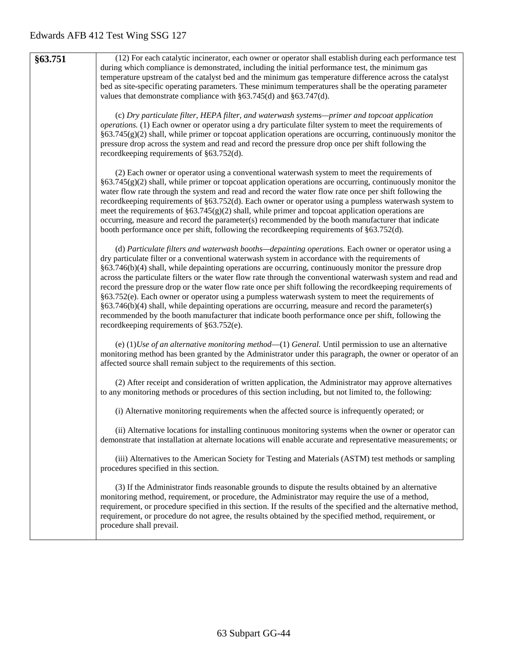| §63.751 | (12) For each catalytic incinerator, each owner or operator shall establish during each performance test<br>during which compliance is demonstrated, including the initial performance test, the minimum gas<br>temperature upstream of the catalyst bed and the minimum gas temperature difference across the catalyst<br>bed as site-specific operating parameters. These minimum temperatures shall be the operating parameter<br>values that demonstrate compliance with $\S 63.745(d)$ and $\S 63.747(d)$ .<br>(c) Dry particulate filter, HEPA filter, and waterwash systems—primer and topcoat application<br><i>operations.</i> (1) Each owner or operator using a dry particulate filter system to meet the requirements of<br>$§63.745(g)(2)$ shall, while primer or topcoat application operations are occurring, continuously monitor the<br>pressure drop across the system and read and record the pressure drop once per shift following the<br>recordkeeping requirements of §63.752(d). |
|---------|----------------------------------------------------------------------------------------------------------------------------------------------------------------------------------------------------------------------------------------------------------------------------------------------------------------------------------------------------------------------------------------------------------------------------------------------------------------------------------------------------------------------------------------------------------------------------------------------------------------------------------------------------------------------------------------------------------------------------------------------------------------------------------------------------------------------------------------------------------------------------------------------------------------------------------------------------------------------------------------------------------|
|         | (2) Each owner or operator using a conventional waterwash system to meet the requirements of<br>§63.745(g)(2) shall, while primer or topcoat application operations are occurring, continuously monitor the<br>water flow rate through the system and read and record the water flow rate once per shift following the<br>recordkeeping requirements of §63.752(d). Each owner or operator using a pumpless waterwash system to<br>meet the requirements of $\S 63.745(g)(2)$ shall, while primer and topcoat application operations are<br>occurring, measure and record the parameter(s) recommended by the booth manufacturer that indicate<br>booth performance once per shift, following the recordkeeping requirements of §63.752(d).                                                                                                                                                                                                                                                              |
|         | (d) Particulate filters and waterwash booths—depainting operations. Each owner or operator using a<br>dry particulate filter or a conventional waterwash system in accordance with the requirements of<br>§63.746(b)(4) shall, while depainting operations are occurring, continuously monitor the pressure drop<br>across the particulate filters or the water flow rate through the conventional waterwash system and read and<br>record the pressure drop or the water flow rate once per shift following the recordkeeping requirements of<br>§63.752(e). Each owner or operator using a pumpless waterwash system to meet the requirements of<br>$§63.746(b)(4)$ shall, while depainting operations are occurring, measure and record the parameter(s)<br>recommended by the booth manufacturer that indicate booth performance once per shift, following the<br>recordkeeping requirements of $§63.752(e)$ .                                                                                       |
|         | (e) $(1)$ <i>Use of an alternative monitoring method</i> — $(1)$ <i>General.</i> Until permission to use an alternative<br>monitoring method has been granted by the Administrator under this paragraph, the owner or operator of an<br>affected source shall remain subject to the requirements of this section.                                                                                                                                                                                                                                                                                                                                                                                                                                                                                                                                                                                                                                                                                        |
|         | (2) After receipt and consideration of written application, the Administrator may approve alternatives<br>to any monitoring methods or procedures of this section including, but not limited to, the following:                                                                                                                                                                                                                                                                                                                                                                                                                                                                                                                                                                                                                                                                                                                                                                                          |
|         | (i) Alternative monitoring requirements when the affected source is infrequently operated; or                                                                                                                                                                                                                                                                                                                                                                                                                                                                                                                                                                                                                                                                                                                                                                                                                                                                                                            |
|         | (ii) Alternative locations for installing continuous monitoring systems when the owner or operator can<br>demonstrate that installation at alternate locations will enable accurate and representative measurements; or                                                                                                                                                                                                                                                                                                                                                                                                                                                                                                                                                                                                                                                                                                                                                                                  |
|         | (iii) Alternatives to the American Society for Testing and Materials (ASTM) test methods or sampling<br>procedures specified in this section.                                                                                                                                                                                                                                                                                                                                                                                                                                                                                                                                                                                                                                                                                                                                                                                                                                                            |
|         | (3) If the Administrator finds reasonable grounds to dispute the results obtained by an alternative<br>monitoring method, requirement, or procedure, the Administrator may require the use of a method,<br>requirement, or procedure specified in this section. If the results of the specified and the alternative method,<br>requirement, or procedure do not agree, the results obtained by the specified method, requirement, or<br>procedure shall prevail.                                                                                                                                                                                                                                                                                                                                                                                                                                                                                                                                         |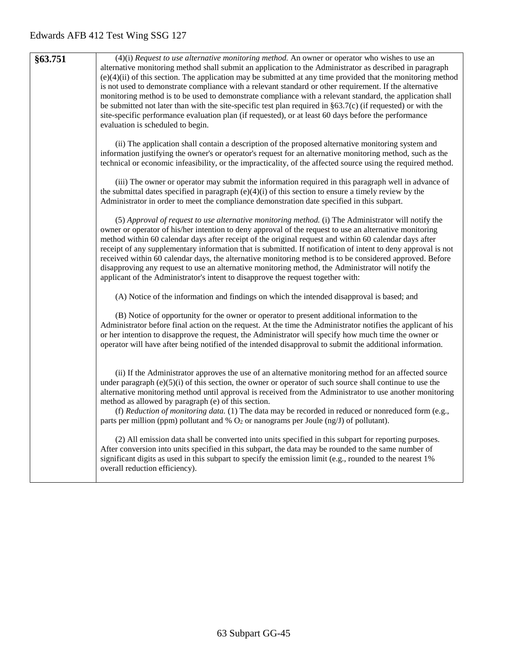| \$63.751 | $(4)(i)$ Request to use alternative monitoring method. An owner or operator who wishes to use an                 |
|----------|------------------------------------------------------------------------------------------------------------------|
|          | alternative monitoring method shall submit an application to the Administrator as described in paragraph         |
|          | $(e)(4)(ii)$ of this section. The application may be submitted at any time provided that the monitoring method   |
|          | is not used to demonstrate compliance with a relevant standard or other requirement. If the alternative          |
|          | monitoring method is to be used to demonstrate compliance with a relevant standard, the application shall        |
|          | be submitted not later than with the site-specific test plan required in $\S 63.7(c)$ (if requested) or with the |
|          | site-specific performance evaluation plan (if requested), or at least 60 days before the performance             |
|          | evaluation is scheduled to begin.                                                                                |
|          |                                                                                                                  |

(ii) The application shall contain a description of the proposed alternative monitoring system and information justifying the owner's or operator's request for an alternative monitoring method, such as the technical or economic infeasibility, or the impracticality, of the affected source using the required method.

(iii) The owner or operator may submit the information required in this paragraph well in advance of the submittal dates specified in paragraph  $(e)(4)(i)$  of this section to ensure a timely review by the Administrator in order to meet the compliance demonstration date specified in this subpart.

(5) *Approval of request to use alternative monitoring method.* (i) The Administrator will notify the owner or operator of his/her intention to deny approval of the request to use an alternative monitoring method within 60 calendar days after receipt of the original request and within 60 calendar days after receipt of any supplementary information that is submitted. If notification of intent to deny approval is not received within 60 calendar days, the alternative monitoring method is to be considered approved. Before disapproving any request to use an alternative monitoring method, the Administrator will notify the applicant of the Administrator's intent to disapprove the request together with:

(A) Notice of the information and findings on which the intended disapproval is based; and

(B) Notice of opportunity for the owner or operator to present additional information to the Administrator before final action on the request. At the time the Administrator notifies the applicant of his or her intention to disapprove the request, the Administrator will specify how much time the owner or operator will have after being notified of the intended disapproval to submit the additional information.

(ii) If the Administrator approves the use of an alternative monitoring method for an affected source under paragraph  $(e)(5)(i)$  of this section, the owner or operator of such source shall continue to use the alternative monitoring method until approval is received from the Administrator to use another monitoring method as allowed by paragraph (e) of this section.

(f) *Reduction of monitoring data.* (1) The data may be recorded in reduced or nonreduced form (e.g., parts per million (ppm) pollutant and  $%$  O<sub>2</sub> or nanograms per Joule (ng/J) of pollutant).

(2) All emission data shall be converted into units specified in this subpart for reporting purposes. After conversion into units specified in this subpart, the data may be rounded to the same number of significant digits as used in this subpart to specify the emission limit (e.g., rounded to the nearest 1%) overall reduction efficiency).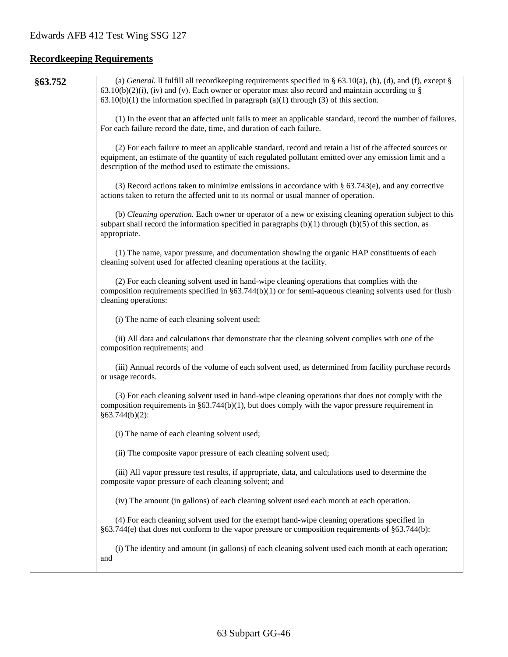# **Recordkeeping Requirements**

| §63.752 | (a) General. Il fulfill all record keeping requirements specified in § 63.10(a), (b), (d), and (f), except §<br>$63.10(b)(2)(i)$ , (iv) and (v). Each owner or operator must also record and maintain according to §                                                              |
|---------|-----------------------------------------------------------------------------------------------------------------------------------------------------------------------------------------------------------------------------------------------------------------------------------|
|         | $63.10(b)(1)$ the information specified in paragraph $(a)(1)$ through $(3)$ of this section.                                                                                                                                                                                      |
|         | (1) In the event that an affected unit fails to meet an applicable standard, record the number of failures.<br>For each failure record the date, time, and duration of each failure.                                                                                              |
|         | (2) For each failure to meet an applicable standard, record and retain a list of the affected sources or<br>equipment, an estimate of the quantity of each regulated pollutant emitted over any emission limit and a<br>description of the method used to estimate the emissions. |
|         | (3) Record actions taken to minimize emissions in accordance with $\S$ 63.743(e), and any corrective<br>actions taken to return the affected unit to its normal or usual manner of operation.                                                                                     |
|         | (b) Cleaning operation. Each owner or operator of a new or existing cleaning operation subject to this<br>subpart shall record the information specified in paragraphs $(b)(1)$ through $(b)(5)$ of this section, as<br>appropriate.                                              |
|         | (1) The name, vapor pressure, and documentation showing the organic HAP constituents of each<br>cleaning solvent used for affected cleaning operations at the facility.                                                                                                           |
|         | (2) For each cleaning solvent used in hand-wipe cleaning operations that complies with the<br>composition requirements specified in $\S 63.744(b)(1)$ or for semi-aqueous cleaning solvents used for flush<br>cleaning operations:                                                |
|         | (i) The name of each cleaning solvent used;                                                                                                                                                                                                                                       |
|         | (ii) All data and calculations that demonstrate that the cleaning solvent complies with one of the<br>composition requirements; and                                                                                                                                               |
|         | (iii) Annual records of the volume of each solvent used, as determined from facility purchase records<br>or usage records.                                                                                                                                                        |
|         | (3) For each cleaning solvent used in hand-wipe cleaning operations that does not comply with the<br>composition requirements in $\S63.744(b)(1)$ , but does comply with the vapor pressure requirement in<br>§63.744(b)(2):                                                      |
|         | (i) The name of each cleaning solvent used;                                                                                                                                                                                                                                       |
|         | (ii) The composite vapor pressure of each cleaning solvent used;                                                                                                                                                                                                                  |
|         | (iii) All vapor pressure test results, if appropriate, data, and calculations used to determine the<br>composite vapor pressure of each cleaning solvent; and                                                                                                                     |
|         | (iv) The amount (in gallons) of each cleaning solvent used each month at each operation.                                                                                                                                                                                          |
|         | (4) For each cleaning solvent used for the exempt hand-wipe cleaning operations specified in<br>$§63.744(e)$ that does not conform to the vapor pressure or composition requirements of $§63.744(b)$ :                                                                            |
|         | (i) The identity and amount (in gallons) of each cleaning solvent used each month at each operation;<br>and                                                                                                                                                                       |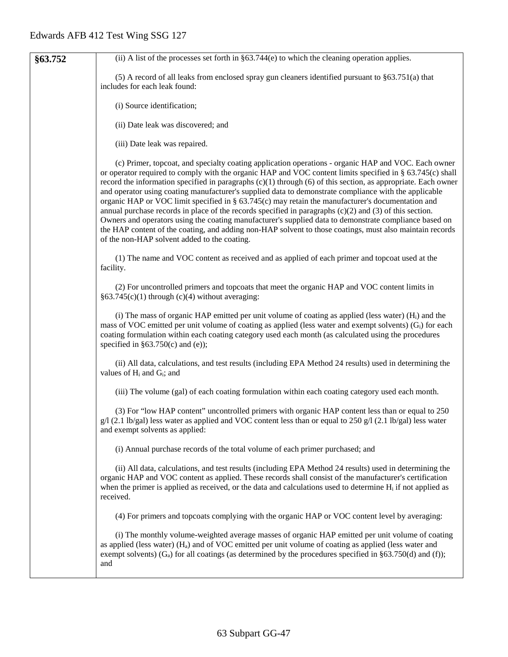| §63.752 | (ii) A list of the processes set forth in $\S 63.744(e)$ to which the cleaning operation applies.                                                                                                                                                                                                                                                                                                                                                                                                                                                                                                                                                                                                                                                                                                                                                                                                                                        |
|---------|------------------------------------------------------------------------------------------------------------------------------------------------------------------------------------------------------------------------------------------------------------------------------------------------------------------------------------------------------------------------------------------------------------------------------------------------------------------------------------------------------------------------------------------------------------------------------------------------------------------------------------------------------------------------------------------------------------------------------------------------------------------------------------------------------------------------------------------------------------------------------------------------------------------------------------------|
|         | (5) A record of all leaks from enclosed spray gun cleaners identified pursuant to §63.751(a) that<br>includes for each leak found:                                                                                                                                                                                                                                                                                                                                                                                                                                                                                                                                                                                                                                                                                                                                                                                                       |
|         | (i) Source identification;                                                                                                                                                                                                                                                                                                                                                                                                                                                                                                                                                                                                                                                                                                                                                                                                                                                                                                               |
|         | (ii) Date leak was discovered; and                                                                                                                                                                                                                                                                                                                                                                                                                                                                                                                                                                                                                                                                                                                                                                                                                                                                                                       |
|         | (iii) Date leak was repaired.                                                                                                                                                                                                                                                                                                                                                                                                                                                                                                                                                                                                                                                                                                                                                                                                                                                                                                            |
|         | (c) Primer, topcoat, and specialty coating application operations - organic HAP and VOC. Each owner<br>or operator required to comply with the organic HAP and VOC content limits specified in § 63.745(c) shall<br>record the information specified in paragraphs $(c)(1)$ through $(6)$ of this section, as appropriate. Each owner<br>and operator using coating manufacturer's supplied data to demonstrate compliance with the applicable<br>organic HAP or VOC limit specified in § 63.745(c) may retain the manufacturer's documentation and<br>annual purchase records in place of the records specified in paragraphs $(c)(2)$ and $(3)$ of this section.<br>Owners and operators using the coating manufacturer's supplied data to demonstrate compliance based on<br>the HAP content of the coating, and adding non-HAP solvent to those coatings, must also maintain records<br>of the non-HAP solvent added to the coating. |
|         | (1) The name and VOC content as received and as applied of each primer and topcoat used at the<br>facility.                                                                                                                                                                                                                                                                                                                                                                                                                                                                                                                                                                                                                                                                                                                                                                                                                              |
|         | (2) For uncontrolled primers and topcoats that meet the organic HAP and VOC content limits in<br>$§63.745(c)(1)$ through (c)(4) without averaging:                                                                                                                                                                                                                                                                                                                                                                                                                                                                                                                                                                                                                                                                                                                                                                                       |
|         | (i) The mass of organic HAP emitted per unit volume of coating as applied (less water) $(Hi)$ and the<br>mass of VOC emitted per unit volume of coating as applied (less water and exempt solvents) (G <sub>i</sub> ) for each<br>coating formulation within each coating category used each month (as calculated using the procedures<br>specified in $§63.750(c)$ and (e));                                                                                                                                                                                                                                                                                                                                                                                                                                                                                                                                                            |
|         | (ii) All data, calculations, and test results (including EPA Method 24 results) used in determining the<br>values of $H_i$ and $G_i$ ; and                                                                                                                                                                                                                                                                                                                                                                                                                                                                                                                                                                                                                                                                                                                                                                                               |
|         | (iii) The volume (gal) of each coating formulation within each coating category used each month.                                                                                                                                                                                                                                                                                                                                                                                                                                                                                                                                                                                                                                                                                                                                                                                                                                         |
|         | (3) For "low HAP content" uncontrolled primers with organic HAP content less than or equal to 250<br>g/l (2.1 lb/gal) less water as applied and VOC content less than or equal to 250 g/l (2.1 lb/gal) less water<br>and exempt solvents as applied:                                                                                                                                                                                                                                                                                                                                                                                                                                                                                                                                                                                                                                                                                     |
|         | (i) Annual purchase records of the total volume of each primer purchased; and                                                                                                                                                                                                                                                                                                                                                                                                                                                                                                                                                                                                                                                                                                                                                                                                                                                            |
|         | (ii) All data, calculations, and test results (including EPA Method 24 results) used in determining the<br>organic HAP and VOC content as applied. These records shall consist of the manufacturer's certification<br>when the primer is applied as received, or the data and calculations used to determine $H_i$ if not applied as<br>received.                                                                                                                                                                                                                                                                                                                                                                                                                                                                                                                                                                                        |
|         | (4) For primers and topcoats complying with the organic HAP or VOC content level by averaging:                                                                                                                                                                                                                                                                                                                                                                                                                                                                                                                                                                                                                                                                                                                                                                                                                                           |
|         | (i) The monthly volume-weighted average masses of organic HAP emitted per unit volume of coating<br>as applied (less water) $(H_a)$ and of VOC emitted per unit volume of coating as applied (less water and<br>exempt solvents) ( $G_a$ ) for all coatings (as determined by the procedures specified in §63.750(d) and (f));<br>and                                                                                                                                                                                                                                                                                                                                                                                                                                                                                                                                                                                                    |
|         |                                                                                                                                                                                                                                                                                                                                                                                                                                                                                                                                                                                                                                                                                                                                                                                                                                                                                                                                          |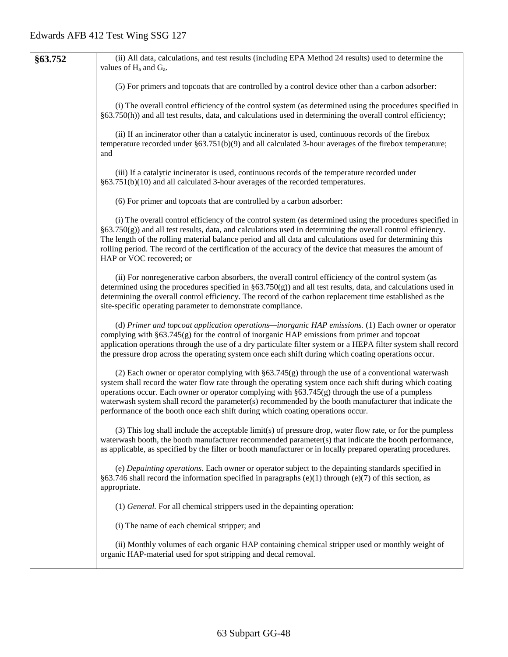**§63.752** (ii) All data, calculations, and test results (including EPA Method 24 results) used to determine the values of  $H_a$  and  $G_a$ . (5) For primers and topcoats that are controlled by a control device other than a carbon adsorber: (i) The overall control efficiency of the control system (as determined using the procedures specified in §63.750(h)) and all test results, data, and calculations used in determining the overall control efficiency; (ii) If an incinerator other than a catalytic incinerator is used, continuous records of the firebox temperature recorded under §63.751(b)(9) and all calculated 3-hour averages of the firebox temperature; and (iii) If a catalytic incinerator is used, continuous records of the temperature recorded under §63.751(b)(10) and all calculated 3-hour averages of the recorded temperatures. (6) For primer and topcoats that are controlled by a carbon adsorber: (i) The overall control efficiency of the control system (as determined using the procedures specified in §63.750(g)) and all test results, data, and calculations used in determining the overall control efficiency. The length of the rolling material balance period and all data and calculations used for determining this rolling period. The record of the certification of the accuracy of the device that measures the amount of HAP or VOC recovered; or (ii) For nonregenerative carbon absorbers, the overall control efficiency of the control system (as determined using the procedures specified in §63.750(g)) and all test results, data, and calculations used in determining the overall control efficiency. The record of the carbon replacement time established as the site-specific operating parameter to demonstrate compliance. (d) *Primer and topcoat application operations—inorganic HAP emissions.* (1) Each owner or operator complying with §63.745(g) for the control of inorganic HAP emissions from primer and topcoat application operations through the use of a dry particulate filter system or a HEPA filter system shall record the pressure drop across the operating system once each shift during which coating operations occur. (2) Each owner or operator complying with  $\S 63.745(g)$  through the use of a conventional waterwash system shall record the water flow rate through the operating system once each shift during which coating operations occur. Each owner or operator complying with  $\S 63.745(g)$  through the use of a pumpless waterwash system shall record the parameter(s) recommended by the booth manufacturer that indicate the performance of the booth once each shift during which coating operations occur. (3) This log shall include the acceptable limit(s) of pressure drop, water flow rate, or for the pumpless waterwash booth, the booth manufacturer recommended parameter(s) that indicate the booth performance, as applicable, as specified by the filter or booth manufacturer or in locally prepared operating procedures. (e) *Depainting operations.* Each owner or operator subject to the depainting standards specified in §63.746 shall record the information specified in paragraphs (e)(1) through (e)(7) of this section, as appropriate. (1) *General.* For all chemical strippers used in the depainting operation: (i) The name of each chemical stripper; and (ii) Monthly volumes of each organic HAP containing chemical stripper used or monthly weight of organic HAP-material used for spot stripping and decal removal.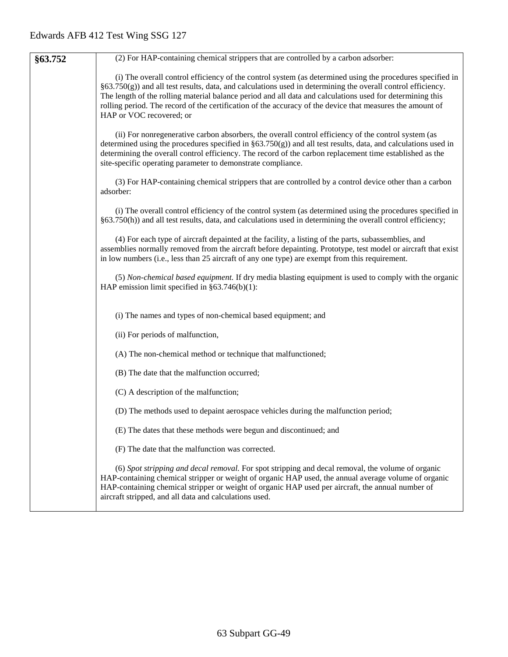| §63.752 | (2) For HAP-containing chemical strippers that are controlled by a carbon adsorber:                                                                                                                                                                                                                                                                                                                                                                                              |  |  |  |  |  |  |
|---------|----------------------------------------------------------------------------------------------------------------------------------------------------------------------------------------------------------------------------------------------------------------------------------------------------------------------------------------------------------------------------------------------------------------------------------------------------------------------------------|--|--|--|--|--|--|
|         | (i) The overall control efficiency of the control system (as determined using the procedures specified in<br>$§63.750(g)$ and all test results, data, and calculations used in determining the overall control efficiency.<br>The length of the rolling material balance period and all data and calculations used for determining this<br>rolling period. The record of the certification of the accuracy of the device that measures the amount of<br>HAP or VOC recovered; or |  |  |  |  |  |  |
|         | (ii) For nonregenerative carbon absorbers, the overall control efficiency of the control system (as<br>determined using the procedures specified in $\S 63.750(g)$ and all test results, data, and calculations used in<br>determining the overall control efficiency. The record of the carbon replacement time established as the<br>site-specific operating parameter to demonstrate compliance.                                                                              |  |  |  |  |  |  |
|         | (3) For HAP-containing chemical strippers that are controlled by a control device other than a carbon<br>adsorber:                                                                                                                                                                                                                                                                                                                                                               |  |  |  |  |  |  |
|         | (i) The overall control efficiency of the control system (as determined using the procedures specified in<br>$§63.750(h)$ ) and all test results, data, and calculations used in determining the overall control efficiency;                                                                                                                                                                                                                                                     |  |  |  |  |  |  |
|         | (4) For each type of aircraft depainted at the facility, a listing of the parts, subassemblies, and<br>assemblies normally removed from the aircraft before depainting. Prototype, test model or aircraft that exist<br>in low numbers (i.e., less than 25 aircraft of any one type) are exempt from this requirement.                                                                                                                                                           |  |  |  |  |  |  |
|         | (5) Non-chemical based equipment. If dry media blasting equipment is used to comply with the organic<br>HAP emission limit specified in $\S 63.746(b)(1)$ :                                                                                                                                                                                                                                                                                                                      |  |  |  |  |  |  |
|         | (i) The names and types of non-chemical based equipment; and                                                                                                                                                                                                                                                                                                                                                                                                                     |  |  |  |  |  |  |
|         | (ii) For periods of malfunction,                                                                                                                                                                                                                                                                                                                                                                                                                                                 |  |  |  |  |  |  |
|         | (A) The non-chemical method or technique that malfunctioned;                                                                                                                                                                                                                                                                                                                                                                                                                     |  |  |  |  |  |  |
|         | (B) The date that the malfunction occurred;                                                                                                                                                                                                                                                                                                                                                                                                                                      |  |  |  |  |  |  |
|         | (C) A description of the malfunction;                                                                                                                                                                                                                                                                                                                                                                                                                                            |  |  |  |  |  |  |
|         | (D) The methods used to depaint aerospace vehicles during the malfunction period;                                                                                                                                                                                                                                                                                                                                                                                                |  |  |  |  |  |  |
|         | (E) The dates that these methods were begun and discontinued; and                                                                                                                                                                                                                                                                                                                                                                                                                |  |  |  |  |  |  |
|         | (F) The date that the malfunction was corrected.                                                                                                                                                                                                                                                                                                                                                                                                                                 |  |  |  |  |  |  |
|         | (6) Spot stripping and decal removal. For spot stripping and decal removal, the volume of organic<br>HAP-containing chemical stripper or weight of organic HAP used, the annual average volume of organic<br>HAP-containing chemical stripper or weight of organic HAP used per aircraft, the annual number of<br>aircraft stripped, and all data and calculations used.                                                                                                         |  |  |  |  |  |  |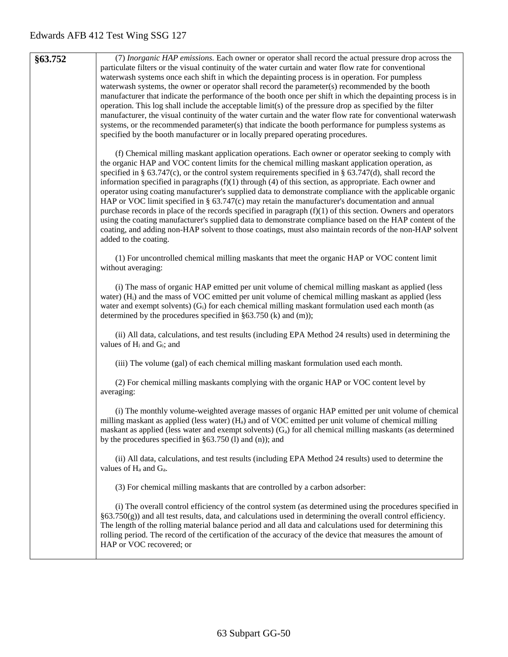**§63.752** (7) *Inorganic HAP emissions.* Each owner or operator shall record the actual pressure drop across the particulate filters or the visual continuity of the water curtain and water flow rate for conventional waterwash systems once each shift in which the depainting process is in operation. For pumpless waterwash systems, the owner or operator shall record the parameter(s) recommended by the booth manufacturer that indicate the performance of the booth once per shift in which the depainting process is in operation. This log shall include the acceptable limit(s) of the pressure drop as specified by the filter manufacturer, the visual continuity of the water curtain and the water flow rate for conventional waterwash systems, or the recommended parameter(s) that indicate the booth performance for pumpless systems as specified by the booth manufacturer or in locally prepared operating procedures.

> (f) Chemical milling maskant application operations. Each owner or operator seeking to comply with the organic HAP and VOC content limits for the chemical milling maskant application operation, as specified in § 63.747(c), or the control system requirements specified in § 63.747(d), shall record the information specified in paragraphs  $(f)(1)$  through  $(4)$  of this section, as appropriate. Each owner and operator using coating manufacturer's supplied data to demonstrate compliance with the applicable organic HAP or VOC limit specified in § 63.747(c) may retain the manufacturer's documentation and annual purchase records in place of the records specified in paragraph  $(f)(1)$  of this section. Owners and operators using the coating manufacturer's supplied data to demonstrate compliance based on the HAP content of the coating, and adding non-HAP solvent to those coatings, must also maintain records of the non-HAP solvent added to the coating.

(1) For uncontrolled chemical milling maskants that meet the organic HAP or VOC content limit without averaging:

(i) The mass of organic HAP emitted per unit volume of chemical milling maskant as applied (less water) (Hi) and the mass of VOC emitted per unit volume of chemical milling maskant as applied (less water and exempt solvents)  $(G_i)$  for each chemical milling maskant formulation used each month (as determined by the procedures specified in §63.750 (k) and (m));

(ii) All data, calculations, and test results (including EPA Method 24 results) used in determining the values of  $H_i$  and  $G_i$ ; and

(iii) The volume (gal) of each chemical milling maskant formulation used each month.

(2) For chemical milling maskants complying with the organic HAP or VOC content level by averaging:

(i) The monthly volume-weighted average masses of organic HAP emitted per unit volume of chemical milling maskant as applied (less water)  $(H_a)$  and of VOC emitted per unit volume of chemical milling maskant as applied (less water and exempt solvents)  $(G_a)$  for all chemical milling maskants (as determined by the procedures specified in §63.750 (l) and (n)); and

(ii) All data, calculations, and test results (including EPA Method 24 results) used to determine the values of  $H_a$  and  $G_a$ .

(3) For chemical milling maskants that are controlled by a carbon adsorber:

(i) The overall control efficiency of the control system (as determined using the procedures specified in §63.750(g)) and all test results, data, and calculations used in determining the overall control efficiency. The length of the rolling material balance period and all data and calculations used for determining this rolling period. The record of the certification of the accuracy of the device that measures the amount of HAP or VOC recovered; or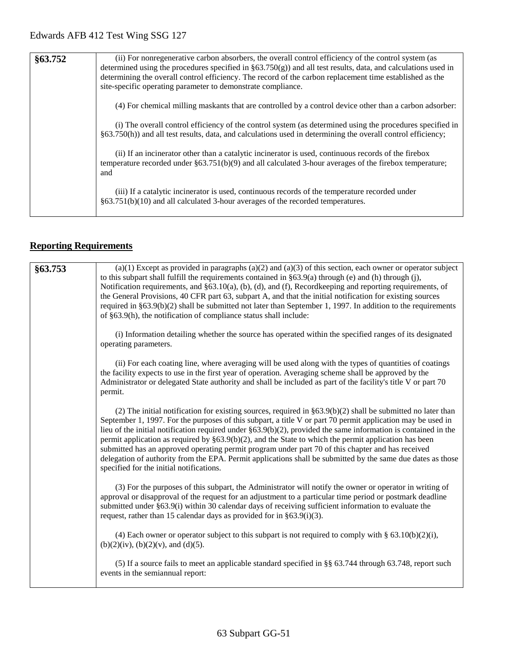| §63.752 | (ii) For nonregenerative carbon absorbers, the overall control efficiency of the control system (as<br>determined using the procedures specified in $\S 63.750(g)$ and all test results, data, and calculations used in<br>determining the overall control efficiency. The record of the carbon replacement time established as the<br>site-specific operating parameter to demonstrate compliance. |
|---------|-----------------------------------------------------------------------------------------------------------------------------------------------------------------------------------------------------------------------------------------------------------------------------------------------------------------------------------------------------------------------------------------------------|
|         | (4) For chemical milling maskants that are controlled by a control device other than a carbon adsorber:                                                                                                                                                                                                                                                                                             |
|         | (i) The overall control efficiency of the control system (as determined using the procedures specified in<br>$§63.750(h)$ and all test results, data, and calculations used in determining the overall control efficiency;                                                                                                                                                                          |
|         | (ii) If an incinerator other than a catalytic incinerator is used, continuous records of the firebox<br>temperature recorded under $\S 63.751(b)(9)$ and all calculated 3-hour averages of the firebox temperature;<br>and                                                                                                                                                                          |
|         | (iii) If a catalytic incinerator is used, continuous records of the temperature recorded under<br>$§63.751(b)(10)$ and all calculated 3-hour averages of the recorded temperatures.                                                                                                                                                                                                                 |

# **Reporting Requirements**

| §63.753 | $(a)(1)$ Except as provided in paragraphs $(a)(2)$ and $(a)(3)$ of this section, each owner or operator subject<br>to this subpart shall fulfill the requirements contained in $\S 63.9(a)$ through (e) and (h) through (j),<br>Notification requirements, and $\S 63.10(a)$ , (b), (d), and (f), Recordkeeping and reporting requirements, of<br>the General Provisions, 40 CFR part 63, subpart A, and that the initial notification for existing sources<br>required in $\S 63.9(b)(2)$ shall be submitted not later than September 1, 1997. In addition to the requirements<br>of §63.9(h), the notification of compliance status shall include:                                                                                |
|---------|-------------------------------------------------------------------------------------------------------------------------------------------------------------------------------------------------------------------------------------------------------------------------------------------------------------------------------------------------------------------------------------------------------------------------------------------------------------------------------------------------------------------------------------------------------------------------------------------------------------------------------------------------------------------------------------------------------------------------------------|
|         | (i) Information detailing whether the source has operated within the specified ranges of its designated<br>operating parameters.                                                                                                                                                                                                                                                                                                                                                                                                                                                                                                                                                                                                    |
|         | (ii) For each coating line, where averaging will be used along with the types of quantities of coatings<br>the facility expects to use in the first year of operation. Averaging scheme shall be approved by the<br>Administrator or delegated State authority and shall be included as part of the facility's title V or part 70<br>permit.                                                                                                                                                                                                                                                                                                                                                                                        |
|         | (2) The initial notification for existing sources, required in $\S 63.9(b)(2)$ shall be submitted no later than<br>September 1, 1997. For the purposes of this subpart, a title V or part 70 permit application may be used in<br>lieu of the initial notification required under $\S 63.9(b)(2)$ , provided the same information is contained in the<br>permit application as required by $\S 63.9(b)(2)$ , and the State to which the permit application has been<br>submitted has an approved operating permit program under part 70 of this chapter and has received<br>delegation of authority from the EPA. Permit applications shall be submitted by the same due dates as those<br>specified for the initial notifications. |
|         | (3) For the purposes of this subpart, the Administrator will notify the owner or operator in writing of<br>approval or disapproval of the request for an adjustment to a particular time period or postmark deadline<br>submitted under §63.9(i) within 30 calendar days of receiving sufficient information to evaluate the<br>request, rather than 15 calendar days as provided for in $\S 63.9(i)(3)$ .                                                                                                                                                                                                                                                                                                                          |
|         | (4) Each owner or operator subject to this subpart is not required to comply with § $63.10(b)(2)(i)$ ,<br>$(b)(2)(iv)$ , $(b)(2)(v)$ , and $(d)(5)$ .                                                                                                                                                                                                                                                                                                                                                                                                                                                                                                                                                                               |
|         | (5) If a source fails to meet an applicable standard specified in §§ 63.744 through 63.748, report such<br>events in the semiannual report:                                                                                                                                                                                                                                                                                                                                                                                                                                                                                                                                                                                         |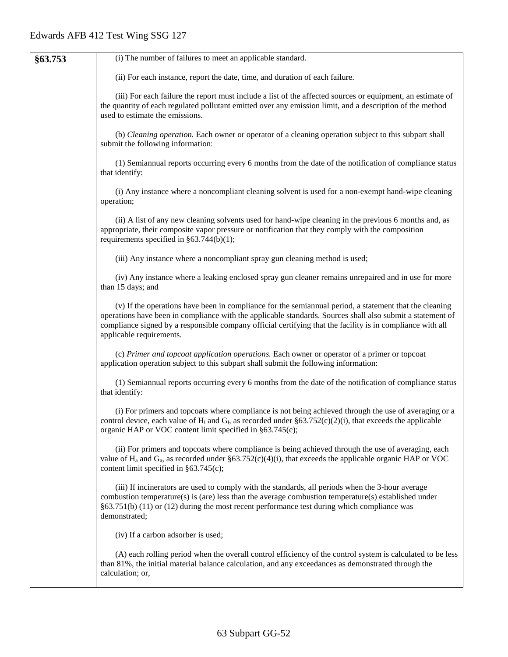| §63.753 | (i) The number of failures to meet an applicable standard.                                                                                                                                                                                                                                                                                                     |
|---------|----------------------------------------------------------------------------------------------------------------------------------------------------------------------------------------------------------------------------------------------------------------------------------------------------------------------------------------------------------------|
|         | (ii) For each instance, report the date, time, and duration of each failure.                                                                                                                                                                                                                                                                                   |
|         | (iii) For each failure the report must include a list of the affected sources or equipment, an estimate of<br>the quantity of each regulated pollutant emitted over any emission limit, and a description of the method<br>used to estimate the emissions.                                                                                                     |
|         | (b) Cleaning operation. Each owner or operator of a cleaning operation subject to this subpart shall<br>submit the following information:                                                                                                                                                                                                                      |
|         | (1) Semiannual reports occurring every 6 months from the date of the notification of compliance status<br>that identify:                                                                                                                                                                                                                                       |
|         | (i) Any instance where a noncompliant cleaning solvent is used for a non-exempt hand-wipe cleaning<br>operation;                                                                                                                                                                                                                                               |
|         | (ii) A list of any new cleaning solvents used for hand-wipe cleaning in the previous 6 months and, as<br>appropriate, their composite vapor pressure or notification that they comply with the composition<br>requirements specified in $\S 63.744(b)(1)$ ;                                                                                                    |
|         | (iii) Any instance where a noncompliant spray gun cleaning method is used;                                                                                                                                                                                                                                                                                     |
|         | (iv) Any instance where a leaking enclosed spray gun cleaner remains unrepaired and in use for more<br>than 15 days; and                                                                                                                                                                                                                                       |
|         | (v) If the operations have been in compliance for the semiannual period, a statement that the cleaning<br>operations have been in compliance with the applicable standards. Sources shall also submit a statement of<br>compliance signed by a responsible company official certifying that the facility is in compliance with all<br>applicable requirements. |
|         | (c) Primer and topcoat application operations. Each owner or operator of a primer or topcoat<br>application operation subject to this subpart shall submit the following information:                                                                                                                                                                          |
|         | (1) Semiannual reports occurring every 6 months from the date of the notification of compliance status<br>that identify:                                                                                                                                                                                                                                       |
|         | (i) For primers and topcoats where compliance is not being achieved through the use of averaging or a<br>control device, each value of $H_i$ and $G_i$ , as recorded under §63.752(c)(2)(i), that exceeds the applicable<br>organic HAP or VOC content limit specified in §63.745(c);                                                                          |
|         | (ii) For primers and topcoats where compliance is being achieved through the use of averaging, each<br>value of $H_a$ and $G_a$ , as recorded under §63.752(c)(4)(i), that exceeds the applicable organic HAP or VOC<br>content limit specified in $§63.745(c)$ ;                                                                                              |
|         | (iii) If incinerators are used to comply with the standards, all periods when the 3-hour average<br>combustion temperature(s) is (are) less than the average combustion temperature(s) established under<br>$§63.751(b)$ (11) or (12) during the most recent performance test during which compliance was<br>demonstrated;                                     |
|         | (iv) If a carbon adsorber is used;                                                                                                                                                                                                                                                                                                                             |
|         | (A) each rolling period when the overall control efficiency of the control system is calculated to be less<br>than 81%, the initial material balance calculation, and any exceedances as demonstrated through the<br>calculation; or,                                                                                                                          |
|         |                                                                                                                                                                                                                                                                                                                                                                |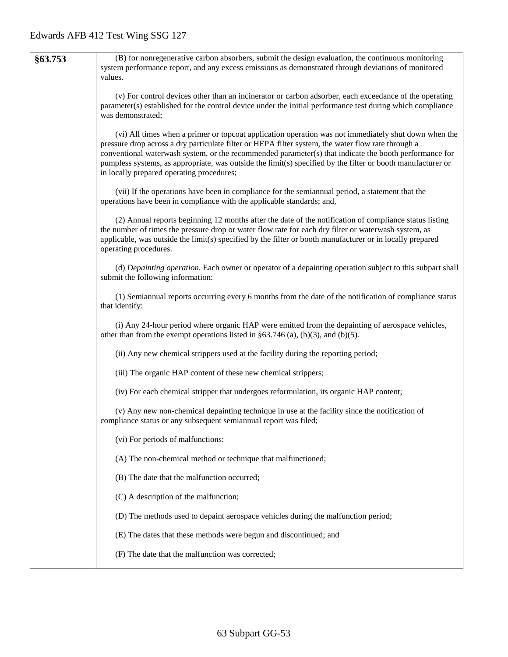| §63.753 | (B) for nonregenerative carbon absorbers, submit the design evaluation, the continuous monitoring<br>system performance report, and any excess emissions as demonstrated through deviations of monitored<br>values.                                                                                                                                                                                                                                                              |
|---------|----------------------------------------------------------------------------------------------------------------------------------------------------------------------------------------------------------------------------------------------------------------------------------------------------------------------------------------------------------------------------------------------------------------------------------------------------------------------------------|
|         | (v) For control devices other than an incinerator or carbon adsorber, each exceedance of the operating<br>parameter(s) established for the control device under the initial performance test during which compliance<br>was demonstrated;                                                                                                                                                                                                                                        |
|         | (vi) All times when a primer or topcoat application operation was not immediately shut down when the<br>pressure drop across a dry particulate filter or HEPA filter system, the water flow rate through a<br>conventional waterwash system, or the recommended parameter(s) that indicate the booth performance for<br>pumpless systems, as appropriate, was outside the limit(s) specified by the filter or booth manufacturer or<br>in locally prepared operating procedures; |
|         | (vii) If the operations have been in compliance for the semiannual period, a statement that the<br>operations have been in compliance with the applicable standards; and,                                                                                                                                                                                                                                                                                                        |
|         | (2) Annual reports beginning 12 months after the date of the notification of compliance status listing<br>the number of times the pressure drop or water flow rate for each dry filter or waterwash system, as<br>applicable, was outside the limit(s) specified by the filter or booth manufacturer or in locally prepared<br>operating procedures.                                                                                                                             |
|         | (d) Depainting operation. Each owner or operator of a depainting operation subject to this subpart shall<br>submit the following information:                                                                                                                                                                                                                                                                                                                                    |
|         | (1) Semiannual reports occurring every 6 months from the date of the notification of compliance status<br>that identify:                                                                                                                                                                                                                                                                                                                                                         |
|         | (i) Any 24-hour period where organic HAP were emitted from the depainting of aerospace vehicles,<br>other than from the exempt operations listed in $\S 63.746$ (a), (b)(3), and (b)(5).                                                                                                                                                                                                                                                                                         |
|         | (ii) Any new chemical strippers used at the facility during the reporting period;                                                                                                                                                                                                                                                                                                                                                                                                |
|         | (iii) The organic HAP content of these new chemical strippers;                                                                                                                                                                                                                                                                                                                                                                                                                   |
|         | (iv) For each chemical stripper that undergoes reformulation, its organic HAP content;                                                                                                                                                                                                                                                                                                                                                                                           |
|         | (v) Any new non-chemical depainting technique in use at the facility since the notification of<br>compliance status or any subsequent semiannual report was filed;                                                                                                                                                                                                                                                                                                               |
|         | (vi) For periods of malfunctions:                                                                                                                                                                                                                                                                                                                                                                                                                                                |
|         | (A) The non-chemical method or technique that malfunctioned;                                                                                                                                                                                                                                                                                                                                                                                                                     |
|         | (B) The date that the malfunction occurred;                                                                                                                                                                                                                                                                                                                                                                                                                                      |
|         | (C) A description of the malfunction;                                                                                                                                                                                                                                                                                                                                                                                                                                            |
|         | (D) The methods used to depaint aerospace vehicles during the malfunction period;                                                                                                                                                                                                                                                                                                                                                                                                |
|         | (E) The dates that these methods were begun and discontinued; and                                                                                                                                                                                                                                                                                                                                                                                                                |
|         | (F) The date that the malfunction was corrected;                                                                                                                                                                                                                                                                                                                                                                                                                                 |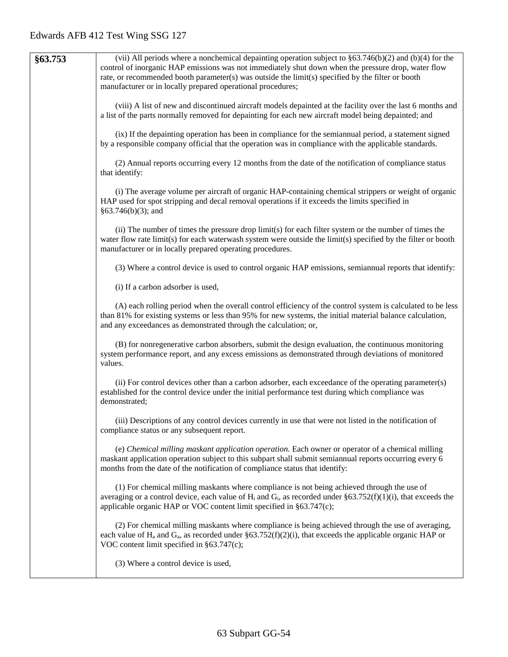| §63.753 | (vii) All periods where a nonchemical depainting operation subject to $\S 63.746(b)(2)$ and (b)(4) for the<br>control of inorganic HAP emissions was not immediately shut down when the pressure drop, water flow<br>rate, or recommended booth parameter(s) was outside the limit(s) specified by the filter or booth<br>manufacturer or in locally prepared operational procedures; |
|---------|---------------------------------------------------------------------------------------------------------------------------------------------------------------------------------------------------------------------------------------------------------------------------------------------------------------------------------------------------------------------------------------|
|         | (viii) A list of new and discontinued aircraft models depainted at the facility over the last 6 months and<br>a list of the parts normally removed for depainting for each new aircraft model being depainted; and                                                                                                                                                                    |
|         | (ix) If the depainting operation has been in compliance for the semiannual period, a statement signed<br>by a responsible company official that the operation was in compliance with the applicable standards.                                                                                                                                                                        |
|         | (2) Annual reports occurring every 12 months from the date of the notification of compliance status<br>that identify:                                                                                                                                                                                                                                                                 |
|         | (i) The average volume per aircraft of organic HAP-containing chemical strippers or weight of organic<br>HAP used for spot stripping and decal removal operations if it exceeds the limits specified in<br>$§63.746(b)(3);$ and                                                                                                                                                       |
|         | (ii) The number of times the pressure drop limit(s) for each filter system or the number of times the<br>water flow rate limit(s) for each waterwash system were outside the limit(s) specified by the filter or booth<br>manufacturer or in locally prepared operating procedures.                                                                                                   |
|         | (3) Where a control device is used to control organic HAP emissions, semiannual reports that identify:                                                                                                                                                                                                                                                                                |
|         | (i) If a carbon adsorber is used,                                                                                                                                                                                                                                                                                                                                                     |
|         | (A) each rolling period when the overall control efficiency of the control system is calculated to be less<br>than 81% for existing systems or less than 95% for new systems, the initial material balance calculation,<br>and any exceedances as demonstrated through the calculation; or,                                                                                           |
|         | (B) for nonregenerative carbon absorbers, submit the design evaluation, the continuous monitoring<br>system performance report, and any excess emissions as demonstrated through deviations of monitored<br>values.                                                                                                                                                                   |
|         | (ii) For control devices other than a carbon adsorber, each exceedance of the operating parameter(s)<br>established for the control device under the initial performance test during which compliance was<br>demonstrated;                                                                                                                                                            |
|         | (iii) Descriptions of any control devices currently in use that were not listed in the notification of<br>compliance status or any subsequent report.                                                                                                                                                                                                                                 |
|         | (e) Chemical milling maskant application operation. Each owner or operator of a chemical milling<br>maskant application operation subject to this subpart shall submit semiannual reports occurring every 6<br>months from the date of the notification of compliance status that identify:                                                                                           |
|         | (1) For chemical milling maskants where compliance is not being achieved through the use of<br>averaging or a control device, each value of $H_i$ and $G_i$ , as recorded under §63.752(f)(1)(i), that exceeds the<br>applicable organic HAP or VOC content limit specified in §63.747(c);                                                                                            |
|         | (2) For chemical milling maskants where compliance is being achieved through the use of averaging,<br>each value of $H_a$ and $G_a$ , as recorded under §63.752(f)(2)(i), that exceeds the applicable organic HAP or<br>VOC content limit specified in $§63.747(c)$ ;                                                                                                                 |
|         | (3) Where a control device is used,                                                                                                                                                                                                                                                                                                                                                   |
|         |                                                                                                                                                                                                                                                                                                                                                                                       |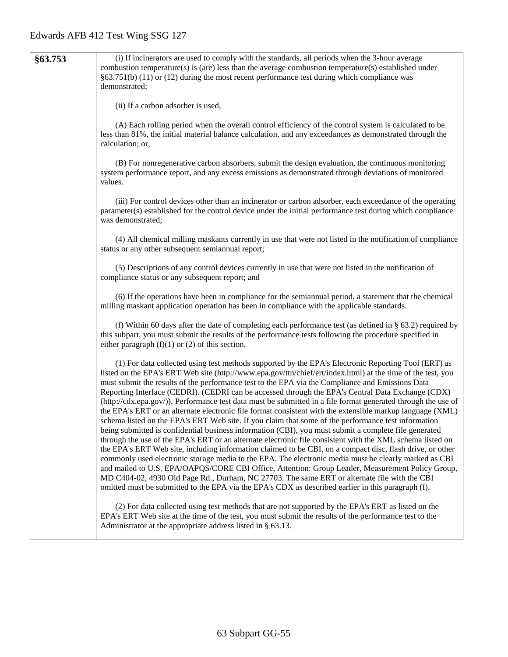| §63.753 | (i) If incinerators are used to comply with the standards, all periods when the 3-hour average                                                                                                                         |
|---------|------------------------------------------------------------------------------------------------------------------------------------------------------------------------------------------------------------------------|
|         | combustion temperature(s) is (are) less than the average combustion temperature(s) established under                                                                                                                   |
|         | $§63.751(b)$ (11) or (12) during the most recent performance test during which compliance was                                                                                                                          |
|         | demonstrated;                                                                                                                                                                                                          |
|         |                                                                                                                                                                                                                        |
|         | (ii) If a carbon adsorber is used,                                                                                                                                                                                     |
|         |                                                                                                                                                                                                                        |
|         | (A) Each rolling period when the overall control efficiency of the control system is calculated to be                                                                                                                  |
|         | less than 81%, the initial material balance calculation, and any exceedances as demonstrated through the                                                                                                               |
|         | calculation; or,                                                                                                                                                                                                       |
|         |                                                                                                                                                                                                                        |
|         | (B) For nonregenerative carbon absorbers, submit the design evaluation, the continuous monitoring                                                                                                                      |
|         | system performance report, and any excess emissions as demonstrated through deviations of monitored                                                                                                                    |
|         | values.                                                                                                                                                                                                                |
|         | (iii) For control devices other than an incinerator or carbon adsorber, each exceedance of the operating                                                                                                               |
|         | parameter(s) established for the control device under the initial performance test during which compliance                                                                                                             |
|         | was demonstrated;                                                                                                                                                                                                      |
|         |                                                                                                                                                                                                                        |
|         | (4) All chemical milling maskants currently in use that were not listed in the notification of compliance                                                                                                              |
|         | status or any other subsequent semiannual report;                                                                                                                                                                      |
|         |                                                                                                                                                                                                                        |
|         | (5) Descriptions of any control devices currently in use that were not listed in the notification of                                                                                                                   |
|         | compliance status or any subsequent report; and                                                                                                                                                                        |
|         |                                                                                                                                                                                                                        |
|         | (6) If the operations have been in compliance for the semiannual period, a statement that the chemical                                                                                                                 |
|         | milling maskant application operation has been in compliance with the applicable standards.                                                                                                                            |
|         | (f) Within 60 days after the date of completing each performance test (as defined in $\S$ 63.2) required by                                                                                                            |
|         | this subpart, you must submit the results of the performance tests following the procedure specified in                                                                                                                |
|         | either paragraph $(f)(1)$ or $(2)$ of this section.                                                                                                                                                                    |
|         |                                                                                                                                                                                                                        |
|         | (1) For data collected using test methods supported by the EPA's Electronic Reporting Tool (ERT) as                                                                                                                    |
|         | listed on the EPA's ERT Web site (http://www.epa.gov/ttn/chief/ert/index.html) at the time of the test, you                                                                                                            |
|         | must submit the results of the performance test to the EPA via the Compliance and Emissions Data                                                                                                                       |
|         | Reporting Interface (CEDRI). (CEDRI can be accessed through the EPA's Central Data Exchange (CDX)                                                                                                                      |
|         | (http://cdx.epa.gov/)). Performance test data must be submitted in a file format generated through the use of                                                                                                          |
|         | the EPA's ERT or an alternate electronic file format consistent with the extensible markup language (XML)                                                                                                              |
|         | schema listed on the EPA's ERT Web site. If you claim that some of the performance test information                                                                                                                    |
|         | being submitted is confidential business information (CBI), you must submit a complete file generated                                                                                                                  |
|         | through the use of the EPA's ERT or an alternate electronic file consistent with the XML schema listed on<br>the EPA's ERT Web site, including information claimed to be CBI, on a compact disc, flash drive, or other |
|         | commonly used electronic storage media to the EPA. The electronic media must be clearly marked as CBI                                                                                                                  |
|         | and mailed to U.S. EPA/OAPQS/CORE CBI Office, Attention: Group Leader, Measurement Policy Group,                                                                                                                       |
|         | MD C404-02, 4930 Old Page Rd., Durham, NC 27703. The same ERT or alternate file with the CBI                                                                                                                           |
|         | omitted must be submitted to the EPA via the EPA's CDX as described earlier in this paragraph (f).                                                                                                                     |
|         |                                                                                                                                                                                                                        |
|         | (2) For data collected using test methods that are not supported by the EPA's ERT as listed on the                                                                                                                     |
|         | EPA's ERT Web site at the time of the test, you must submit the results of the performance test to the                                                                                                                 |
|         | Administrator at the appropriate address listed in § 63.13.                                                                                                                                                            |
|         |                                                                                                                                                                                                                        |